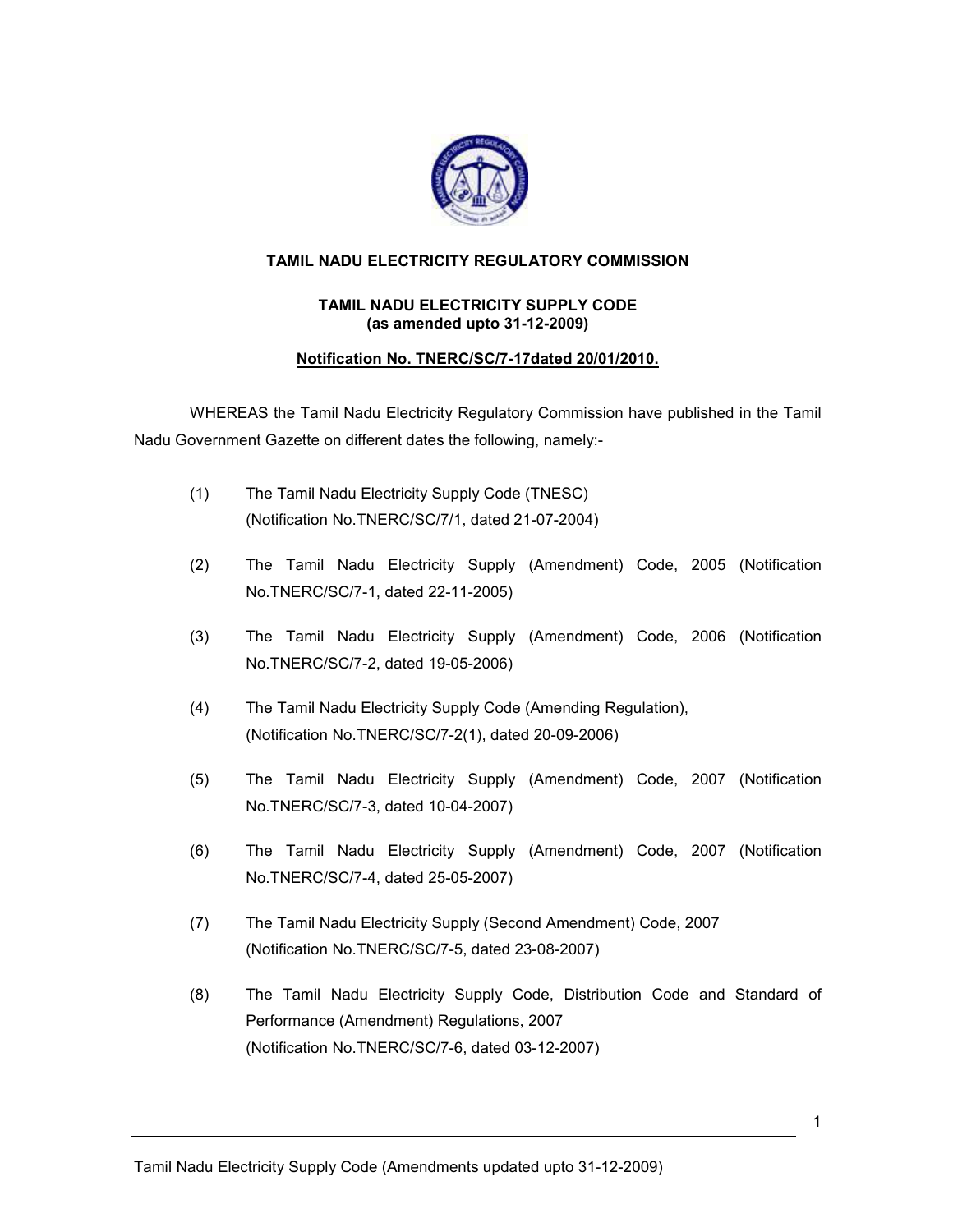

## TAMIL NADU ELECTRICITY REGULATORY COMMISSION

## TAMIL NADU ELECTRICITY SUPPLY CODE (as amended upto 31-12-2009)

## Notification No. TNERC/SC/7-17dated 20/01/2010.

WHEREAS the Tamil Nadu Electricity Regulatory Commission have published in the Tamil Nadu Government Gazette on different dates the following, namely:-

- (1) The Tamil Nadu Electricity Supply Code (TNESC) (Notification No.TNERC/SC/7/1, dated 21-07-2004)
- (2) The Tamil Nadu Electricity Supply (Amendment) Code, 2005 (Notification No.TNERC/SC/7-1, dated 22-11-2005)
- (3) The Tamil Nadu Electricity Supply (Amendment) Code, 2006 (Notification No.TNERC/SC/7-2, dated 19-05-2006)
- (4) The Tamil Nadu Electricity Supply Code (Amending Regulation), (Notification No.TNERC/SC/7-2(1), dated 20-09-2006)
- (5) The Tamil Nadu Electricity Supply (Amendment) Code, 2007 (Notification No.TNERC/SC/7-3, dated 10-04-2007)
- (6) The Tamil Nadu Electricity Supply (Amendment) Code, 2007 (Notification No.TNERC/SC/7-4, dated 25-05-2007)
- (7) The Tamil Nadu Electricity Supply (Second Amendment) Code, 2007 (Notification No.TNERC/SC/7-5, dated 23-08-2007)
- (8) The Tamil Nadu Electricity Supply Code, Distribution Code and Standard of Performance (Amendment) Regulations, 2007 (Notification No.TNERC/SC/7-6, dated 03-12-2007)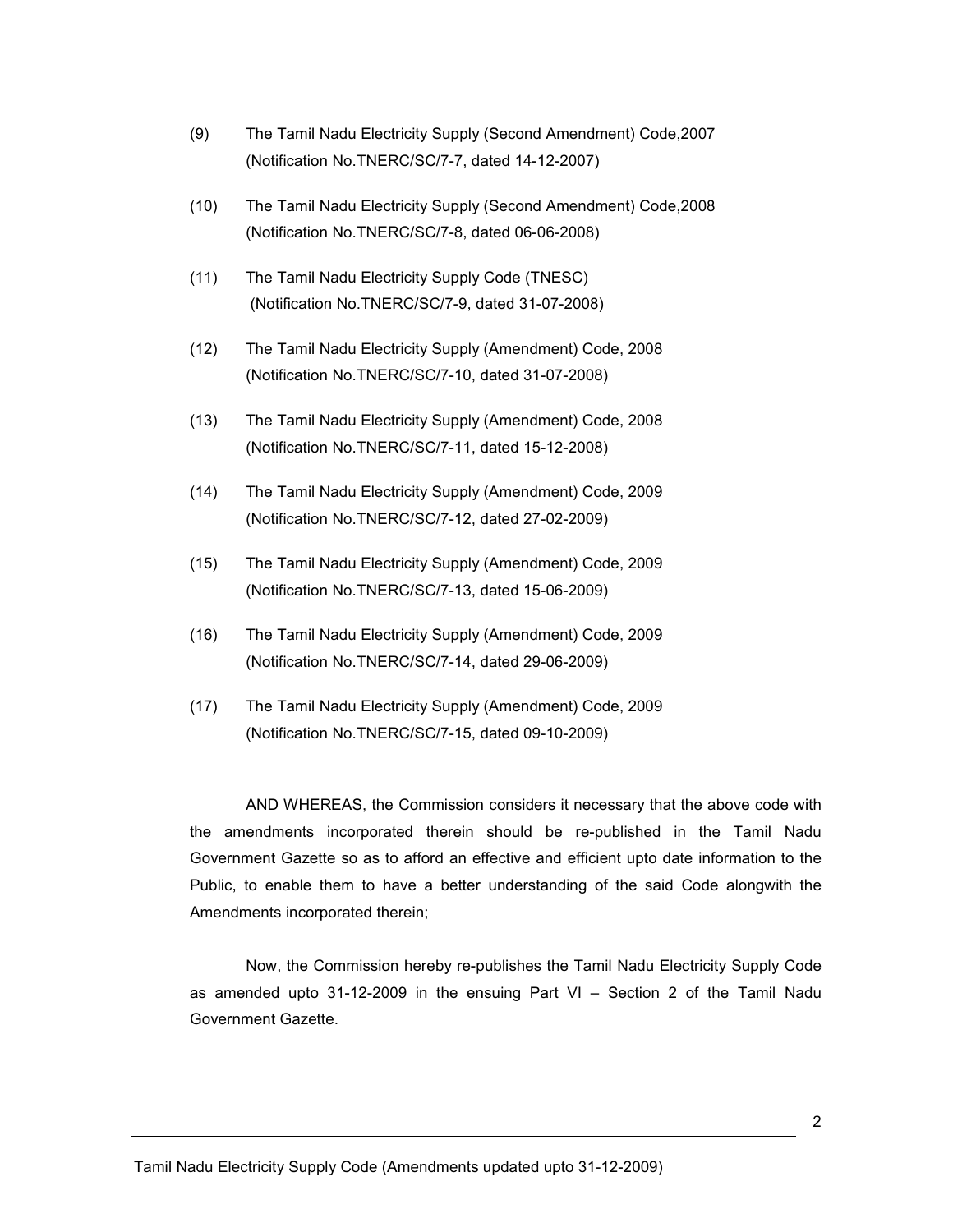- (9) The Tamil Nadu Electricity Supply (Second Amendment) Code,2007 (Notification No.TNERC/SC/7-7, dated 14-12-2007)
- (10) The Tamil Nadu Electricity Supply (Second Amendment) Code,2008 (Notification No.TNERC/SC/7-8, dated 06-06-2008)
- (11) The Tamil Nadu Electricity Supply Code (TNESC) (Notification No.TNERC/SC/7-9, dated 31-07-2008)
- (12) The Tamil Nadu Electricity Supply (Amendment) Code, 2008 (Notification No.TNERC/SC/7-10, dated 31-07-2008)
- (13) The Tamil Nadu Electricity Supply (Amendment) Code, 2008 (Notification No.TNERC/SC/7-11, dated 15-12-2008)
- (14) The Tamil Nadu Electricity Supply (Amendment) Code, 2009 (Notification No.TNERC/SC/7-12, dated 27-02-2009)
- (15) The Tamil Nadu Electricity Supply (Amendment) Code, 2009 (Notification No.TNERC/SC/7-13, dated 15-06-2009)
- (16) The Tamil Nadu Electricity Supply (Amendment) Code, 2009 (Notification No.TNERC/SC/7-14, dated 29-06-2009)
- (17) The Tamil Nadu Electricity Supply (Amendment) Code, 2009 (Notification No.TNERC/SC/7-15, dated 09-10-2009)

AND WHEREAS, the Commission considers it necessary that the above code with the amendments incorporated therein should be re-published in the Tamil Nadu Government Gazette so as to afford an effective and efficient upto date information to the Public, to enable them to have a better understanding of the said Code alongwith the Amendments incorporated therein;

Now, the Commission hereby re-publishes the Tamil Nadu Electricity Supply Code as amended upto 31-12-2009 in the ensuing Part VI – Section 2 of the Tamil Nadu Government Gazette.

Tamil Nadu Electricity Supply Code (Amendments updated upto 31-12-2009)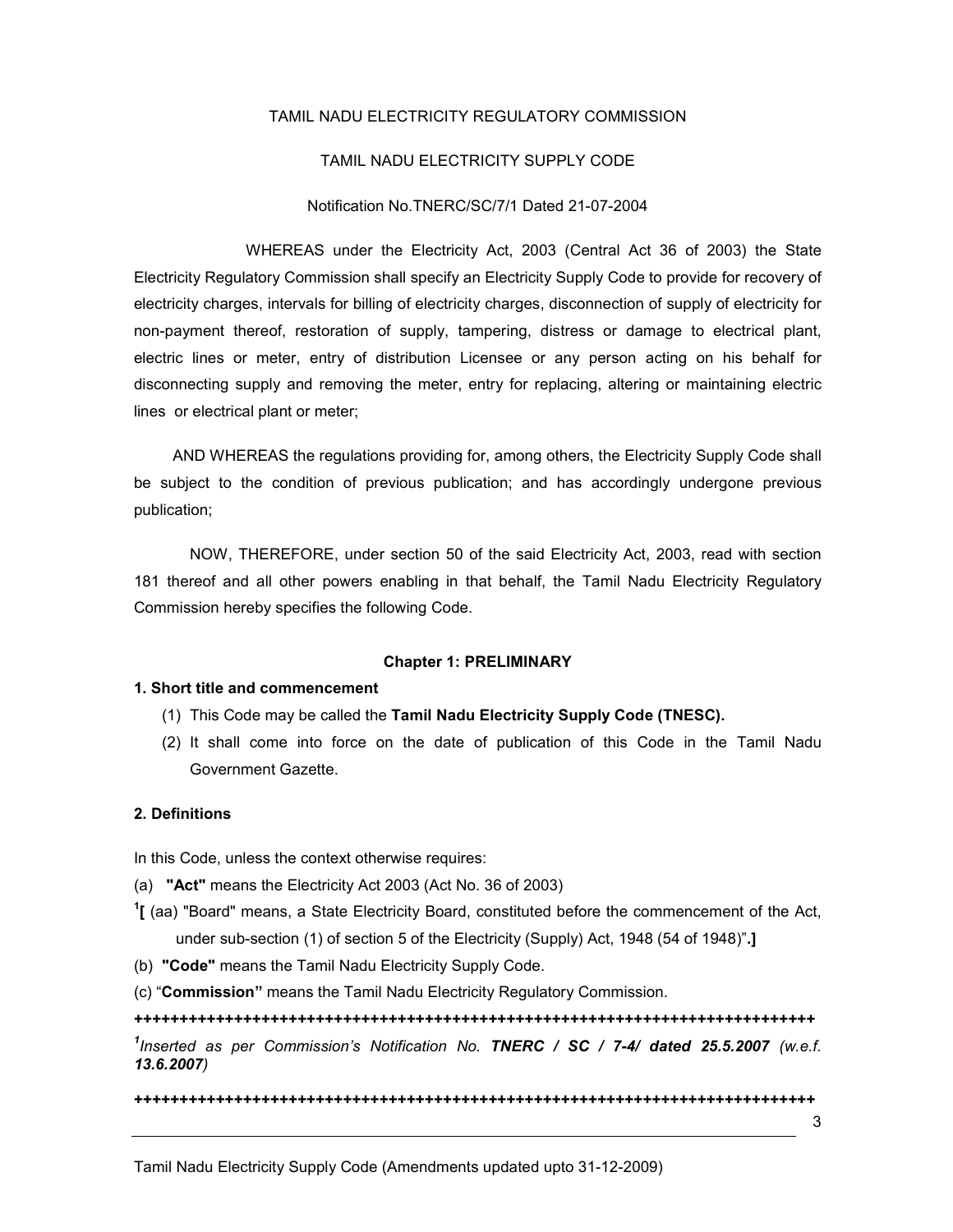#### TAMIL NADU ELECTRICITY REGULATORY COMMISSION

#### TAMIL NADU ELECTRICITY SUPPLY CODE

#### Notification No.TNERC/SC/7/1 Dated 21-07-2004

 WHEREAS under the Electricity Act, 2003 (Central Act 36 of 2003) the State Electricity Regulatory Commission shall specify an Electricity Supply Code to provide for recovery of electricity charges, intervals for billing of electricity charges, disconnection of supply of electricity for non-payment thereof, restoration of supply, tampering, distress or damage to electrical plant, electric lines or meter, entry of distribution Licensee or any person acting on his behalf for disconnecting supply and removing the meter, entry for replacing, altering or maintaining electric lines or electrical plant or meter;

 AND WHEREAS the regulations providing for, among others, the Electricity Supply Code shall be subject to the condition of previous publication; and has accordingly undergone previous publication;

NOW, THEREFORE, under section 50 of the said Electricity Act, 2003, read with section 181 thereof and all other powers enabling in that behalf, the Tamil Nadu Electricity Regulatory Commission hereby specifies the following Code.

#### Chapter 1: PRELIMINARY

#### 1. Short title and commencement

- (1) This Code may be called the Tamil Nadu Electricity Supply Code (TNESC).
- (2) It shall come into force on the date of publication of this Code in the Tamil Nadu Government Gazette.

#### 2. Definitions

In this Code, unless the context otherwise requires:

- (a) "Act" means the Electricity Act 2003 (Act No. 36 of 2003)
- $1$ [ (aa) "Board" means, a State Electricity Board, constituted before the commencement of the Act, under sub-section (1) of section 5 of the Electricity (Supply) Act, 1948 (54 of 1948)".]
- (b) "Code" means the Tamil Nadu Electricity Supply Code.
- (c) "Commission" means the Tamil Nadu Electricity Regulatory Commission.

+++++++++++++++++++++++++++++++++++++++++++++++++++++++++++++++++++++++++++ <sup>1</sup>Inserted as per Commission's Notification No. TNERC / SC / 7-4/ dated 25.5.2007 (w.e.f. 13.6.2007)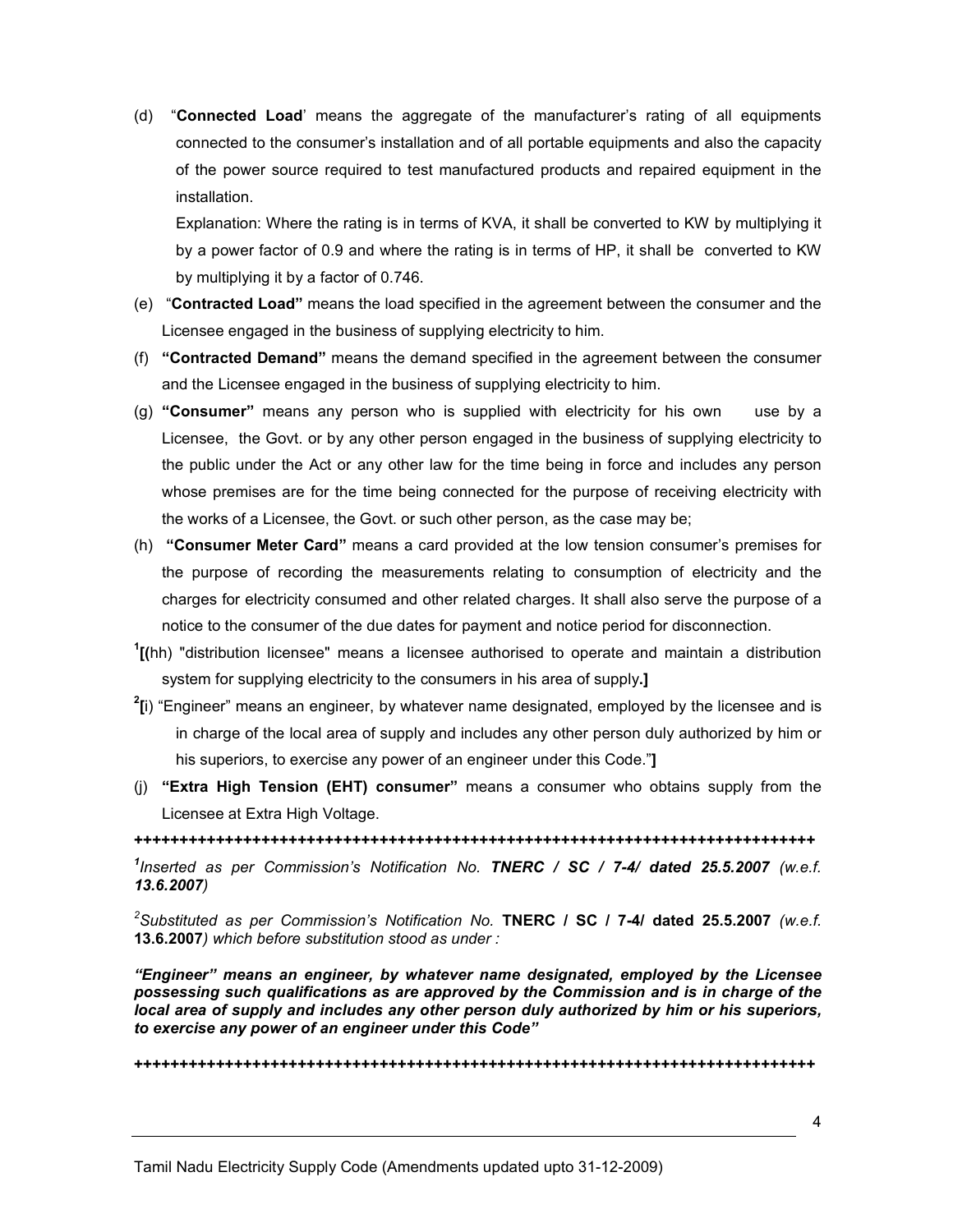(d) "Connected Load' means the aggregate of the manufacturer's rating of all equipments connected to the consumer's installation and of all portable equipments and also the capacity of the power source required to test manufactured products and repaired equipment in the installation.

Explanation: Where the rating is in terms of KVA, it shall be converted to KW by multiplying it by a power factor of 0.9 and where the rating is in terms of HP, it shall be converted to KW by multiplying it by a factor of 0.746.

- (e) "Contracted Load" means the load specified in the agreement between the consumer and the Licensee engaged in the business of supplying electricity to him.
- (f) "Contracted Demand" means the demand specified in the agreement between the consumer and the Licensee engaged in the business of supplying electricity to him.
- (g) "Consumer" means any person who is supplied with electricity for his own use by a Licensee, the Govt. or by any other person engaged in the business of supplying electricity to the public under the Act or any other law for the time being in force and includes any person whose premises are for the time being connected for the purpose of receiving electricity with the works of a Licensee, the Govt. or such other person, as the case may be;
- (h) "Consumer Meter Card" means a card provided at the low tension consumer's premises for the purpose of recording the measurements relating to consumption of electricity and the charges for electricity consumed and other related charges. It shall also serve the purpose of a notice to the consumer of the due dates for payment and notice period for disconnection.
- <sup>1</sup>[(hh) "distribution licensee" means a licensee authorised to operate and maintain a distribution system for supplying electricity to the consumers in his area of supply.
- $2$ [i) "Engineer" means an engineer, by whatever name designated, employed by the licensee and is in charge of the local area of supply and includes any other person duly authorized by him or his superiors, to exercise any power of an engineer under this Code."]
- (j) "Extra High Tension (EHT) consumer" means a consumer who obtains supply from the Licensee at Extra High Voltage.

+++++++++++++++++++++++++++++++++++++++++++++++++++++++++++++++++++++++++++

<sup>1</sup>Inserted as per Commission's Notification No. TNERC / SC / 7-4/ dated 25.5.2007 (w.e.f. 13.6.2007)

<sup>2</sup>Substituted as per Commission's Notification No. TNERC / SC / 7-4/ dated 25.5.2007 (w.e.f. 13.6.2007) which before substitution stood as under :

"Engineer" means an engineer, by whatever name designated, employed by the Licensee possessing such qualifications as are approved by the Commission and is in charge of the local area of supply and includes any other person duly authorized by him or his superiors, to exercise any power of an engineer under this Code"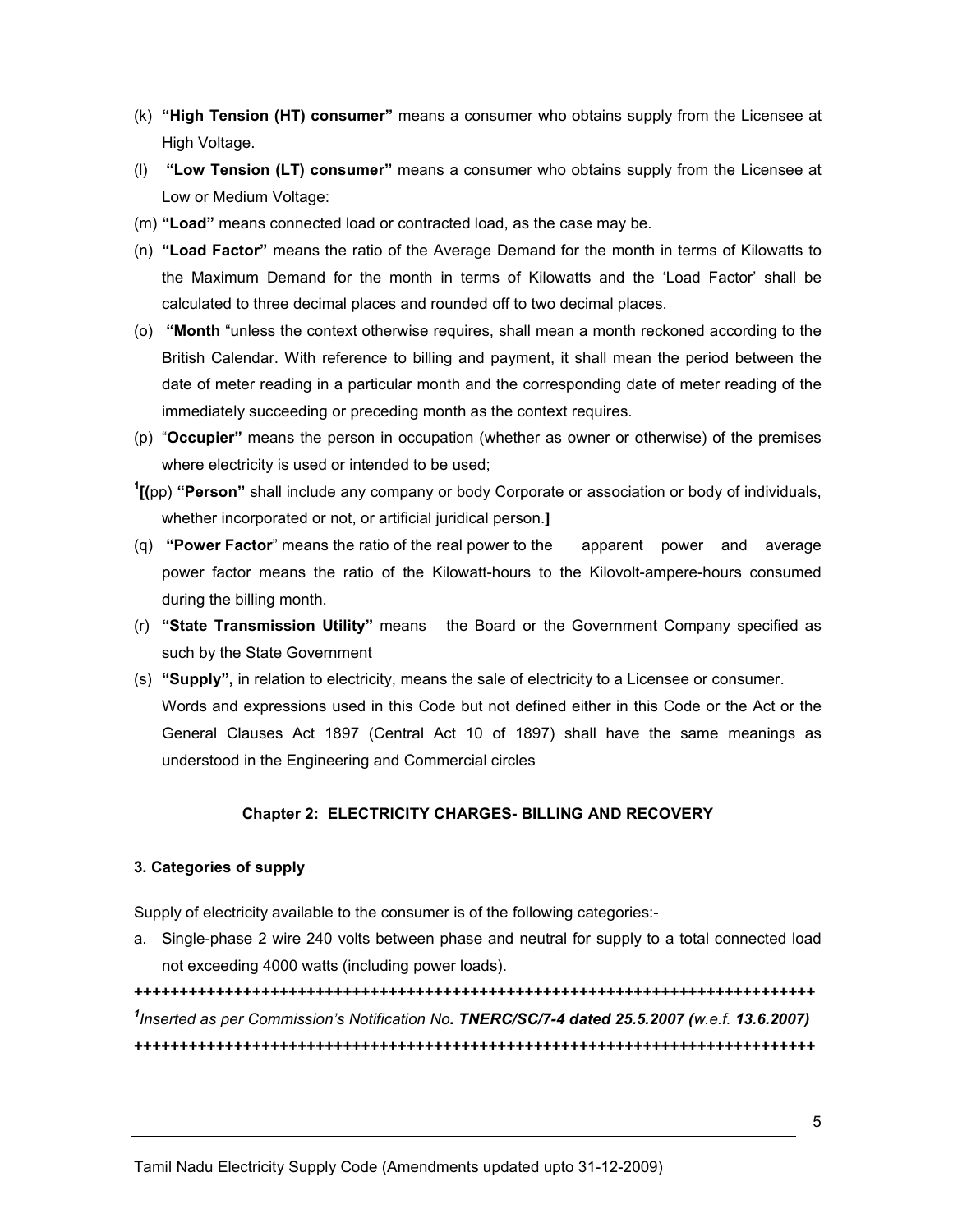- (k) "High Tension (HT) consumer" means a consumer who obtains supply from the Licensee at High Voltage.
- (l) "Low Tension (LT) consumer" means a consumer who obtains supply from the Licensee at Low or Medium Voltage:
- (m) "Load" means connected load or contracted load, as the case may be.
- (n) "Load Factor" means the ratio of the Average Demand for the month in terms of Kilowatts to the Maximum Demand for the month in terms of Kilowatts and the 'Load Factor' shall be calculated to three decimal places and rounded off to two decimal places.
- (o) "Month "unless the context otherwise requires, shall mean a month reckoned according to the British Calendar. With reference to billing and payment, it shall mean the period between the date of meter reading in a particular month and the corresponding date of meter reading of the immediately succeeding or preceding month as the context requires.
- (p) "Occupier" means the person in occupation (whether as owner or otherwise) of the premises where electricity is used or intended to be used;
- $1$ [(pp) "Person" shall include any company or body Corporate or association or body of individuals, whether incorporated or not, or artificial juridical person.
- (q) **"Power Factor**" means the ratio of the real power to the apparent power and average power factor means the ratio of the Kilowatt-hours to the Kilovolt-ampere-hours consumed during the billing month.
- (r) "State Transmission Utility" means the Board or the Government Company specified as such by the State Government
- (s) "Supply", in relation to electricity, means the sale of electricity to a Licensee or consumer. Words and expressions used in this Code but not defined either in this Code or the Act or the General Clauses Act 1897 (Central Act 10 of 1897) shall have the same meanings as understood in the Engineering and Commercial circles

## Chapter 2: ELECTRICITY CHARGES- BILLING AND RECOVERY

#### 3. Categories of supply

Supply of electricity available to the consumer is of the following categories:-

a. Single-phase 2 wire 240 volts between phase and neutral for supply to a total connected load not exceeding 4000 watts (including power loads).

+++++++++++++++++++++++++++++++++++++++++++++++++++++++++++++++++++++++++++ <sup>1</sup>Inserted as per Commission's Notification No. TNERC/SC/7-4 dated 25.5.2007 (w.e.f. 13.6.2007) +++++++++++++++++++++++++++++++++++++++++++++++++++++++++++++++++++++++++++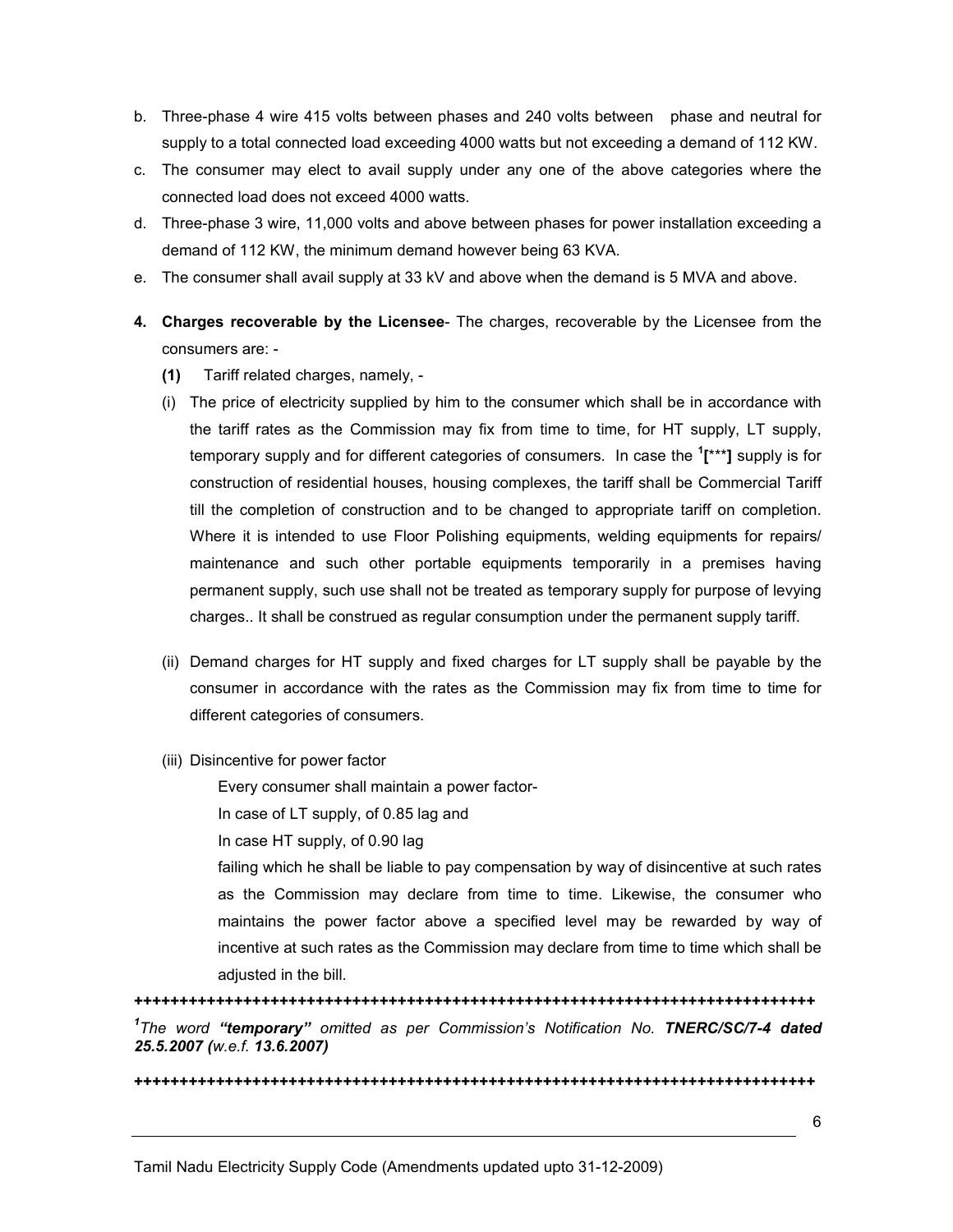- b. Three-phase 4 wire 415 volts between phases and 240 volts between phase and neutral for supply to a total connected load exceeding 4000 watts but not exceeding a demand of 112 KW.
- c. The consumer may elect to avail supply under any one of the above categories where the connected load does not exceed 4000 watts.
- d. Three-phase 3 wire, 11,000 volts and above between phases for power installation exceeding a demand of 112 KW, the minimum demand however being 63 KVA.
- e. The consumer shall avail supply at 33 kV and above when the demand is 5 MVA and above.
- 4. Charges recoverable by the Licensee- The charges, recoverable by the Licensee from the consumers are: -
	- (1) Tariff related charges, namely, -
	- (i) The price of electricity supplied by him to the consumer which shall be in accordance with the tariff rates as the Commission may fix from time to time, for HT supply, LT supply, temporary supply and for different categories of consumers. In case the <sup>1</sup>[\*\*\*] supply is for construction of residential houses, housing complexes, the tariff shall be Commercial Tariff till the completion of construction and to be changed to appropriate tariff on completion. Where it is intended to use Floor Polishing equipments, welding equipments for repairs/ maintenance and such other portable equipments temporarily in a premises having permanent supply, such use shall not be treated as temporary supply for purpose of levying charges.. It shall be construed as regular consumption under the permanent supply tariff.
	- (ii) Demand charges for HT supply and fixed charges for LT supply shall be payable by the consumer in accordance with the rates as the Commission may fix from time to time for different categories of consumers.
	- (iii) Disincentive for power factor

Every consumer shall maintain a power factor-

In case of LT supply, of 0.85 lag and

In case HT supply, of 0.90 lag

failing which he shall be liable to pay compensation by way of disincentive at such rates as the Commission may declare from time to time. Likewise, the consumer who maintains the power factor above a specified level may be rewarded by way of incentive at such rates as the Commission may declare from time to time which shall be adjusted in the bill.

+++++++++++++++++++++++++++++++++++++++++++++++++++++++++++++++++++++++++++ <sup>1</sup>The word "temporary" omitted as per Commission's Notification No. TNERC/SC/7-4 dated 25.5.2007 (w.e.f. 13.6.2007)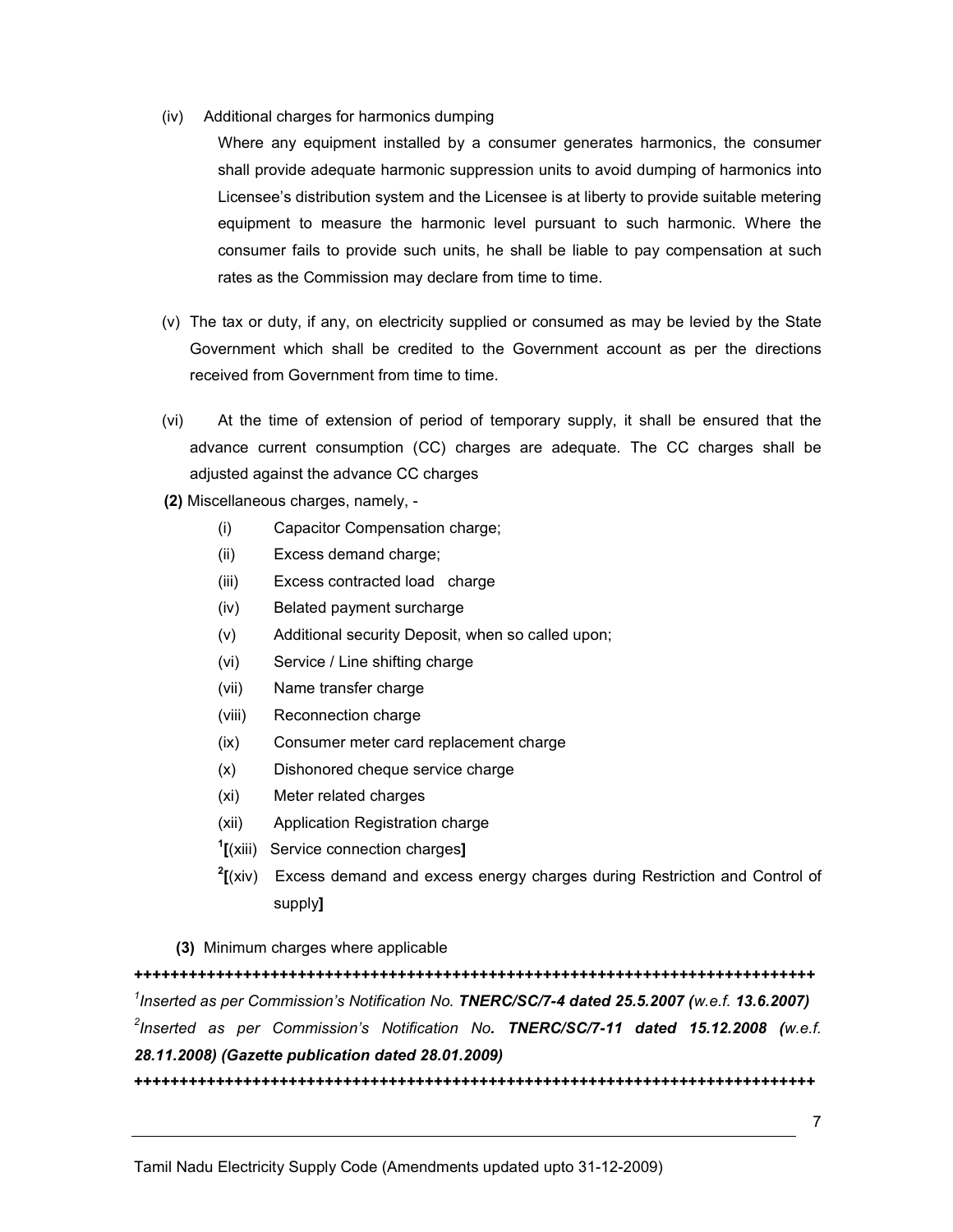(iv) Additional charges for harmonics dumping

Where any equipment installed by a consumer generates harmonics, the consumer shall provide adequate harmonic suppression units to avoid dumping of harmonics into Licensee's distribution system and the Licensee is at liberty to provide suitable metering equipment to measure the harmonic level pursuant to such harmonic. Where the consumer fails to provide such units, he shall be liable to pay compensation at such rates as the Commission may declare from time to time.

- (v) The tax or duty, if any, on electricity supplied or consumed as may be levied by the State Government which shall be credited to the Government account as per the directions received from Government from time to time.
- (vi) At the time of extension of period of temporary supply, it shall be ensured that the advance current consumption (CC) charges are adequate. The CC charges shall be adjusted against the advance CC charges
- (2) Miscellaneous charges, namely,
	- (i) Capacitor Compensation charge;
	- (ii) Excess demand charge;
	- (iii) Excess contracted load charge
	- (iv) Belated payment surcharge
	- (v) Additional security Deposit, when so called upon;
	- (vi) Service / Line shifting charge
	- (vii) Name transfer charge
	- (viii) Reconnection charge
	- (ix) Consumer meter card replacement charge
	- (x) Dishonored cheque service charge
	- (xi) Meter related charges
	- (xii) Application Registration charge
	- <sup>1</sup>[(xiii) Service connection charges]
	- $2$ [(xiv) Excess demand and excess energy charges during Restriction and Control of supply]
	- (3) Minimum charges where applicable

+++++++++++++++++++++++++++++++++++++++++++++++++++++++++++++++++++++++++++  $^1$ Inserted as per Commission's Notification No. TNERC/SC/7-4 dated 25.5.2007 (w.e.f. 13.6.2007)  $^2$ Inserted as per Commission's Notification No**. TNERC/SC/7-11 dated 15.12.2008** (w.e.f. 28.11.2008) (Gazette publication dated 28.01.2009)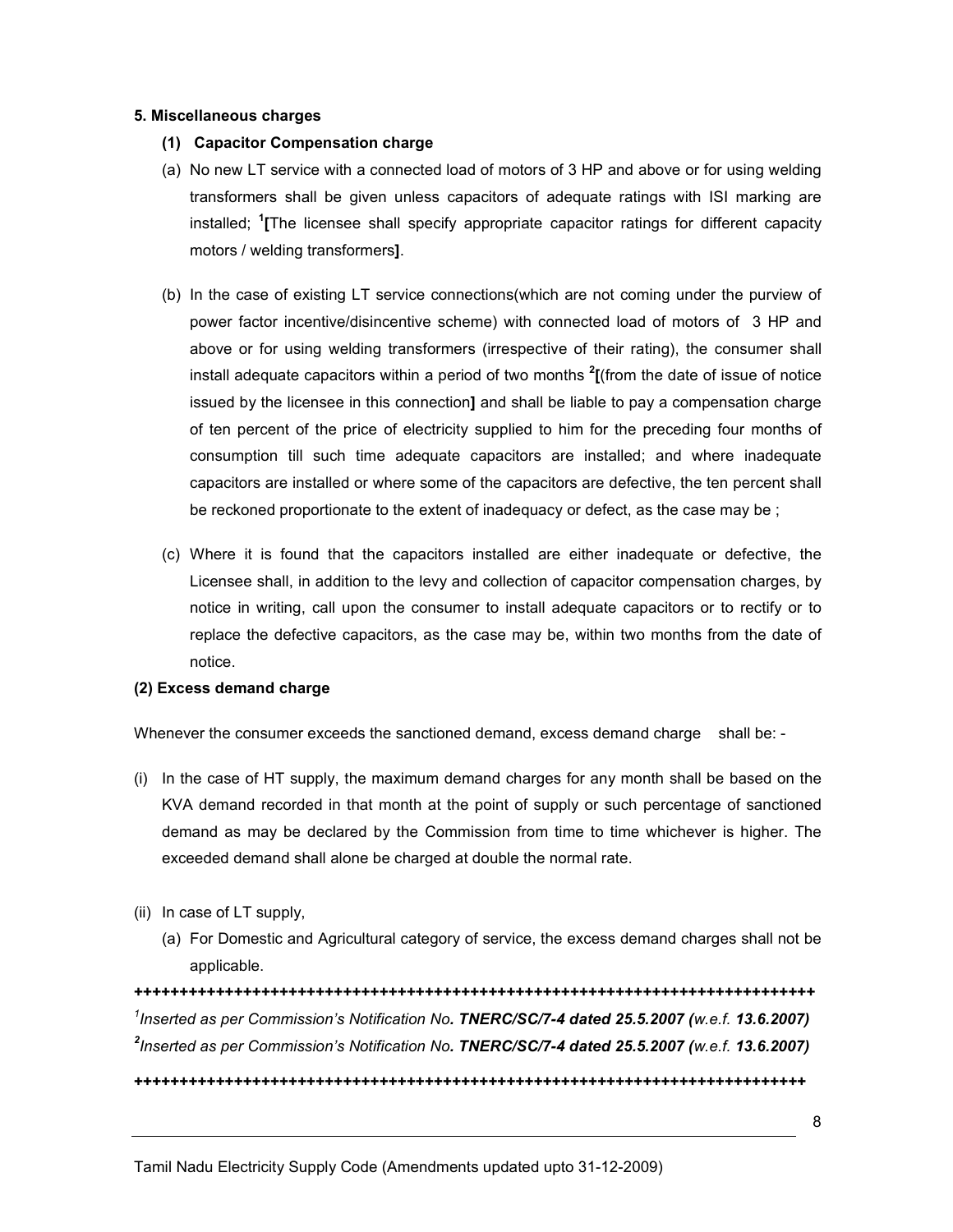#### 5. Miscellaneous charges

- (1) Capacitor Compensation charge
- (a) No new LT service with a connected load of motors of 3 HP and above or for using welding transformers shall be given unless capacitors of adequate ratings with ISI marking are installed; <sup>1</sup>[The licensee shall specify appropriate capacitor ratings for different capacity motors / welding transformers].
- (b) In the case of existing LT service connections(which are not coming under the purview of power factor incentive/disincentive scheme) with connected load of motors of 3 HP and above or for using welding transformers (irrespective of their rating), the consumer shall install adequate capacitors within a period of two months  $2$ [(from the date of issue of notice issued by the licensee in this connection] and shall be liable to pay a compensation charge of ten percent of the price of electricity supplied to him for the preceding four months of consumption till such time adequate capacitors are installed; and where inadequate capacitors are installed or where some of the capacitors are defective, the ten percent shall be reckoned proportionate to the extent of inadequacy or defect, as the case may be ;
- (c) Where it is found that the capacitors installed are either inadequate or defective, the Licensee shall, in addition to the levy and collection of capacitor compensation charges, by notice in writing, call upon the consumer to install adequate capacitors or to rectify or to replace the defective capacitors, as the case may be, within two months from the date of notice.

#### (2) Excess demand charge

Whenever the consumer exceeds the sanctioned demand, excess demand charge shall be: -

- (i) In the case of HT supply, the maximum demand charges for any month shall be based on the KVA demand recorded in that month at the point of supply or such percentage of sanctioned demand as may be declared by the Commission from time to time whichever is higher. The exceeded demand shall alone be charged at double the normal rate.
- (ii) In case of LT supply,
	- (a) For Domestic and Agricultural category of service, the excess demand charges shall not be applicable.

+++++++++++++++++++++++++++++++++++++++++++++++++++++++++++++++++++++++++++ <sup>1</sup>Inserted as per Commission's Notification No. TNERC/SC/7-4 dated 25.5.2007 (w.e.f. 13.6.2007)  $^{2}$ Inserted as per Commission's Notification No. TNERC/SC/7-4 dated 25.5.2007 (w.e.f. 13.6.2007)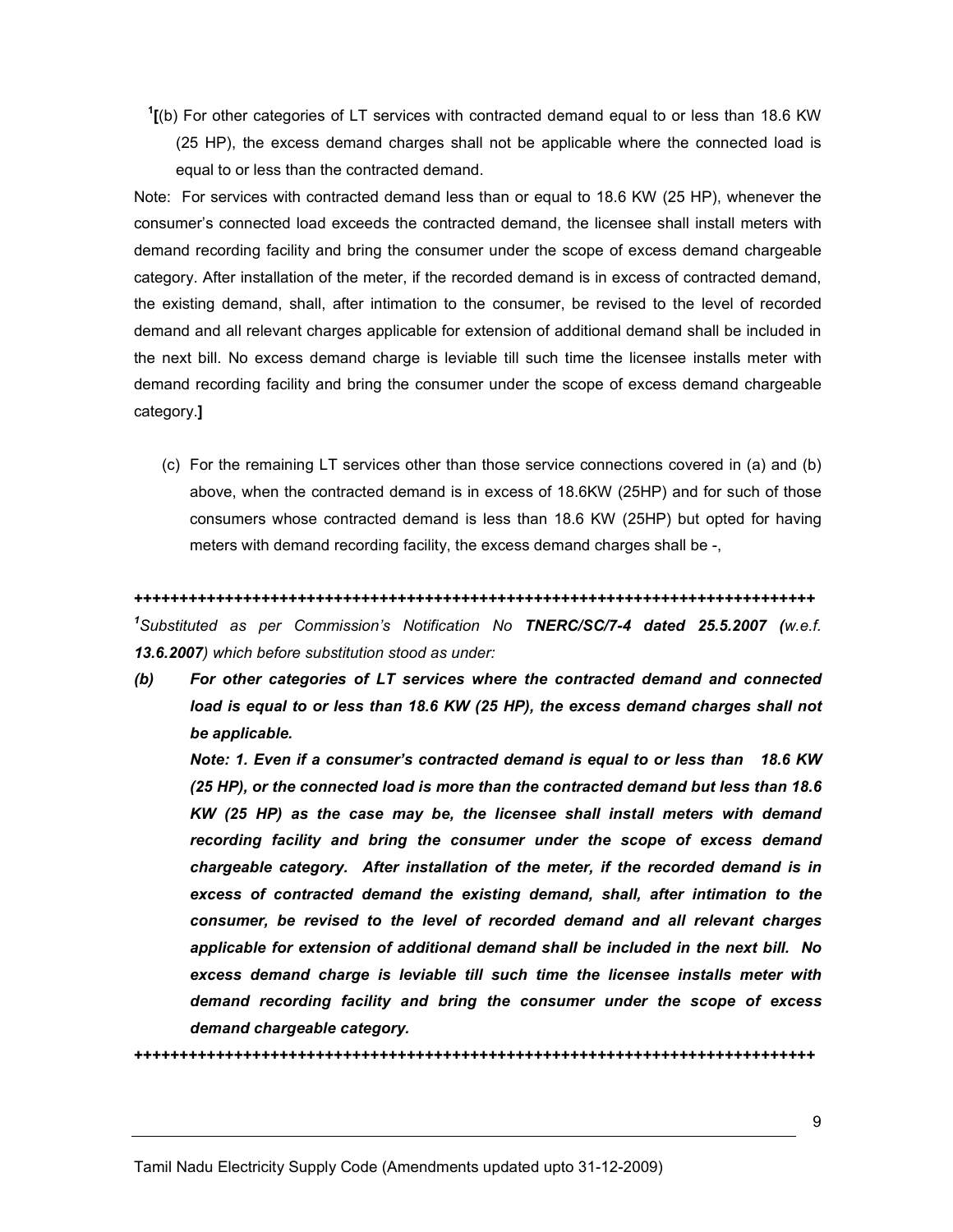$1$ <sup>1</sup>[(b) For other categories of LT services with contracted demand equal to or less than 18.6 KW (25 HP), the excess demand charges shall not be applicable where the connected load is equal to or less than the contracted demand.

Note: For services with contracted demand less than or equal to 18.6 KW (25 HP), whenever the consumer's connected load exceeds the contracted demand, the licensee shall install meters with demand recording facility and bring the consumer under the scope of excess demand chargeable category. After installation of the meter, if the recorded demand is in excess of contracted demand, the existing demand, shall, after intimation to the consumer, be revised to the level of recorded demand and all relevant charges applicable for extension of additional demand shall be included in the next bill. No excess demand charge is leviable till such time the licensee installs meter with demand recording facility and bring the consumer under the scope of excess demand chargeable category.]

(c) For the remaining LT services other than those service connections covered in (a) and (b) above, when the contracted demand is in excess of 18.6KW (25HP) and for such of those consumers whose contracted demand is less than 18.6 KW (25HP) but opted for having meters with demand recording facility, the excess demand charges shall be -,

#### +++++++++++++++++++++++++++++++++++++++++++++++++++++++++++++++++++++++++++

<sup>1</sup>Substituted as per Commission's Notification No TNERC/SC/7-4 dated 25.5.2007 (w.e.f. 13.6.2007) which before substitution stood as under:

(b) For other categories of LT services where the contracted demand and connected load is equal to or less than 18.6 KW (25 HP), the excess demand charges shall not be applicable.

Note: 1. Even if a consumer's contracted demand is equal to or less than 18.6 KW (25 HP), or the connected load is more than the contracted demand but less than 18.6 KW (25 HP) as the case may be, the licensee shall install meters with demand recording facility and bring the consumer under the scope of excess demand chargeable category. After installation of the meter, if the recorded demand is in excess of contracted demand the existing demand, shall, after intimation to the consumer, be revised to the level of recorded demand and all relevant charges applicable for extension of additional demand shall be included in the next bill. No excess demand charge is leviable till such time the licensee installs meter with demand recording facility and bring the consumer under the scope of excess demand chargeable category.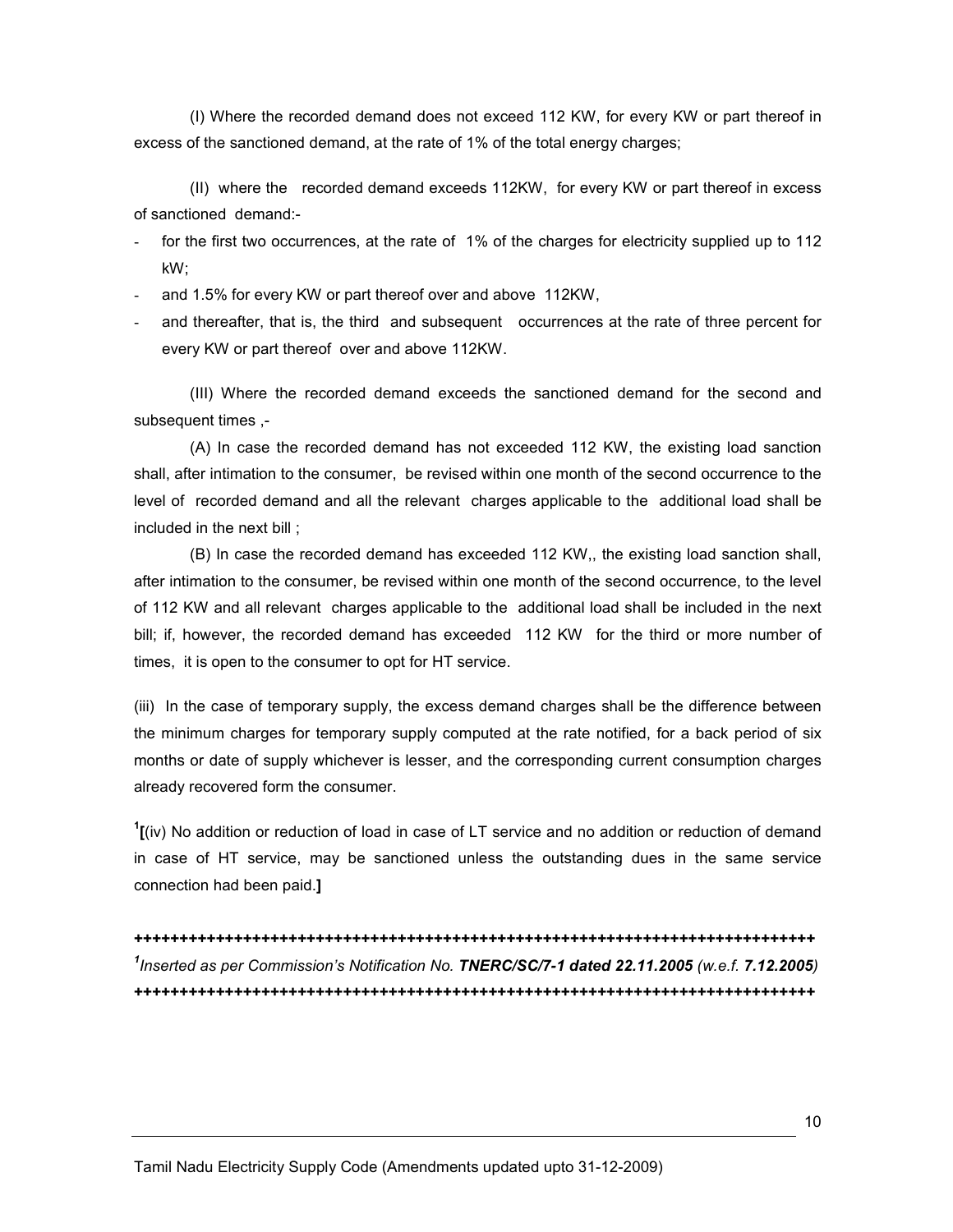(I) Where the recorded demand does not exceed 112 KW, for every KW or part thereof in excess of the sanctioned demand, at the rate of 1% of the total energy charges;

 (II) where the recorded demand exceeds 112KW, for every KW or part thereof in excess of sanctioned demand:-

- for the first two occurrences, at the rate of 1% of the charges for electricity supplied up to 112 kW;
- and 1.5% for every KW or part thereof over and above 112KW,
- and thereafter, that is, the third and subsequent occurrences at the rate of three percent for every KW or part thereof over and above 112KW.

(III) Where the recorded demand exceeds the sanctioned demand for the second and subsequent times ,-

(A) In case the recorded demand has not exceeded 112 KW, the existing load sanction shall, after intimation to the consumer, be revised within one month of the second occurrence to the level of recorded demand and all the relevant charges applicable to the additional load shall be included in the next bill ;

(B) In case the recorded demand has exceeded 112 KW,, the existing load sanction shall, after intimation to the consumer, be revised within one month of the second occurrence, to the level of 112 KW and all relevant charges applicable to the additional load shall be included in the next bill; if, however, the recorded demand has exceeded 112 KW for the third or more number of times, it is open to the consumer to opt for HT service.

(iii) In the case of temporary supply, the excess demand charges shall be the difference between the minimum charges for temporary supply computed at the rate notified, for a back period of six months or date of supply whichever is lesser, and the corresponding current consumption charges already recovered form the consumer.

 $\frac{1}{1}$  (iv) No addition or reduction of load in case of LT service and no addition or reduction of demand in case of HT service, may be sanctioned unless the outstanding dues in the same service connection had been paid.]

+++++++++++++++++++++++++++++++++++++++++++++++++++++++++++++++++++++++++++ <sup>1</sup>Inserted as per Commission's Notification No. TNERC/SC/7-1 dated 22.11.2005 (w.e.f. 7.12.2005) +++++++++++++++++++++++++++++++++++++++++++++++++++++++++++++++++++++++++++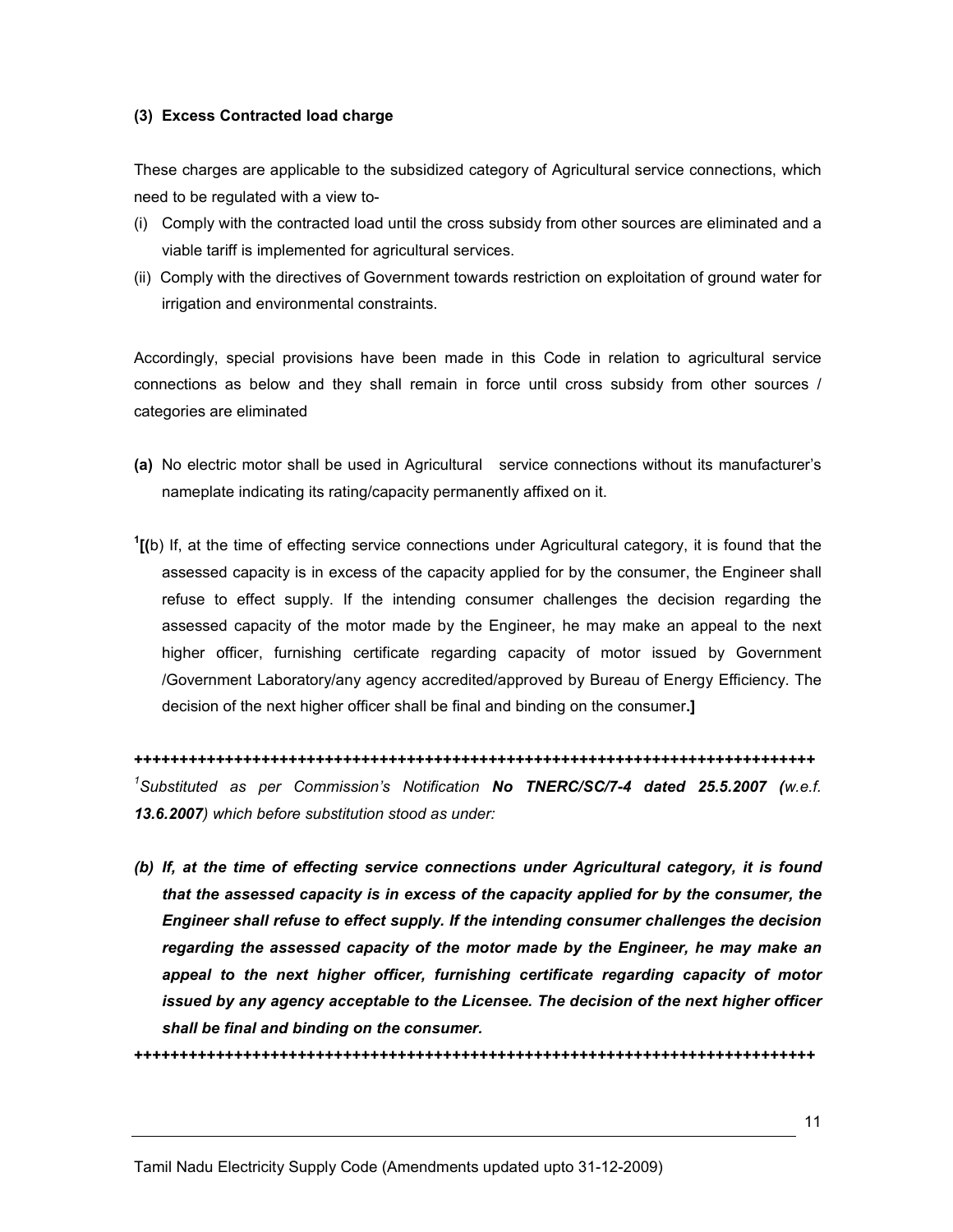#### (3) Excess Contracted load charge

These charges are applicable to the subsidized category of Agricultural service connections, which need to be regulated with a view to-

- (i) Comply with the contracted load until the cross subsidy from other sources are eliminated and a viable tariff is implemented for agricultural services.
- (ii) Comply with the directives of Government towards restriction on exploitation of ground water for irrigation and environmental constraints.

Accordingly, special provisions have been made in this Code in relation to agricultural service connections as below and they shall remain in force until cross subsidy from other sources / categories are eliminated

- (a) No electric motor shall be used in Agricultural service connections without its manufacturer's nameplate indicating its rating/capacity permanently affixed on it.
- $1$ [(b) If, at the time of effecting service connections under Agricultural category, it is found that the assessed capacity is in excess of the capacity applied for by the consumer, the Engineer shall refuse to effect supply. If the intending consumer challenges the decision regarding the assessed capacity of the motor made by the Engineer, he may make an appeal to the next higher officer, furnishing certificate regarding capacity of motor issued by Government /Government Laboratory/any agency accredited/approved by Bureau of Energy Efficiency. The decision of the next higher officer shall be final and binding on the consumer.]

+++++++++++++++++++++++++++++++++++++++++++++++++++++++++++++++++++++++++++ <sup>1</sup>Substituted as per Commission's Notification No TNERC/SC/7-4 dated 25.5.2007 (w.e.f. 13.6.2007) which before substitution stood as under:

(b) If, at the time of effecting service connections under Agricultural category, it is found that the assessed capacity is in excess of the capacity applied for by the consumer, the Engineer shall refuse to effect supply. If the intending consumer challenges the decision regarding the assessed capacity of the motor made by the Engineer, he may make an appeal to the next higher officer, furnishing certificate regarding capacity of motor issued by any agency acceptable to the Licensee. The decision of the next higher officer shall be final and binding on the consumer.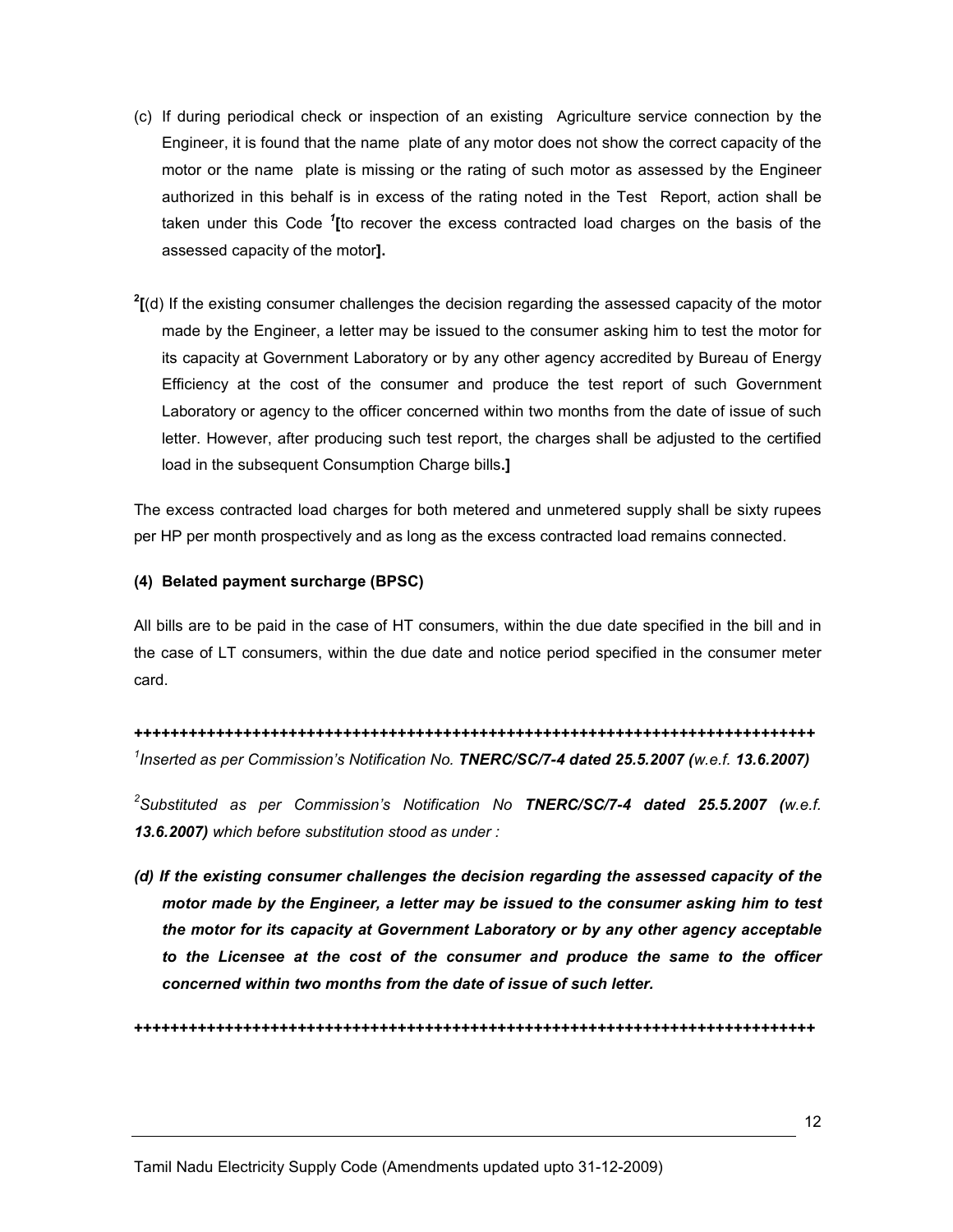- (c) If during periodical check or inspection of an existing Agriculture service connection by the Engineer, it is found that the name plate of any motor does not show the correct capacity of the motor or the name plate is missing or the rating of such motor as assessed by the Engineer authorized in this behalf is in excess of the rating noted in the Test Report, action shall be taken under this Code <sup>1</sup>[to recover the excess contracted load charges on the basis of the assessed capacity of the motor].
- $<sup>2</sup>$ [(d) If the existing consumer challenges the decision regarding the assessed capacity of the motor</sup> made by the Engineer, a letter may be issued to the consumer asking him to test the motor for its capacity at Government Laboratory or by any other agency accredited by Bureau of Energy Efficiency at the cost of the consumer and produce the test report of such Government Laboratory or agency to the officer concerned within two months from the date of issue of such letter. However, after producing such test report, the charges shall be adjusted to the certified load in the subsequent Consumption Charge bills.]

The excess contracted load charges for both metered and unmetered supply shall be sixty rupees per HP per month prospectively and as long as the excess contracted load remains connected.

### (4) Belated payment surcharge (BPSC)

All bills are to be paid in the case of HT consumers, within the due date specified in the bill and in the case of LT consumers, within the due date and notice period specified in the consumer meter card.

+++++++++++++++++++++++++++++++++++++++++++++++++++++++++++++++++++++++++++ <sup>1</sup>Inserted as per Commission's Notification No. TNERC/SC/7-4 dated 25.5.2007 (w.e.f. 13.6.2007)

 $^2$ Substituted as per Commission's Notification No TNERC/SC/7-4 dated 25.5.2007 (w.e.f. 13.6.2007) which before substitution stood as under :

(d) If the existing consumer challenges the decision regarding the assessed capacity of the motor made by the Engineer, a letter may be issued to the consumer asking him to test the motor for its capacity at Government Laboratory or by any other agency acceptable to the Licensee at the cost of the consumer and produce the same to the officer concerned within two months from the date of issue of such letter.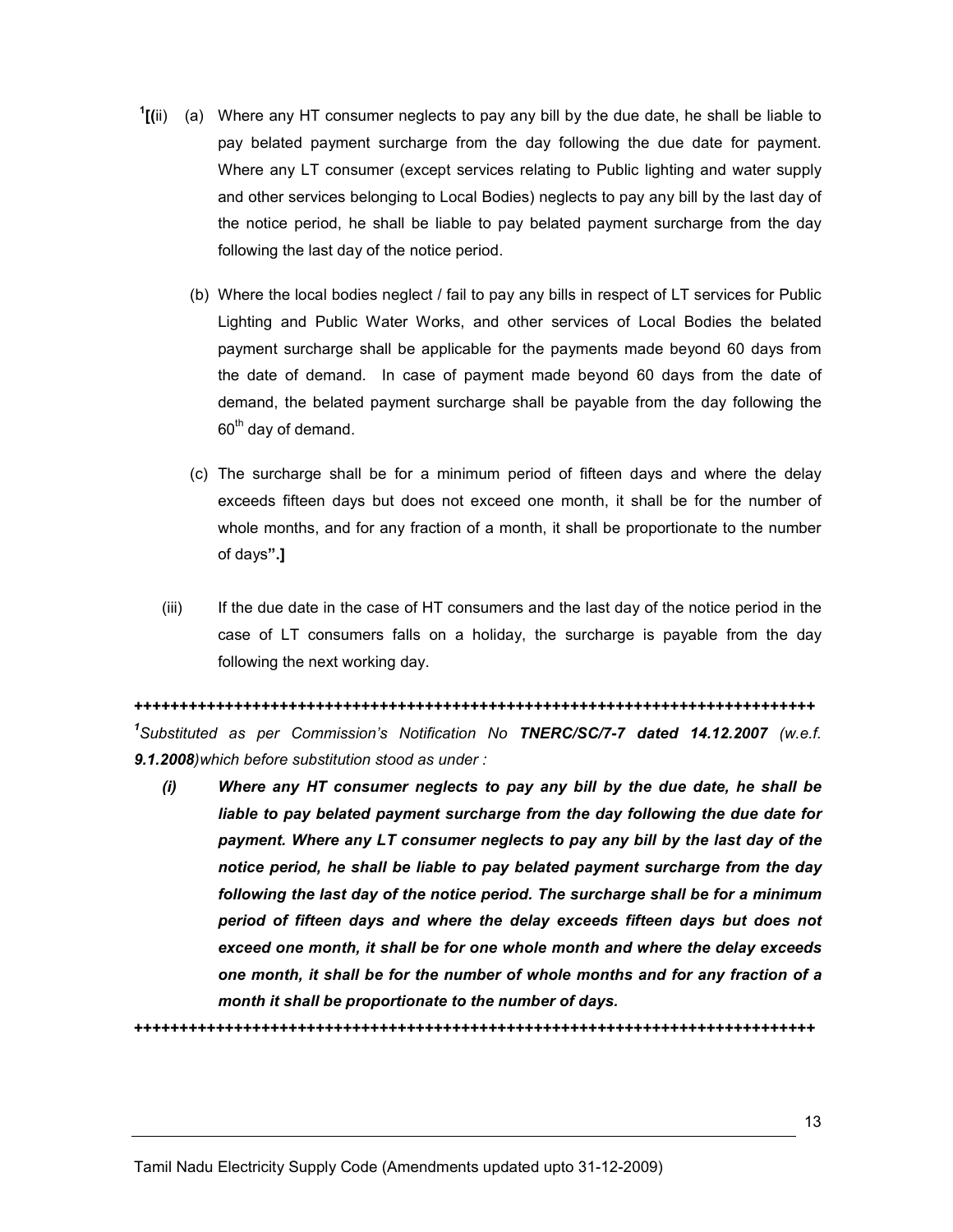- $<sup>1</sup>$ [(ii) (a) Where any HT consumer neglects to pay any bill by the due date, he shall be liable to</sup> pay belated payment surcharge from the day following the due date for payment. Where any LT consumer (except services relating to Public lighting and water supply and other services belonging to Local Bodies) neglects to pay any bill by the last day of the notice period, he shall be liable to pay belated payment surcharge from the day following the last day of the notice period.
	- (b) Where the local bodies neglect / fail to pay any bills in respect of LT services for Public Lighting and Public Water Works, and other services of Local Bodies the belated payment surcharge shall be applicable for the payments made beyond 60 days from the date of demand. In case of payment made beyond 60 days from the date of demand, the belated payment surcharge shall be payable from the day following the 60<sup>th</sup> day of demand.
	- (c) The surcharge shall be for a minimum period of fifteen days and where the delay exceeds fifteen days but does not exceed one month, it shall be for the number of whole months, and for any fraction of a month, it shall be proportionate to the number of days".]
	- (iii) If the due date in the case of HT consumers and the last day of the notice period in the case of LT consumers falls on a holiday, the surcharge is payable from the day following the next working day.

+++++++++++++++++++++++++++++++++++++++++++++++++++++++++++++++++++++++++++ <sup>1</sup>Substituted as per Commission's Notification No TNERC/SC/7-7 dated 14.12.2007 (w.e.f. 9.1.2008)which before substitution stood as under :

(i) Where any HT consumer neglects to pay any bill by the due date, he shall be liable to pay belated payment surcharge from the day following the due date for payment. Where any LT consumer neglects to pay any bill by the last day of the notice period, he shall be liable to pay belated payment surcharge from the day following the last day of the notice period. The surcharge shall be for a minimum period of fifteen days and where the delay exceeds fifteen days but does not exceed one month, it shall be for one whole month and where the delay exceeds one month, it shall be for the number of whole months and for any fraction of a month it shall be proportionate to the number of days.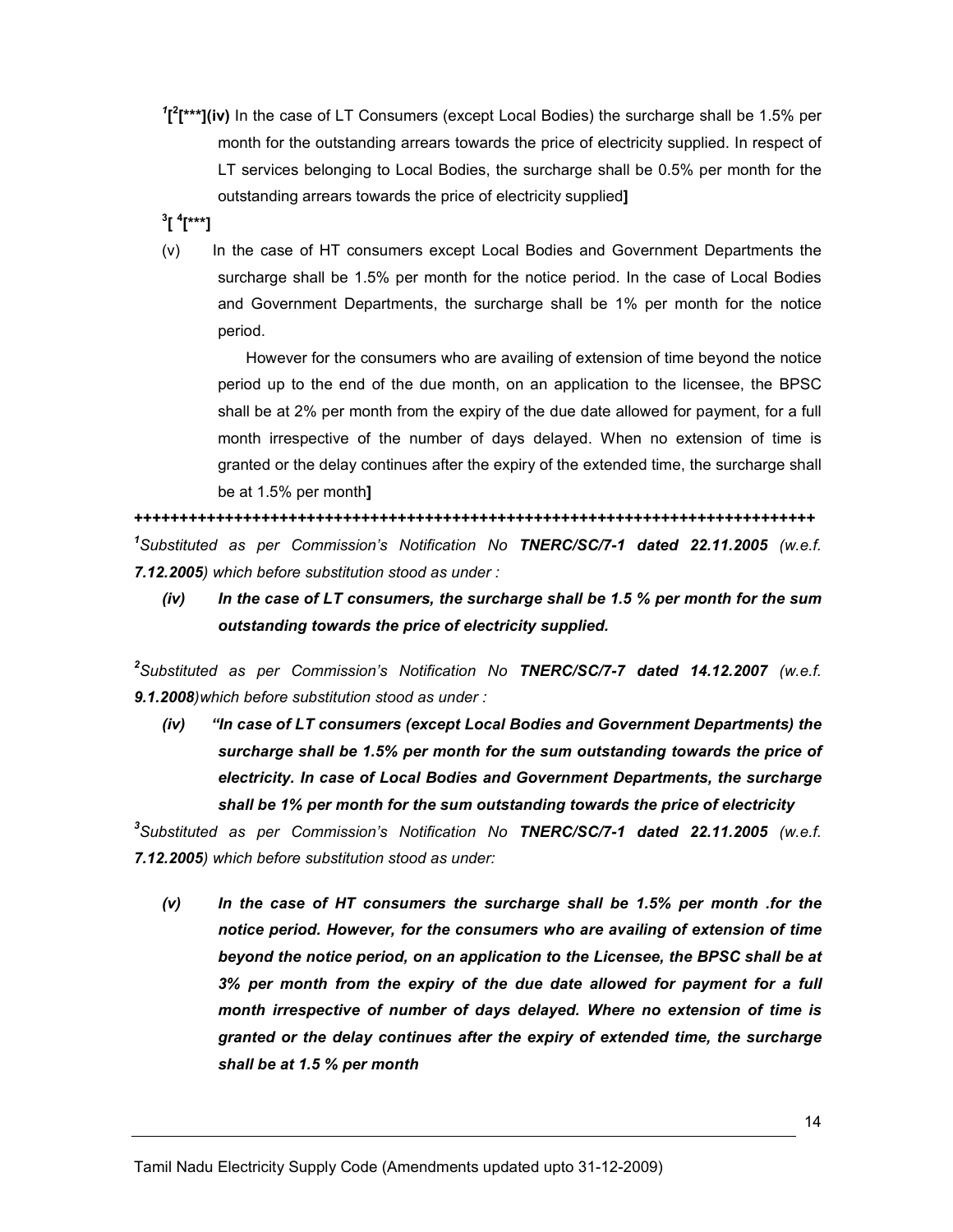- $I^{\text{max}}$ [iv) In the case of LT Consumers (except Local Bodies) the surcharge shall be 1.5% per month for the outstanding arrears towards the price of electricity supplied. In respect of LT services belonging to Local Bodies, the surcharge shall be 0.5% per month for the outstanding arrears towards the price of electricity supplied]
- <sup>3</sup>[ <sup>4</sup>[\*\*\*]
- (v) In the case of HT consumers except Local Bodies and Government Departments the surcharge shall be 1.5% per month for the notice period. In the case of Local Bodies and Government Departments, the surcharge shall be 1% per month for the notice period.

However for the consumers who are availing of extension of time beyond the notice period up to the end of the due month, on an application to the licensee, the BPSC shall be at 2% per month from the expiry of the due date allowed for payment, for a full month irrespective of the number of days delayed. When no extension of time is granted or the delay continues after the expiry of the extended time, the surcharge shall be at 1.5% per month]

+++++++++++++++++++++++++++++++++++++++++++++++++++++++++++++++++++++++++++ <sup>1</sup>Substituted as per Commission's Notification No TNERC/SC/7-1 dated 22.11.2005 (w.e.f. 7.12.2005) which before substitution stood as under :

 $(iv)$  In the case of LT consumers, the surcharge shall be 1.5 % per month for the sum outstanding towards the price of electricity supplied.

 $^2$ Substituted as per Commission's Notification No TNERC/SC/7-7 dated 14.12.2007 (w.e.f. 9.1.2008)which before substitution stood as under :

(iv) "In case of LT consumers (except Local Bodies and Government Departments) the surcharge shall be 1.5% per month for the sum outstanding towards the price of electricity. In case of Local Bodies and Government Departments, the surcharge shall be 1% per month for the sum outstanding towards the price of electricity

 $^3$ Substituted as per Commission's Notification No T**NERC/SC/7-1 dated 22.11.2005** (w.e.f. 7.12.2005) which before substitution stood as under:

(v) In the case of HT consumers the surcharge shall be 1.5% per month .for the notice period. However, for the consumers who are availing of extension of time beyond the notice period, on an application to the Licensee, the BPSC shall be at 3% per month from the expiry of the due date allowed for payment for a full month irrespective of number of days delayed. Where no extension of time is granted or the delay continues after the expiry of extended time, the surcharge shall be at 1.5 % per month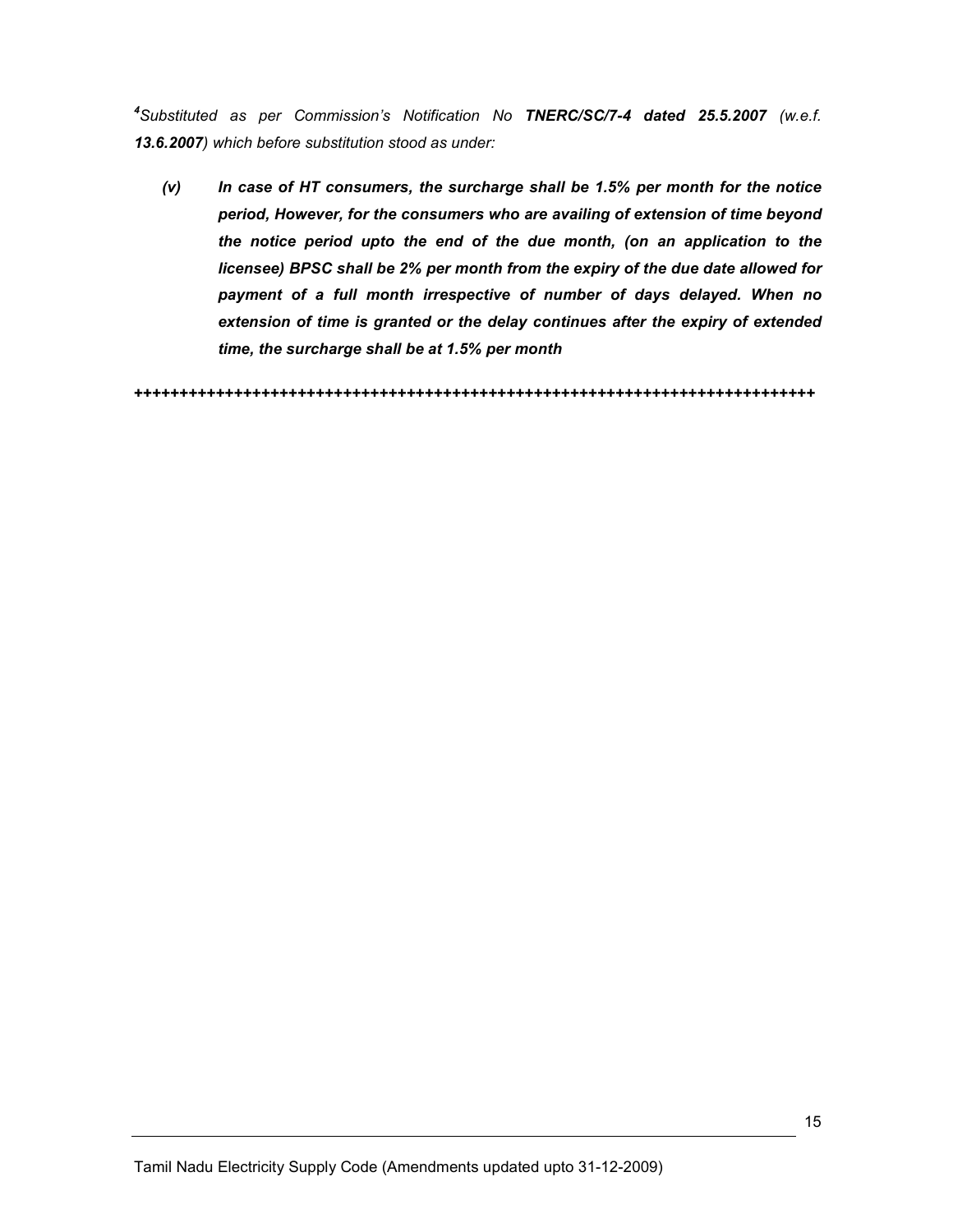<sup>4</sup>Substituted as per Commission's Notification No TNERC/SC/7-4 dated 25.5.2007 (w.e.f. 13.6.2007) which before substitution stood as under:

(v) In case of HT consumers, the surcharge shall be 1.5% per month for the notice period, However, for the consumers who are availing of extension of time beyond the notice period upto the end of the due month, (on an application to the licensee) BPSC shall be 2% per month from the expiry of the due date allowed for payment of a full month irrespective of number of days delayed. When no extension of time is granted or the delay continues after the expiry of extended time, the surcharge shall be at 1.5% per month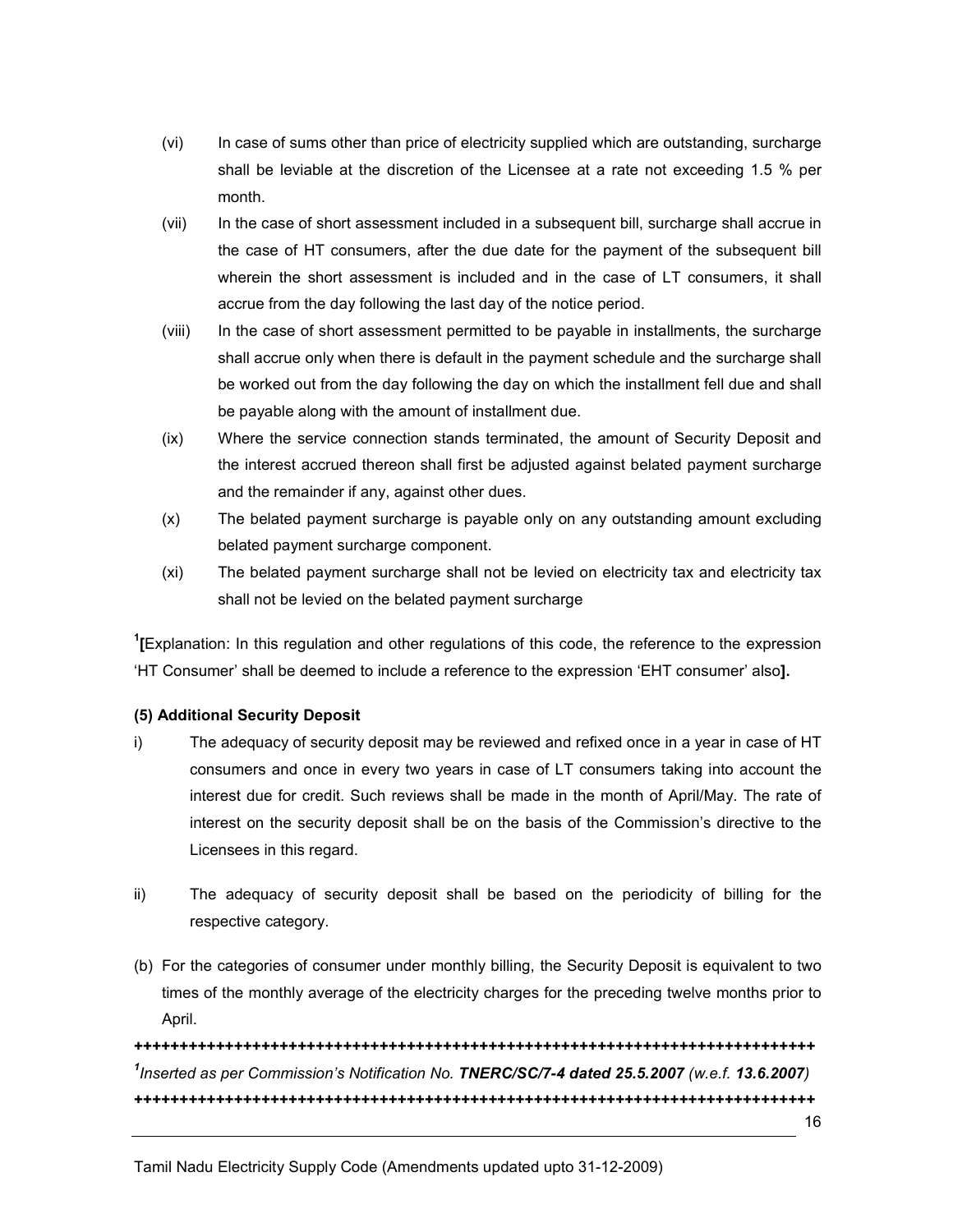- (vi) In case of sums other than price of electricity supplied which are outstanding, surcharge shall be leviable at the discretion of the Licensee at a rate not exceeding 1.5 % per month.
- (vii) In the case of short assessment included in a subsequent bill, surcharge shall accrue in the case of HT consumers, after the due date for the payment of the subsequent bill wherein the short assessment is included and in the case of LT consumers, it shall accrue from the day following the last day of the notice period.
- (viii) In the case of short assessment permitted to be payable in installments, the surcharge shall accrue only when there is default in the payment schedule and the surcharge shall be worked out from the day following the day on which the installment fell due and shall be payable along with the amount of installment due.
- (ix) Where the service connection stands terminated, the amount of Security Deposit and the interest accrued thereon shall first be adjusted against belated payment surcharge and the remainder if any, against other dues.
- (x) The belated payment surcharge is payable only on any outstanding amount excluding belated payment surcharge component.
- (xi) The belated payment surcharge shall not be levied on electricity tax and electricity tax shall not be levied on the belated payment surcharge

<sup>1</sup>[Explanation: In this regulation and other regulations of this code, the reference to the expression 'HT Consumer' shall be deemed to include a reference to the expression 'EHT consumer' also].

## (5) Additional Security Deposit

- i) The adequacy of security deposit may be reviewed and refixed once in a year in case of HT consumers and once in every two years in case of LT consumers taking into account the interest due for credit. Such reviews shall be made in the month of April/May. The rate of interest on the security deposit shall be on the basis of the Commission's directive to the Licensees in this regard.
- ii) The adequacy of security deposit shall be based on the periodicity of billing for the respective category.
- (b) For the categories of consumer under monthly billing, the Security Deposit is equivalent to two times of the monthly average of the electricity charges for the preceding twelve months prior to April.

+++++++++++++++++++++++++++++++++++++++++++++++++++++++++++++++++++++++++++ <sup>1</sup>Inserted as per Commission's Notification No. TNERC/SC/7-4 dated 25.5.2007 (w.e.f. 13.6.2007) +++++++++++++++++++++++++++++++++++++++++++++++++++++++++++++++++++++++++++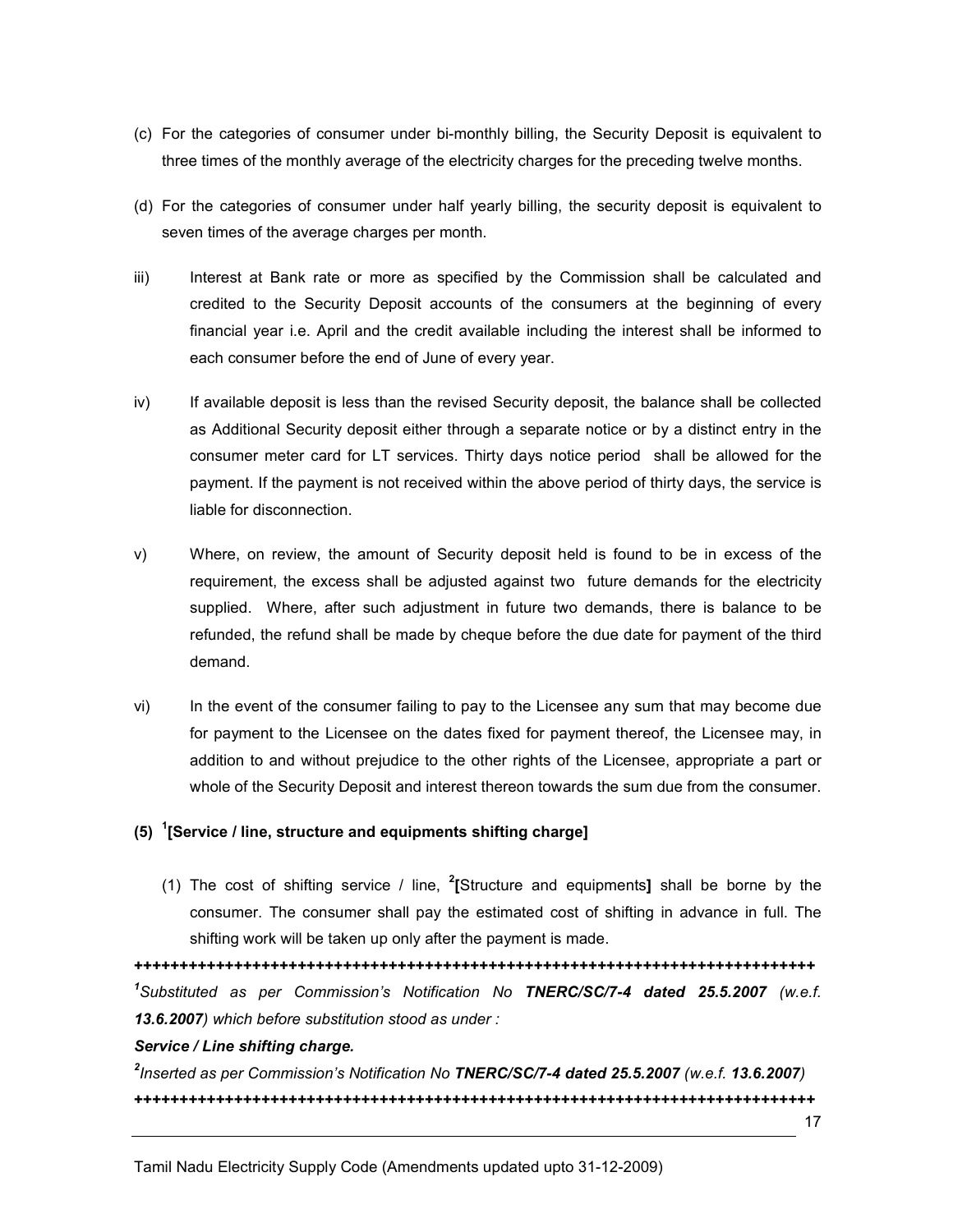- (c) For the categories of consumer under bi-monthly billing, the Security Deposit is equivalent to three times of the monthly average of the electricity charges for the preceding twelve months.
- (d) For the categories of consumer under half yearly billing, the security deposit is equivalent to seven times of the average charges per month.
- iii) Interest at Bank rate or more as specified by the Commission shall be calculated and credited to the Security Deposit accounts of the consumers at the beginning of every financial year i.e. April and the credit available including the interest shall be informed to each consumer before the end of June of every year.
- iv) If available deposit is less than the revised Security deposit, the balance shall be collected as Additional Security deposit either through a separate notice or by a distinct entry in the consumer meter card for LT services. Thirty days notice period shall be allowed for the payment. If the payment is not received within the above period of thirty days, the service is liable for disconnection.
- v) Where, on review, the amount of Security deposit held is found to be in excess of the requirement, the excess shall be adjusted against two future demands for the electricity supplied. Where, after such adjustment in future two demands, there is balance to be refunded, the refund shall be made by cheque before the due date for payment of the third demand.
- vi) In the event of the consumer failing to pay to the Licensee any sum that may become due for payment to the Licensee on the dates fixed for payment thereof, the Licensee may, in addition to and without prejudice to the other rights of the Licensee, appropriate a part or whole of the Security Deposit and interest thereon towards the sum due from the consumer.

## (5)  $1$ [Service / line, structure and equipments shifting charge]

(1) The cost of shifting service / line,  $2$ [Structure and equipments] shall be borne by the consumer. The consumer shall pay the estimated cost of shifting in advance in full. The shifting work will be taken up only after the payment is made.

+++++++++++++++++++++++++++++++++++++++++++++++++++++++++++++++++++++++++++ <sup>1</sup>Substituted as per Commission's Notification No TNERC/SC/7-4 dated 25.5.2007 (w.e.f. 13.6.2007) which before substitution stood as under :

## Service / Line shifting charge.

 $^{2}$ Inserted as per Commission's Notification No TNERC/SC/7-4 dated 25.5.2007 (w.e.f. 13.6.2007) +++++++++++++++++++++++++++++++++++++++++++++++++++++++++++++++++++++++++++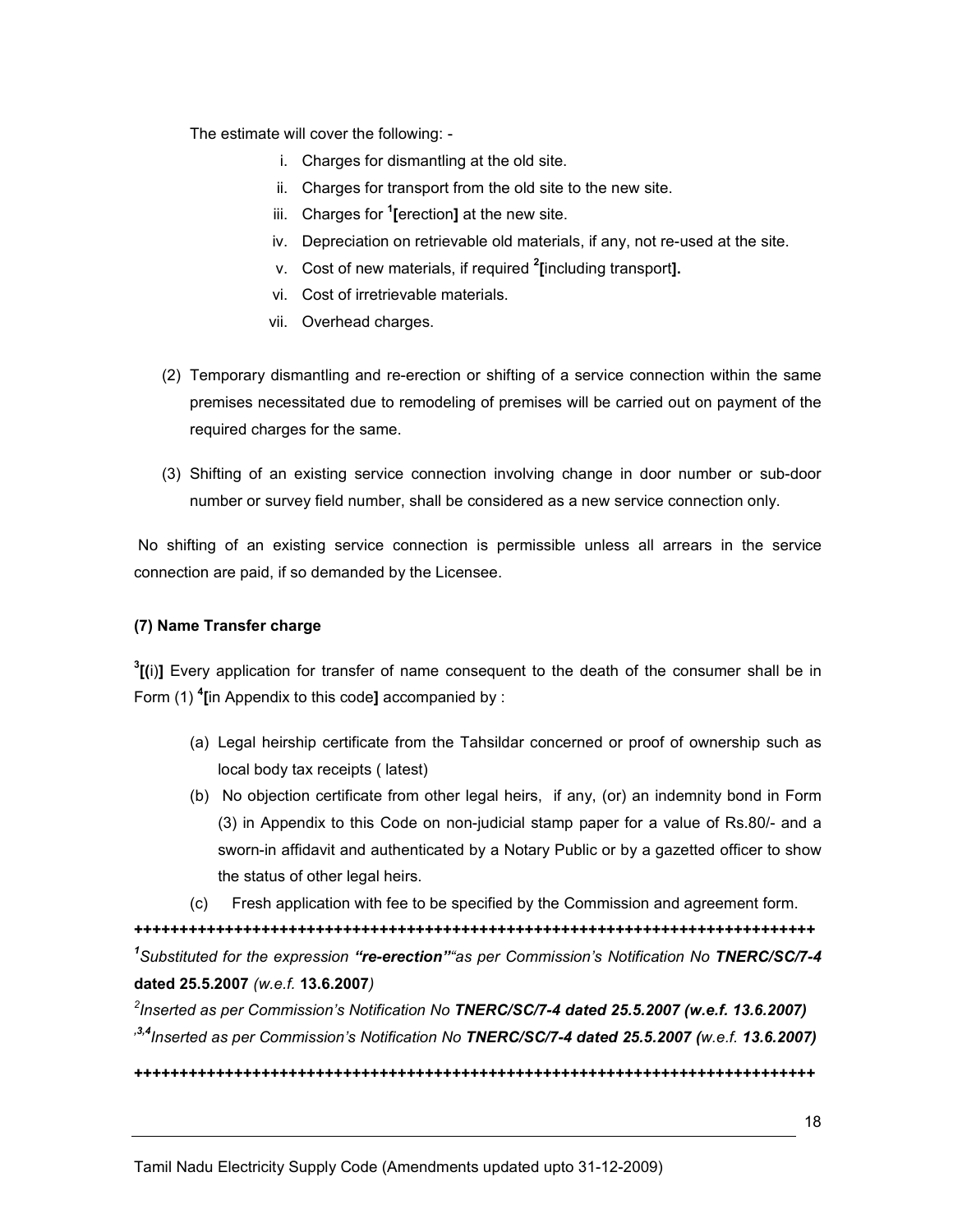The estimate will cover the following: -

- i. Charges for dismantling at the old site.
- ii. Charges for transport from the old site to the new site.
- iii. Charges for <sup>1</sup>[erection] at the new site.
- iv. Depreciation on retrievable old materials, if any, not re-used at the site.
- v. Cost of new materials, if required <sup>2</sup>[including transport].
- vi. Cost of irretrievable materials.
- vii. Overhead charges.
- (2) Temporary dismantling and re-erection or shifting of a service connection within the same premises necessitated due to remodeling of premises will be carried out on payment of the required charges for the same.
- (3) Shifting of an existing service connection involving change in door number or sub-door number or survey field number, shall be considered as a new service connection only.

 No shifting of an existing service connection is permissible unless all arrears in the service connection are paid, if so demanded by the Licensee.

#### (7) Name Transfer charge

 $^{3}$ [(i)] Every application for transfer of name consequent to the death of the consumer shall be in Form (1)  $\text{4}$ [in Appendix to this code] accompanied by :

- (a) Legal heirship certificate from the Tahsildar concerned or proof of ownership such as local body tax receipts ( latest)
- (b) No objection certificate from other legal heirs, if any, (or) an indemnity bond in Form (3) in Appendix to this Code on non-judicial stamp paper for a value of Rs.80/- and a sworn-in affidavit and authenticated by a Notary Public or by a gazetted officer to show the status of other legal heirs.
- (c) Fresh application with fee to be specified by the Commission and agreement form.

+++++++++++++++++++++++++++++++++++++++++++++++++++++++++++++++++++++++++++ <sup>1</sup>Substituted for the expression "re-erection" as per Commission's Notification No TNERC/SC/7-4 dated 25.5.2007 (w.e.f. 13.6.2007)

 $^{2}$ Inserted as per Commission's Notification No TNERC/SC/7-4 dated 25.5.2007 (w.e.f. 13.6.2007)  $13,4$ Inserted as per Commission's Notification No TNERC/SC/7-4 dated 25.5.2007 (w.e.f. 13.6.2007)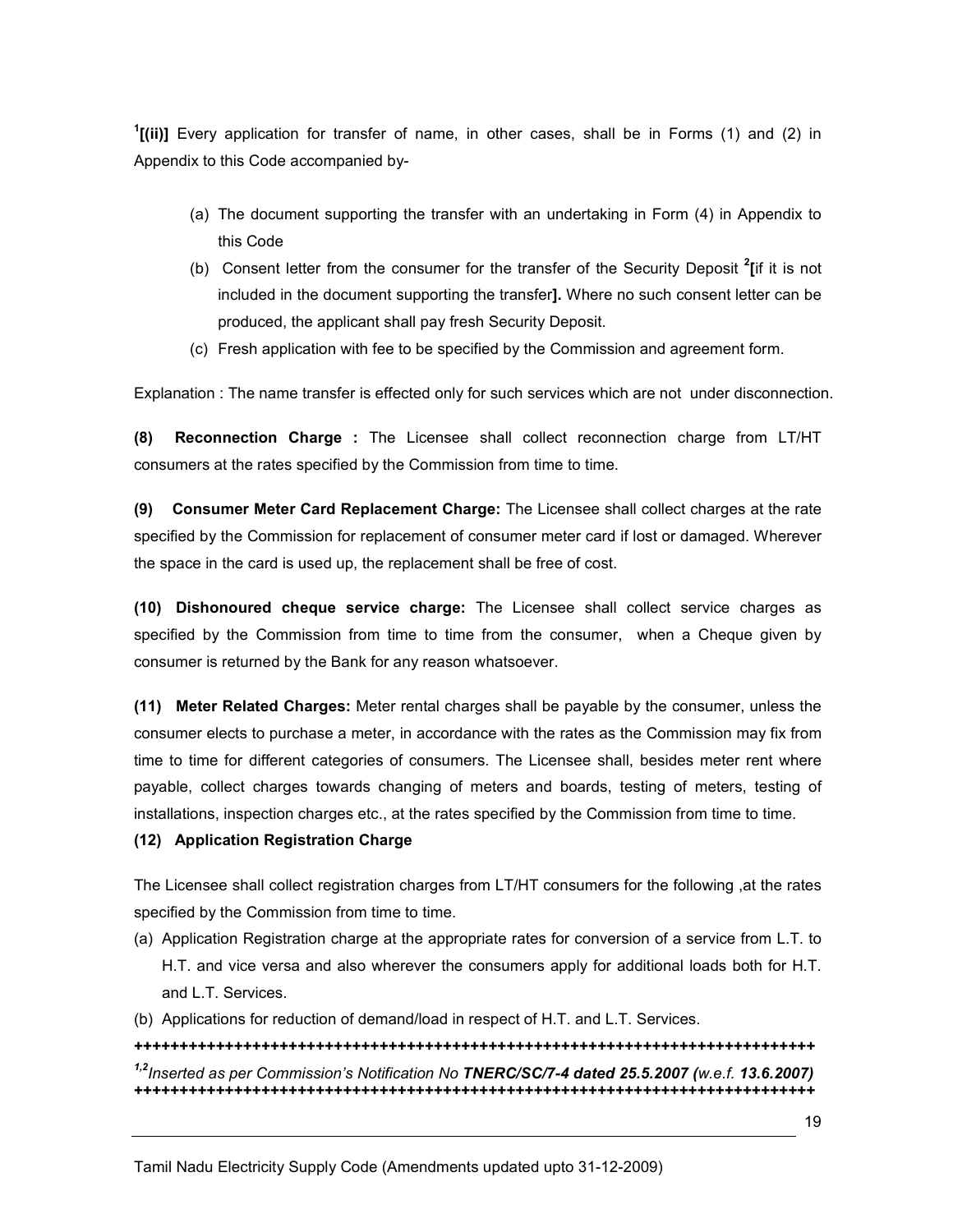<sup>1</sup>[(ii)] Every application for transfer of name, in other cases, shall be in Forms (1) and (2) in Appendix to this Code accompanied by-

- (a) The document supporting the transfer with an undertaking in Form (4) in Appendix to this Code
- (b) Consent letter from the consumer for the transfer of the Security Deposit  $2$ [if it is not included in the document supporting the transfer]. Where no such consent letter can be produced, the applicant shall pay fresh Security Deposit.
- (c) Fresh application with fee to be specified by the Commission and agreement form.

Explanation : The name transfer is effected only for such services which are not under disconnection.

(8) Reconnection Charge : The Licensee shall collect reconnection charge from LT/HT consumers at the rates specified by the Commission from time to time.

(9) Consumer Meter Card Replacement Charge: The Licensee shall collect charges at the rate specified by the Commission for replacement of consumer meter card if lost or damaged. Wherever the space in the card is used up, the replacement shall be free of cost.

(10) Dishonoured cheque service charge: The Licensee shall collect service charges as specified by the Commission from time to time from the consumer, when a Cheque given by consumer is returned by the Bank for any reason whatsoever.

(11) Meter Related Charges: Meter rental charges shall be payable by the consumer, unless the consumer elects to purchase a meter, in accordance with the rates as the Commission may fix from time to time for different categories of consumers. The Licensee shall, besides meter rent where payable, collect charges towards changing of meters and boards, testing of meters, testing of installations, inspection charges etc., at the rates specified by the Commission from time to time.

## (12) Application Registration Charge

The Licensee shall collect registration charges from LT/HT consumers for the following ,at the rates specified by the Commission from time to time.

- (a) Application Registration charge at the appropriate rates for conversion of a service from L.T. to H.T. and vice versa and also wherever the consumers apply for additional loads both for H.T. and L.T. Services.
- (b) Applications for reduction of demand/load in respect of H.T. and L.T. Services.

## +++++++++++++++++++++++++++++++++++++++++++++++++++++++++++++++++++++++++++ <sup>1,2</sup>Inserted as per Commission's Notification No TNERC/SC/7-4 dated 25.5.2007 (w.e.f. 13.6.2007) +++++++++++++++++++++++++++++++++++++++++++++++++++++++++++++++++++++++++++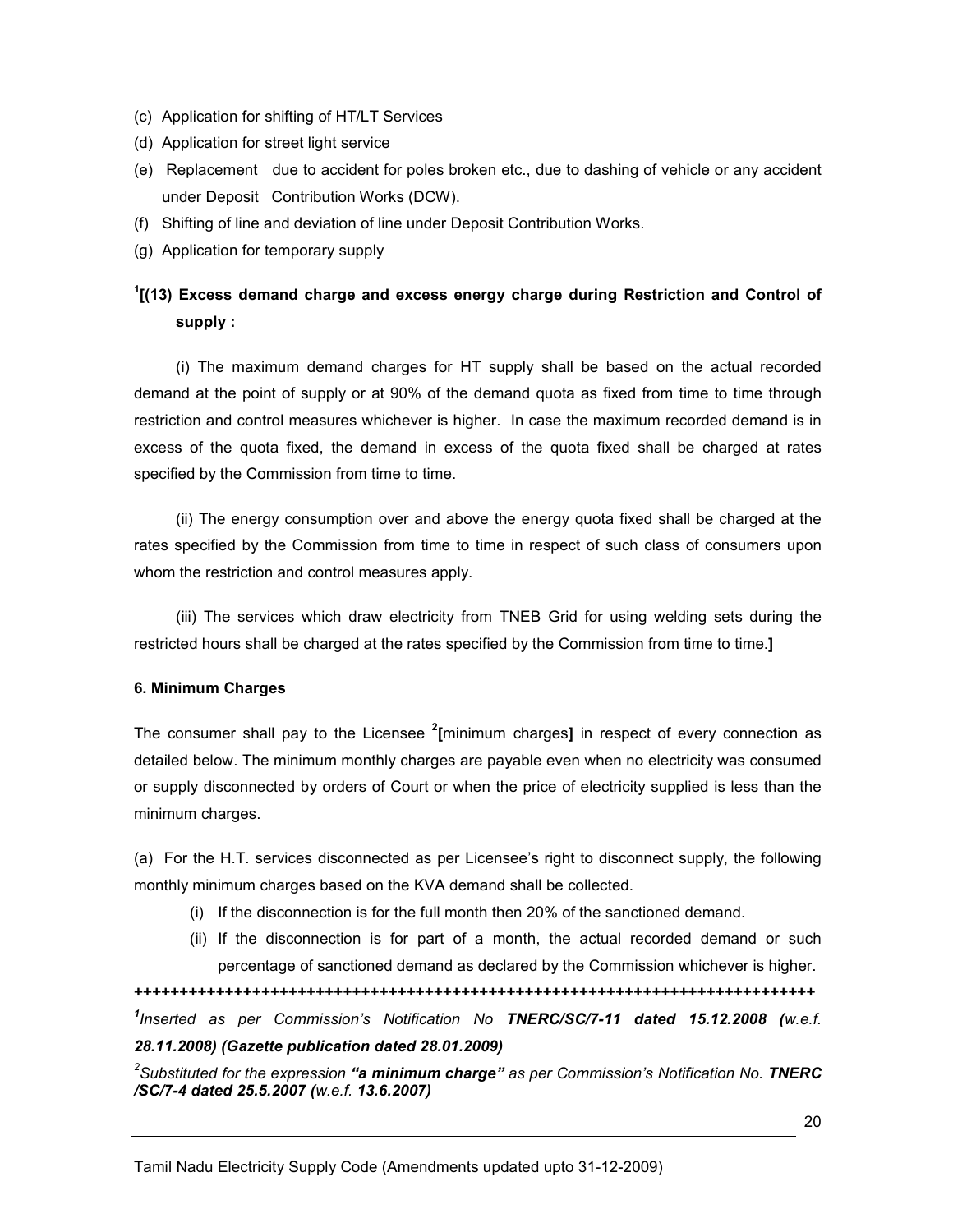- (c) Application for shifting of HT/LT Services
- (d) Application for street light service
- (e) Replacement due to accident for poles broken etc., due to dashing of vehicle or any accident under Deposit Contribution Works (DCW).
- (f) Shifting of line and deviation of line under Deposit Contribution Works.
- (g) Application for temporary supply

# <sup>1</sup>[(13) Excess demand charge and excess energy charge during Restriction and Control of supply :

(i) The maximum demand charges for HT supply shall be based on the actual recorded demand at the point of supply or at 90% of the demand quota as fixed from time to time through restriction and control measures whichever is higher. In case the maximum recorded demand is in excess of the quota fixed, the demand in excess of the quota fixed shall be charged at rates specified by the Commission from time to time.

(ii) The energy consumption over and above the energy quota fixed shall be charged at the rates specified by the Commission from time to time in respect of such class of consumers upon whom the restriction and control measures apply.

(iii) The services which draw electricity from TNEB Grid for using welding sets during the restricted hours shall be charged at the rates specified by the Commission from time to time.]

## 6. Minimum Charges

The consumer shall pay to the Licensee  $2$ [minimum charges] in respect of every connection as detailed below. The minimum monthly charges are payable even when no electricity was consumed or supply disconnected by orders of Court or when the price of electricity supplied is less than the minimum charges.

(a) For the H.T. services disconnected as per Licensee's right to disconnect supply, the following monthly minimum charges based on the KVA demand shall be collected.

- (i) If the disconnection is for the full month then 20% of the sanctioned demand.
- (ii) If the disconnection is for part of a month, the actual recorded demand or such percentage of sanctioned demand as declared by the Commission whichever is higher.

+++++++++++++++++++++++++++++++++++++++++++++++++++++++++++++++++++++++++++ <sup>1</sup>Inserted as per Commission's Notification No TNERC/SC/7-11 dated 15.12.2008 (w.e.f.

28.11.2008) (Gazette publication dated 28.01.2009)

 $^2$ Substituted for the expression **"a minimum charge"** as per Commission's Notification No. TNERC /SC/7-4 dated 25.5.2007 (w.e.f. 13.6.2007)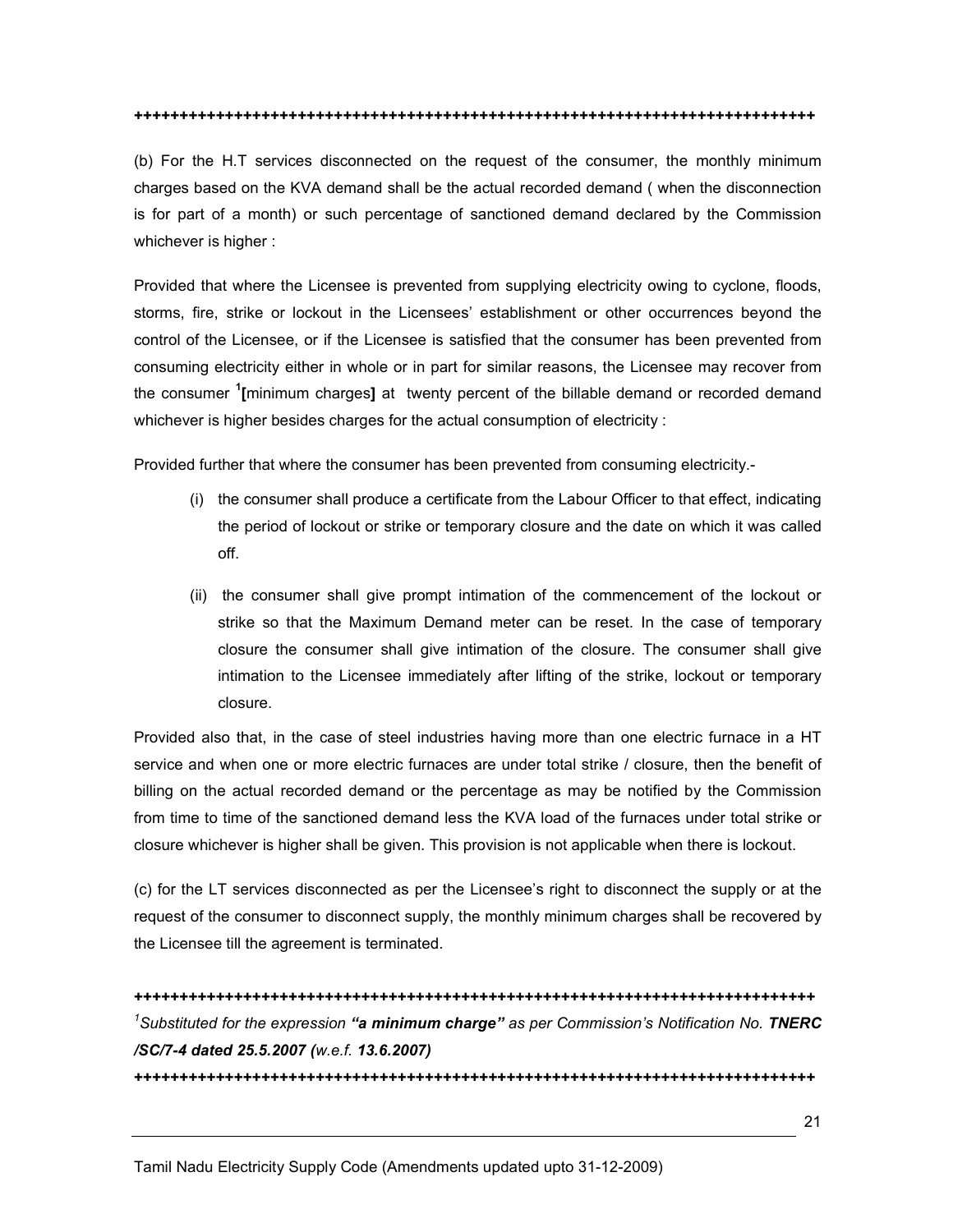+++++++++++++++++++++++++++++++++++++++++++++++++++++++++++++++++++++++++++

(b) For the H.T services disconnected on the request of the consumer, the monthly minimum charges based on the KVA demand shall be the actual recorded demand ( when the disconnection is for part of a month) or such percentage of sanctioned demand declared by the Commission whichever is higher :

Provided that where the Licensee is prevented from supplying electricity owing to cyclone, floods, storms, fire, strike or lockout in the Licensees' establishment or other occurrences beyond the control of the Licensee, or if the Licensee is satisfied that the consumer has been prevented from consuming electricity either in whole or in part for similar reasons, the Licensee may recover from the consumer <sup>1</sup>[minimum charges] at twenty percent of the billable demand or recorded demand whichever is higher besides charges for the actual consumption of electricity :

Provided further that where the consumer has been prevented from consuming electricity.-

- (i) the consumer shall produce a certificate from the Labour Officer to that effect, indicating the period of lockout or strike or temporary closure and the date on which it was called off.
- (ii) the consumer shall give prompt intimation of the commencement of the lockout or strike so that the Maximum Demand meter can be reset. In the case of temporary closure the consumer shall give intimation of the closure. The consumer shall give intimation to the Licensee immediately after lifting of the strike, lockout or temporary closure.

Provided also that, in the case of steel industries having more than one electric furnace in a HT service and when one or more electric furnaces are under total strike / closure, then the benefit of billing on the actual recorded demand or the percentage as may be notified by the Commission from time to time of the sanctioned demand less the KVA load of the furnaces under total strike or closure whichever is higher shall be given. This provision is not applicable when there is lockout.

(c) for the LT services disconnected as per the Licensee's right to disconnect the supply or at the request of the consumer to disconnect supply, the monthly minimum charges shall be recovered by the Licensee till the agreement is terminated.

+++++++++++++++++++++++++++++++++++++++++++++++++++++++++++++++++++++++++++ <sup>1</sup>Substituted for the expression "a minimum charge" as per Commission's Notification No. TNERC /SC/7-4 dated 25.5.2007 (w.e.f. 13.6.2007) +++++++++++++++++++++++++++++++++++++++++++++++++++++++++++++++++++++++++++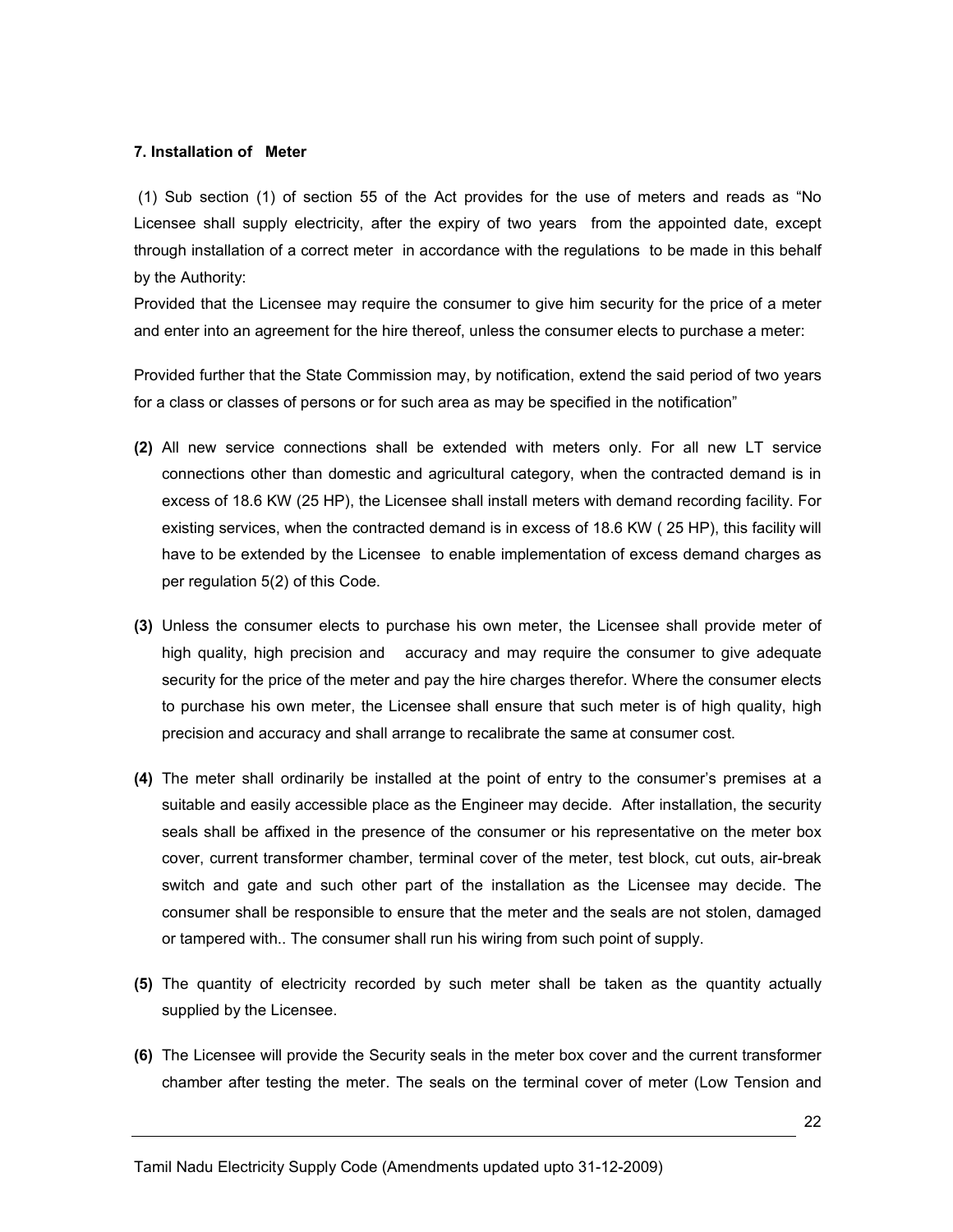#### 7. Installation of Meter

 (1) Sub section (1) of section 55 of the Act provides for the use of meters and reads as "No Licensee shall supply electricity, after the expiry of two years from the appointed date, except through installation of a correct meter in accordance with the regulations to be made in this behalf by the Authority:

Provided that the Licensee may require the consumer to give him security for the price of a meter and enter into an agreement for the hire thereof, unless the consumer elects to purchase a meter:

Provided further that the State Commission may, by notification, extend the said period of two years for a class or classes of persons or for such area as may be specified in the notification"

- (2) All new service connections shall be extended with meters only. For all new LT service connections other than domestic and agricultural category, when the contracted demand is in excess of 18.6 KW (25 HP), the Licensee shall install meters with demand recording facility. For existing services, when the contracted demand is in excess of 18.6 KW ( 25 HP), this facility will have to be extended by the Licensee to enable implementation of excess demand charges as per regulation 5(2) of this Code.
- (3) Unless the consumer elects to purchase his own meter, the Licensee shall provide meter of high quality, high precision and accuracy and may require the consumer to give adequate security for the price of the meter and pay the hire charges therefor. Where the consumer elects to purchase his own meter, the Licensee shall ensure that such meter is of high quality, high precision and accuracy and shall arrange to recalibrate the same at consumer cost.
- (4) The meter shall ordinarily be installed at the point of entry to the consumer's premises at a suitable and easily accessible place as the Engineer may decide. After installation, the security seals shall be affixed in the presence of the consumer or his representative on the meter box cover, current transformer chamber, terminal cover of the meter, test block, cut outs, air-break switch and gate and such other part of the installation as the Licensee may decide. The consumer shall be responsible to ensure that the meter and the seals are not stolen, damaged or tampered with.. The consumer shall run his wiring from such point of supply.
- (5) The quantity of electricity recorded by such meter shall be taken as the quantity actually supplied by the Licensee.
- (6) The Licensee will provide the Security seals in the meter box cover and the current transformer chamber after testing the meter. The seals on the terminal cover of meter (Low Tension and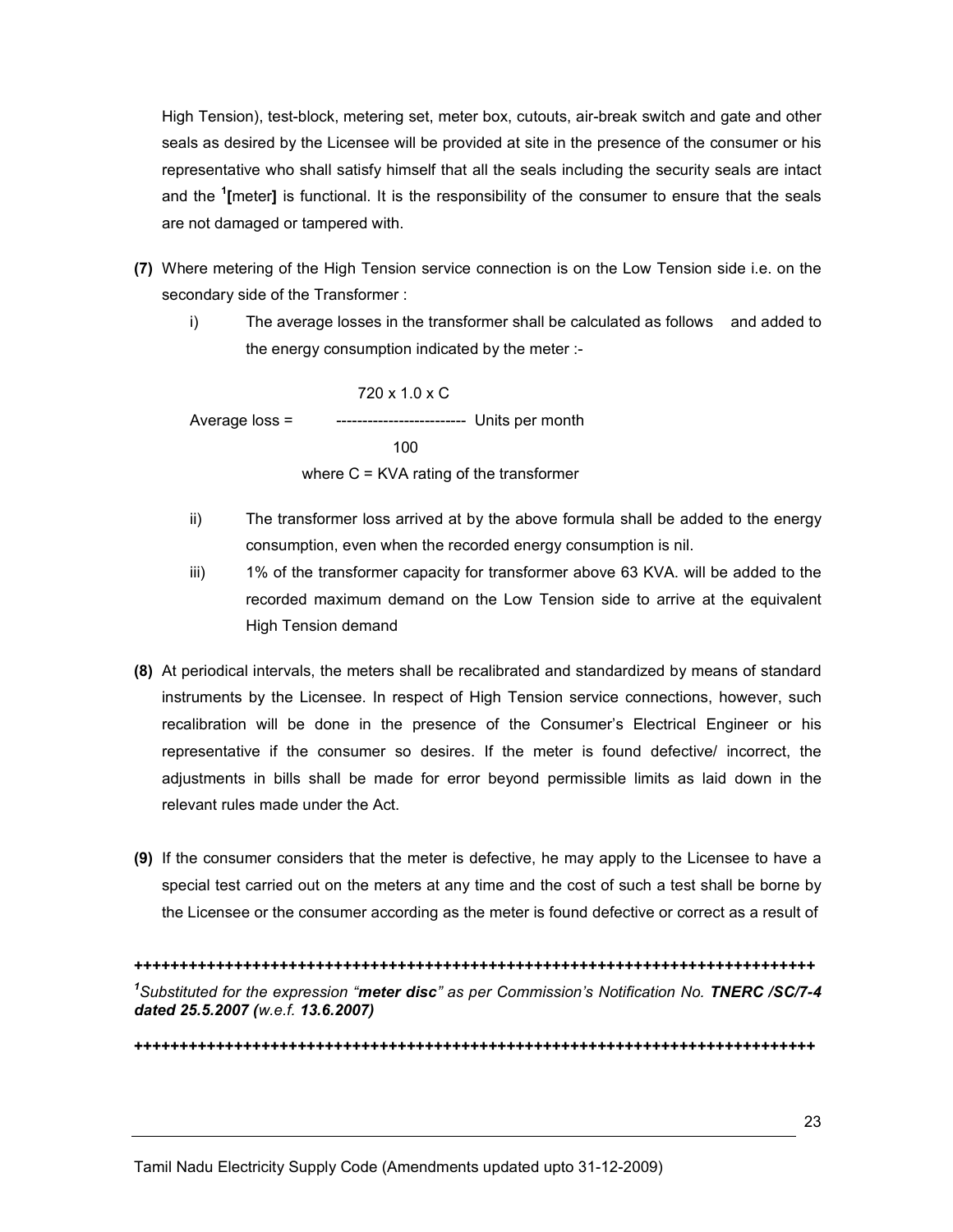High Tension), test-block, metering set, meter box, cutouts, air-break switch and gate and other seals as desired by the Licensee will be provided at site in the presence of the consumer or his representative who shall satisfy himself that all the seals including the security seals are intact and the <sup>1</sup>[meter] is functional. It is the responsibility of the consumer to ensure that the seals are not damaged or tampered with.

- (7) Where metering of the High Tension service connection is on the Low Tension side i.e. on the secondary side of the Transformer :
	- i) The average losses in the transformer shall be calculated as follows and added to the energy consumption indicated by the meter :-

 720 x 1.0 x C Average loss = ------------------------- Units per month  $100$ where C = KVA rating of the transformer

- ii) The transformer loss arrived at by the above formula shall be added to the energy consumption, even when the recorded energy consumption is nil.
- iii) 1% of the transformer capacity for transformer above 63 KVA. will be added to the recorded maximum demand on the Low Tension side to arrive at the equivalent High Tension demand
- (8) At periodical intervals, the meters shall be recalibrated and standardized by means of standard instruments by the Licensee. In respect of High Tension service connections, however, such recalibration will be done in the presence of the Consumer's Electrical Engineer or his representative if the consumer so desires. If the meter is found defective/ incorrect, the adjustments in bills shall be made for error beyond permissible limits as laid down in the relevant rules made under the Act.
- (9) If the consumer considers that the meter is defective, he may apply to the Licensee to have a special test carried out on the meters at any time and the cost of such a test shall be borne by the Licensee or the consumer according as the meter is found defective or correct as a result of

+++++++++++++++++++++++++++++++++++++++++++++++++++++++++++++++++++++++++++ <sup>1</sup>Substituted for the expression "meter disc" as per Commission's Notification No. TNERC /SC/7-4 dated 25.5.2007 (w.e.f. 13.6.2007)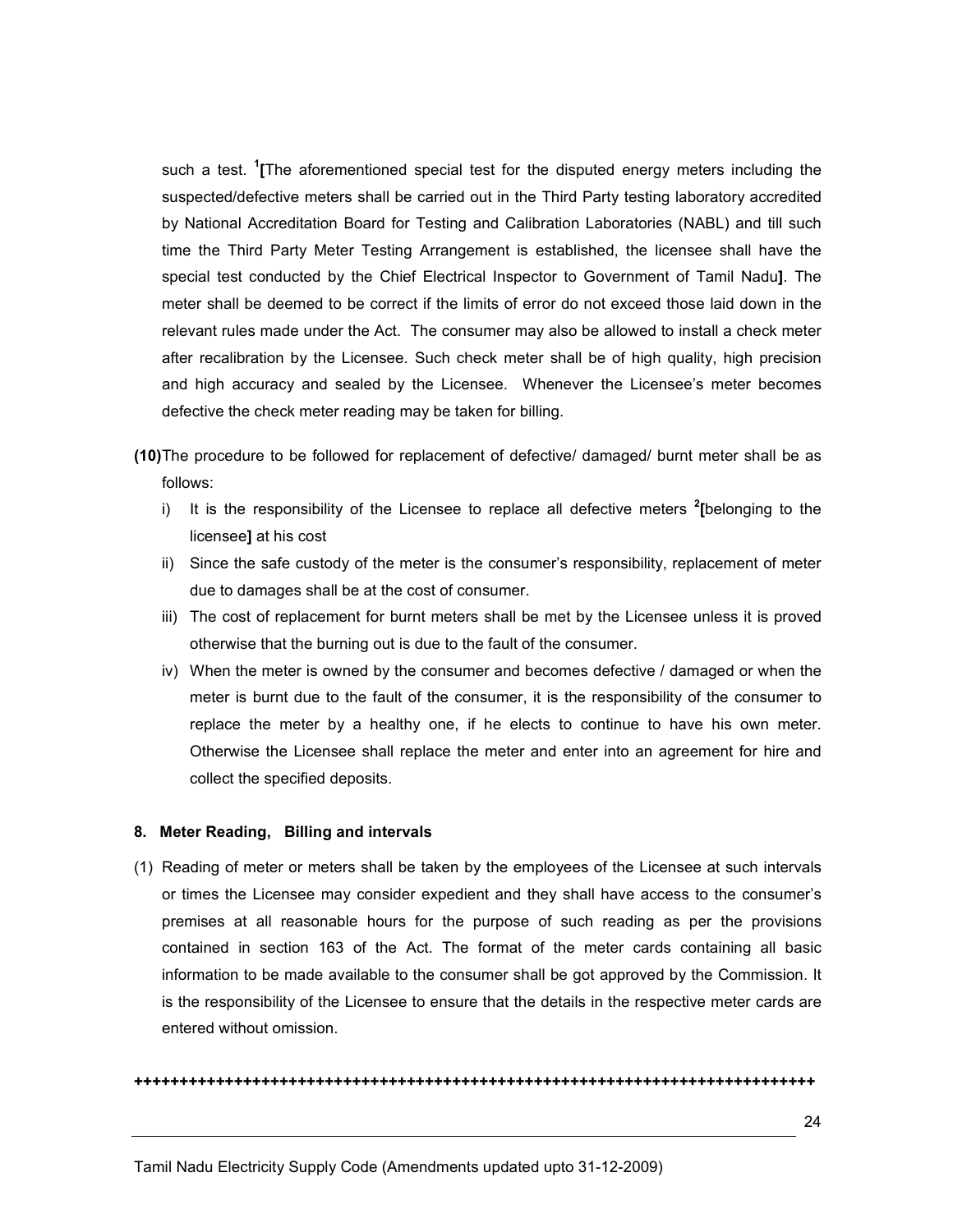such a test. <sup>1</sup>[The aforementioned special test for the disputed energy meters including the suspected/defective meters shall be carried out in the Third Party testing laboratory accredited by National Accreditation Board for Testing and Calibration Laboratories (NABL) and till such time the Third Party Meter Testing Arrangement is established, the licensee shall have the special test conducted by the Chief Electrical Inspector to Government of Tamil Nadu]. The meter shall be deemed to be correct if the limits of error do not exceed those laid down in the relevant rules made under the Act. The consumer may also be allowed to install a check meter after recalibration by the Licensee. Such check meter shall be of high quality, high precision and high accuracy and sealed by the Licensee. Whenever the Licensee's meter becomes defective the check meter reading may be taken for billing.

(10) The procedure to be followed for replacement of defective/ damaged/ burnt meter shall be as follows:

- i) It is the responsibility of the Licensee to replace all defective meters  $2$ [belonging to the licensee] at his cost
- ii) Since the safe custody of the meter is the consumer's responsibility, replacement of meter due to damages shall be at the cost of consumer.
- iii) The cost of replacement for burnt meters shall be met by the Licensee unless it is proved otherwise that the burning out is due to the fault of the consumer.
- iv) When the meter is owned by the consumer and becomes defective / damaged or when the meter is burnt due to the fault of the consumer, it is the responsibility of the consumer to replace the meter by a healthy one, if he elects to continue to have his own meter. Otherwise the Licensee shall replace the meter and enter into an agreement for hire and collect the specified deposits.

#### 8. Meter Reading, Billing and intervals

(1) Reading of meter or meters shall be taken by the employees of the Licensee at such intervals or times the Licensee may consider expedient and they shall have access to the consumer's premises at all reasonable hours for the purpose of such reading as per the provisions contained in section 163 of the Act. The format of the meter cards containing all basic information to be made available to the consumer shall be got approved by the Commission. It is the responsibility of the Licensee to ensure that the details in the respective meter cards are entered without omission.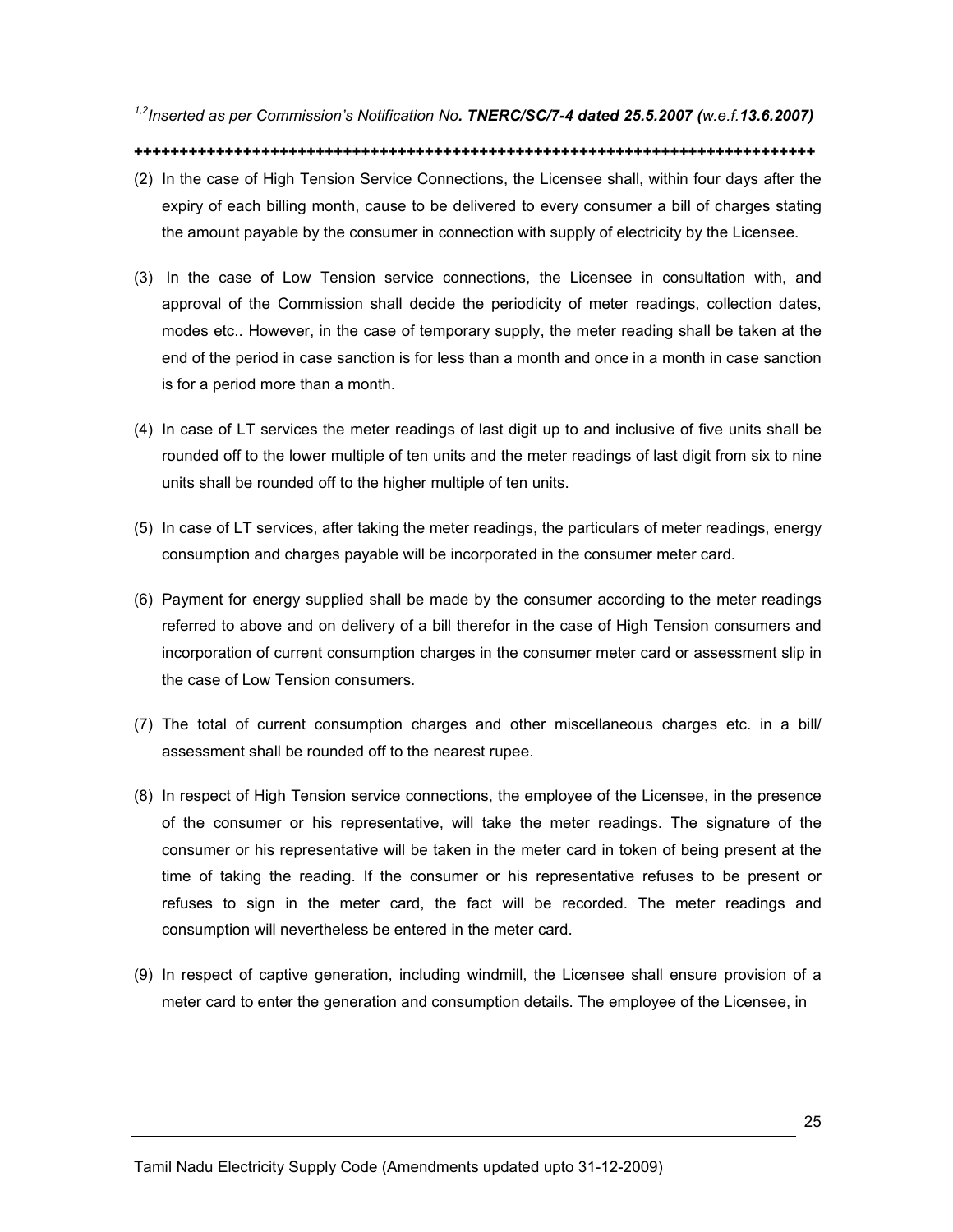<sup>1,2</sup>Inserted as per Commission's Notification No. **TNERC/SC/7-4 dated 25.5.2007** (w.e.f.13.6.2007)

- (2) In the case of High Tension Service Connections, the Licensee shall, within four days after the expiry of each billing month, cause to be delivered to every consumer a bill of charges stating the amount payable by the consumer in connection with supply of electricity by the Licensee.
- (3) In the case of Low Tension service connections, the Licensee in consultation with, and approval of the Commission shall decide the periodicity of meter readings, collection dates, modes etc.. However, in the case of temporary supply, the meter reading shall be taken at the end of the period in case sanction is for less than a month and once in a month in case sanction is for a period more than a month.
- (4) In case of LT services the meter readings of last digit up to and inclusive of five units shall be rounded off to the lower multiple of ten units and the meter readings of last digit from six to nine units shall be rounded off to the higher multiple of ten units.
- (5) In case of LT services, after taking the meter readings, the particulars of meter readings, energy consumption and charges payable will be incorporated in the consumer meter card.
- (6) Payment for energy supplied shall be made by the consumer according to the meter readings referred to above and on delivery of a bill therefor in the case of High Tension consumers and incorporation of current consumption charges in the consumer meter card or assessment slip in the case of Low Tension consumers.
- (7) The total of current consumption charges and other miscellaneous charges etc. in a bill/ assessment shall be rounded off to the nearest rupee.
- (8) In respect of High Tension service connections, the employee of the Licensee, in the presence of the consumer or his representative, will take the meter readings. The signature of the consumer or his representative will be taken in the meter card in token of being present at the time of taking the reading. If the consumer or his representative refuses to be present or refuses to sign in the meter card, the fact will be recorded. The meter readings and consumption will nevertheless be entered in the meter card.
- (9) In respect of captive generation, including windmill, the Licensee shall ensure provision of a meter card to enter the generation and consumption details. The employee of the Licensee, in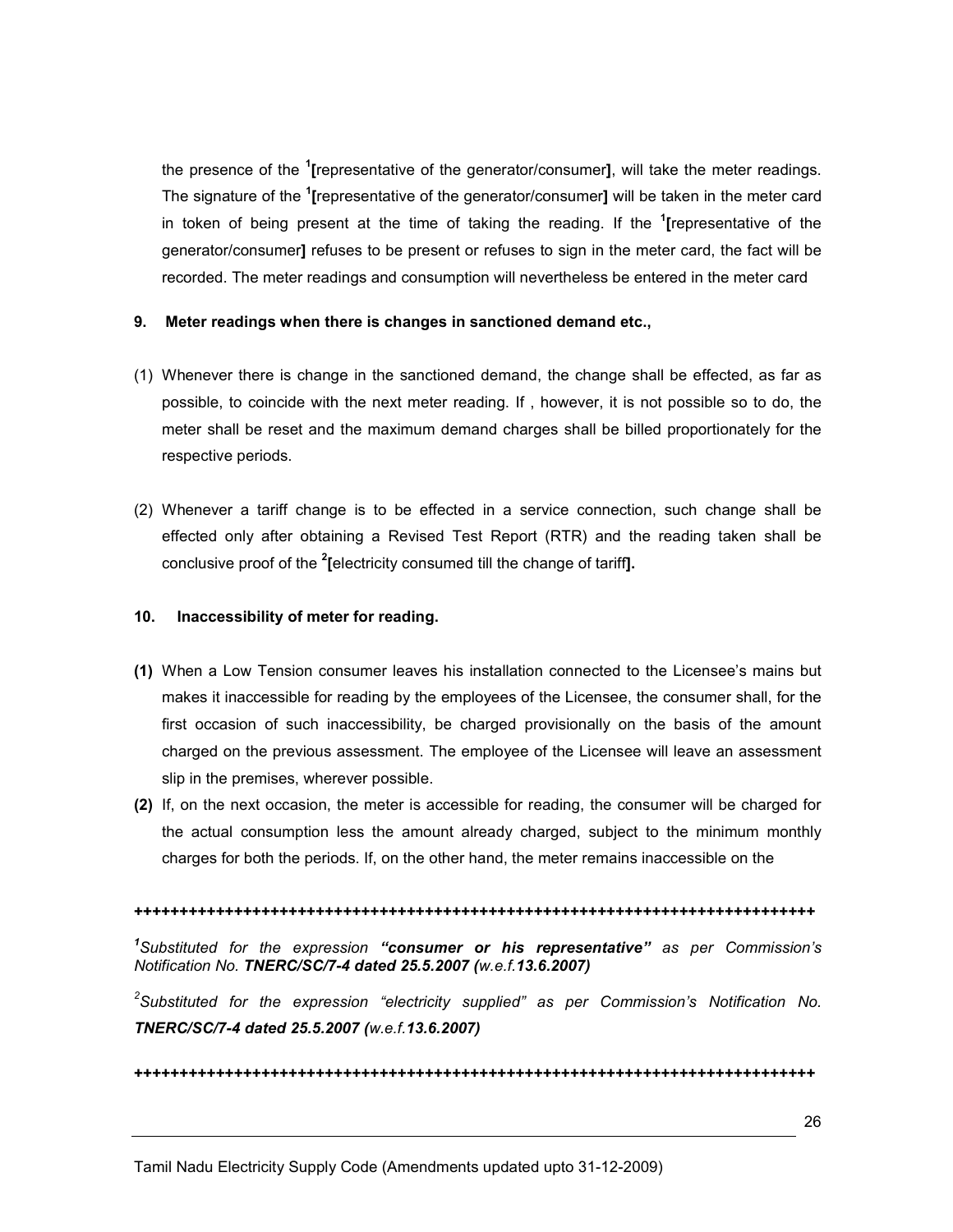the presence of the <sup>1</sup>[representative of the generator/consumer], will take the meter readings. The signature of the <sup>1</sup>[representative of the generator/consumer] will be taken in the meter card in token of being present at the time of taking the reading. If the <sup>1</sup>[representative of the generator/consumer] refuses to be present or refuses to sign in the meter card, the fact will be recorded. The meter readings and consumption will nevertheless be entered in the meter card

### 9. Meter readings when there is changes in sanctioned demand etc.,

- (1) Whenever there is change in the sanctioned demand, the change shall be effected, as far as possible, to coincide with the next meter reading. If , however, it is not possible so to do, the meter shall be reset and the maximum demand charges shall be billed proportionately for the respective periods.
- (2) Whenever a tariff change is to be effected in a service connection, such change shall be effected only after obtaining a Revised Test Report (RTR) and the reading taken shall be conclusive proof of the <sup>2</sup> [electricity consumed till the change of tariff].

#### 10. Inaccessibility of meter for reading.

- (1) When a Low Tension consumer leaves his installation connected to the Licensee's mains but makes it inaccessible for reading by the employees of the Licensee, the consumer shall, for the first occasion of such inaccessibility, be charged provisionally on the basis of the amount charged on the previous assessment. The employee of the Licensee will leave an assessment slip in the premises, wherever possible.
- (2) If, on the next occasion, the meter is accessible for reading, the consumer will be charged for the actual consumption less the amount already charged, subject to the minimum monthly charges for both the periods. If, on the other hand, the meter remains inaccessible on the

#### +++++++++++++++++++++++++++++++++++++++++++++++++++++++++++++++++++++++++++

<sup>1</sup>Substituted for the expression "consumer or his representative" as per Commission's Notification No. TNERC/SC/7-4 dated 25.5.2007 (w.e.f.13.6.2007)

 ${}^{2}$ Substituted for the expression "electricity supplied" as per Commission's Notification No. TNERC/SC/7-4 dated 25.5.2007 (w.e.f.13.6.2007)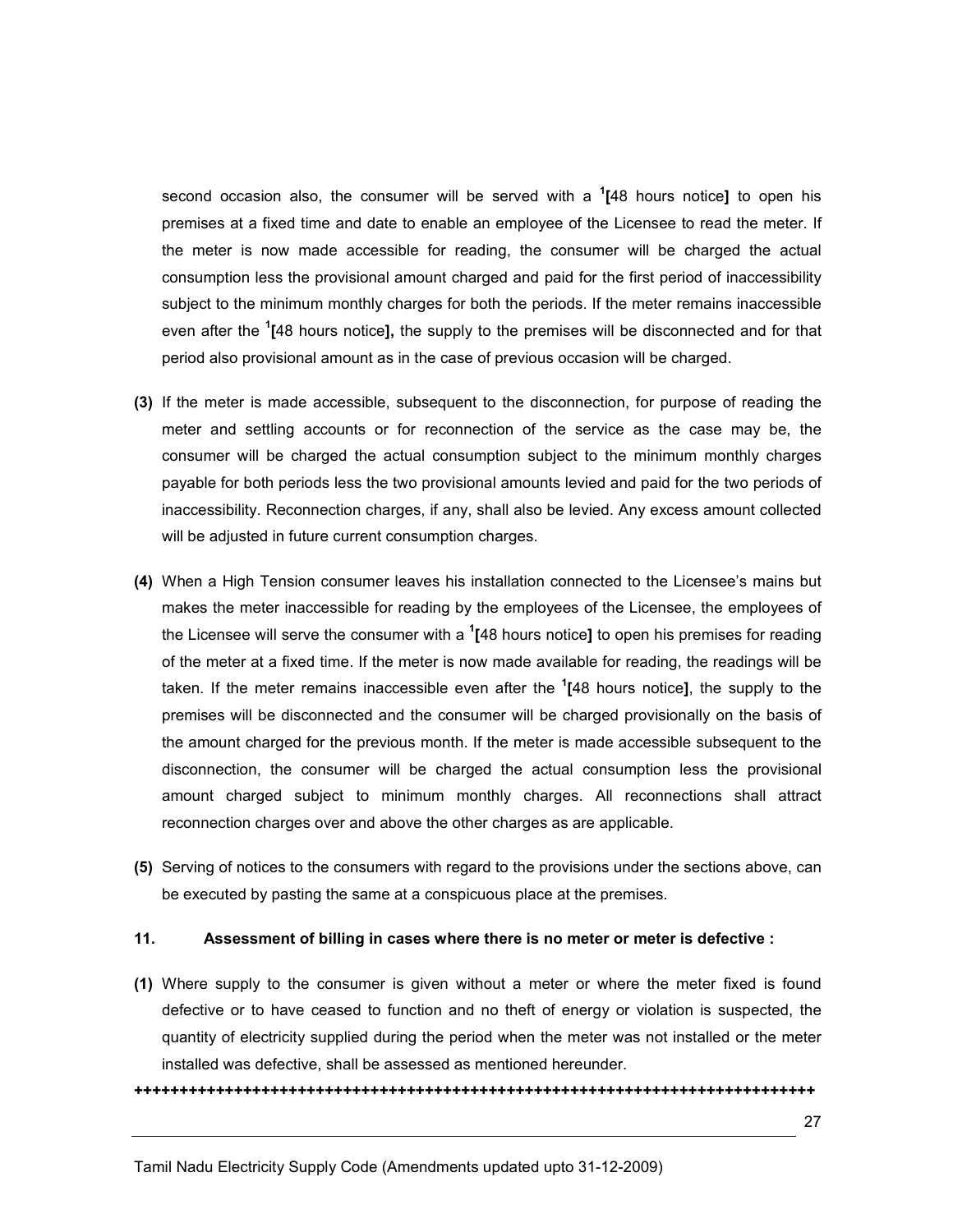second occasion also, the consumer will be served with a  $1/48$  hours notice] to open his premises at a fixed time and date to enable an employee of the Licensee to read the meter. If the meter is now made accessible for reading, the consumer will be charged the actual consumption less the provisional amount charged and paid for the first period of inaccessibility subject to the minimum monthly charges for both the periods. If the meter remains inaccessible even after the <sup>1</sup>[48 hours notice], the supply to the premises will be disconnected and for that period also provisional amount as in the case of previous occasion will be charged.

- (3) If the meter is made accessible, subsequent to the disconnection, for purpose of reading the meter and settling accounts or for reconnection of the service as the case may be, the consumer will be charged the actual consumption subject to the minimum monthly charges payable for both periods less the two provisional amounts levied and paid for the two periods of inaccessibility. Reconnection charges, if any, shall also be levied. Any excess amount collected will be adjusted in future current consumption charges.
- (4) When a High Tension consumer leaves his installation connected to the Licensee's mains but makes the meter inaccessible for reading by the employees of the Licensee, the employees of the Licensee will serve the consumer with a  $1/48$  hours notice] to open his premises for reading of the meter at a fixed time. If the meter is now made available for reading, the readings will be taken. If the meter remains inaccessible even after the <sup>1</sup>[48 hours notice], the supply to the premises will be disconnected and the consumer will be charged provisionally on the basis of the amount charged for the previous month. If the meter is made accessible subsequent to the disconnection, the consumer will be charged the actual consumption less the provisional amount charged subject to minimum monthly charges. All reconnections shall attract reconnection charges over and above the other charges as are applicable.
- (5) Serving of notices to the consumers with regard to the provisions under the sections above, can be executed by pasting the same at a conspicuous place at the premises.

#### 11. Assessment of billing in cases where there is no meter or meter is defective :

(1) Where supply to the consumer is given without a meter or where the meter fixed is found defective or to have ceased to function and no theft of energy or violation is suspected, the quantity of electricity supplied during the period when the meter was not installed or the meter installed was defective, shall be assessed as mentioned hereunder.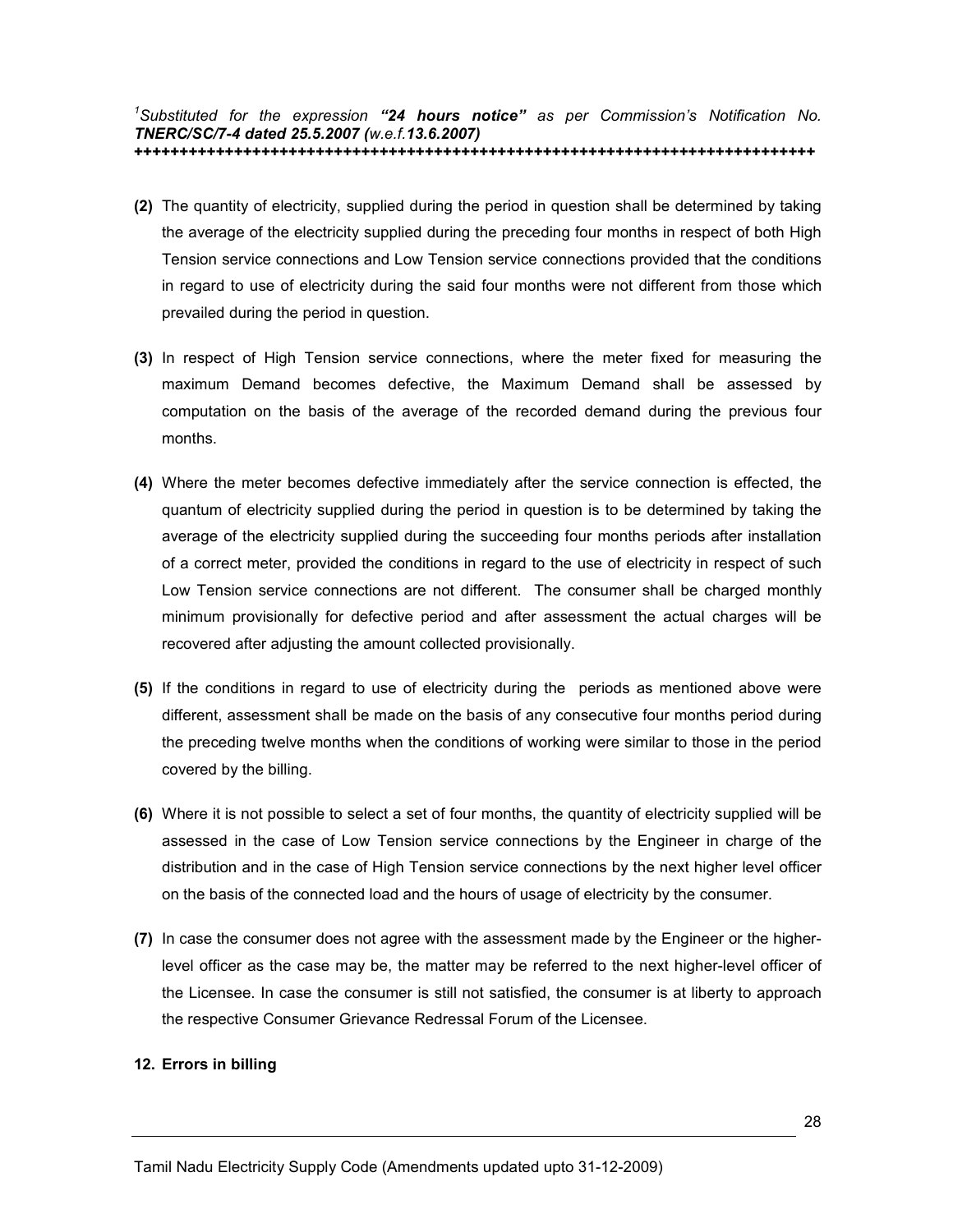#### <sup>1</sup>Substituted for the expression "24 hours notice" as per Commission's Notification No. TNERC/SC/7-4 dated 25.5.2007 (w.e.f.13.6.2007) +++++++++++++++++++++++++++++++++++++++++++++++++++++++++++++++++++++++++++

- (2) The quantity of electricity, supplied during the period in question shall be determined by taking the average of the electricity supplied during the preceding four months in respect of both High Tension service connections and Low Tension service connections provided that the conditions in regard to use of electricity during the said four months were not different from those which prevailed during the period in question.
- (3) In respect of High Tension service connections, where the meter fixed for measuring the maximum Demand becomes defective, the Maximum Demand shall be assessed by computation on the basis of the average of the recorded demand during the previous four months.
- (4) Where the meter becomes defective immediately after the service connection is effected, the quantum of electricity supplied during the period in question is to be determined by taking the average of the electricity supplied during the succeeding four months periods after installation of a correct meter, provided the conditions in regard to the use of electricity in respect of such Low Tension service connections are not different. The consumer shall be charged monthly minimum provisionally for defective period and after assessment the actual charges will be recovered after adjusting the amount collected provisionally.
- (5) If the conditions in regard to use of electricity during the periods as mentioned above were different, assessment shall be made on the basis of any consecutive four months period during the preceding twelve months when the conditions of working were similar to those in the period covered by the billing.
- (6) Where it is not possible to select a set of four months, the quantity of electricity supplied will be assessed in the case of Low Tension service connections by the Engineer in charge of the distribution and in the case of High Tension service connections by the next higher level officer on the basis of the connected load and the hours of usage of electricity by the consumer.
- (7) In case the consumer does not agree with the assessment made by the Engineer or the higherlevel officer as the case may be, the matter may be referred to the next higher-level officer of the Licensee. In case the consumer is still not satisfied, the consumer is at liberty to approach the respective Consumer Grievance Redressal Forum of the Licensee.

#### 12. Errors in billing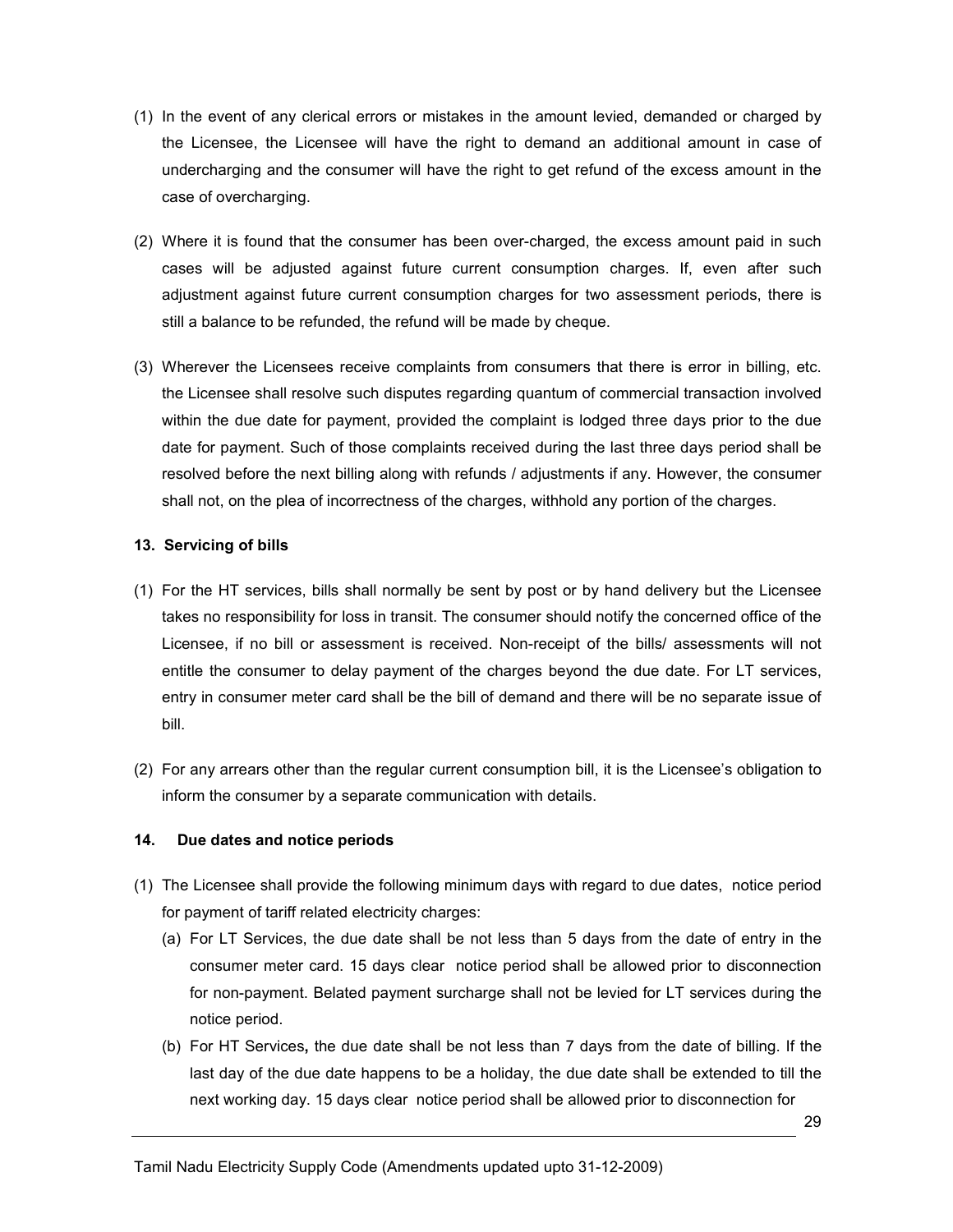- (1) In the event of any clerical errors or mistakes in the amount levied, demanded or charged by the Licensee, the Licensee will have the right to demand an additional amount in case of undercharging and the consumer will have the right to get refund of the excess amount in the case of overcharging.
- (2) Where it is found that the consumer has been over-charged, the excess amount paid in such cases will be adjusted against future current consumption charges. If, even after such adjustment against future current consumption charges for two assessment periods, there is still a balance to be refunded, the refund will be made by cheque.
- (3) Wherever the Licensees receive complaints from consumers that there is error in billing, etc. the Licensee shall resolve such disputes regarding quantum of commercial transaction involved within the due date for payment, provided the complaint is lodged three days prior to the due date for payment. Such of those complaints received during the last three days period shall be resolved before the next billing along with refunds / adjustments if any. However, the consumer shall not, on the plea of incorrectness of the charges, withhold any portion of the charges.

### 13. Servicing of bills

- (1) For the HT services, bills shall normally be sent by post or by hand delivery but the Licensee takes no responsibility for loss in transit. The consumer should notify the concerned office of the Licensee, if no bill or assessment is received. Non-receipt of the bills/ assessments will not entitle the consumer to delay payment of the charges beyond the due date. For LT services, entry in consumer meter card shall be the bill of demand and there will be no separate issue of bill.
- (2) For any arrears other than the regular current consumption bill, it is the Licensee's obligation to inform the consumer by a separate communication with details.

## 14. Due dates and notice periods

- (1) The Licensee shall provide the following minimum days with regard to due dates, notice period for payment of tariff related electricity charges:
	- (a) For LT Services, the due date shall be not less than 5 days from the date of entry in the consumer meter card. 15 days clear notice period shall be allowed prior to disconnection for non-payment. Belated payment surcharge shall not be levied for LT services during the notice period.
	- (b) For HT Services, the due date shall be not less than 7 days from the date of billing. If the last day of the due date happens to be a holiday, the due date shall be extended to till the next working day. 15 days clear notice period shall be allowed prior to disconnection for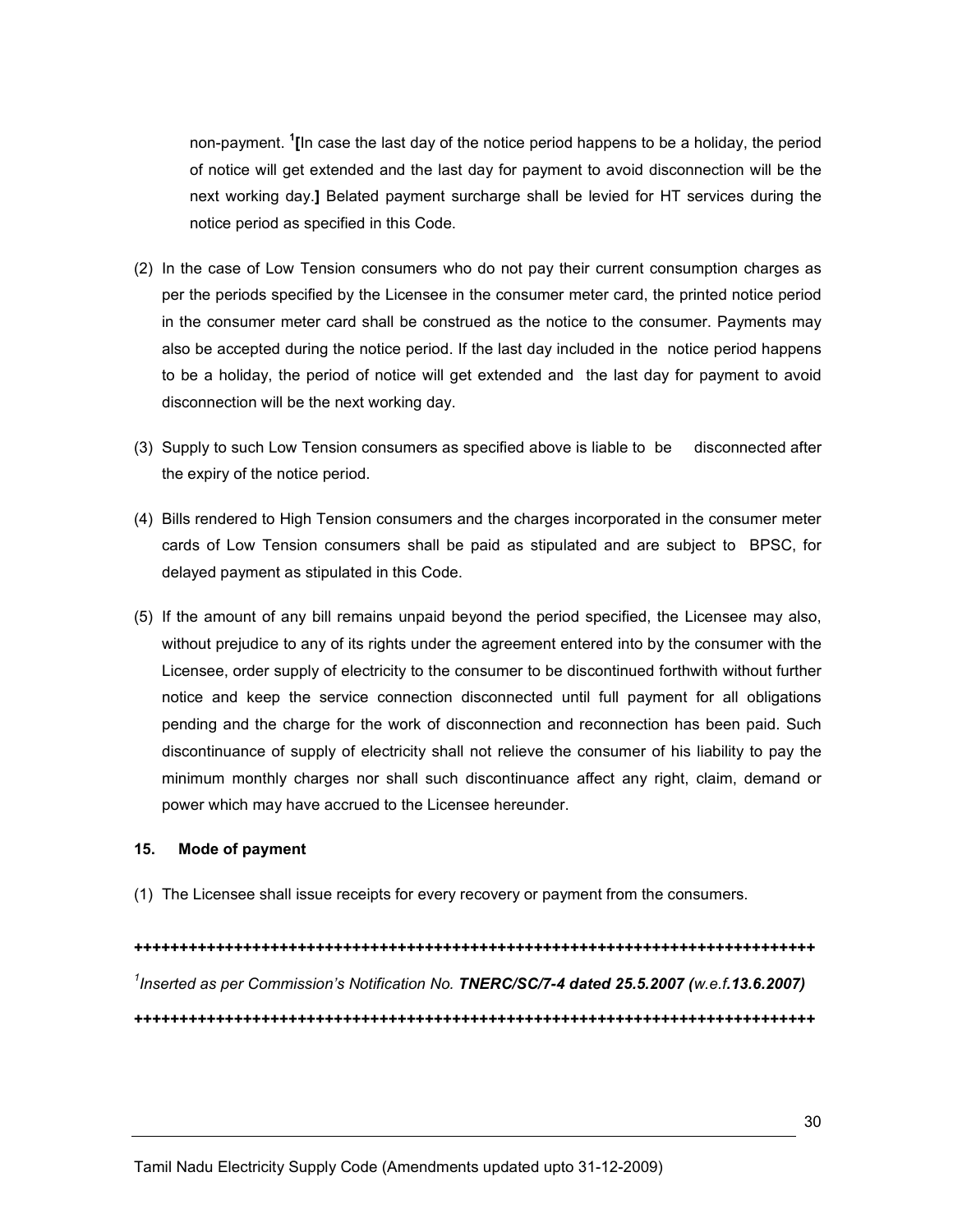non-payment. <sup>1</sup>[In case the last day of the notice period happens to be a holiday, the period of notice will get extended and the last day for payment to avoid disconnection will be the next working day.] Belated payment surcharge shall be levied for HT services during the notice period as specified in this Code.

- (2) In the case of Low Tension consumers who do not pay their current consumption charges as per the periods specified by the Licensee in the consumer meter card, the printed notice period in the consumer meter card shall be construed as the notice to the consumer. Payments may also be accepted during the notice period. If the last day included in the notice period happens to be a holiday, the period of notice will get extended and the last day for payment to avoid disconnection will be the next working day.
- (3) Supply to such Low Tension consumers as specified above is liable to be disconnected after the expiry of the notice period.
- (4) Bills rendered to High Tension consumers and the charges incorporated in the consumer meter cards of Low Tension consumers shall be paid as stipulated and are subject to BPSC, for delayed payment as stipulated in this Code.
- (5) If the amount of any bill remains unpaid beyond the period specified, the Licensee may also, without prejudice to any of its rights under the agreement entered into by the consumer with the Licensee, order supply of electricity to the consumer to be discontinued forthwith without further notice and keep the service connection disconnected until full payment for all obligations pending and the charge for the work of disconnection and reconnection has been paid. Such discontinuance of supply of electricity shall not relieve the consumer of his liability to pay the minimum monthly charges nor shall such discontinuance affect any right, claim, demand or power which may have accrued to the Licensee hereunder.

#### 15. Mode of payment

(1) The Licensee shall issue receipts for every recovery or payment from the consumers.

+++++++++++++++++++++++++++++++++++++++++++++++++++++++++++++++++++++++++++ <sup>1</sup>Inserted as per Commission's Notification No. TNERC/SC/7-4 dated 25.5.2007 (w.e.f.13.6.2007) +++++++++++++++++++++++++++++++++++++++++++++++++++++++++++++++++++++++++++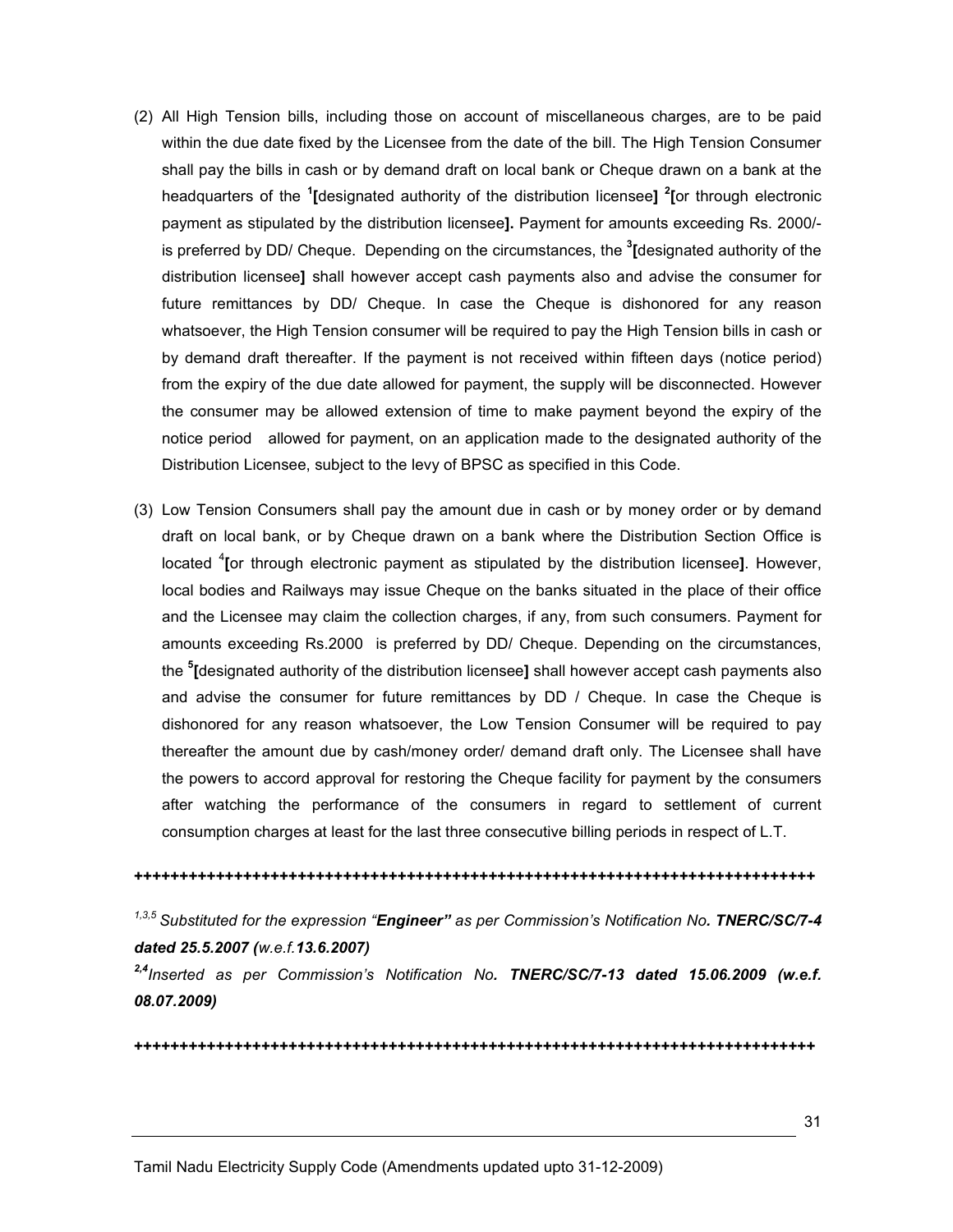- (2) All High Tension bills, including those on account of miscellaneous charges, are to be paid within the due date fixed by the Licensee from the date of the bill. The High Tension Consumer shall pay the bills in cash or by demand draft on local bank or Cheque drawn on a bank at the headquarters of the <sup>1</sup>[designated authority of the distribution licensee] <sup>2</sup>[or through electronic payment as stipulated by the distribution licensee]. Payment for amounts exceeding Rs. 2000/ is preferred by DD/ Cheque. Depending on the circumstances, the <sup>3</sup>[designated authority of the distribution licensee] shall however accept cash payments also and advise the consumer for future remittances by DD/ Cheque. In case the Cheque is dishonored for any reason whatsoever, the High Tension consumer will be required to pay the High Tension bills in cash or by demand draft thereafter. If the payment is not received within fifteen days (notice period) from the expiry of the due date allowed for payment, the supply will be disconnected. However the consumer may be allowed extension of time to make payment beyond the expiry of the notice period allowed for payment, on an application made to the designated authority of the Distribution Licensee, subject to the levy of BPSC as specified in this Code.
- (3) Low Tension Consumers shall pay the amount due in cash or by money order or by demand draft on local bank, or by Cheque drawn on a bank where the Distribution Section Office is located <sup>4</sup> [or through electronic payment as stipulated by the distribution licensee]. However, local bodies and Railways may issue Cheque on the banks situated in the place of their office and the Licensee may claim the collection charges, if any, from such consumers. Payment for amounts exceeding Rs.2000 is preferred by DD/ Cheque. Depending on the circumstances, the <sup>5</sup>[designated authority of the distribution licensee] shall however accept cash payments also and advise the consumer for future remittances by DD / Cheque. In case the Cheque is dishonored for any reason whatsoever, the Low Tension Consumer will be required to pay thereafter the amount due by cash/money order/ demand draft only. The Licensee shall have the powers to accord approval for restoring the Cheque facility for payment by the consumers after watching the performance of the consumers in regard to settlement of current consumption charges at least for the last three consecutive billing periods in respect of L.T.

#### +++++++++++++++++++++++++++++++++++++++++++++++++++++++++++++++++++++++++++

 $1,3,5$  Substituted for the expression "Engineer" as per Commission's Notification No. TNERC/SC/7-4 dated 25.5.2007 (w.e.f.13.6.2007)

 $2,4$ Inserted as per Commission's Notification No. TNERC/SC/7-13 dated 15.06.2009 (w.e.f. 08.07.2009)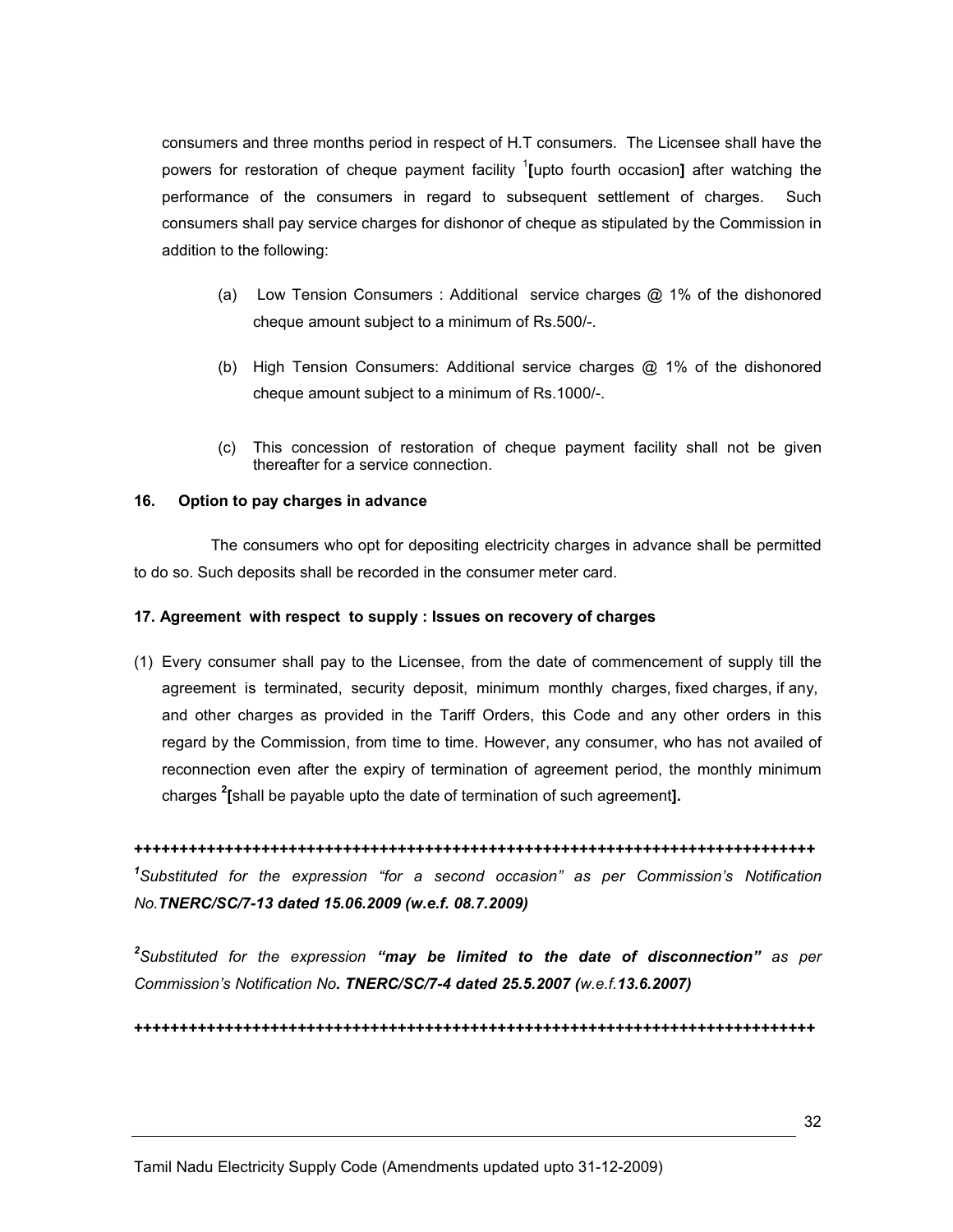consumers and three months period in respect of H.T consumers. The Licensee shall have the powers for restoration of cheque payment facility <sup>1</sup>[upto fourth occasion] after watching the performance of the consumers in regard to subsequent settlement of charges. Such consumers shall pay service charges for dishonor of cheque as stipulated by the Commission in addition to the following:

- (a) Low Tension Consumers : Additional service charges @ 1% of the dishonored cheque amount subject to a minimum of Rs.500/-.
- (b) High Tension Consumers: Additional service charges @ 1% of the dishonored cheque amount subject to a minimum of Rs.1000/-.
- (c) This concession of restoration of cheque payment facility shall not be given thereafter for a service connection.

### 16. Option to pay charges in advance

 The consumers who opt for depositing electricity charges in advance shall be permitted to do so. Such deposits shall be recorded in the consumer meter card.

#### 17. Agreement with respect to supply : Issues on recovery of charges

(1) Every consumer shall pay to the Licensee, from the date of commencement of supply till the agreement is terminated, security deposit, minimum monthly charges, fixed charges, if any, and other charges as provided in the Tariff Orders, this Code and any other orders in this regard by the Commission, from time to time. However, any consumer, who has not availed of reconnection even after the expiry of termination of agreement period, the monthly minimum charges <sup>2</sup>[shall be payable upto the date of termination of such agreement].

+++++++++++++++++++++++++++++++++++++++++++++++++++++++++++++++++++++++++++ <sup>1</sup>Substituted for the expression "for a second occasion" as per Commission's Notification No.TNERC/SC/7-13 dated 15.06.2009 (w.e.f. 08.7.2009)

 $^2$ Substituted for the expression "may be limited to the date of disconnection" as per Commission's Notification No. TNERC/SC/7-4 dated 25.5.2007 (w.e.f.13.6.2007)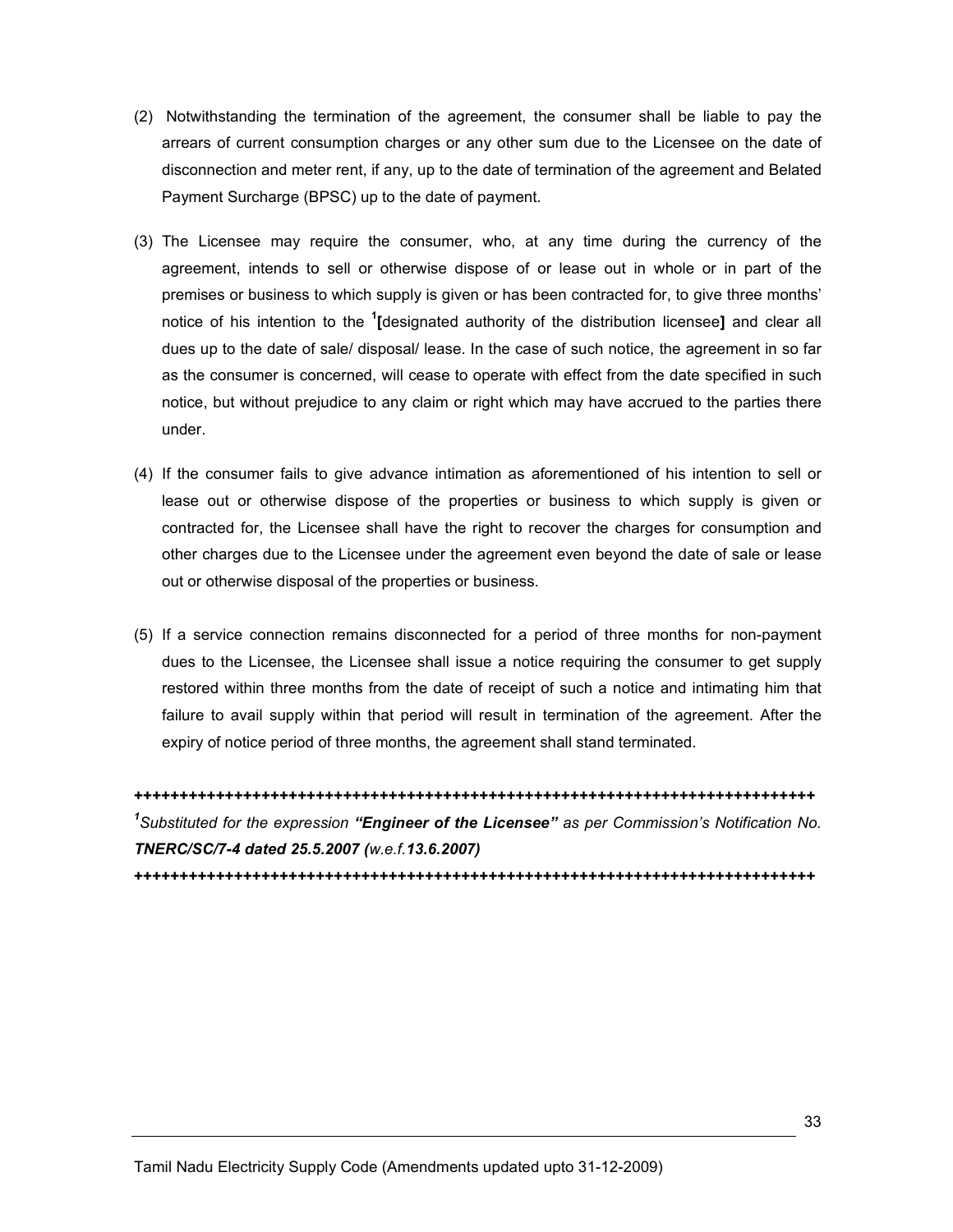- (2) Notwithstanding the termination of the agreement, the consumer shall be liable to pay the arrears of current consumption charges or any other sum due to the Licensee on the date of disconnection and meter rent, if any, up to the date of termination of the agreement and Belated Payment Surcharge (BPSC) up to the date of payment.
- (3) The Licensee may require the consumer, who, at any time during the currency of the agreement, intends to sell or otherwise dispose of or lease out in whole or in part of the premises or business to which supply is given or has been contracted for, to give three months' notice of his intention to the <sup>1</sup>[designated authority of the distribution licensee] and clear all dues up to the date of sale/ disposal/ lease. In the case of such notice, the agreement in so far as the consumer is concerned, will cease to operate with effect from the date specified in such notice, but without prejudice to any claim or right which may have accrued to the parties there under.
- (4) If the consumer fails to give advance intimation as aforementioned of his intention to sell or lease out or otherwise dispose of the properties or business to which supply is given or contracted for, the Licensee shall have the right to recover the charges for consumption and other charges due to the Licensee under the agreement even beyond the date of sale or lease out or otherwise disposal of the properties or business.
- (5) If a service connection remains disconnected for a period of three months for non-payment dues to the Licensee, the Licensee shall issue a notice requiring the consumer to get supply restored within three months from the date of receipt of such a notice and intimating him that failure to avail supply within that period will result in termination of the agreement. After the expiry of notice period of three months, the agreement shall stand terminated.

+++++++++++++++++++++++++++++++++++++++++++++++++++++++++++++++++++++++++++ <sup>1</sup>Substituted for the expression "Engineer of the Licensee" as per Commission's Notification No. TNERC/SC/7-4 dated 25.5.2007 (w.e.f.13.6.2007)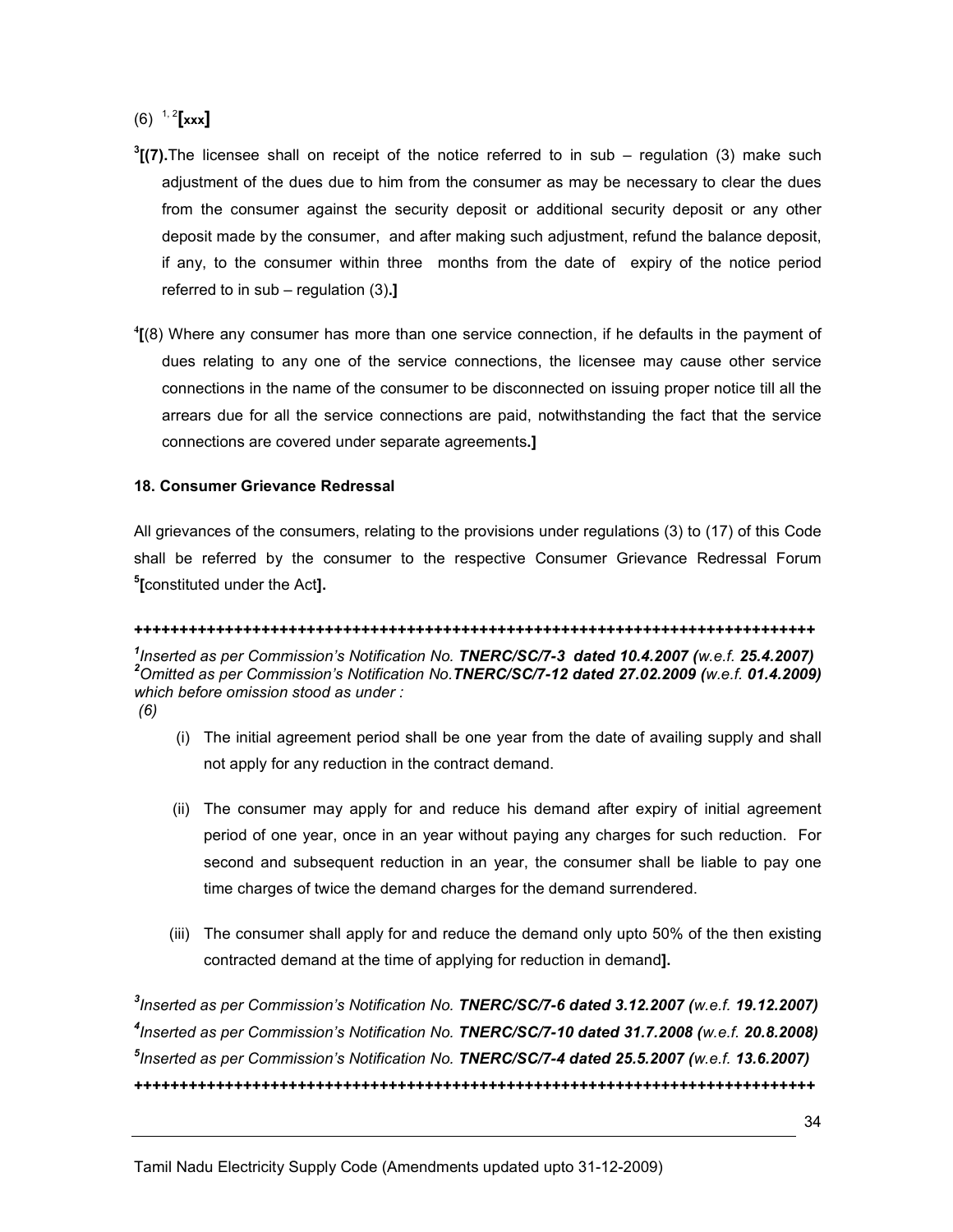# $(6)$ <sup>1, 2</sup>[xxx]

- ${}^{3}$ [(7).The licensee shall on receipt of the notice referred to in sub regulation (3) make such adjustment of the dues due to him from the consumer as may be necessary to clear the dues from the consumer against the security deposit or additional security deposit or any other deposit made by the consumer, and after making such adjustment, refund the balance deposit, if any, to the consumer within three months from the date of expiry of the notice period referred to in  $sub$  – regulation  $(3).$ ]
- <sup>4</sup>[(8) Where any consumer has more than one service connection, if he defaults in the payment of dues relating to any one of the service connections, the licensee may cause other service connections in the name of the consumer to be disconnected on issuing proper notice till all the arrears due for all the service connections are paid, notwithstanding the fact that the service connections are covered under separate agreements.]

## 18. Consumer Grievance Redressal

All grievances of the consumers, relating to the provisions under regulations (3) to (17) of this Code shall be referred by the consumer to the respective Consumer Grievance Redressal Forum <sup>5</sup>[constituted under the Act].

#### +++++++++++++++++++++++++++++++++++++++++++++++++++++++++++++++++++++++++++

<sup>1</sup>Inserted as per Commission's Notification No. TNERC/SC/7-3 dated 10.4.2007 (w.e.f. 25.4.2007)  $2$ Omitted as per Commission's Notification No. TNERC/SC/7-12 dated 27.02.2009 (w.e.f. 01.4.2009) which before omission stood as under : (6)

- (i) The initial agreement period shall be one year from the date of availing supply and shall not apply for any reduction in the contract demand.
- (ii) The consumer may apply for and reduce his demand after expiry of initial agreement period of one year, once in an year without paying any charges for such reduction. For second and subsequent reduction in an year, the consumer shall be liable to pay one time charges of twice the demand charges for the demand surrendered.
- (iii) The consumer shall apply for and reduce the demand only upto 50% of the then existing contracted demand at the time of applying for reduction in demand].

 $^3$ Inserted as per Commission's Notification No. TNERC/SC/7-6 dated 3.12.2007 (w.e.f. 19.12.2007) <sup>4</sup>Inserted as per Commission's Notification No. TNERC/SC/7-10 dated 31.7.2008 (w.e.f. 20.8.2008) <sup>5</sup>Inserted as per Commission's Notification No. TNERC/SC/7-4 dated 25.5.2007 (w.e.f. 13.6.2007) +++++++++++++++++++++++++++++++++++++++++++++++++++++++++++++++++++++++++++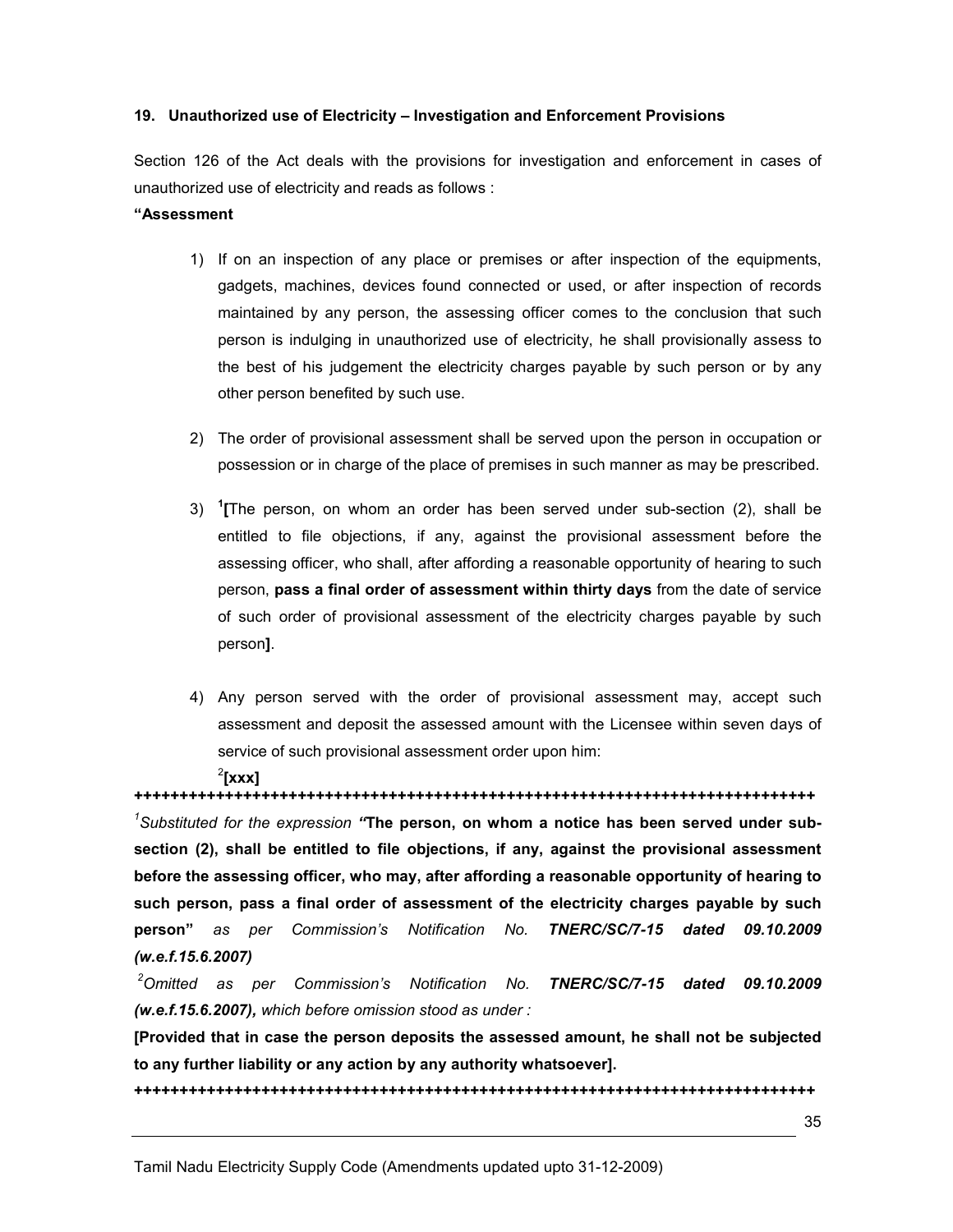#### 19. Unauthorized use of Electricity – Investigation and Enforcement Provisions

Section 126 of the Act deals with the provisions for investigation and enforcement in cases of unauthorized use of electricity and reads as follows :

#### "Assessment

- 1) If on an inspection of any place or premises or after inspection of the equipments, gadgets, machines, devices found connected or used, or after inspection of records maintained by any person, the assessing officer comes to the conclusion that such person is indulging in unauthorized use of electricity, he shall provisionally assess to the best of his judgement the electricity charges payable by such person or by any other person benefited by such use.
- 2) The order of provisional assessment shall be served upon the person in occupation or possession or in charge of the place of premises in such manner as may be prescribed.
- 3)  $1$ <sup>T</sup> The person, on whom an order has been served under sub-section (2), shall be entitled to file objections, if any, against the provisional assessment before the assessing officer, who shall, after affording a reasonable opportunity of hearing to such person, pass a final order of assessment within thirty days from the date of service of such order of provisional assessment of the electricity charges payable by such person].
- 4) Any person served with the order of provisional assessment may, accept such assessment and deposit the assessed amount with the Licensee within seven days of service of such provisional assessment order upon him:

## $2$ [xxx]

+++++++++++++++++++++++++++++++++++++++++++++++++++++++++++++++++++++++++++  $1$ Substituted for the expression "The person, on whom a notice has been served under subsection (2), shall be entitled to file objections, if any, against the provisional assessment before the assessing officer, who may, after affording a reasonable opportunity of hearing to such person, pass a final order of assessment of the electricity charges payable by such person" as per Commission's Notification No. TNERC/SC/7-15 dated 09.10.2009 (w.e.f.15.6.2007)

 $2$ Omitted as per Commission's Notification No. TNERC/SC/7-15 dated 09.10.2009 (w.e.f.15.6.2007), which before omission stood as under :

[Provided that in case the person deposits the assessed amount, he shall not be subjected to any further liability or any action by any authority whatsoever].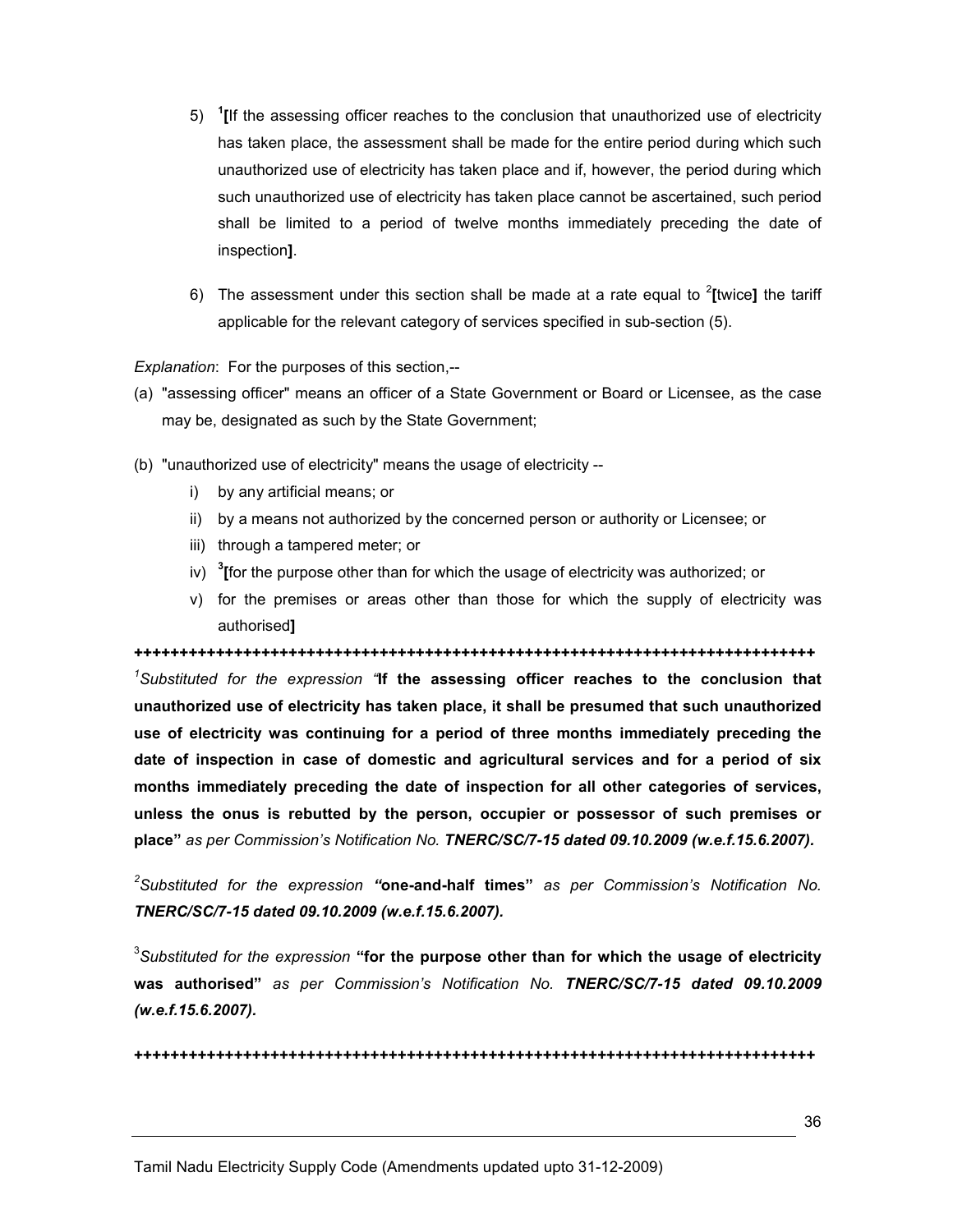- 5)  $1$ [If the assessing officer reaches to the conclusion that unauthorized use of electricity has taken place, the assessment shall be made for the entire period during which such unauthorized use of electricity has taken place and if, however, the period during which such unauthorized use of electricity has taken place cannot be ascertained, such period shall be limited to a period of twelve months immediately preceding the date of inspection].
- 6) The assessment under this section shall be made at a rate equal to  $2$ [twice] the tariff applicable for the relevant category of services specified in sub-section (5).

Explanation: For the purposes of this section,--

- (a) "assessing officer" means an officer of a State Government or Board or Licensee, as the case may be, designated as such by the State Government;
- (b) "unauthorized use of electricity" means the usage of electricity
	- i) by any artificial means; or
	- ii) by a means not authorized by the concerned person or authority or Licensee; or
	- iii) through a tampered meter; or
	- iv) <sup>3</sup>[for the purpose other than for which the usage of electricity was authorized; or
	- v) for the premises or areas other than those for which the supply of electricity was authorised]

+++++++++++++++++++++++++++++++++++++++++++++++++++++++++++++++++++++++++++  $1$ Substituted for the expression "If the assessing officer reaches to the conclusion that unauthorized use of electricity has taken place, it shall be presumed that such unauthorized use of electricity was continuing for a period of three months immediately preceding the date of inspection in case of domestic and agricultural services and for a period of six months immediately preceding the date of inspection for all other categories of services, unless the onus is rebutted by the person, occupier or possessor of such premises or place" as per Commission's Notification No. TNERC/SC/7-15 dated 09.10.2009 (w.e.f.15.6.2007).

 ${}^{2}$ Substituted for the expression "one-and-half times" as per Commission's Notification No. TNERC/SC/7-15 dated 09.10.2009 (w.e.f.15.6.2007).

 ${}^{3}$ Substituted for the expression "for the purpose other than for which the usage of electricity was authorised" as per Commission's Notification No. TNERC/SC/7-15 dated 09.10.2009 (w.e.f.15.6.2007).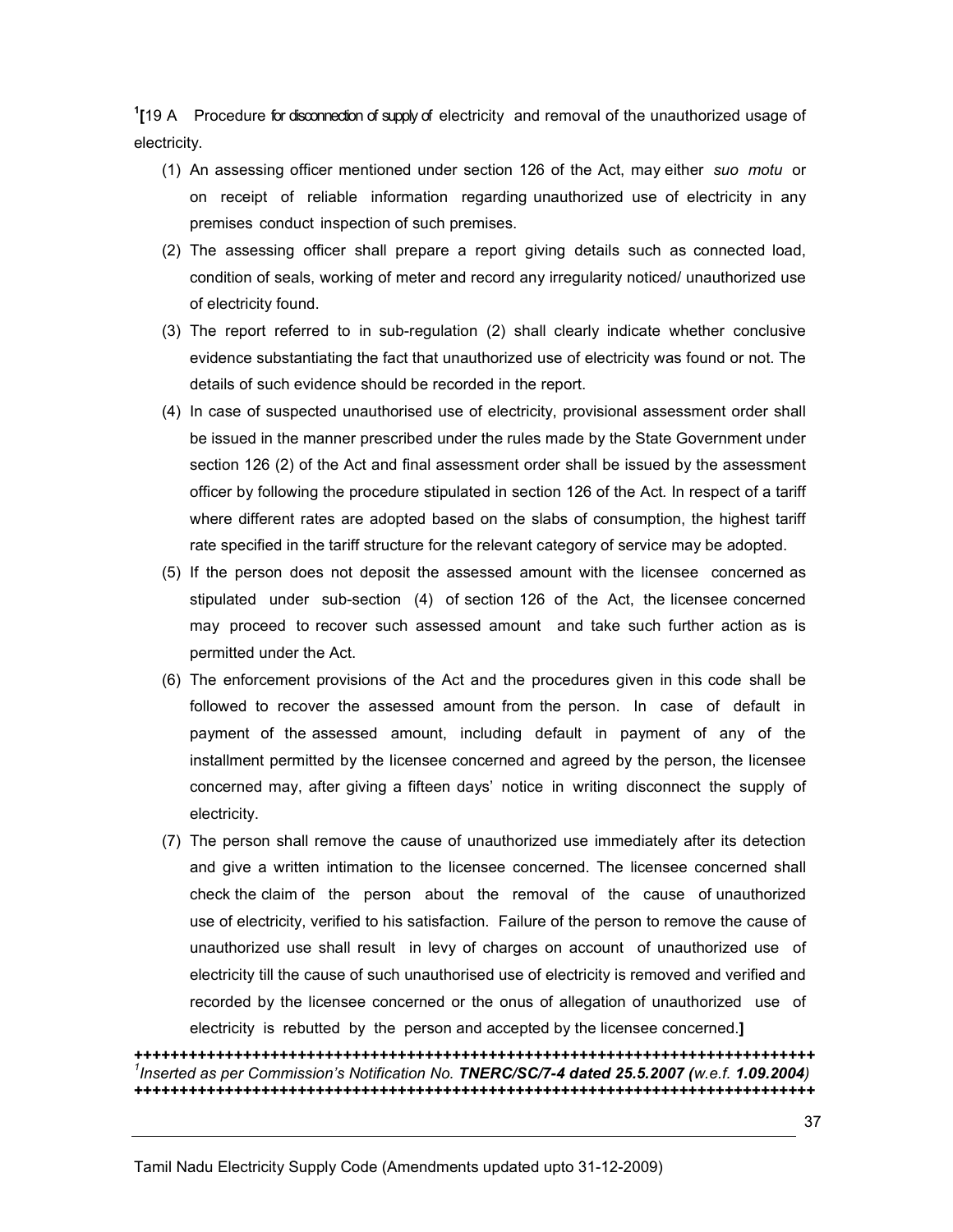<sup>1</sup>[19 A Procedure for disconnection of supply of electricity and removal of the unauthorized usage of electricity.

- (1) An assessing officer mentioned under section 126 of the Act, may either suo motu or on receipt of reliable information regarding unauthorized use of electricity in any premises conduct inspection of such premises.
- (2) The assessing officer shall prepare a report giving details such as connected load, condition of seals, working of meter and record any irregularity noticed/ unauthorized use of electricity found.
- (3) The report referred to in sub-regulation (2) shall clearly indicate whether conclusive evidence substantiating the fact that unauthorized use of electricity was found or not. The details of such evidence should be recorded in the report.
- (4) In case of suspected unauthorised use of electricity, provisional assessment order shall be issued in the manner prescribed under the rules made by the State Government under section 126 (2) of the Act and final assessment order shall be issued by the assessment officer by following the procedure stipulated in section 126 of the Act. In respect of a tariff where different rates are adopted based on the slabs of consumption, the highest tariff rate specified in the tariff structure for the relevant category of service may be adopted.
- (5) If the person does not deposit the assessed amount with the licensee concerned as stipulated under sub-section (4) of section 126 of the Act, the licensee concerned may proceed to recover such assessed amount and take such further action as is permitted under the Act.
- (6) The enforcement provisions of the Act and the procedures given in this code shall be followed to recover the assessed amount from the person. In case of default in payment of the assessed amount, including default in payment of any of the installment permitted by the licensee concerned and agreed by the person, the licensee concerned may, after giving a fifteen days' notice in writing disconnect the supply of electricity.
- (7) The person shall remove the cause of unauthorized use immediately after its detection and give a written intimation to the licensee concerned. The licensee concerned shall check the claim of the person about the removal of the cause of unauthorized use of electricity, verified to his satisfaction. Failure of the person to remove the cause of unauthorized use shall result in levy of charges on account of unauthorized use of electricity till the cause of such unauthorised use of electricity is removed and verified and recorded by the licensee concerned or the onus of allegation of unauthorized use of electricity is rebutted by the person and accepted by the licensee concerned.]

+++++++++++++++++++++++++++++++++++++++++++++++++++++++++++++++++++++++++++ <sup>1</sup>Inserted as per Commission's Notification No. **TNERC/SC/7-4 dated 25.5.2007** (w.e.f. 1.09.2004) +++++++++++++++++++++++++++++++++++++++++++++++++++++++++++++++++++++++++++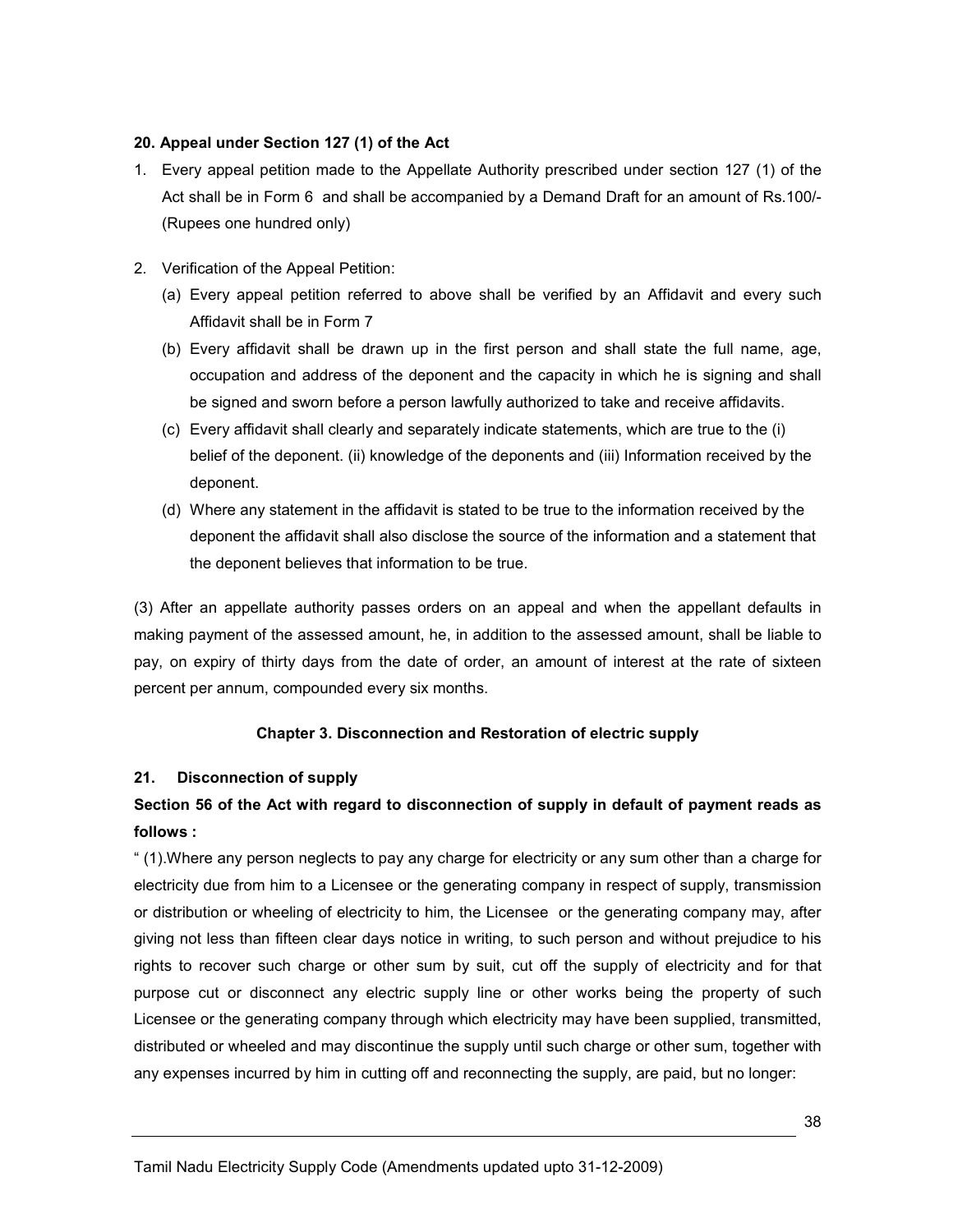## 20. Appeal under Section 127 (1) of the Act

- 1. Every appeal petition made to the Appellate Authority prescribed under section 127 (1) of the Act shall be in Form 6 and shall be accompanied by a Demand Draft for an amount of Rs.100/- (Rupees one hundred only)
- 2. Verification of the Appeal Petition:
	- (a) Every appeal petition referred to above shall be verified by an Affidavit and every such Affidavit shall be in Form 7
	- (b) Every affidavit shall be drawn up in the first person and shall state the full name, age, occupation and address of the deponent and the capacity in which he is signing and shall be signed and sworn before a person lawfully authorized to take and receive affidavits.
	- (c) Every affidavit shall clearly and separately indicate statements, which are true to the (i) belief of the deponent. (ii) knowledge of the deponents and (iii) Information received by the deponent.
	- (d) Where any statement in the affidavit is stated to be true to the information received by the deponent the affidavit shall also disclose the source of the information and a statement that the deponent believes that information to be true.

(3) After an appellate authority passes orders on an appeal and when the appellant defaults in making payment of the assessed amount, he, in addition to the assessed amount, shall be liable to pay, on expiry of thirty days from the date of order, an amount of interest at the rate of sixteen percent per annum, compounded every six months.

# Chapter 3. Disconnection and Restoration of electric supply

# 21. Disconnection of supply

# Section 56 of the Act with regard to disconnection of supply in default of payment reads as follows :

" (1).Where any person neglects to pay any charge for electricity or any sum other than a charge for electricity due from him to a Licensee or the generating company in respect of supply, transmission or distribution or wheeling of electricity to him, the Licensee or the generating company may, after giving not less than fifteen clear days notice in writing, to such person and without prejudice to his rights to recover such charge or other sum by suit, cut off the supply of electricity and for that purpose cut or disconnect any electric supply line or other works being the property of such Licensee or the generating company through which electricity may have been supplied, transmitted, distributed or wheeled and may discontinue the supply until such charge or other sum, together with any expenses incurred by him in cutting off and reconnecting the supply, are paid, but no longer: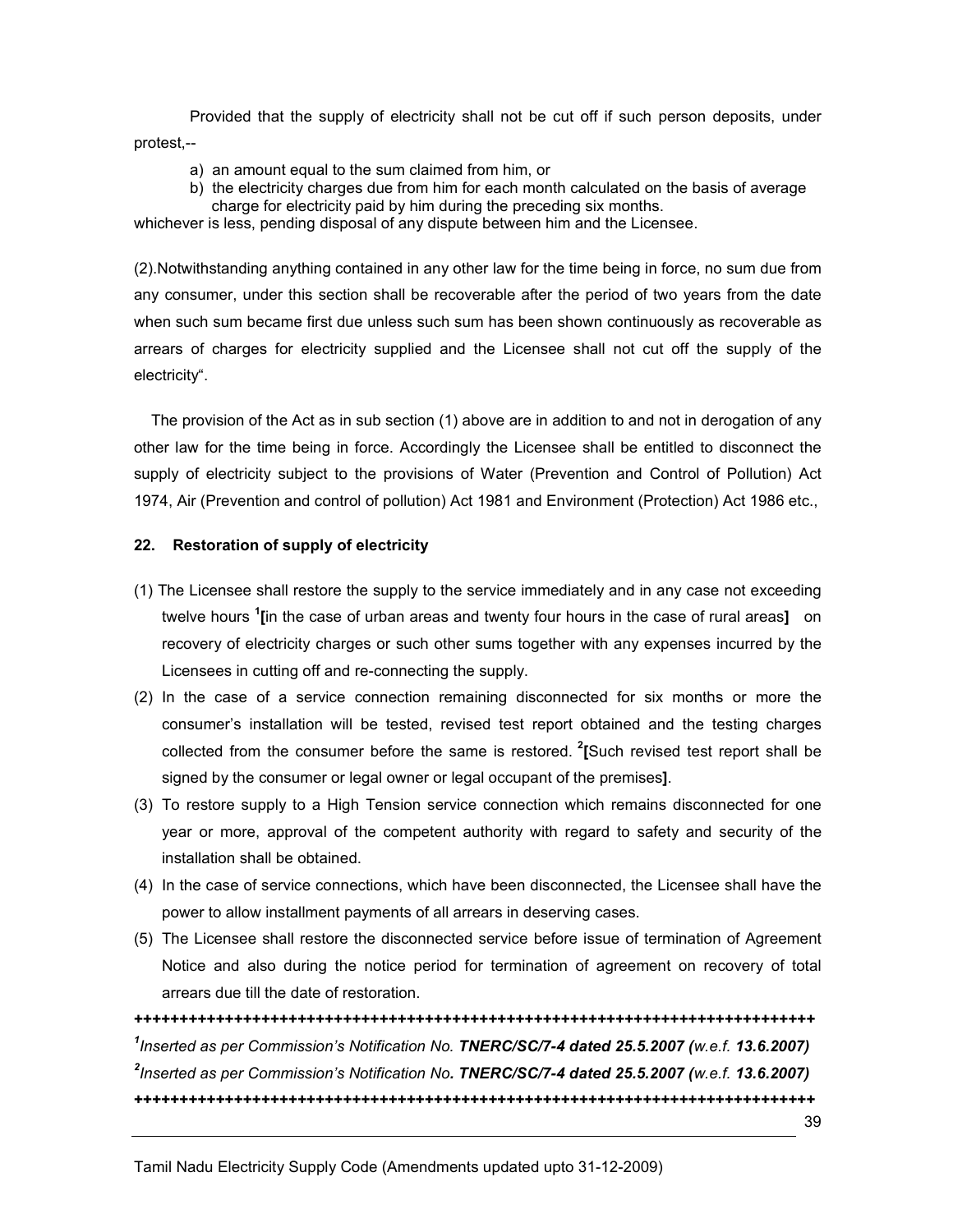Provided that the supply of electricity shall not be cut off if such person deposits, under protest,--

- a) an amount equal to the sum claimed from him, or
- b) the electricity charges due from him for each month calculated on the basis of average charge for electricity paid by him during the preceding six months.

whichever is less, pending disposal of any dispute between him and the Licensee.

(2).Notwithstanding anything contained in any other law for the time being in force, no sum due from any consumer, under this section shall be recoverable after the period of two years from the date when such sum became first due unless such sum has been shown continuously as recoverable as arrears of charges for electricity supplied and the Licensee shall not cut off the supply of the electricity".

 The provision of the Act as in sub section (1) above are in addition to and not in derogation of any other law for the time being in force. Accordingly the Licensee shall be entitled to disconnect the supply of electricity subject to the provisions of Water (Prevention and Control of Pollution) Act 1974, Air (Prevention and control of pollution) Act 1981 and Environment (Protection) Act 1986 etc.,

#### 22. Restoration of supply of electricity

- (1) The Licensee shall restore the supply to the service immediately and in any case not exceeding twelve hours <sup>1</sup>[in the case of urban areas and twenty four hours in the case of rural areas] on recovery of electricity charges or such other sums together with any expenses incurred by the Licensees in cutting off and re-connecting the supply.
- (2) In the case of a service connection remaining disconnected for six months or more the consumer's installation will be tested, revised test report obtained and the testing charges collected from the consumer before the same is restored.  $^{2}$ [Such revised test report shall be signed by the consumer or legal owner or legal occupant of the premises].
- (3) To restore supply to a High Tension service connection which remains disconnected for one year or more, approval of the competent authority with regard to safety and security of the installation shall be obtained.
- (4) In the case of service connections, which have been disconnected, the Licensee shall have the power to allow installment payments of all arrears in deserving cases.
- (5) The Licensee shall restore the disconnected service before issue of termination of Agreement Notice and also during the notice period for termination of agreement on recovery of total arrears due till the date of restoration.

+++++++++++++++++++++++++++++++++++++++++++++++++++++++++++++++++++++++++++  $^1$ Inserted as per Commission's Notification No. TNERC/SC/7-4 dated 25.5.2007 (w.e.f. 13.6.2007)  $^{2}$ Inserted as per Commission's Notification No. TNERC/SC/7-4 dated 25.5.2007 (w.e.f. 13.6.2007) +++++++++++++++++++++++++++++++++++++++++++++++++++++++++++++++++++++++++++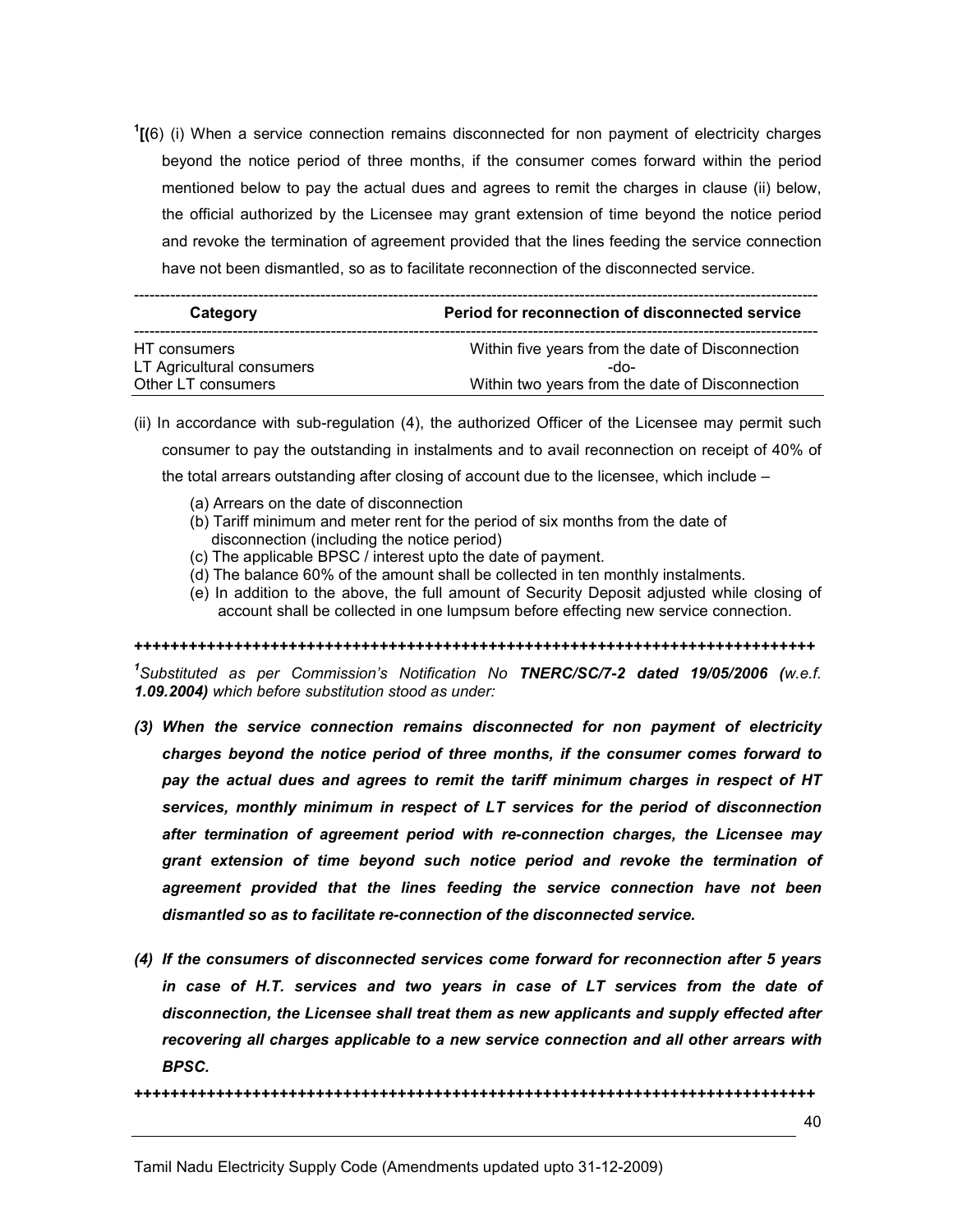$1$ <sup>1</sup> $(6)$  (i) When a service connection remains disconnected for non payment of electricity charges beyond the notice period of three months, if the consumer comes forward within the period mentioned below to pay the actual dues and agrees to remit the charges in clause (ii) below, the official authorized by the Licensee may grant extension of time beyond the notice period and revoke the termination of agreement provided that the lines feeding the service connection have not been dismantled, so as to facilitate reconnection of the disconnected service.

| Category                  | Period for reconnection of disconnected service  |
|---------------------------|--------------------------------------------------|
| HT consumers              | Within five years from the date of Disconnection |
| LT Agricultural consumers | -do-                                             |
| Other LT consumers        | Within two years from the date of Disconnection  |

- (ii) In accordance with sub-regulation (4), the authorized Officer of the Licensee may permit such consumer to pay the outstanding in instalments and to avail reconnection on receipt of 40% of the total arrears outstanding after closing of account due to the licensee, which include –
	- (a) Arrears on the date of disconnection
	- (b) Tariff minimum and meter rent for the period of six months from the date of disconnection (including the notice period)
	- (c) The applicable BPSC / interest upto the date of payment.
	- (d) The balance 60% of the amount shall be collected in ten monthly instalments.
	- (e) In addition to the above, the full amount of Security Deposit adjusted while closing of account shall be collected in one lumpsum before effecting new service connection.

+++++++++++++++++++++++++++++++++++++++++++++++++++++++++++++++++++++++++++

<sup>1</sup>Substituted as per Commission's Notification No TNERC/SC/7-2 dated 19/05/2006 (w.e.f. 1.09.2004) which before substitution stood as under:

- (3) When the service connection remains disconnected for non payment of electricity charges beyond the notice period of three months, if the consumer comes forward to pay the actual dues and agrees to remit the tariff minimum charges in respect of HT services, monthly minimum in respect of LT services for the period of disconnection after termination of agreement period with re-connection charges, the Licensee may grant extension of time beyond such notice period and revoke the termination of agreement provided that the lines feeding the service connection have not been dismantled so as to facilitate re-connection of the disconnected service.
- (4) If the consumers of disconnected services come forward for reconnection after 5 years in case of H.T. services and two years in case of LT services from the date of disconnection, the Licensee shall treat them as new applicants and supply effected after recovering all charges applicable to a new service connection and all other arrears with BPSC.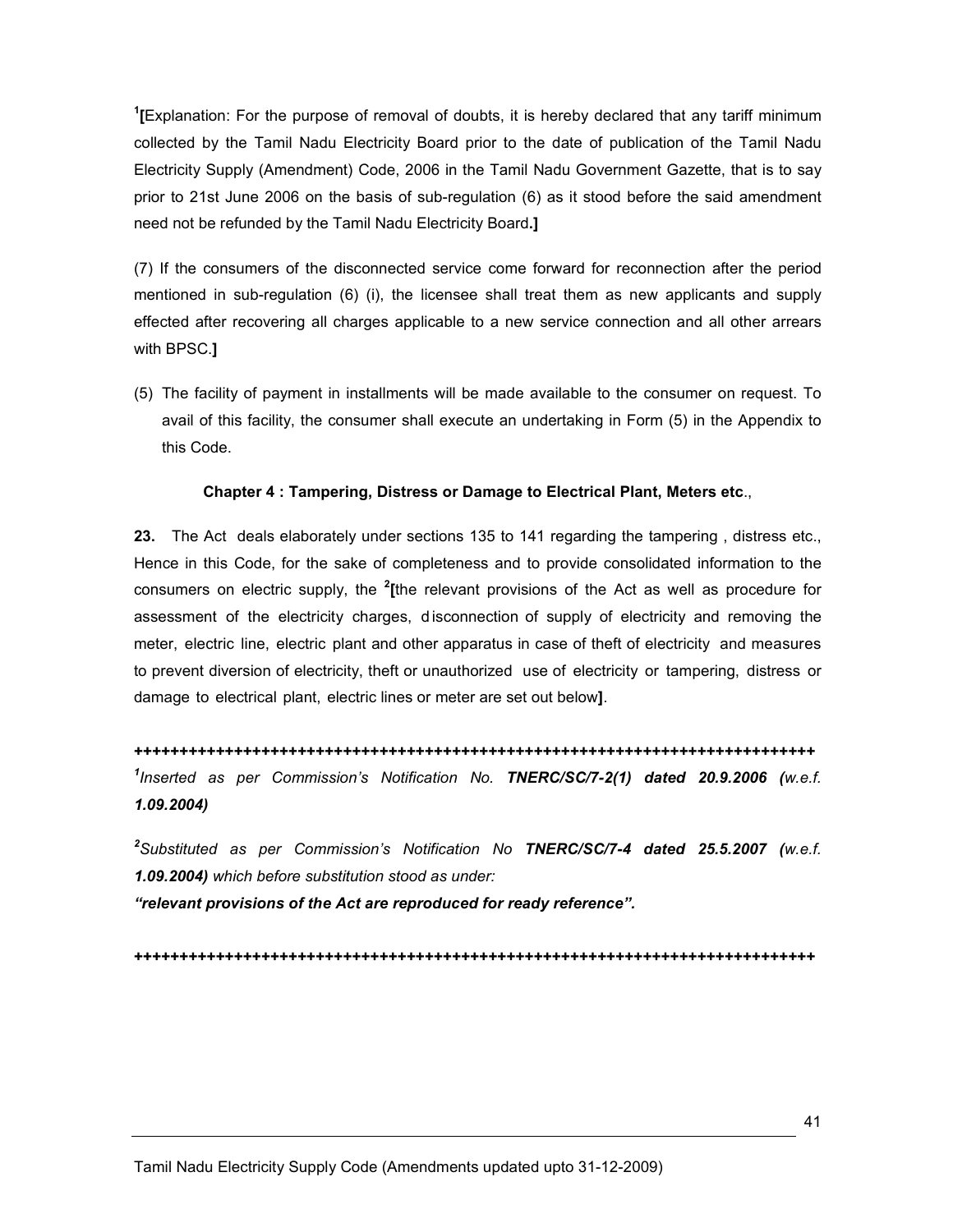<sup>1</sup>[Explanation: For the purpose of removal of doubts, it is hereby declared that any tariff minimum collected by the Tamil Nadu Electricity Board prior to the date of publication of the Tamil Nadu Electricity Supply (Amendment) Code, 2006 in the Tamil Nadu Government Gazette, that is to say prior to 21st June 2006 on the basis of sub-regulation (6) as it stood before the said amendment need not be refunded by the Tamil Nadu Electricity Board.]

(7) If the consumers of the disconnected service come forward for reconnection after the period mentioned in sub-regulation (6) (i), the licensee shall treat them as new applicants and supply effected after recovering all charges applicable to a new service connection and all other arrears with BPSC.]

(5) The facility of payment in installments will be made available to the consumer on request. To avail of this facility, the consumer shall execute an undertaking in Form (5) in the Appendix to this Code.

#### Chapter 4 : Tampering, Distress or Damage to Electrical Plant, Meters etc.,

23. The Act deals elaborately under sections 135 to 141 regarding the tampering, distress etc., Hence in this Code, for the sake of completeness and to provide consolidated information to the consumers on electric supply, the  $2$ <sup>the</sup> relevant provisions of the Act as well as procedure for assessment of the electricity charges, d isconnection of supply of electricity and removing the meter, electric line, electric plant and other apparatus in case of theft of electricity and measures to prevent diversion of electricity, theft or unauthorized use of electricity or tampering, distress or damage to electrical plant, electric lines or meter are set out below].

+++++++++++++++++++++++++++++++++++++++++++++++++++++++++++++++++++++++++++  $^1$ Inserted as per Commission's Notification No. TNERC/SC/7-2(1) dated 20.9.2006 (w.e.f. 1.09.2004)

 $^2$ Substituted as per Commission's Notification No TNERC/SC/7-4 dated 25.5.2007 (w.e.f. 1.09.2004) which before substitution stood as under:

"relevant provisions of the Act are reproduced for ready reference".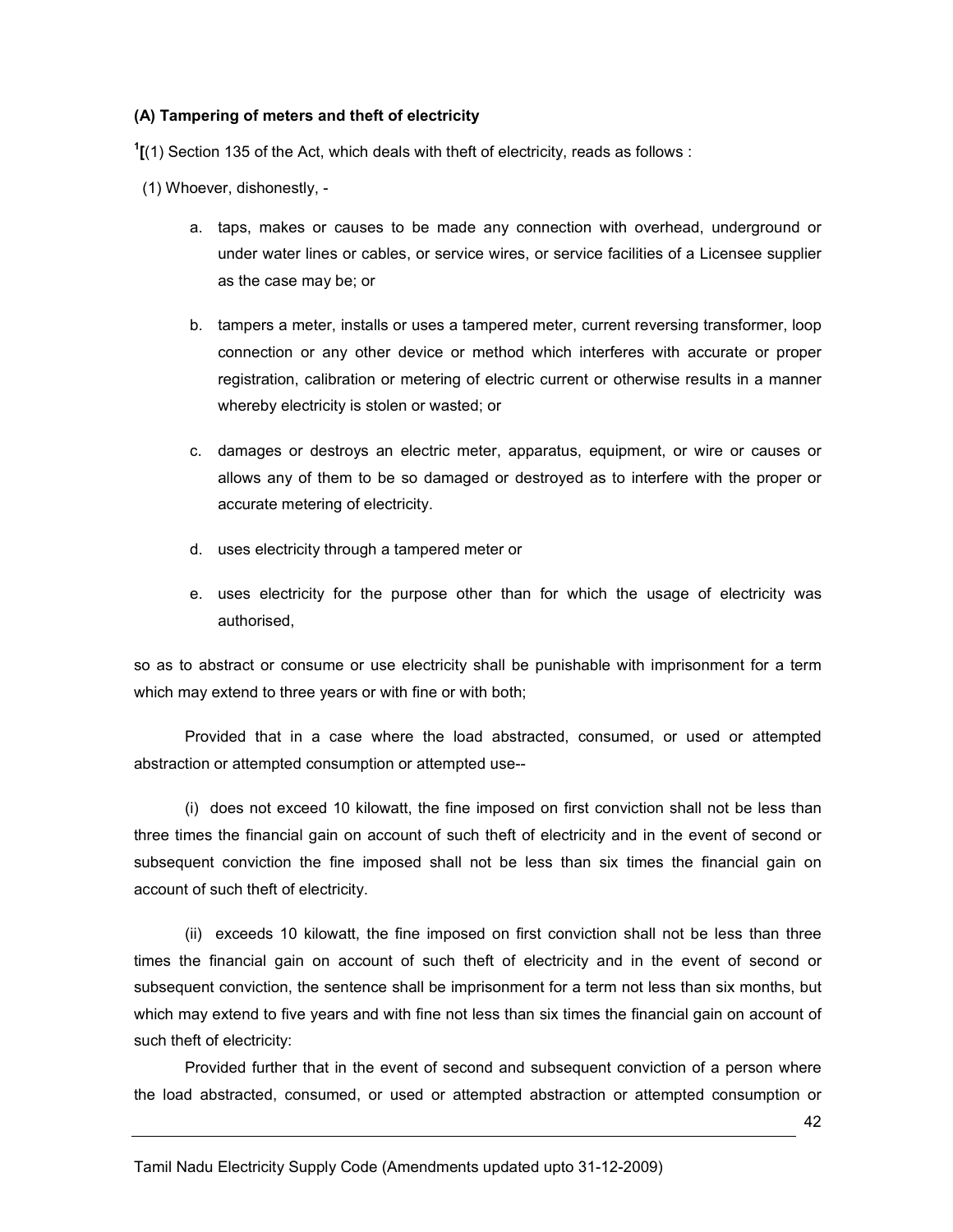#### (A) Tampering of meters and theft of electricity

 $1$ [(1) Section 135 of the Act, which deals with theft of electricity, reads as follows :

- (1) Whoever, dishonestly,
	- a. taps, makes or causes to be made any connection with overhead, underground or under water lines or cables, or service wires, or service facilities of a Licensee supplier as the case may be; or
	- b. tampers a meter, installs or uses a tampered meter, current reversing transformer, loop connection or any other device or method which interferes with accurate or proper registration, calibration or metering of electric current or otherwise results in a manner whereby electricity is stolen or wasted; or
	- c. damages or destroys an electric meter, apparatus, equipment, or wire or causes or allows any of them to be so damaged or destroyed as to interfere with the proper or accurate metering of electricity.
	- d. uses electricity through a tampered meter or
	- e. uses electricity for the purpose other than for which the usage of electricity was authorised,

so as to abstract or consume or use electricity shall be punishable with imprisonment for a term which may extend to three years or with fine or with both;

 Provided that in a case where the load abstracted, consumed, or used or attempted abstraction or attempted consumption or attempted use--

 (i) does not exceed 10 kilowatt, the fine imposed on first conviction shall not be less than three times the financial gain on account of such theft of electricity and in the event of second or subsequent conviction the fine imposed shall not be less than six times the financial gain on account of such theft of electricity.

 (ii) exceeds 10 kilowatt, the fine imposed on first conviction shall not be less than three times the financial gain on account of such theft of electricity and in the event of second or subsequent conviction, the sentence shall be imprisonment for a term not less than six months, but which may extend to five years and with fine not less than six times the financial gain on account of such theft of electricity:

 Provided further that in the event of second and subsequent conviction of a person where the load abstracted, consumed, or used or attempted abstraction or attempted consumption or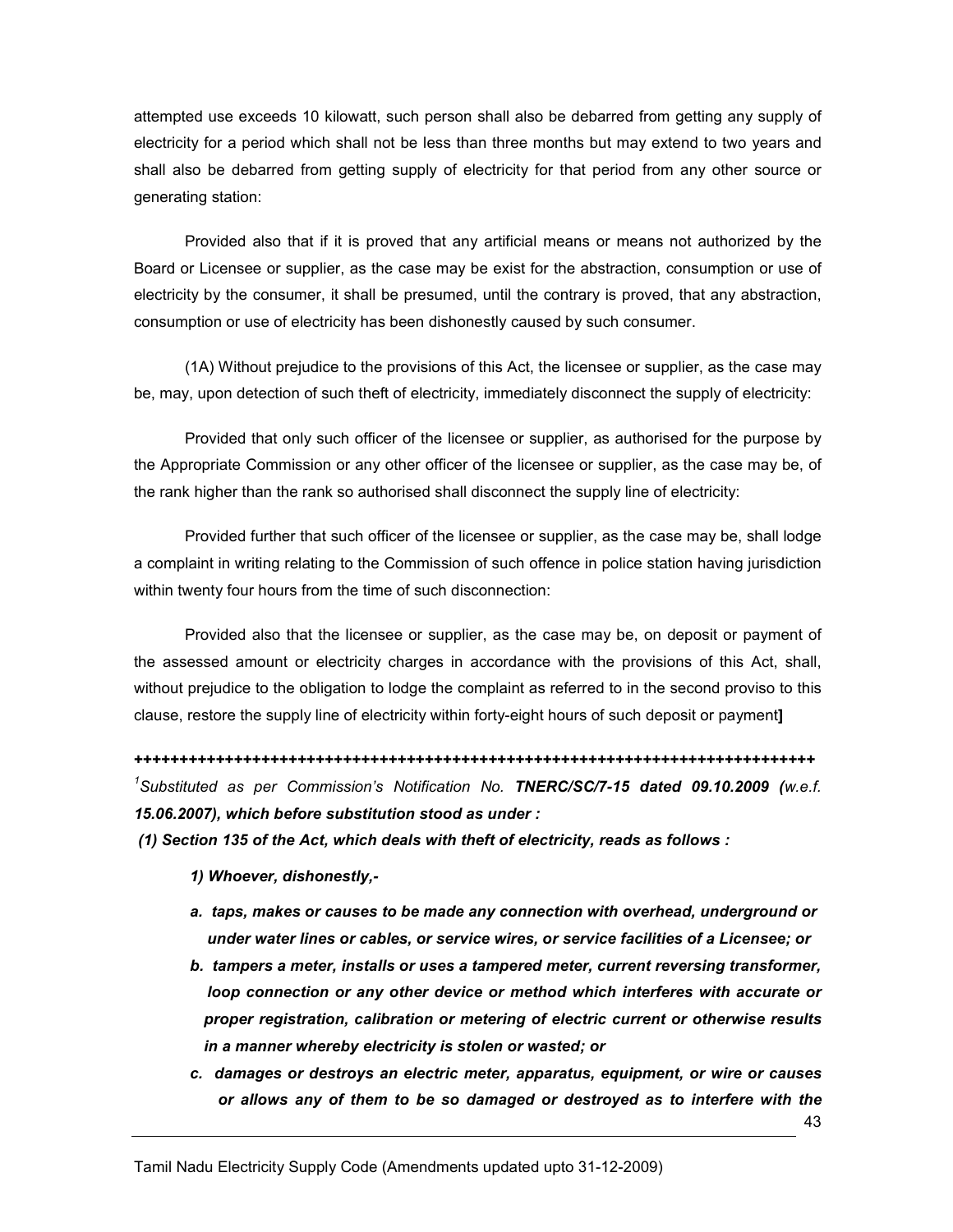attempted use exceeds 10 kilowatt, such person shall also be debarred from getting any supply of electricity for a period which shall not be less than three months but may extend to two years and shall also be debarred from getting supply of electricity for that period from any other source or generating station:

 Provided also that if it is proved that any artificial means or means not authorized by the Board or Licensee or supplier, as the case may be exist for the abstraction, consumption or use of electricity by the consumer, it shall be presumed, until the contrary is proved, that any abstraction, consumption or use of electricity has been dishonestly caused by such consumer.

 (1A) Without prejudice to the provisions of this Act, the licensee or supplier, as the case may be, may, upon detection of such theft of electricity, immediately disconnect the supply of electricity:

 Provided that only such officer of the licensee or supplier, as authorised for the purpose by the Appropriate Commission or any other officer of the licensee or supplier, as the case may be, of the rank higher than the rank so authorised shall disconnect the supply line of electricity:

 Provided further that such officer of the licensee or supplier, as the case may be, shall lodge a complaint in writing relating to the Commission of such offence in police station having jurisdiction within twenty four hours from the time of such disconnection:

 Provided also that the licensee or supplier, as the case may be, on deposit or payment of the assessed amount or electricity charges in accordance with the provisions of this Act, shall, without prejudice to the obligation to lodge the complaint as referred to in the second proviso to this clause, restore the supply line of electricity within forty-eight hours of such deposit or payment]

+++++++++++++++++++++++++++++++++++++++++++++++++++++++++++++++++++++++++++ <sup>1</sup>Substituted as per Commission's Notification No. TNERC/SC/7-15 dated 09.10.2009 (w.e.f. 15.06.2007), which before substitution stood as under :

(1) Section 135 of the Act, which deals with theft of electricity, reads as follows :

- 1) Whoever, dishonestly,-
- a. taps, makes or causes to be made any connection with overhead, underground or under water lines or cables, or service wires, or service facilities of a Licensee; or
- b. tampers a meter, installs or uses a tampered meter, current reversing transformer, loop connection or any other device or method which interferes with accurate or proper registration, calibration or metering of electric current or otherwise results in a manner whereby electricity is stolen or wasted; or
- c. damages or destroys an electric meter, apparatus, equipment, or wire or causes or allows any of them to be so damaged or destroyed as to interfere with the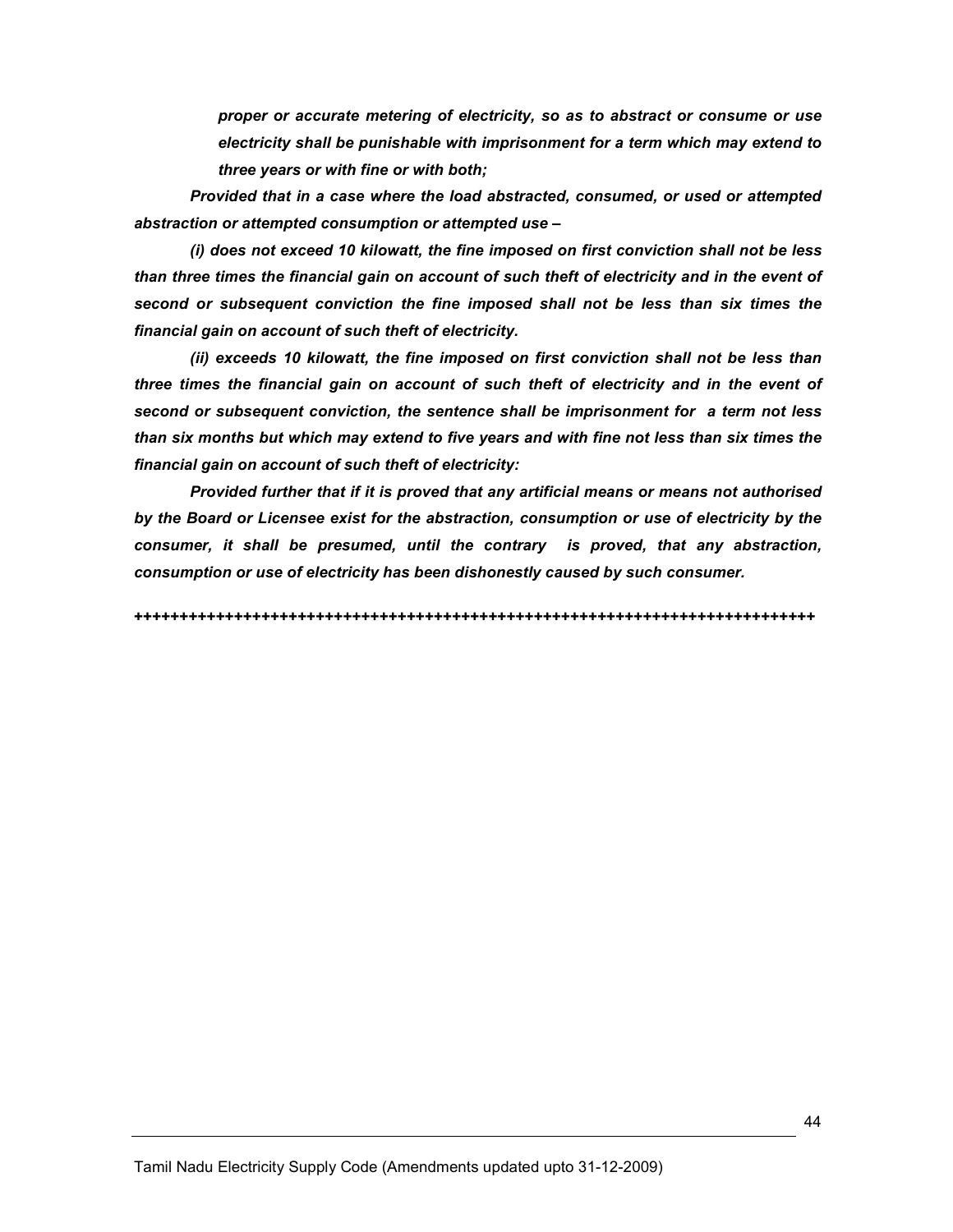proper or accurate metering of electricity, so as to abstract or consume or use electricity shall be punishable with imprisonment for a term which may extend to three years or with fine or with both;

Provided that in a case where the load abstracted, consumed, or used or attempted abstraction or attempted consumption or attempted use –

(i) does not exceed 10 kilowatt, the fine imposed on first conviction shall not be less than three times the financial gain on account of such theft of electricity and in the event of second or subsequent conviction the fine imposed shall not be less than six times the financial gain on account of such theft of electricity.

(ii) exceeds 10 kilowatt, the fine imposed on first conviction shall not be less than three times the financial gain on account of such theft of electricity and in the event of second or subsequent conviction, the sentence shall be imprisonment for a term not less than six months but which may extend to five years and with fine not less than six times the financial gain on account of such theft of electricity:

Provided further that if it is proved that any artificial means or means not authorised by the Board or Licensee exist for the abstraction, consumption or use of electricity by the consumer, it shall be presumed, until the contrary is proved, that any abstraction, consumption or use of electricity has been dishonestly caused by such consumer.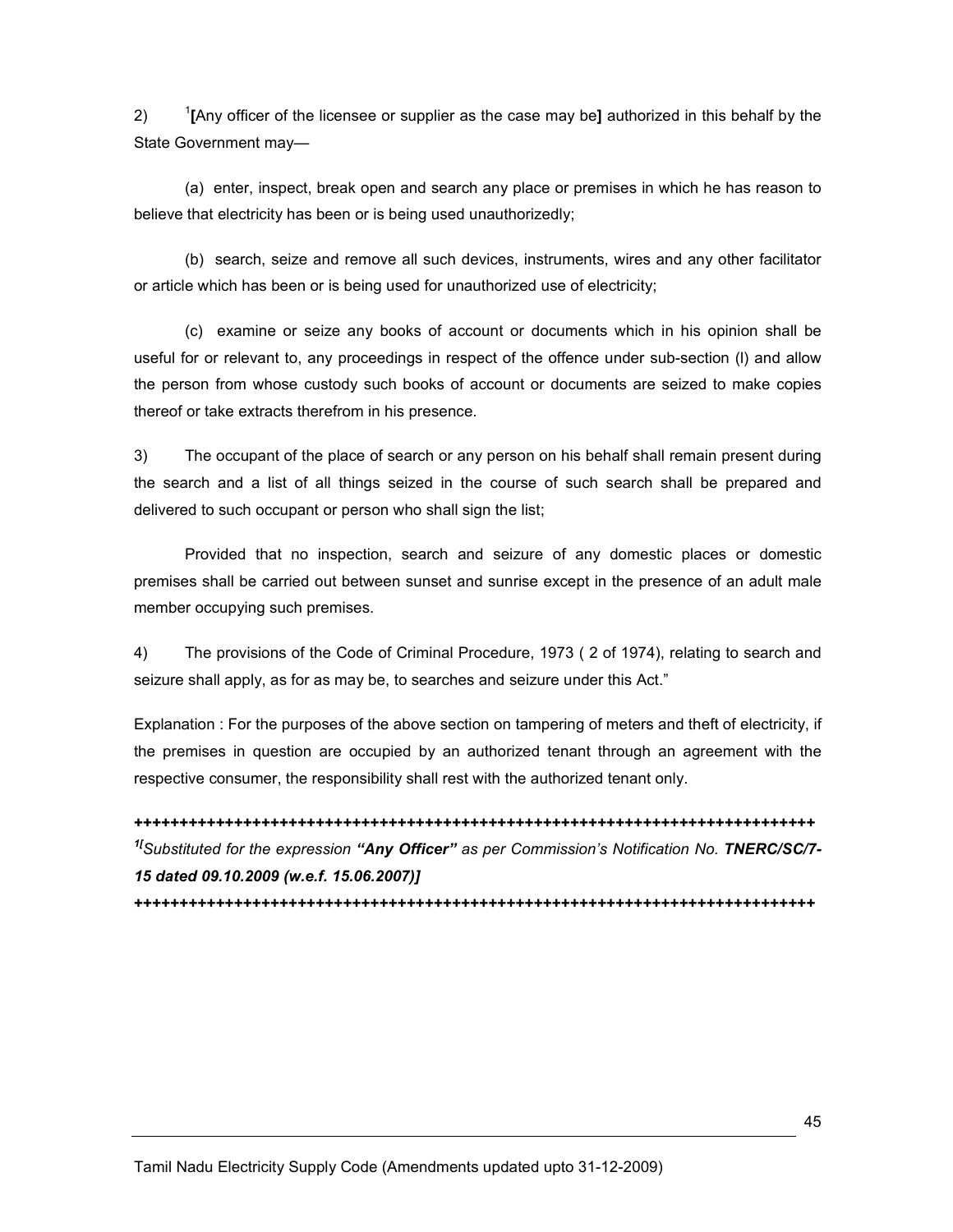2) <sup>1</sup> <sup>1</sup>[Any officer of the licensee or supplier as the case may be] authorized in this behalf by the State Government may—

 (a) enter, inspect, break open and search any place or premises in which he has reason to believe that electricity has been or is being used unauthorizedly;

 (b) search, seize and remove all such devices, instruments, wires and any other facilitator or article which has been or is being used for unauthorized use of electricity;

 (c) examine or seize any books of account or documents which in his opinion shall be useful for or relevant to, any proceedings in respect of the offence under sub-section (l) and allow the person from whose custody such books of account or documents are seized to make copies thereof or take extracts therefrom in his presence.

3) The occupant of the place of search or any person on his behalf shall remain present during the search and a list of all things seized in the course of such search shall be prepared and delivered to such occupant or person who shall sign the list;

 Provided that no inspection, search and seizure of any domestic places or domestic premises shall be carried out between sunset and sunrise except in the presence of an adult male member occupying such premises.

4) The provisions of the Code of Criminal Procedure, 1973 ( 2 of 1974), relating to search and seizure shall apply, as for as may be, to searches and seizure under this Act."

Explanation : For the purposes of the above section on tampering of meters and theft of electricity, if the premises in question are occupied by an authorized tenant through an agreement with the respective consumer, the responsibility shall rest with the authorized tenant only.

+++++++++++++++++++++++++++++++++++++++++++++++++++++++++++++++++++++++++++ <sup>1[</sup>Substituted for the expression "Any Officer" as per Commission's Notification No. TNERC/SC/7-15 dated 09.10.2009 (w.e.f. 15.06.2007)]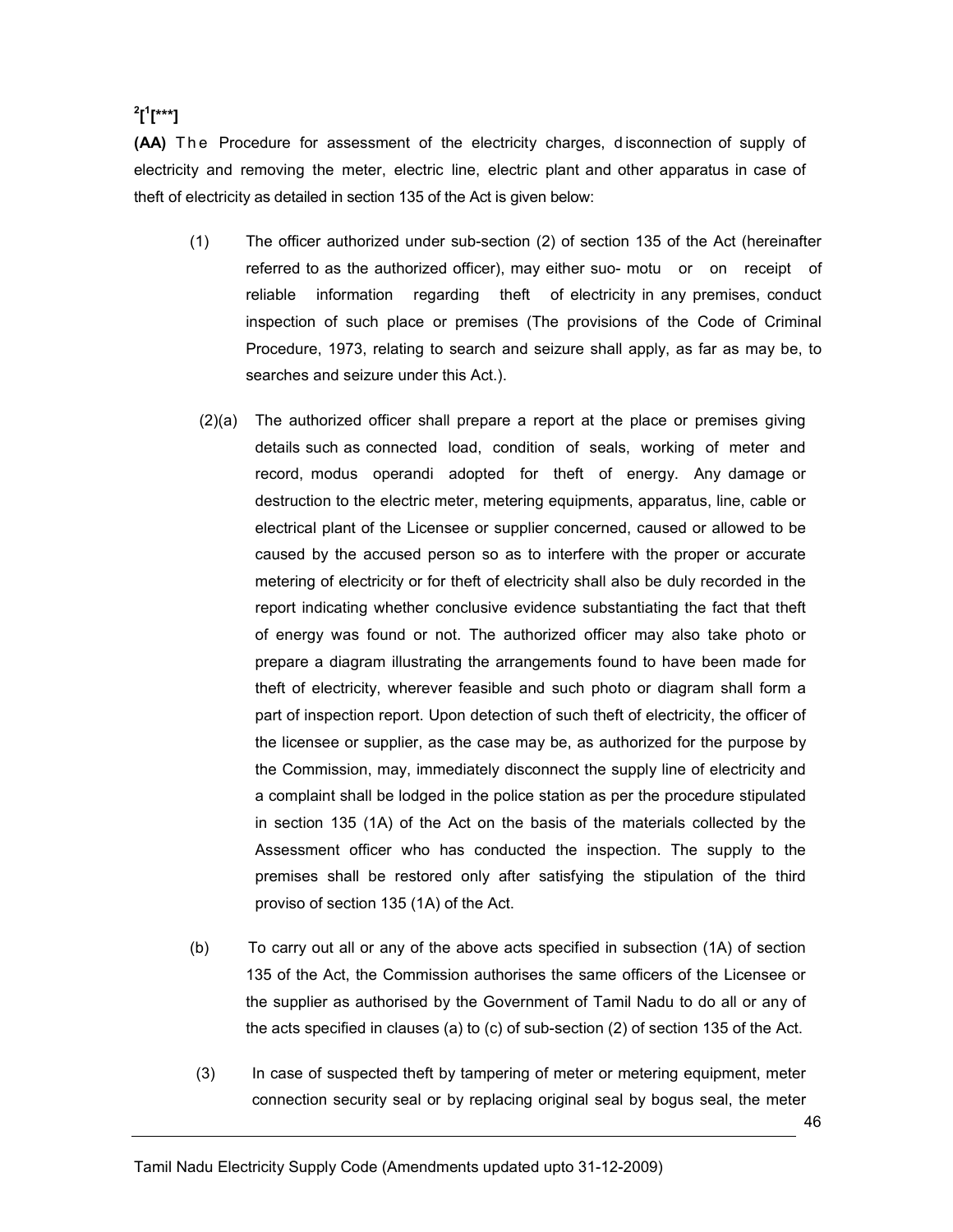# $\boldsymbol{\mathsf{a}}^2$ [ $\boldsymbol{\mathsf{a}}^1$ [\*\*\*]

(AA) The Procedure for assessment of the electricity charges, disconnection of supply of electricity and removing the meter, electric line, electric plant and other apparatus in case of theft of electricity as detailed in section 135 of the Act is given below:

- (1) The officer authorized under sub-section (2) of section 135 of the Act (hereinafter referred to as the authorized officer), may either suo- motu or on receipt of reliable information regarding theft of electricity in any premises, conduct inspection of such place or premises (The provisions of the Code of Criminal Procedure, 1973, relating to search and seizure shall apply, as far as may be, to searches and seizure under this Act.).
- (2)(a) The authorized officer shall prepare a report at the place or premises giving details such as connected load, condition of seals, working of meter and record, modus operandi adopted for theft of energy. Any damage or destruction to the electric meter, metering equipments, apparatus, line, cable or electrical plant of the Licensee or supplier concerned, caused or allowed to be caused by the accused person so as to interfere with the proper or accurate metering of electricity or for theft of electricity shall also be duly recorded in the report indicating whether conclusive evidence substantiating the fact that theft of energy was found or not. The authorized officer may also take photo or prepare a diagram illustrating the arrangements found to have been made for theft of electricity, wherever feasible and such photo or diagram shall form a part of inspection report. Upon detection of such theft of electricity, the officer of the licensee or supplier, as the case may be, as authorized for the purpose by the Commission, may, immediately disconnect the supply line of electricity and a complaint shall be lodged in the police station as per the procedure stipulated in section 135 (1A) of the Act on the basis of the materials collected by the Assessment officer who has conducted the inspection. The supply to the premises shall be restored only after satisfying the stipulation of the third proviso of section 135 (1A) of the Act.
- (b) To carry out all or any of the above acts specified in subsection (1A) of section 135 of the Act, the Commission authorises the same officers of the Licensee or the supplier as authorised by the Government of Tamil Nadu to do all or any of the acts specified in clauses (a) to (c) of sub-section (2) of section 135 of the Act.
- (3) In case of suspected theft by tampering of meter or metering equipment, meter connection security seal or by replacing original seal by bogus seal, the meter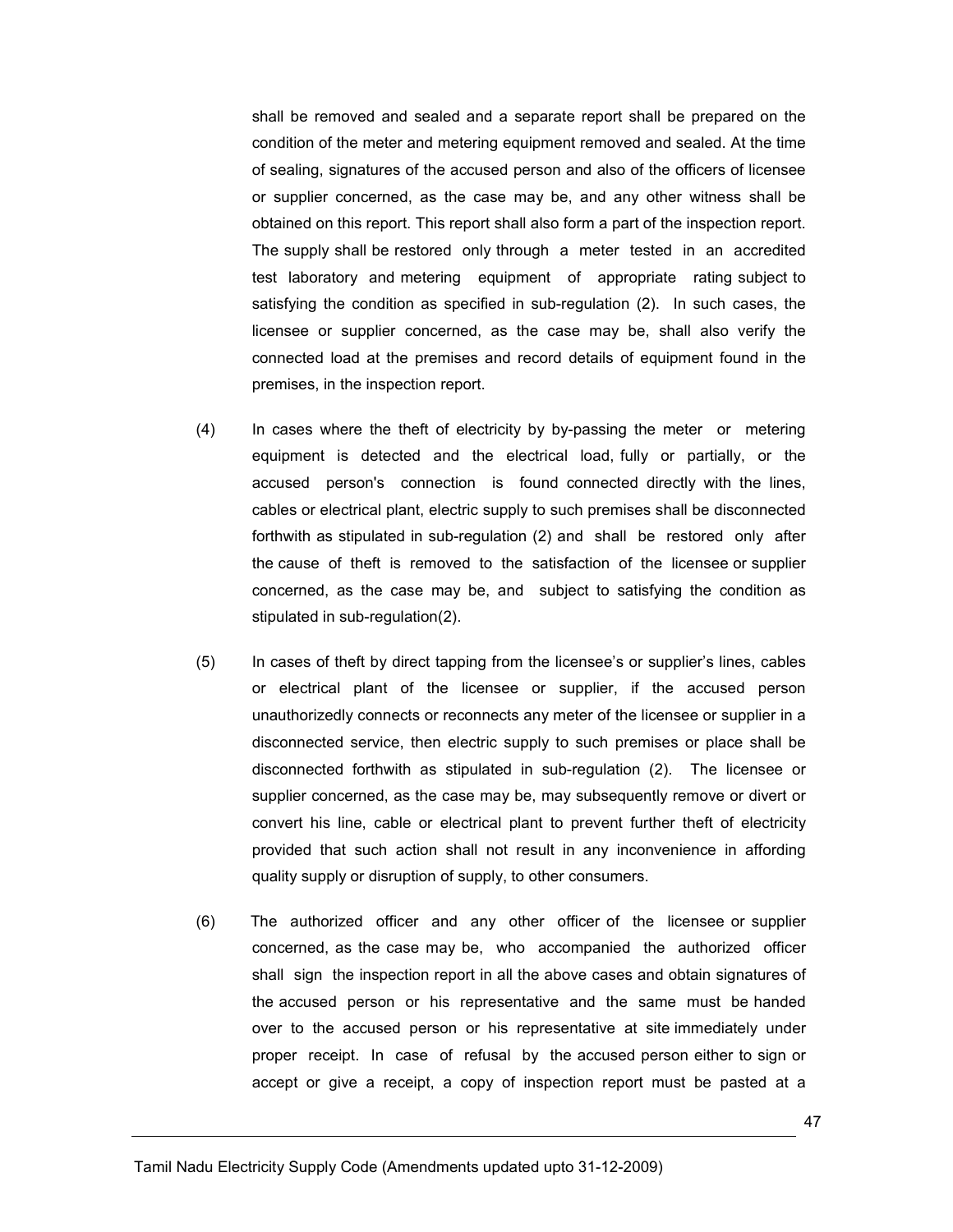shall be removed and sealed and a separate report shall be prepared on the condition of the meter and metering equipment removed and sealed. At the time of sealing, signatures of the accused person and also of the officers of licensee or supplier concerned, as the case may be, and any other witness shall be obtained on this report. This report shall also form a part of the inspection report. The supply shall be restored only through a meter tested in an accredited test laboratory and metering equipment of appropriate rating subject to satisfying the condition as specified in sub-regulation (2). In such cases, the licensee or supplier concerned, as the case may be, shall also verify the connected load at the premises and record details of equipment found in the premises, in the inspection report.

- (4) In cases where the theft of electricity by by-passing the meter or metering equipment is detected and the electrical load, fully or partially, or the accused person's connection is found connected directly with the lines, cables or electrical plant, electric supply to such premises shall be disconnected forthwith as stipulated in sub-regulation (2) and shall be restored only after the cause of theft is removed to the satisfaction of the licensee or supplier concerned, as the case may be, and subject to satisfying the condition as stipulated in sub-regulation(2).
- (5) In cases of theft by direct tapping from the licensee's or supplier's lines, cables or electrical plant of the licensee or supplier, if the accused person unauthorizedly connects or reconnects any meter of the licensee or supplier in a disconnected service, then electric supply to such premises or place shall be disconnected forthwith as stipulated in sub-regulation (2). The licensee or supplier concerned, as the case may be, may subsequently remove or divert or convert his line, cable or electrical plant to prevent further theft of electricity provided that such action shall not result in any inconvenience in affording quality supply or disruption of supply, to other consumers.
- (6) The authorized officer and any other officer of the licensee or supplier concerned, as the case may be, who accompanied the authorized officer shall sign the inspection report in all the above cases and obtain signatures of the accused person or his representative and the same must be handed over to the accused person or his representative at site immediately under proper receipt. In case of refusal by the accused person either to sign or accept or give a receipt, a copy of inspection report must be pasted at a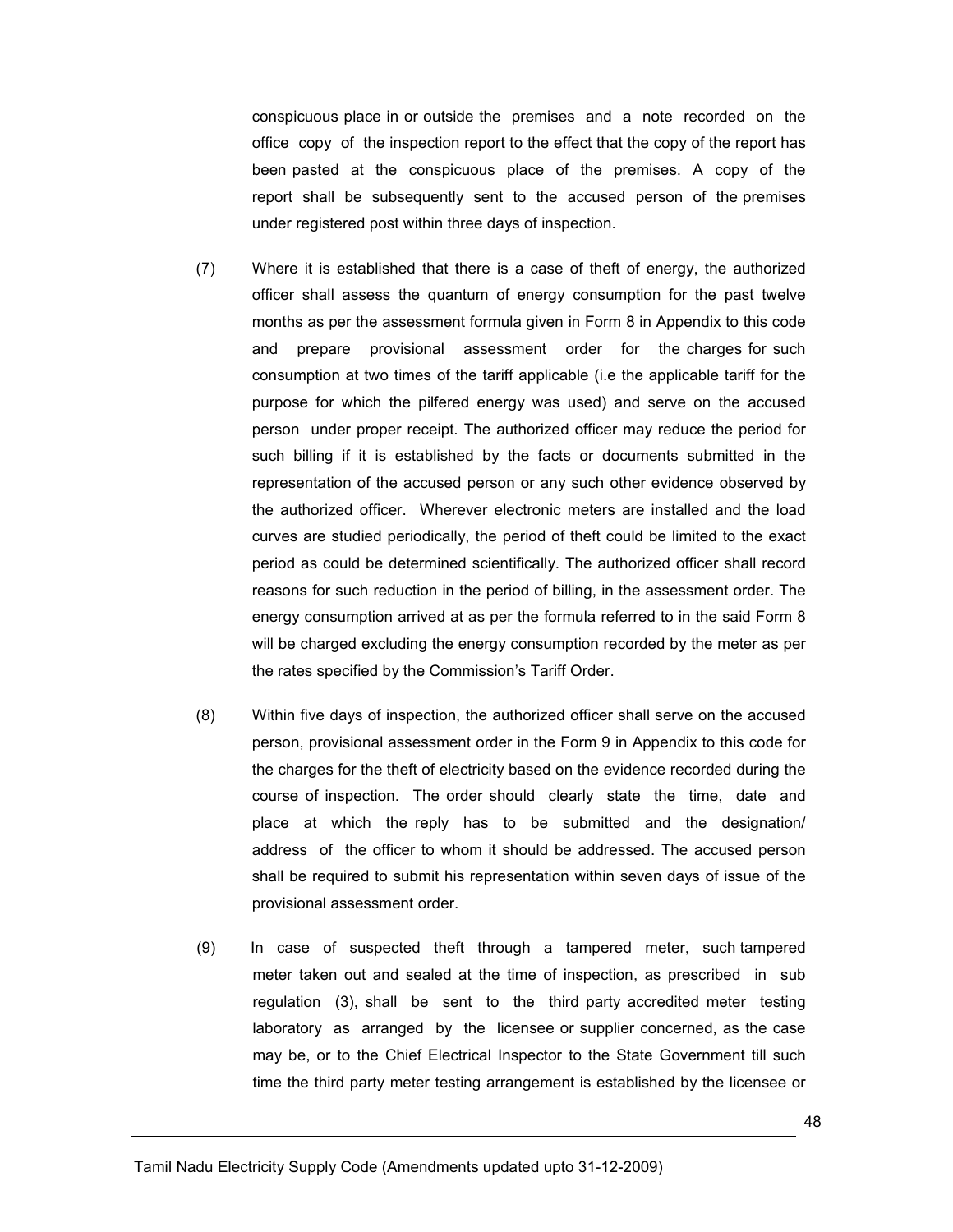conspicuous place in or outside the premises and a note recorded on the office copy of the inspection report to the effect that the copy of the report has been pasted at the conspicuous place of the premises. A copy of the report shall be subsequently sent to the accused person of the premises under registered post within three days of inspection.

- (7) Where it is established that there is a case of theft of energy, the authorized officer shall assess the quantum of energy consumption for the past twelve months as per the assessment formula given in Form 8 in Appendix to this code and prepare provisional assessment order for the charges for such consumption at two times of the tariff applicable (i.e the applicable tariff for the purpose for which the pilfered energy was used) and serve on the accused person under proper receipt. The authorized officer may reduce the period for such billing if it is established by the facts or documents submitted in the representation of the accused person or any such other evidence observed by the authorized officer. Wherever electronic meters are installed and the load curves are studied periodically, the period of theft could be limited to the exact period as could be determined scientifically. The authorized officer shall record reasons for such reduction in the period of billing, in the assessment order. The energy consumption arrived at as per the formula referred to in the said Form 8 will be charged excluding the energy consumption recorded by the meter as per the rates specified by the Commission's Tariff Order.
- (8) Within five days of inspection, the authorized officer shall serve on the accused person, provisional assessment order in the Form 9 in Appendix to this code for the charges for the theft of electricity based on the evidence recorded during the course of inspection. The order should clearly state the time, date and place at which the reply has to be submitted and the designation/ address of the officer to whom it should be addressed. The accused person shall be required to submit his representation within seven days of issue of the provisional assessment order.
- (9) In case of suspected theft through a tampered meter, such tampered meter taken out and sealed at the time of inspection, as prescribed in sub regulation (3), shall be sent to the third party accredited meter testing laboratory as arranged by the licensee or supplier concerned, as the case may be, or to the Chief Electrical Inspector to the State Government till such time the third party meter testing arrangement is established by the licensee or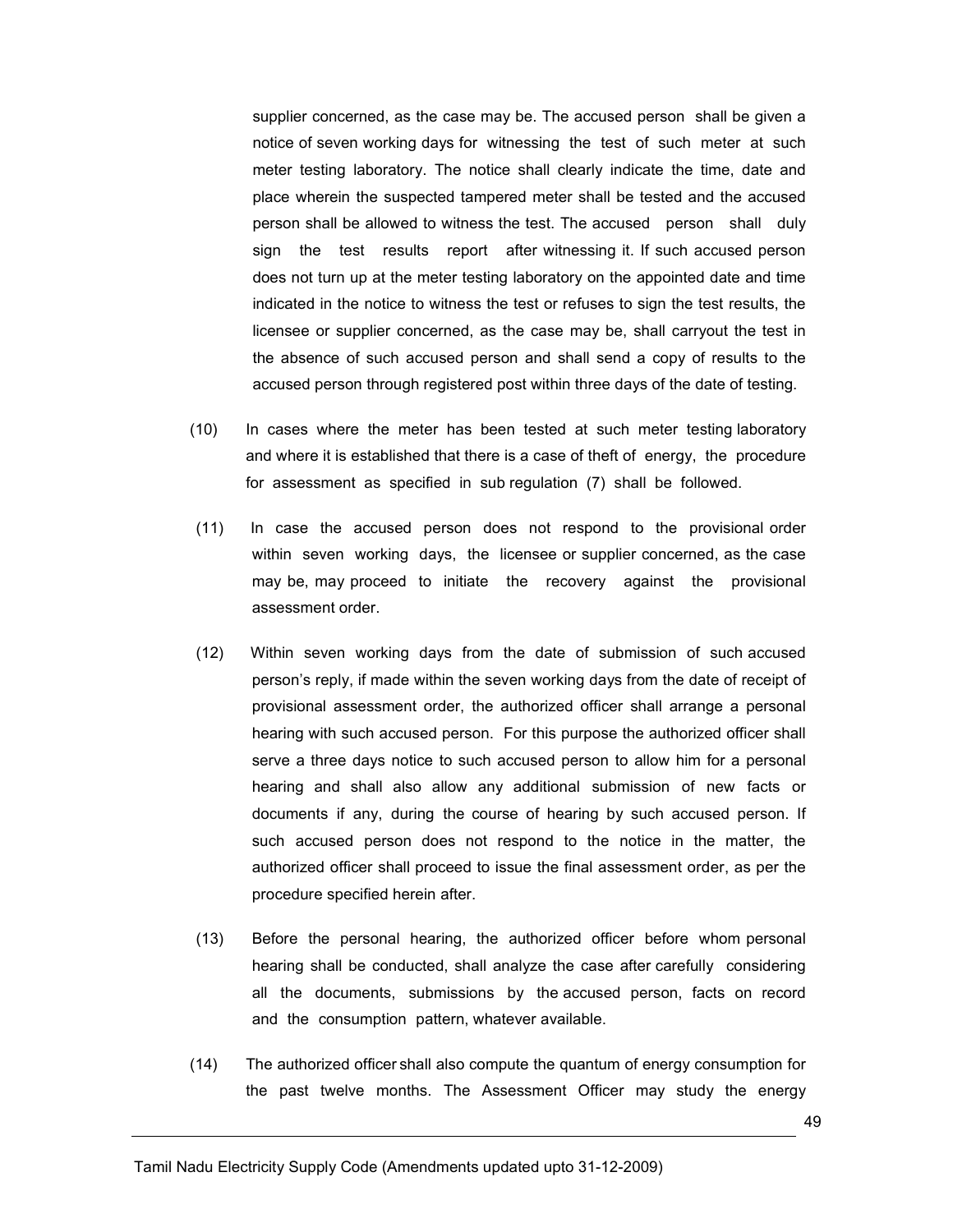supplier concerned, as the case may be. The accused person shall be given a notice of seven working days for witnessing the test of such meter at such meter testing laboratory. The notice shall clearly indicate the time, date and place wherein the suspected tampered meter shall be tested and the accused person shall be allowed to witness the test. The accused person shall duly sign the test results report after witnessing it. If such accused person does not turn up at the meter testing laboratory on the appointed date and time indicated in the notice to witness the test or refuses to sign the test results, the licensee or supplier concerned, as the case may be, shall carryout the test in the absence of such accused person and shall send a copy of results to the accused person through registered post within three days of the date of testing.

- (10) In cases where the meter has been tested at such meter testing laboratory and where it is established that there is a case of theft of energy, the procedure for assessment as specified in sub regulation (7) shall be followed.
- (11) In case the accused person does not respond to the provisional order within seven working days, the licensee or supplier concerned, as the case may be, may proceed to initiate the recovery against the provisional assessment order.
- (12) Within seven working days from the date of submission of such accused person's reply, if made within the seven working days from the date of receipt of provisional assessment order, the authorized officer shall arrange a personal hearing with such accused person. For this purpose the authorized officer shall serve a three days notice to such accused person to allow him for a personal hearing and shall also allow any additional submission of new facts or documents if any, during the course of hearing by such accused person. If such accused person does not respond to the notice in the matter, the authorized officer shall proceed to issue the final assessment order, as per the procedure specified herein after.
- (13) Before the personal hearing, the authorized officer before whom personal hearing shall be conducted, shall analyze the case after carefully considering all the documents, submissions by the accused person, facts on record and the consumption pattern, whatever available.
- (14) The authorized officer shall also compute the quantum of energy consumption for the past twelve months. The Assessment Officer may study the energy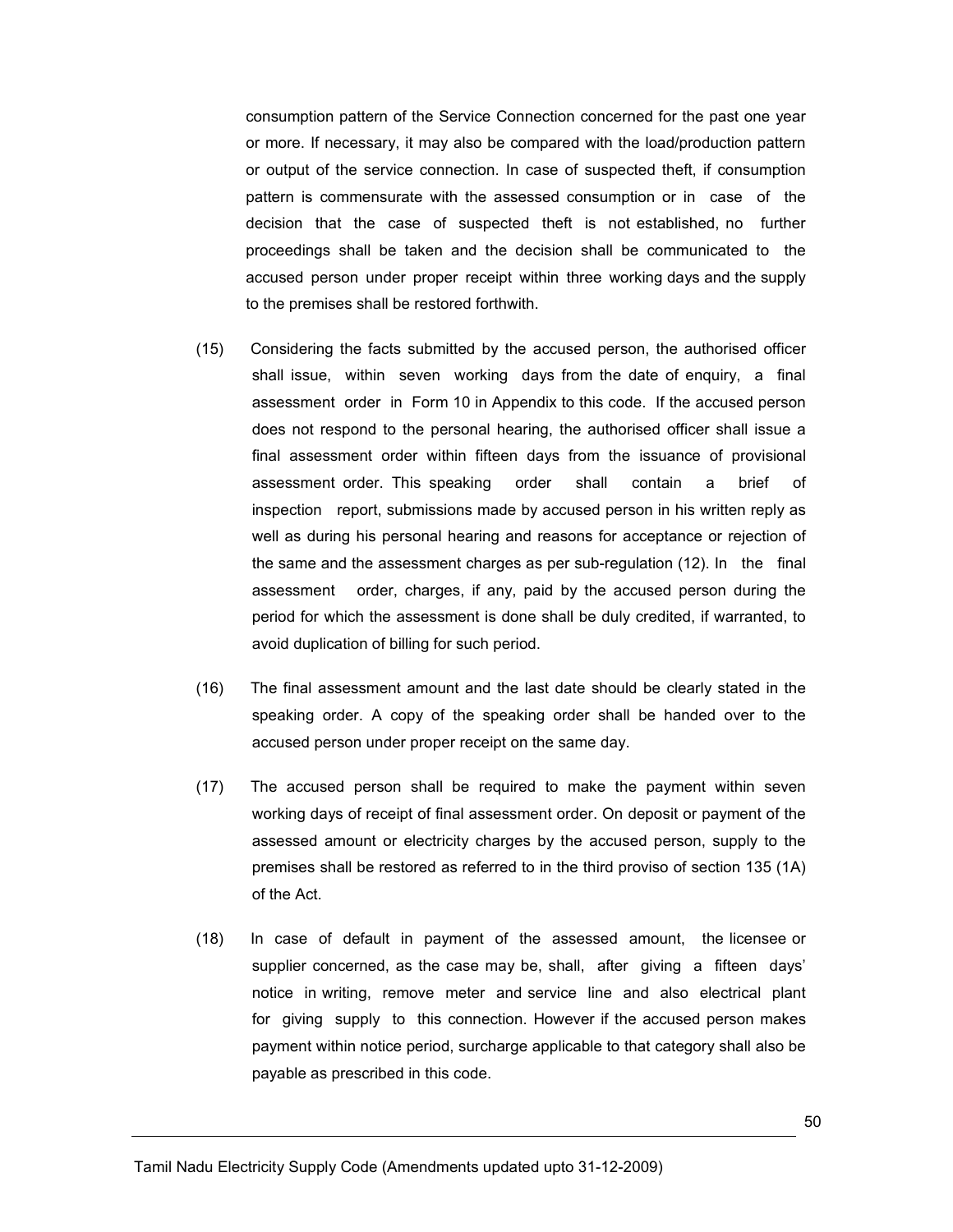consumption pattern of the Service Connection concerned for the past one year or more. If necessary, it may also be compared with the load/production pattern or output of the service connection. In case of suspected theft, if consumption pattern is commensurate with the assessed consumption or in case of the decision that the case of suspected theft is not established, no further proceedings shall be taken and the decision shall be communicated to the accused person under proper receipt within three working days and the supply to the premises shall be restored forthwith.

- (15) Considering the facts submitted by the accused person, the authorised officer shall issue, within seven working days from the date of enquiry, a final assessment order in Form 10 in Appendix to this code. If the accused person does not respond to the personal hearing, the authorised officer shall issue a final assessment order within fifteen days from the issuance of provisional assessment order. This speaking order shall contain a brief of inspection report, submissions made by accused person in his written reply as well as during his personal hearing and reasons for acceptance or rejection of the same and the assessment charges as per sub-regulation (12). In the final assessment order, charges, if any, paid by the accused person during the period for which the assessment is done shall be duly credited, if warranted, to avoid duplication of billing for such period.
- (16) The final assessment amount and the last date should be clearly stated in the speaking order. A copy of the speaking order shall be handed over to the accused person under proper receipt on the same day.
- (17) The accused person shall be required to make the payment within seven working days of receipt of final assessment order. On deposit or payment of the assessed amount or electricity charges by the accused person, supply to the premises shall be restored as referred to in the third proviso of section 135 (1A) of the Act.
- (18) In case of default in payment of the assessed amount, the licensee or supplier concerned, as the case may be, shall, after giving a fifteen days' notice in writing, remove meter and service line and also electrical plant for giving supply to this connection. However if the accused person makes payment within notice period, surcharge applicable to that category shall also be payable as prescribed in this code.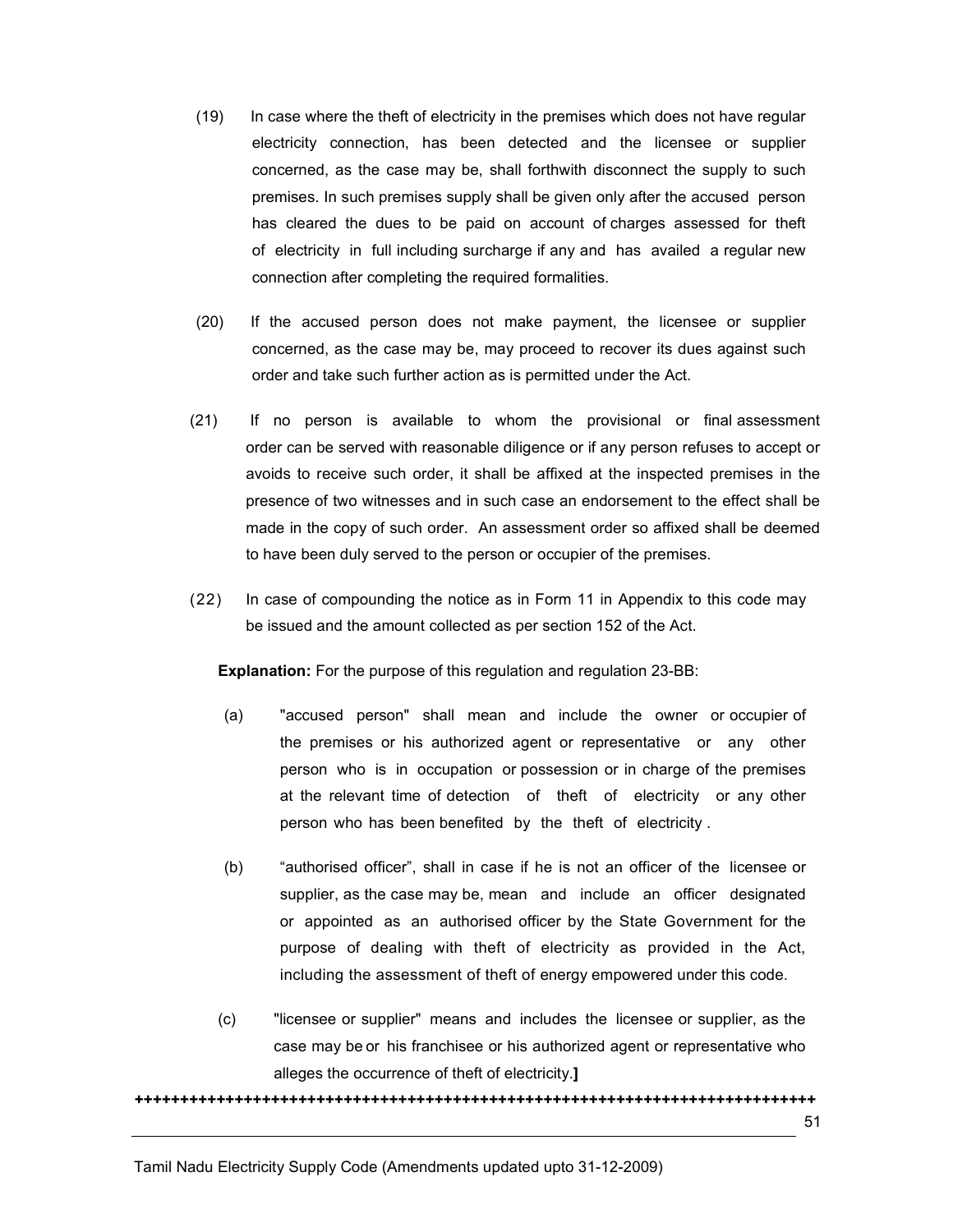- (19) In case where the theft of electricity in the premises which does not have regular electricity connection, has been detected and the licensee or supplier concerned, as the case may be, shall forthwith disconnect the supply to such premises. In such premises supply shall be given only after the accused person has cleared the dues to be paid on account of charges assessed for theft of electricity in full including surcharge if any and has availed a regular new connection after completing the required formalities.
- (20) If the accused person does not make payment, the licensee or supplier concerned, as the case may be, may proceed to recover its dues against such order and take such further action as is permitted under the Act.
- (21) If no person is available to whom the provisional or final assessment order can be served with reasonable diligence or if any person refuses to accept or avoids to receive such order, it shall be affixed at the inspected premises in the presence of two witnesses and in such case an endorsement to the effect shall be made in the copy of such order. An assessment order so affixed shall be deemed to have been duly served to the person or occupier of the premises.
- (22) In case of compounding the notice as in Form 11 in Appendix to this code may be issued and the amount collected as per section 152 of the Act.

Explanation: For the purpose of this regulation and regulation 23-BB:

- (a) "accused person" shall mean and include the owner or occupier of the premises or his authorized agent or representative or any other person who is in occupation or possession or in charge of the premises at the relevant time of detection of theft of electricity or any other person who has been benefited by the theft of electricity .
- (b) "authorised officer", shall in case if he is not an officer of the licensee or supplier, as the case may be, mean and include an officer designated or appointed as an authorised officer by the State Government for the purpose of dealing with theft of electricity as provided in the Act, including the assessment of theft of energy empowered under this code.
- (c) "licensee or supplier" means and includes the licensee or supplier, as the case may be or his franchisee or his authorized agent or representative who alleges the occurrence of theft of electricity.]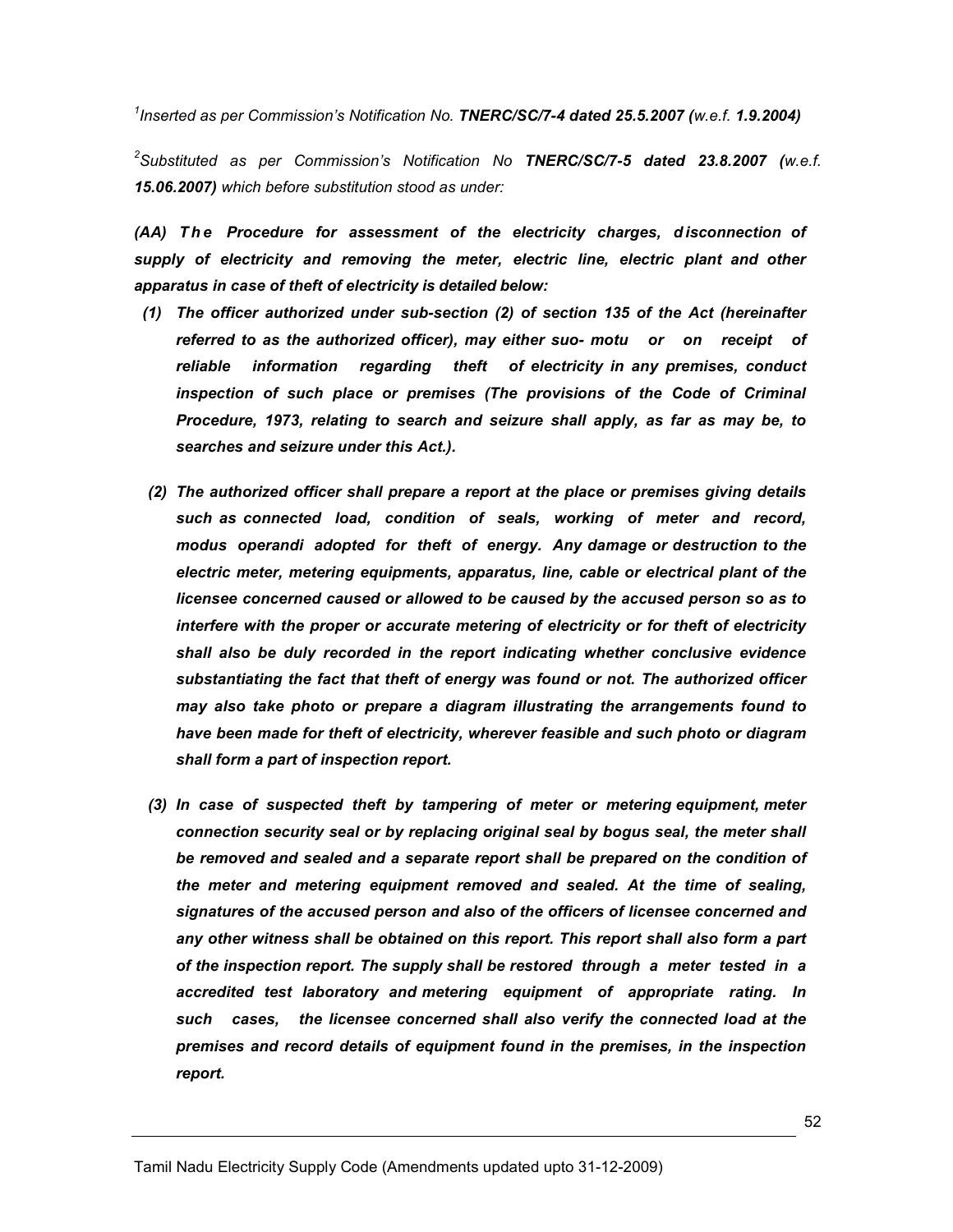$^1$ Inserted as per Commission's Notification No. TNERC/SC/7-4 dated 25.5.2007 (w.e.f. 1.9.2004)

 $^2$ Substituted as per Commission's Notification No TNERC/SC/7-5 dated 23.8.2007 (w.e.f. 15.06.2007) which before substitution stood as under:

(AA) The Procedure for assessment of the electricity charges, disconnection of supply of electricity and removing the meter, electric line, electric plant and other apparatus in case of theft of electricity is detailed below:

- (1) The officer authorized under sub-section (2) of section 135 of the Act (hereinafter referred to as the authorized officer), may either suo- motu or on receipt of reliable information regarding theft of electricity in any premises, conduct inspection of such place or premises (The provisions of the Code of Criminal Procedure, 1973, relating to search and seizure shall apply, as far as may be, to searches and seizure under this Act.).
- (2) The authorized officer shall prepare a report at the place or premises giving details such as connected load, condition of seals, working of meter and record, modus operandi adopted for theft of energy. Any damage or destruction to the electric meter, metering equipments, apparatus, line, cable or electrical plant of the licensee concerned caused or allowed to be caused by the accused person so as to interfere with the proper or accurate metering of electricity or for theft of electricity shall also be duly recorded in the report indicating whether conclusive evidence substantiating the fact that theft of energy was found or not. The authorized officer may also take photo or prepare a diagram illustrating the arrangements found to have been made for theft of electricity, wherever feasible and such photo or diagram shall form a part of inspection report.
- (3) In case of suspected theft by tampering of meter or metering equipment, meter connection security seal or by replacing original seal by bogus seal, the meter shall be removed and sealed and a separate report shall be prepared on the condition of the meter and metering equipment removed and sealed. At the time of sealing, signatures of the accused person and also of the officers of licensee concerned and any other witness shall be obtained on this report. This report shall also form a part of the inspection report. The supply shall be restored through a meter tested in a accredited test laboratory and metering equipment of appropriate rating. In such cases, the licensee concerned shall also verify the connected load at the premises and record details of equipment found in the premises, in the inspection report.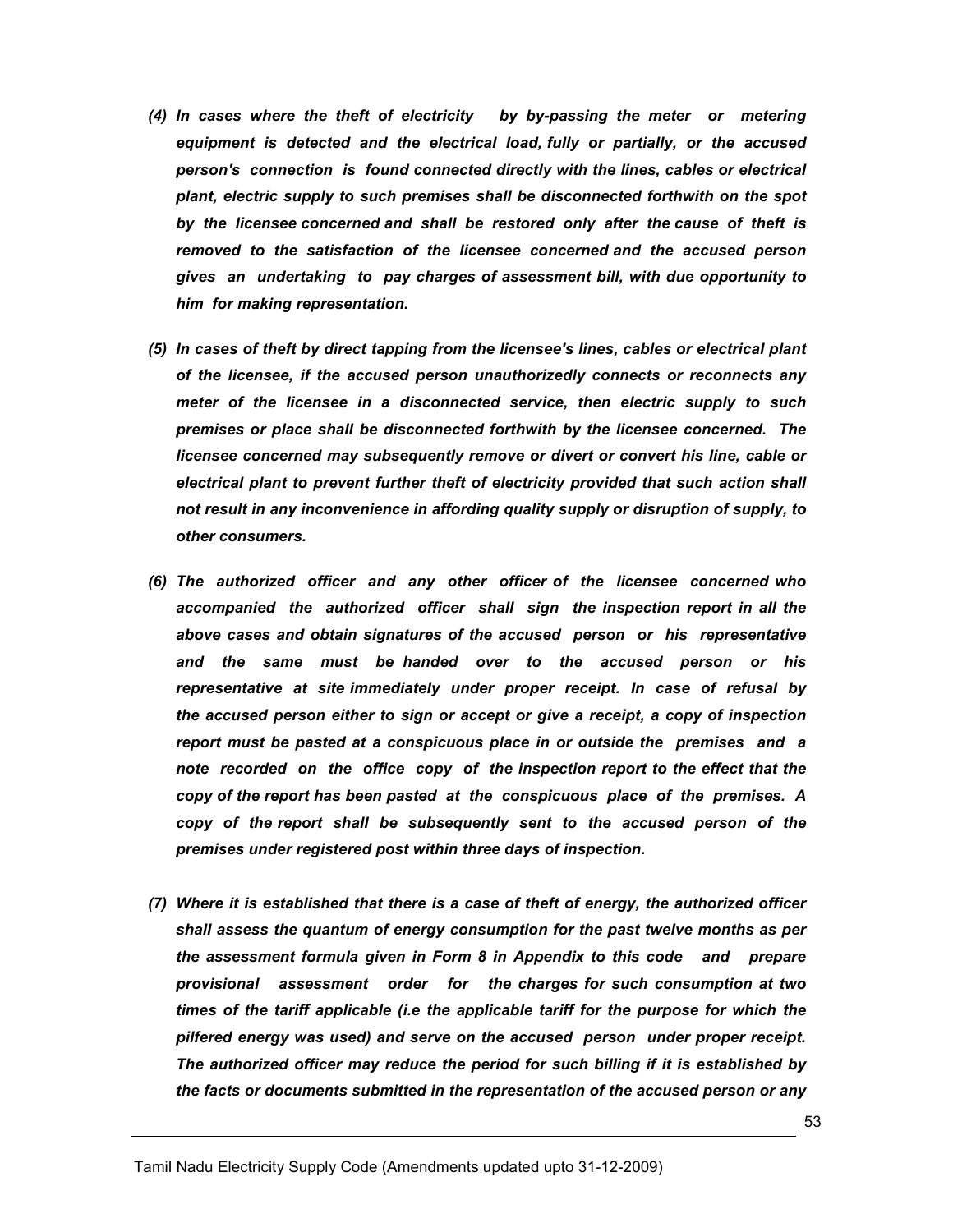- (4) In cases where the theft of electricity by by-passing the meter or metering equipment is detected and the electrical load, fully or partially, or the accused person's connection is found connected directly with the lines, cables or electrical plant, electric supply to such premises shall be disconnected forthwith on the spot by the licensee concerned and shall be restored only after the cause of theft is removed to the satisfaction of the licensee concerned and the accused person gives an undertaking to pay charges of assessment bill, with due opportunity to him for making representation.
- (5) In cases of theft by direct tapping from the licensee's lines, cables or electrical plant of the licensee, if the accused person unauthorizedly connects or reconnects any meter of the licensee in a disconnected service, then electric supply to such premises or place shall be disconnected forthwith by the licensee concerned. The licensee concerned may subsequently remove or divert or convert his line, cable or electrical plant to prevent further theft of electricity provided that such action shall not result in any inconvenience in affording quality supply or disruption of supply, to other consumers.
- (6) The authorized officer and any other officer of the licensee concerned who accompanied the authorized officer shall sign the inspection report in all the above cases and obtain signatures of the accused person or his representative and the same must be handed over to the accused person or his representative at site immediately under proper receipt. In case of refusal by the accused person either to sign or accept or give a receipt, a copy of inspection report must be pasted at a conspicuous place in or outside the premises and a note recorded on the office copy of the inspection report to the effect that the copy of the report has been pasted at the conspicuous place of the premises. A copy of the report shall be subsequently sent to the accused person of the premises under registered post within three days of inspection.
- (7) Where it is established that there is a case of theft of energy, the authorized officer shall assess the quantum of energy consumption for the past twelve months as per the assessment formula given in Form 8 in Appendix to this code and prepare provisional assessment order for the charges for such consumption at two times of the tariff applicable (i.e the applicable tariff for the purpose for which the pilfered energy was used) and serve on the accused person under proper receipt. The authorized officer may reduce the period for such billing if it is established by the facts or documents submitted in the representation of the accused person or any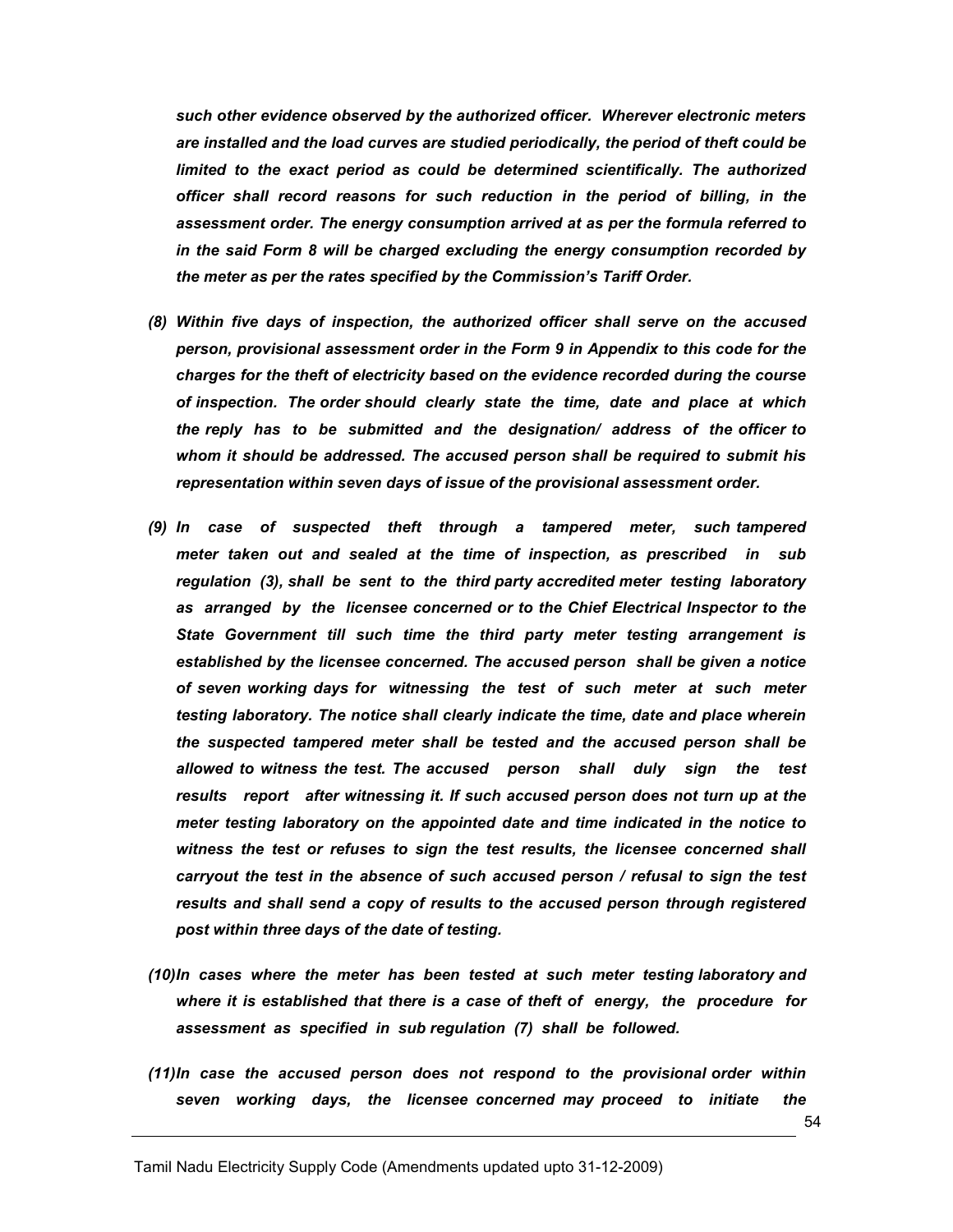such other evidence observed by the authorized officer. Wherever electronic meters are installed and the load curves are studied periodically, the period of theft could be limited to the exact period as could be determined scientifically. The authorized officer shall record reasons for such reduction in the period of billing, in the assessment order. The energy consumption arrived at as per the formula referred to in the said Form 8 will be charged excluding the energy consumption recorded by the meter as per the rates specified by the Commission's Tariff Order.

- (8) Within five days of inspection, the authorized officer shall serve on the accused person, provisional assessment order in the Form 9 in Appendix to this code for the charges for the theft of electricity based on the evidence recorded during the course of inspection. The order should clearly state the time, date and place at which the reply has to be submitted and the designation/ address of the officer to whom it should be addressed. The accused person shall be required to submit his representation within seven days of issue of the provisional assessment order.
- (9) In case of suspected theft through a tampered meter, such tampered meter taken out and sealed at the time of inspection, as prescribed in sub regulation (3), shall be sent to the third party accredited meter testing laboratory as arranged by the licensee concerned or to the Chief Electrical Inspector to the State Government till such time the third party meter testing arrangement is established by the licensee concerned. The accused person shall be given a notice of seven working days for witnessing the test of such meter at such meter testing laboratory. The notice shall clearly indicate the time, date and place wherein the suspected tampered meter shall be tested and the accused person shall be allowed to witness the test. The accused person shall duly sign the test results report after witnessing it. If such accused person does not turn up at the meter testing laboratory on the appointed date and time indicated in the notice to witness the test or refuses to sign the test results, the licensee concerned shall carryout the test in the absence of such accused person / refusal to sign the test results and shall send a copy of results to the accused person through registered post within three days of the date of testing.
- (10) In cases where the meter has been tested at such meter testing laboratory and where it is established that there is a case of theft of energy, the procedure for assessment as specified in sub regulation (7) shall be followed.
- (11) In case the accused person does not respond to the provisional order within seven working days, the licensee concerned may proceed to initiate the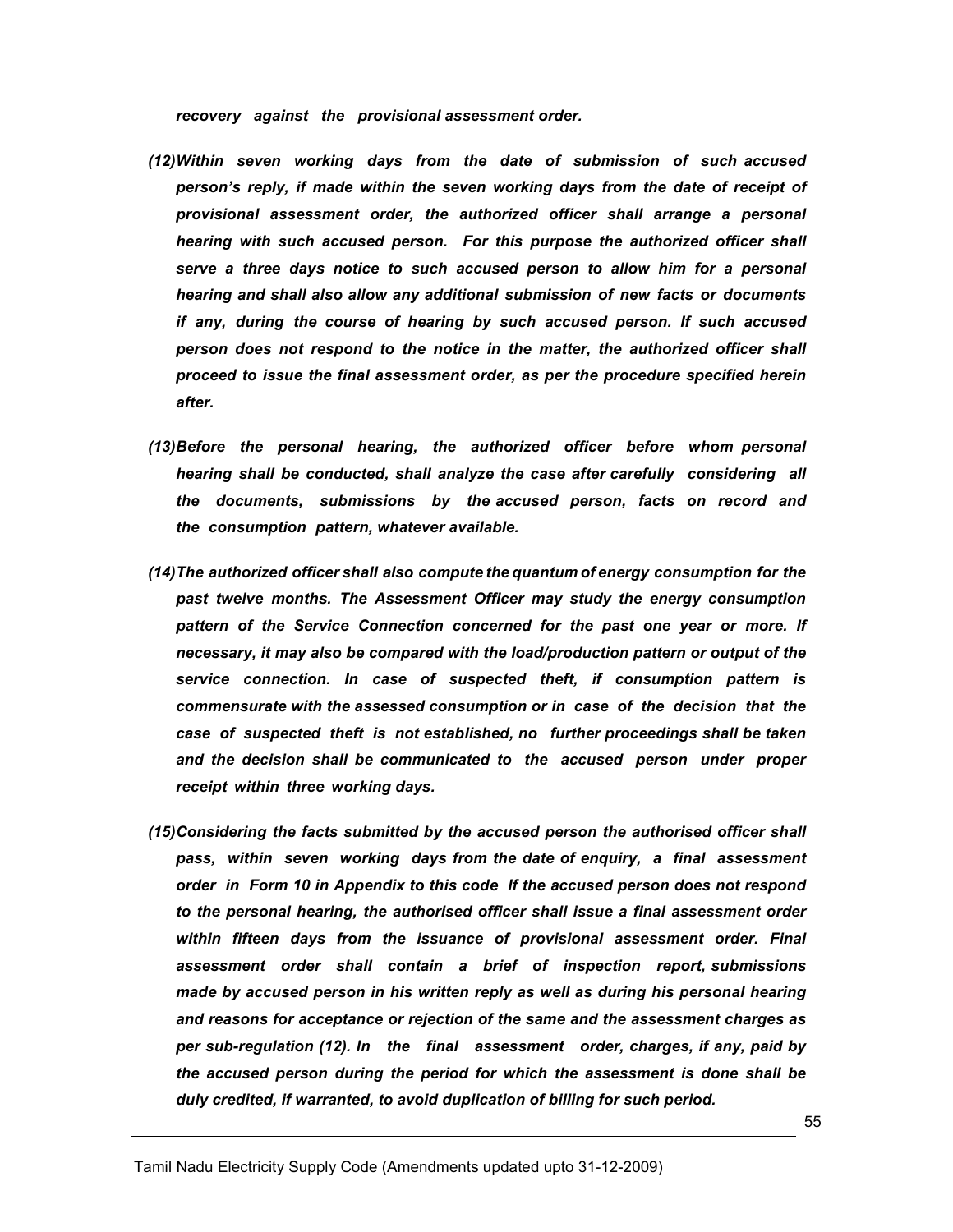recovery against the provisional assessment order.

- (12) Within seven working days from the date of submission of such accused person's reply, if made within the seven working days from the date of receipt of provisional assessment order, the authorized officer shall arrange a personal hearing with such accused person. For this purpose the authorized officer shall serve a three days notice to such accused person to allow him for a personal hearing and shall also allow any additional submission of new facts or documents if any, during the course of hearing by such accused person. If such accused person does not respond to the notice in the matter, the authorized officer shall proceed to issue the final assessment order, as per the procedure specified herein after.
- (13) Before the personal hearing, the authorized officer before whom personal hearing shall be conducted, shall analyze the case after carefully considering all the documents, submissions by the accused person, facts on record and the consumption pattern, whatever available.
- (14) The authorized officer shall also compute the quantum of energy consumption for the past twelve months. The Assessment Officer may study the energy consumption pattern of the Service Connection concerned for the past one year or more. If necessary, it may also be compared with the load/production pattern or output of the service connection. In case of suspected theft, if consumption pattern is commensurate with the assessed consumption or in case of the decision that the case of suspected theft is not established, no further proceedings shall be taken and the decision shall be communicated to the accused person under proper receipt within three working days.
- (15) Considering the facts submitted by the accused person the authorised officer shall pass, within seven working days from the date of enquiry, a final assessment order in Form 10 in Appendix to this code If the accused person does not respond to the personal hearing, the authorised officer shall issue a final assessment order within fifteen days from the issuance of provisional assessment order. Final assessment order shall contain a brief of inspection report, submissions made by accused person in his written reply as well as during his personal hearing and reasons for acceptance or rejection of the same and the assessment charges as per sub-regulation (12). In the final assessment order, charges, if any, paid by the accused person during the period for which the assessment is done shall be duly credited, if warranted, to avoid duplication of billing for such period.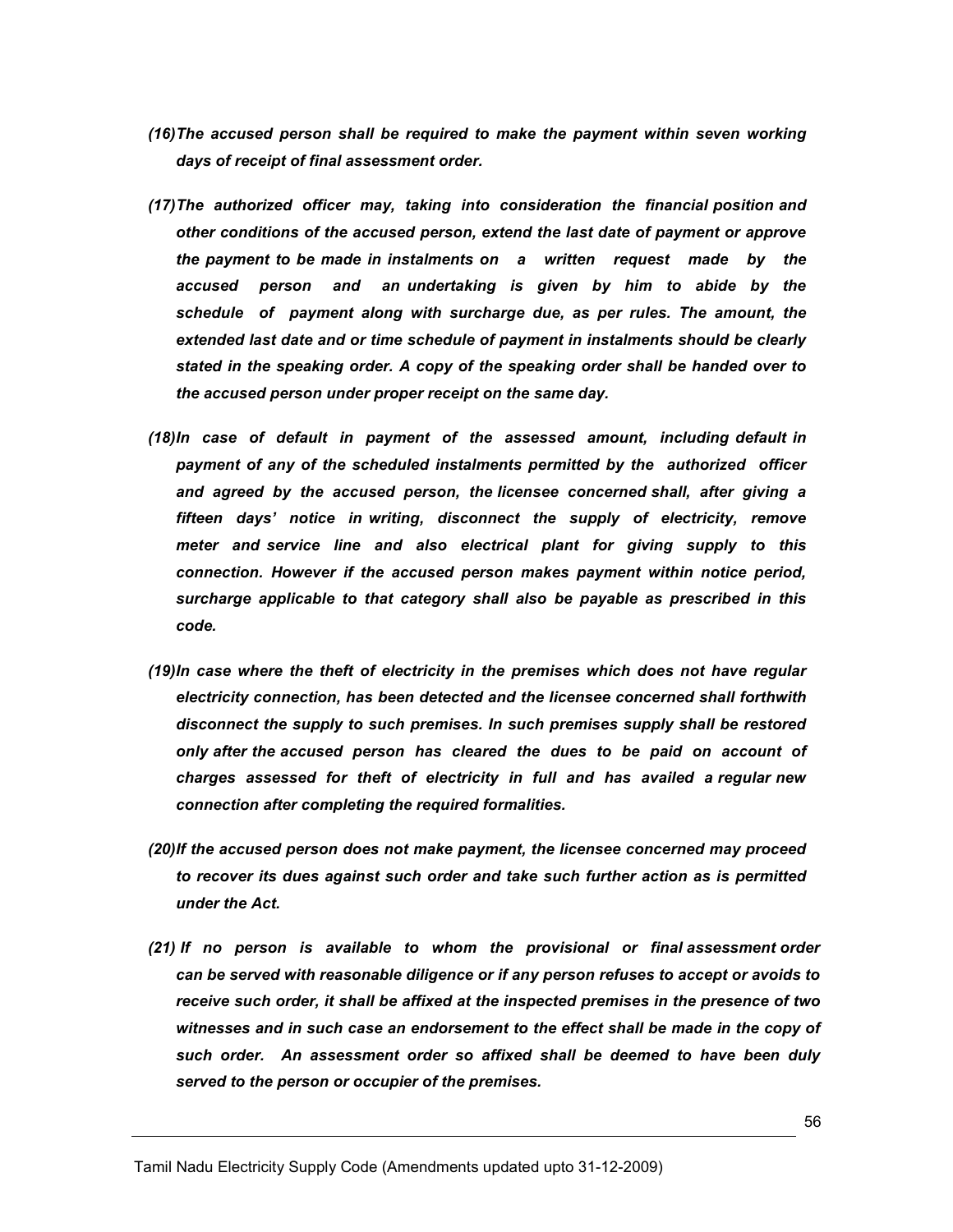- (16) The accused person shall be required to make the payment within seven working days of receipt of final assessment order.
- (17) The authorized officer may, taking into consideration the financial position and other conditions of the accused person, extend the last date of payment or approve the payment to be made in instalments on a written request made by the accused person and an undertaking is given by him to abide by the schedule of payment along with surcharge due, as per rules. The amount, the extended last date and or time schedule of payment in instalments should be clearly stated in the speaking order. A copy of the speaking order shall be handed over to the accused person under proper receipt on the same day.
- (18) In case of default in payment of the assessed amount, including default in payment of any of the scheduled instalments permitted by the authorized officer and agreed by the accused person, the licensee concerned shall, after giving a fifteen days' notice in writing, disconnect the supply of electricity, remove meter and service line and also electrical plant for giving supply to this connection. However if the accused person makes payment within notice period, surcharge applicable to that category shall also be payable as prescribed in this code.
- (19) In case where the theft of electricity in the premises which does not have regular electricity connection, has been detected and the licensee concerned shall forthwith disconnect the supply to such premises. In such premises supply shall be restored only after the accused person has cleared the dues to be paid on account of charges assessed for theft of electricity in full and has availed a regular new connection after completing the required formalities.
- (20) If the accused person does not make payment, the licensee concerned may proceed to recover its dues against such order and take such further action as is permitted under the Act.
- (21) If no person is available to whom the provisional or final assessment order can be served with reasonable diligence or if any person refuses to accept or avoids to receive such order, it shall be affixed at the inspected premises in the presence of two witnesses and in such case an endorsement to the effect shall be made in the copy of such order. An assessment order so affixed shall be deemed to have been duly served to the person or occupier of the premises.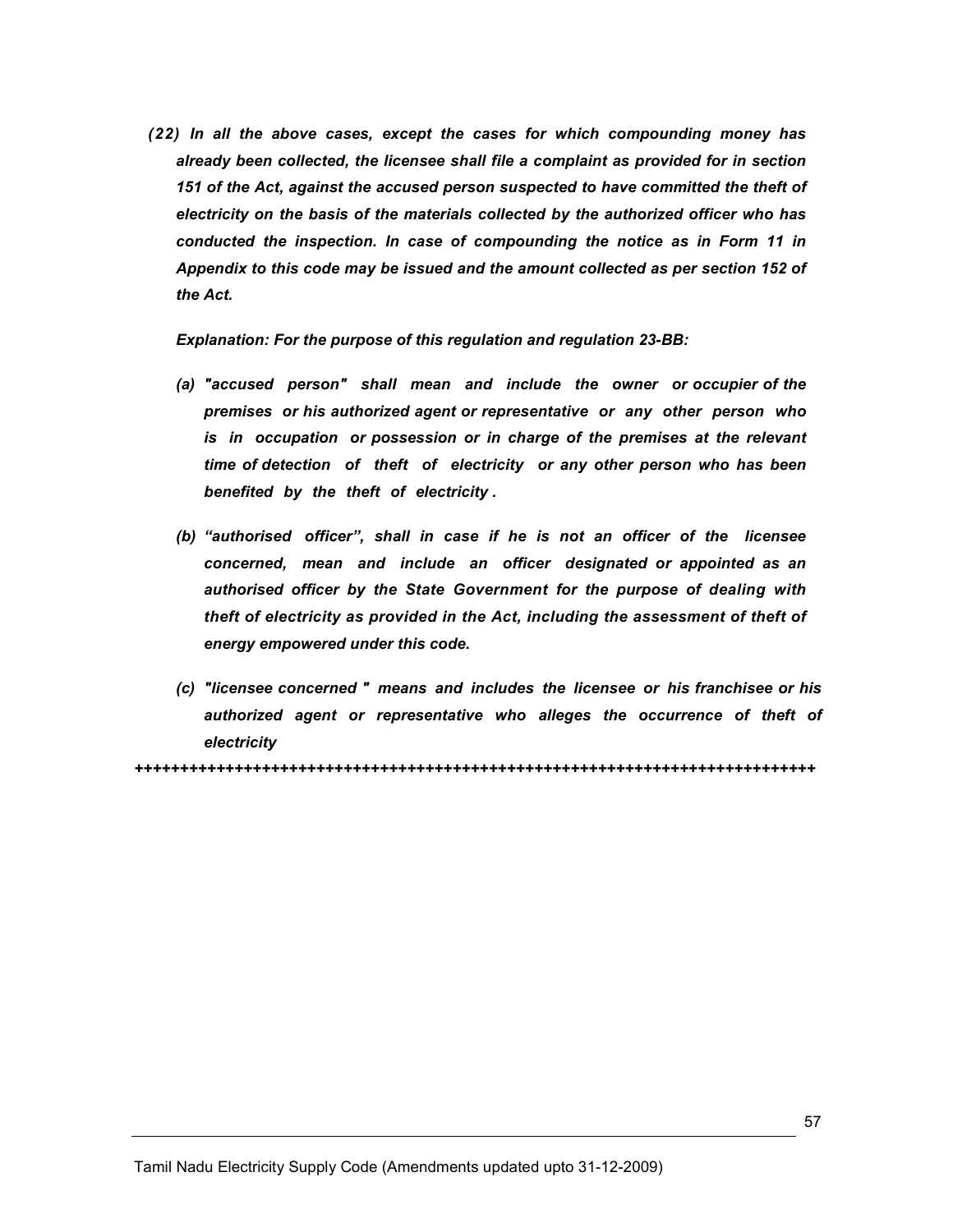(22) In all the above cases, except the cases for which compounding money has already been collected, the licensee shall file a complaint as provided for in section 151 of the Act, against the accused person suspected to have committed the theft of electricity on the basis of the materials collected by the authorized officer who has conducted the inspection. In case of compounding the notice as in Form 11 in Appendix to this code may be issued and the amount collected as per section 152 of the Act.

Explanation: For the purpose of this regulation and regulation 23-BB:

- (a) "accused person" shall mean and include the owner or occupier of the premises or his authorized agent or representative or any other person who is in occupation or possession or in charge of the premises at the relevant time of detection of theft of electricity or any other person who has been benefited by the theft of electricity .
- (b) "authorised officer", shall in case if he is not an officer of the licensee concerned, mean and include an officer designated or appointed as an authorised officer by the State Government for the purpose of dealing with theft of electricity as provided in the Act, including the assessment of theft of energy empowered under this code.
- (c) "licensee concerned " means and includes the licensee or his franchisee or his authorized agent or representative who alleges the occurrence of theft of electricity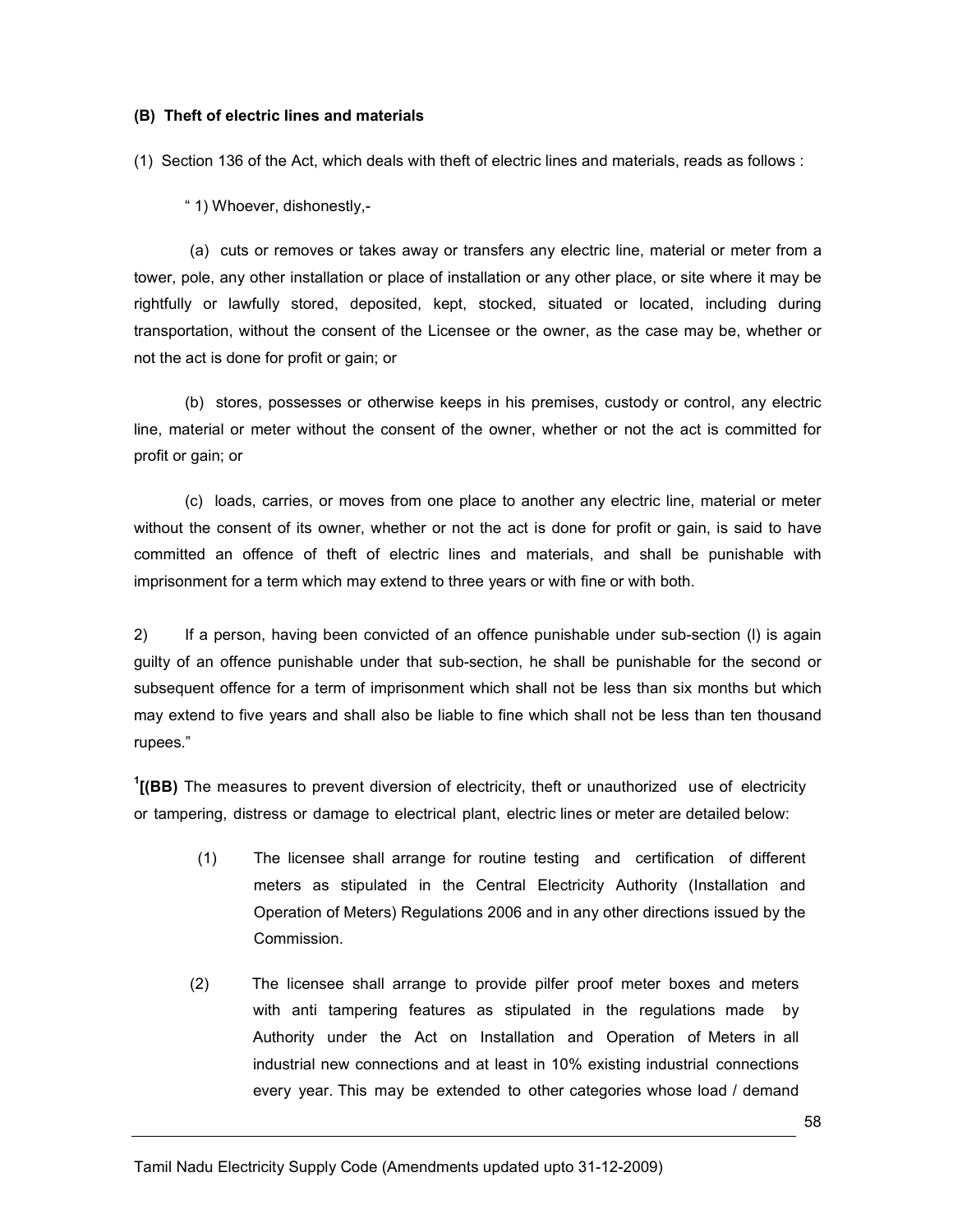#### (B) Theft of electric lines and materials

(1) Section 136 of the Act, which deals with theft of electric lines and materials, reads as follows :

" 1) Whoever, dishonestly,-

(a) cuts or removes or takes away or transfers any electric line, material or meter from a tower, pole, any other installation or place of installation or any other place, or site where it may be rightfully or lawfully stored, deposited, kept, stocked, situated or located, including during transportation, without the consent of the Licensee or the owner, as the case may be, whether or not the act is done for profit or gain; or

 (b) stores, possesses or otherwise keeps in his premises, custody or control, any electric line, material or meter without the consent of the owner, whether or not the act is committed for profit or gain; or

 (c) loads, carries, or moves from one place to another any electric line, material or meter without the consent of its owner, whether or not the act is done for profit or gain, is said to have committed an offence of theft of electric lines and materials, and shall be punishable with imprisonment for a term which may extend to three years or with fine or with both.

2) If a person, having been convicted of an offence punishable under sub-section (l) is again guilty of an offence punishable under that sub-section, he shall be punishable for the second or subsequent offence for a term of imprisonment which shall not be less than six months but which may extend to five years and shall also be liable to fine which shall not be less than ten thousand rupees."

 $1$ [(BB) The measures to prevent diversion of electricity, theft or unauthorized use of electricity or tampering, distress or damage to electrical plant, electric lines or meter are detailed below:

- (1) The licensee shall arrange for routine testing and certification of different meters as stipulated in the Central Electricity Authority (Installation and Operation of Meters) Regulations 2006 and in any other directions issued by the Commission.
- (2) The licensee shall arrange to provide pilfer proof meter boxes and meters with anti tampering features as stipulated in the regulations made by Authority under the Act on Installation and Operation of Meters in all industrial new connections and at least in 10% existing industrial connections every year. This may be extended to other categories whose load / demand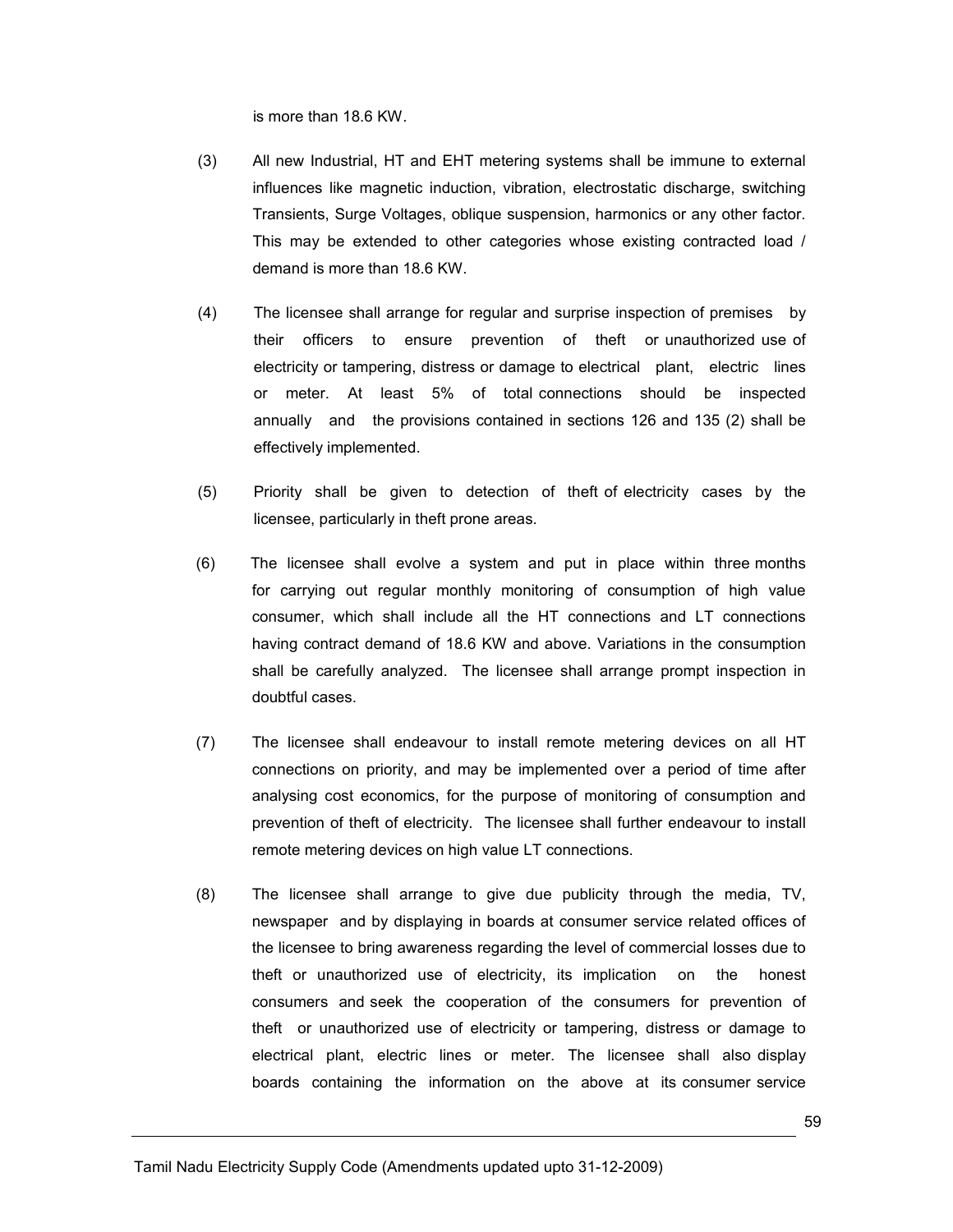is more than 18.6 KW.

- (3) All new Industrial, HT and EHT metering systems shall be immune to external influences like magnetic induction, vibration, electrostatic discharge, switching Transients, Surge Voltages, oblique suspension, harmonics or any other factor. This may be extended to other categories whose existing contracted load / demand is more than 18.6 KW.
- (4) The licensee shall arrange for regular and surprise inspection of premises by their officers to ensure prevention of theft or unauthorized use of electricity or tampering, distress or damage to electrical plant, electric lines or meter. At least 5% of total connections should be inspected annually and the provisions contained in sections 126 and 135 (2) shall be effectively implemented.
- (5) Priority shall be given to detection of theft of electricity cases by the licensee, particularly in theft prone areas.
- (6) The licensee shall evolve a system and put in place within three months for carrying out regular monthly monitoring of consumption of high value consumer, which shall include all the HT connections and LT connections having contract demand of 18.6 KW and above. Variations in the consumption shall be carefully analyzed. The licensee shall arrange prompt inspection in doubtful cases.
- (7) The licensee shall endeavour to install remote metering devices on all HT connections on priority, and may be implemented over a period of time after analysing cost economics, for the purpose of monitoring of consumption and prevention of theft of electricity. The licensee shall further endeavour to install remote metering devices on high value LT connections.
- (8) The licensee shall arrange to give due publicity through the media, TV, newspaper and by displaying in boards at consumer service related offices of the licensee to bring awareness regarding the level of commercial losses due to theft or unauthorized use of electricity, its implication on the honest consumers and seek the cooperation of the consumers for prevention of theft or unauthorized use of electricity or tampering, distress or damage to electrical plant, electric lines or meter. The licensee shall also display boards containing the information on the above at its consumer service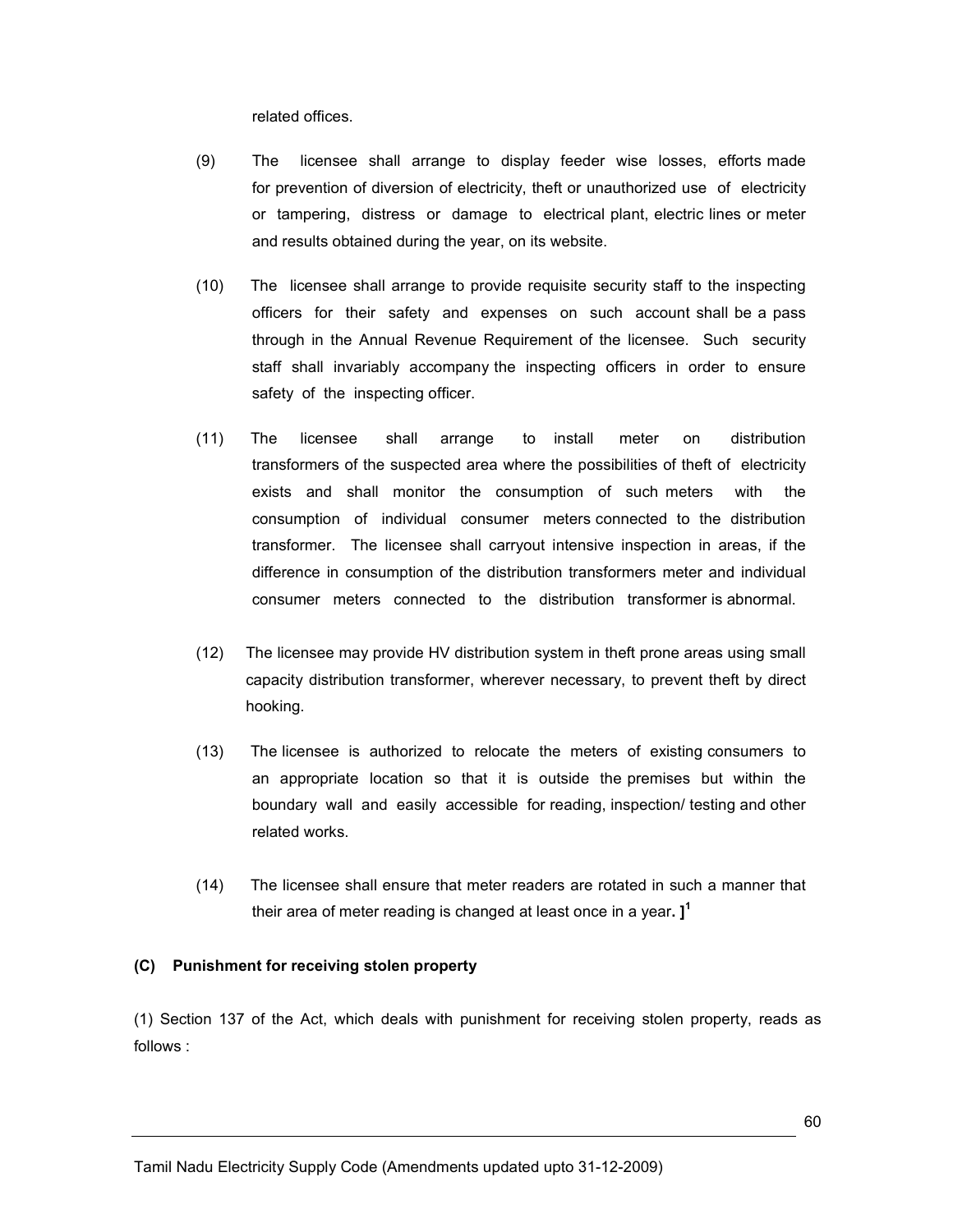related offices.

- (9) The licensee shall arrange to display feeder wise losses, efforts made for prevention of diversion of electricity, theft or unauthorized use of electricity or tampering, distress or damage to electrical plant, electric lines or meter and results obtained during the year, on its website.
- (10) The licensee shall arrange to provide requisite security staff to the inspecting officers for their safety and expenses on such account shall be a pass through in the Annual Revenue Requirement of the licensee. Such security staff shall invariably accompany the inspecting officers in order to ensure safety of the inspecting officer.
- (11) The licensee shall arrange to install meter on distribution transformers of the suspected area where the possibilities of theft of electricity exists and shall monitor the consumption of such meters with the consumption of individual consumer meters connected to the distribution transformer. The licensee shall carryout intensive inspection in areas, if the difference in consumption of the distribution transformers meter and individual consumer meters connected to the distribution transformer is abnormal.
- (12) The licensee may provide HV distribution system in theft prone areas using small capacity distribution transformer, wherever necessary, to prevent theft by direct hooking.
- (13) The licensee is authorized to relocate the meters of existing consumers to an appropriate location so that it is outside the premises but within the boundary wall and easily accessible for reading, inspection/ testing and other related works.
- (14) The licensee shall ensure that meter readers are rotated in such a manner that their area of meter reading is changed at least once in a year.  $I^1$

#### (C) Punishment for receiving stolen property

(1) Section 137 of the Act, which deals with punishment for receiving stolen property, reads as follows :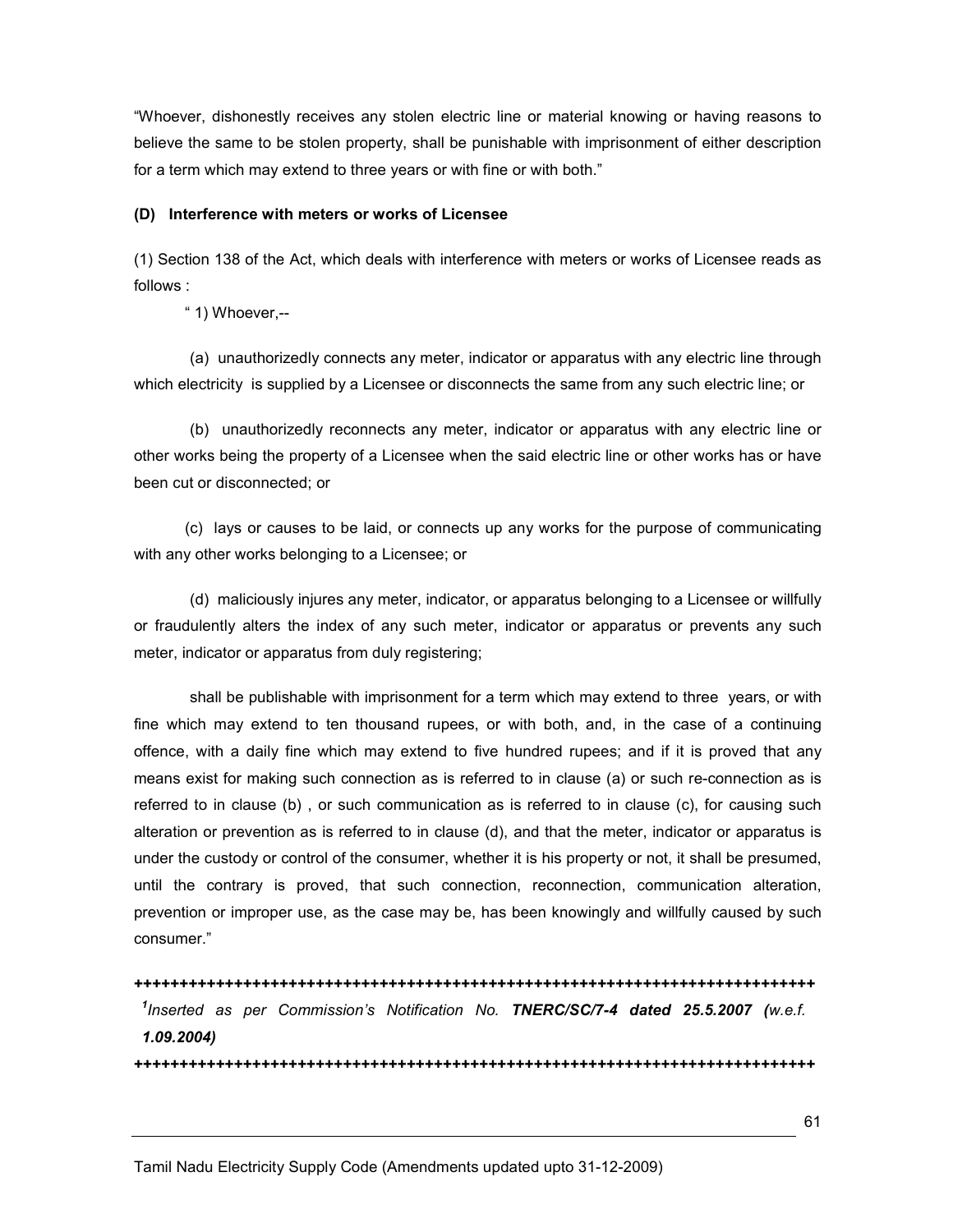"Whoever, dishonestly receives any stolen electric line or material knowing or having reasons to believe the same to be stolen property, shall be punishable with imprisonment of either description for a term which may extend to three years or with fine or with both."

#### (D) Interference with meters or works of Licensee

(1) Section 138 of the Act, which deals with interference with meters or works of Licensee reads as follows :

" 1) Whoever,--

 (a) unauthorizedly connects any meter, indicator or apparatus with any electric line through which electricity is supplied by a Licensee or disconnects the same from any such electric line; or

 (b) unauthorizedly reconnects any meter, indicator or apparatus with any electric line or other works being the property of a Licensee when the said electric line or other works has or have been cut or disconnected; or

 (c) lays or causes to be laid, or connects up any works for the purpose of communicating with any other works belonging to a Licensee; or

 (d) maliciously injures any meter, indicator, or apparatus belonging to a Licensee or willfully or fraudulently alters the index of any such meter, indicator or apparatus or prevents any such meter, indicator or apparatus from duly registering;

 shall be publishable with imprisonment for a term which may extend to three years, or with fine which may extend to ten thousand rupees, or with both, and, in the case of a continuing offence, with a daily fine which may extend to five hundred rupees; and if it is proved that any means exist for making such connection as is referred to in clause (a) or such re-connection as is referred to in clause (b) , or such communication as is referred to in clause (c), for causing such alteration or prevention as is referred to in clause (d), and that the meter, indicator or apparatus is under the custody or control of the consumer, whether it is his property or not, it shall be presumed, until the contrary is proved, that such connection, reconnection, communication alteration, prevention or improper use, as the case may be, has been knowingly and willfully caused by such consumer."

+++++++++++++++++++++++++++++++++++++++++++++++++++++++++++++++++++++++++++ <sup>1</sup>Inserted as per Commission's Notification No. TNERC/SC/7-4 dated 25.5.2007 (w.e.f. 1.09.2004)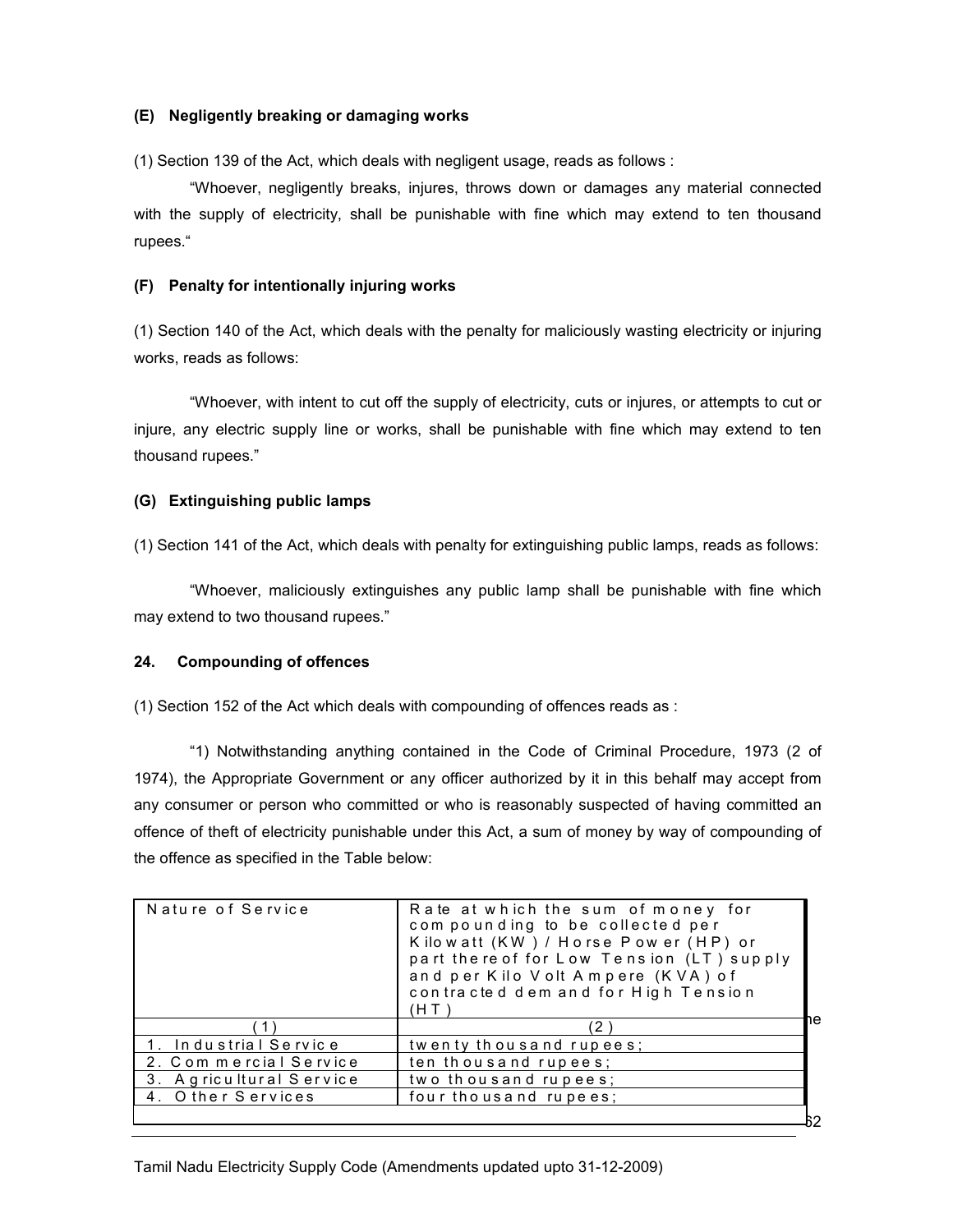#### (E) Negligently breaking or damaging works

(1) Section 139 of the Act, which deals with negligent usage, reads as follows :

 "Whoever, negligently breaks, injures, throws down or damages any material connected with the supply of electricity, shall be punishable with fine which may extend to ten thousand rupees."

### (F) Penalty for intentionally injuring works

(1) Section 140 of the Act, which deals with the penalty for maliciously wasting electricity or injuring works, reads as follows:

 "Whoever, with intent to cut off the supply of electricity, cuts or injures, or attempts to cut or injure, any electric supply line or works, shall be punishable with fine which may extend to ten thousand rupees."

#### (G) Extinguishing public lamps

(1) Section 141 of the Act, which deals with penalty for extinguishing public lamps, reads as follows:

 "Whoever, maliciously extinguishes any public lamp shall be punishable with fine which may extend to two thousand rupees."

## 24. Compounding of offences

(1) Section 152 of the Act which deals with compounding of offences reads as :

"1) Notwithstanding anything contained in the Code of Criminal Procedure, 1973 (2 of 1974), the Appropriate Government or any officer authorized by it in this behalf may accept from any consumer or person who committed or who is reasonably suspected of having committed an offence of theft of electricity punishable under this Act, a sum of money by way of compounding of the offence as specified in the Table below:

| Nature of Service        | Rate at which the sum of money for<br>compounding to be collected per<br>Kilowatt (KW) / Horse Power (HP) or<br>part there of for Low Tension (LT) supply<br>and per Kilo Volt Ampere (KVA) of<br>contracted dem and for High Tension<br>(H T |    |
|--------------------------|-----------------------------------------------------------------------------------------------------------------------------------------------------------------------------------------------------------------------------------------------|----|
|                          | $\mathbf{2}^{\prime}$                                                                                                                                                                                                                         | ٦e |
| 1. Industrial Service    | twenty thousand rupees;                                                                                                                                                                                                                       |    |
| 2. Commercial Service    | ten thousand rupees;                                                                                                                                                                                                                          |    |
| 3. A gricultural Service | two thousand rupees;                                                                                                                                                                                                                          |    |
| 4. Other Services        | four thousand rupees:                                                                                                                                                                                                                         |    |
|                          |                                                                                                                                                                                                                                               |    |

Tamil Nadu Electricity Supply Code (Amendments updated upto 31-12-2009)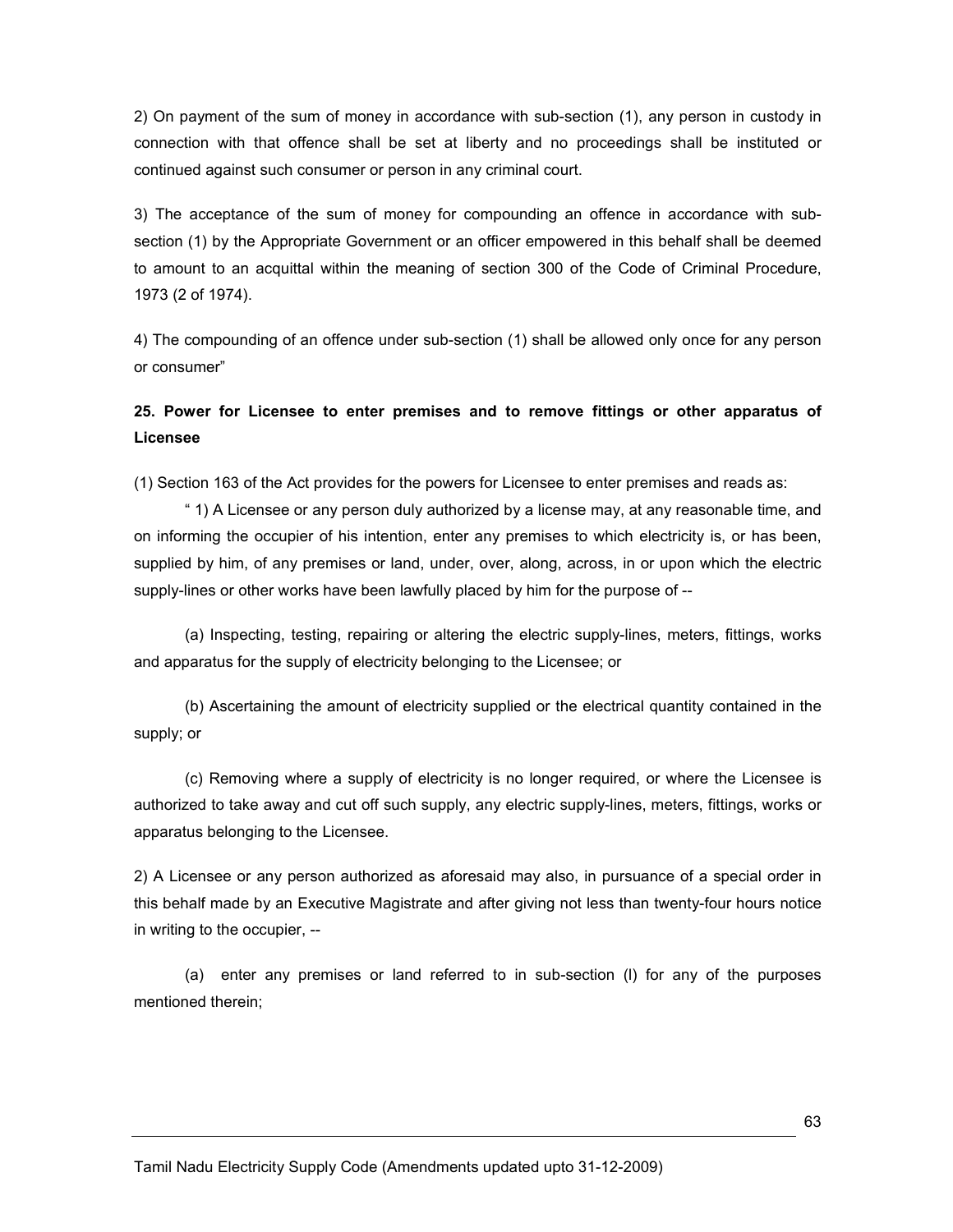2) On payment of the sum of money in accordance with sub-section (1), any person in custody in connection with that offence shall be set at liberty and no proceedings shall be instituted or continued against such consumer or person in any criminal court.

3) The acceptance of the sum of money for compounding an offence in accordance with subsection (1) by the Appropriate Government or an officer empowered in this behalf shall be deemed to amount to an acquittal within the meaning of section 300 of the Code of Criminal Procedure, 1973 (2 of 1974).

4) The compounding of an offence under sub-section (1) shall be allowed only once for any person or consumer"

# 25. Power for Licensee to enter premises and to remove fittings or other apparatus of Licensee

(1) Section 163 of the Act provides for the powers for Licensee to enter premises and reads as:

 " 1) A Licensee or any person duly authorized by a license may, at any reasonable time, and on informing the occupier of his intention, enter any premises to which electricity is, or has been, supplied by him, of any premises or land, under, over, along, across, in or upon which the electric supply-lines or other works have been lawfully placed by him for the purpose of --

 (a) Inspecting, testing, repairing or altering the electric supply-lines, meters, fittings, works and apparatus for the supply of electricity belonging to the Licensee; or

 (b) Ascertaining the amount of electricity supplied or the electrical quantity contained in the supply; or

 (c) Removing where a supply of electricity is no longer required, or where the Licensee is authorized to take away and cut off such supply, any electric supply-lines, meters, fittings, works or apparatus belonging to the Licensee.

2) A Licensee or any person authorized as aforesaid may also, in pursuance of a special order in this behalf made by an Executive Magistrate and after giving not less than twenty-four hours notice in writing to the occupier, --

 (a) enter any premises or land referred to in sub-section (l) for any of the purposes mentioned therein;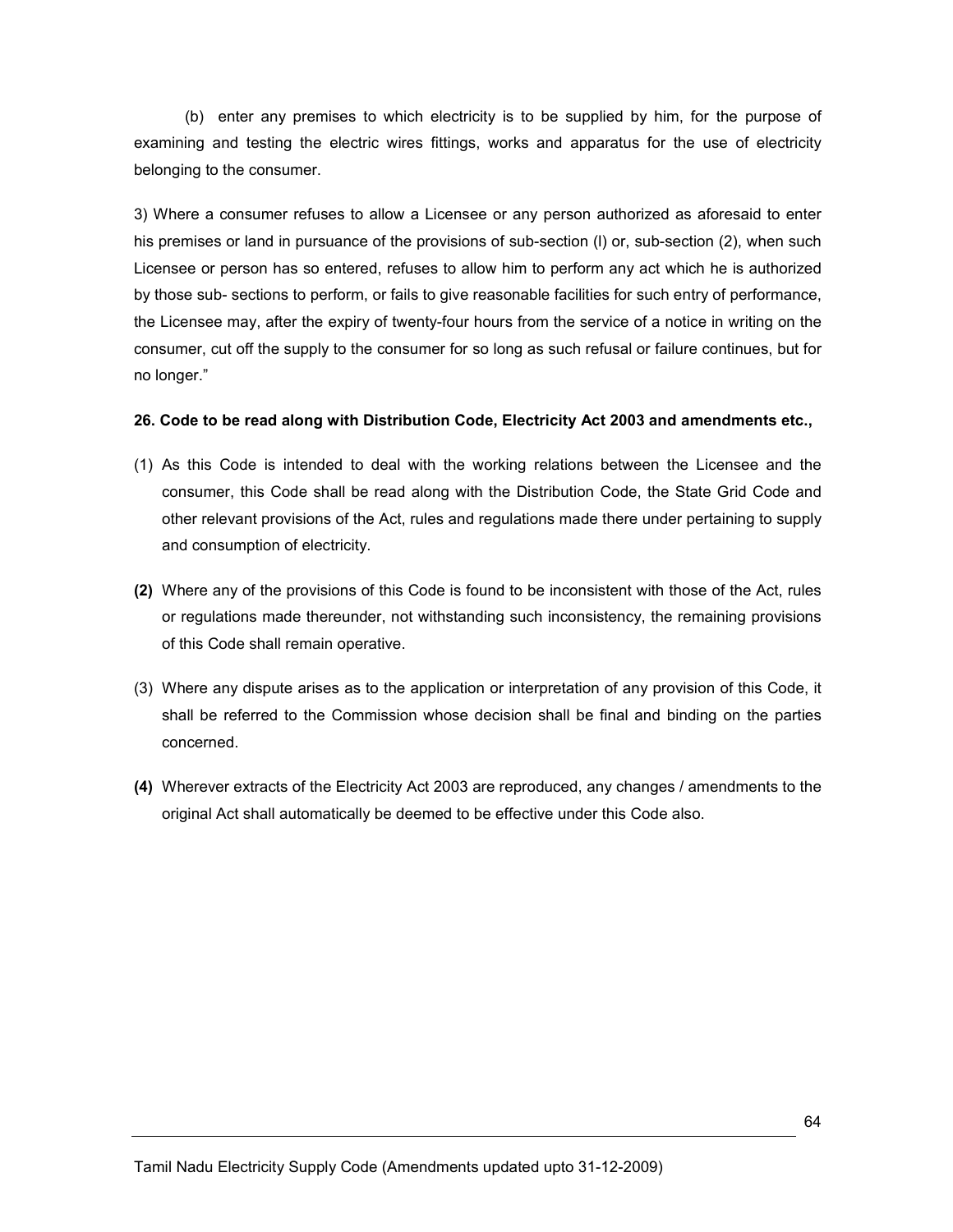(b) enter any premises to which electricity is to be supplied by him, for the purpose of examining and testing the electric wires fittings, works and apparatus for the use of electricity belonging to the consumer.

3) Where a consumer refuses to allow a Licensee or any person authorized as aforesaid to enter his premises or land in pursuance of the provisions of sub-section (l) or, sub-section (2), when such Licensee or person has so entered, refuses to allow him to perform any act which he is authorized by those sub- sections to perform, or fails to give reasonable facilities for such entry of performance, the Licensee may, after the expiry of twenty-four hours from the service of a notice in writing on the consumer, cut off the supply to the consumer for so long as such refusal or failure continues, but for no longer."

#### 26. Code to be read along with Distribution Code, Electricity Act 2003 and amendments etc.,

- (1) As this Code is intended to deal with the working relations between the Licensee and the consumer, this Code shall be read along with the Distribution Code, the State Grid Code and other relevant provisions of the Act, rules and regulations made there under pertaining to supply and consumption of electricity.
- (2) Where any of the provisions of this Code is found to be inconsistent with those of the Act, rules or regulations made thereunder, not withstanding such inconsistency, the remaining provisions of this Code shall remain operative.
- (3) Where any dispute arises as to the application or interpretation of any provision of this Code, it shall be referred to the Commission whose decision shall be final and binding on the parties concerned.
- (4) Wherever extracts of the Electricity Act 2003 are reproduced, any changes / amendments to the original Act shall automatically be deemed to be effective under this Code also.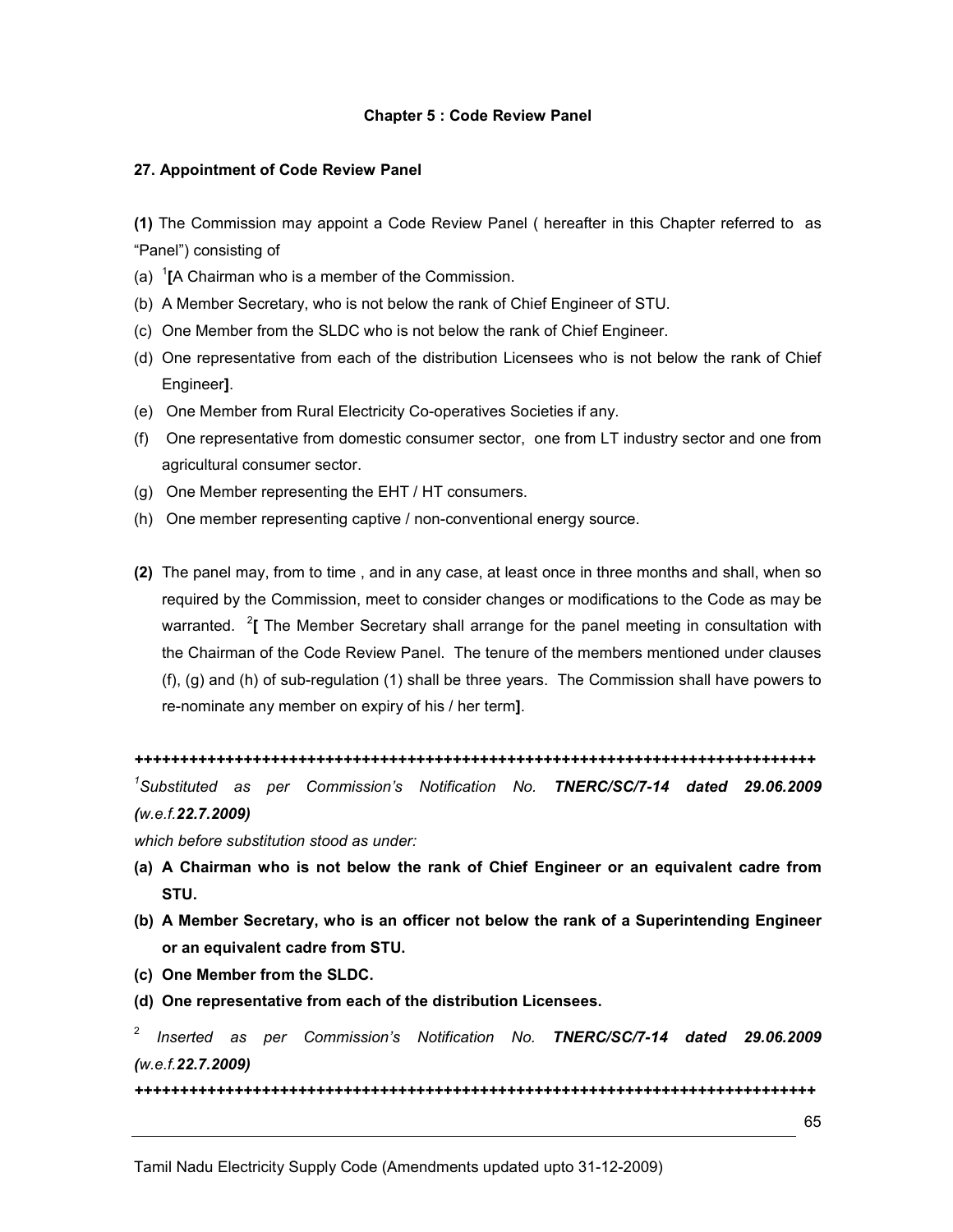#### Chapter 5 : Code Review Panel

#### 27. Appointment of Code Review Panel

(1) The Commission may appoint a Code Review Panel ( hereafter in this Chapter referred to as "Panel") consisting of

- (a)  $\mathrm{I}$ [A Chairman who is a member of the Commission.
- (b) A Member Secretary, who is not below the rank of Chief Engineer of STU.
- (c) One Member from the SLDC who is not below the rank of Chief Engineer.
- (d) One representative from each of the distribution Licensees who is not below the rank of Chief Engineer].
- (e) One Member from Rural Electricity Co-operatives Societies if any.
- (f) One representative from domestic consumer sector, one from LT industry sector and one from agricultural consumer sector.
- (g) One Member representing the EHT / HT consumers.
- (h) One member representing captive / non-conventional energy source.
- (2) The panel may, from to time , and in any case, at least once in three months and shall, when so required by the Commission, meet to consider changes or modifications to the Code as may be warranted. <sup>2</sup> [ The Member Secretary shall arrange for the panel meeting in consultation with the Chairman of the Code Review Panel. The tenure of the members mentioned under clauses (f), (g) and (h) of sub-regulation (1) shall be three years. The Commission shall have powers to re-nominate any member on expiry of his / her term].

```
+++++++++++++++++++++++++++++++++++++++++++++++++++++++++++++++++++++++++++
```
<sup>1</sup>Substituted as per Commission's Notification No. TNERC/SC/7-14 dated 29.06.2009 (w.e.f.22.7.2009)

which before substitution stood as under:

- (a) A Chairman who is not below the rank of Chief Engineer or an equivalent cadre from STU.
- (b) A Member Secretary, who is an officer not below the rank of a Superintending Engineer or an equivalent cadre from STU.
- (c) One Member from the SLDC.
- (d) One representative from each of the distribution Licensees.
- 2 Inserted as per Commission's Notification No. TNERC/SC/7-14 dated 29.06.2009 (w.e.f.22.7.2009)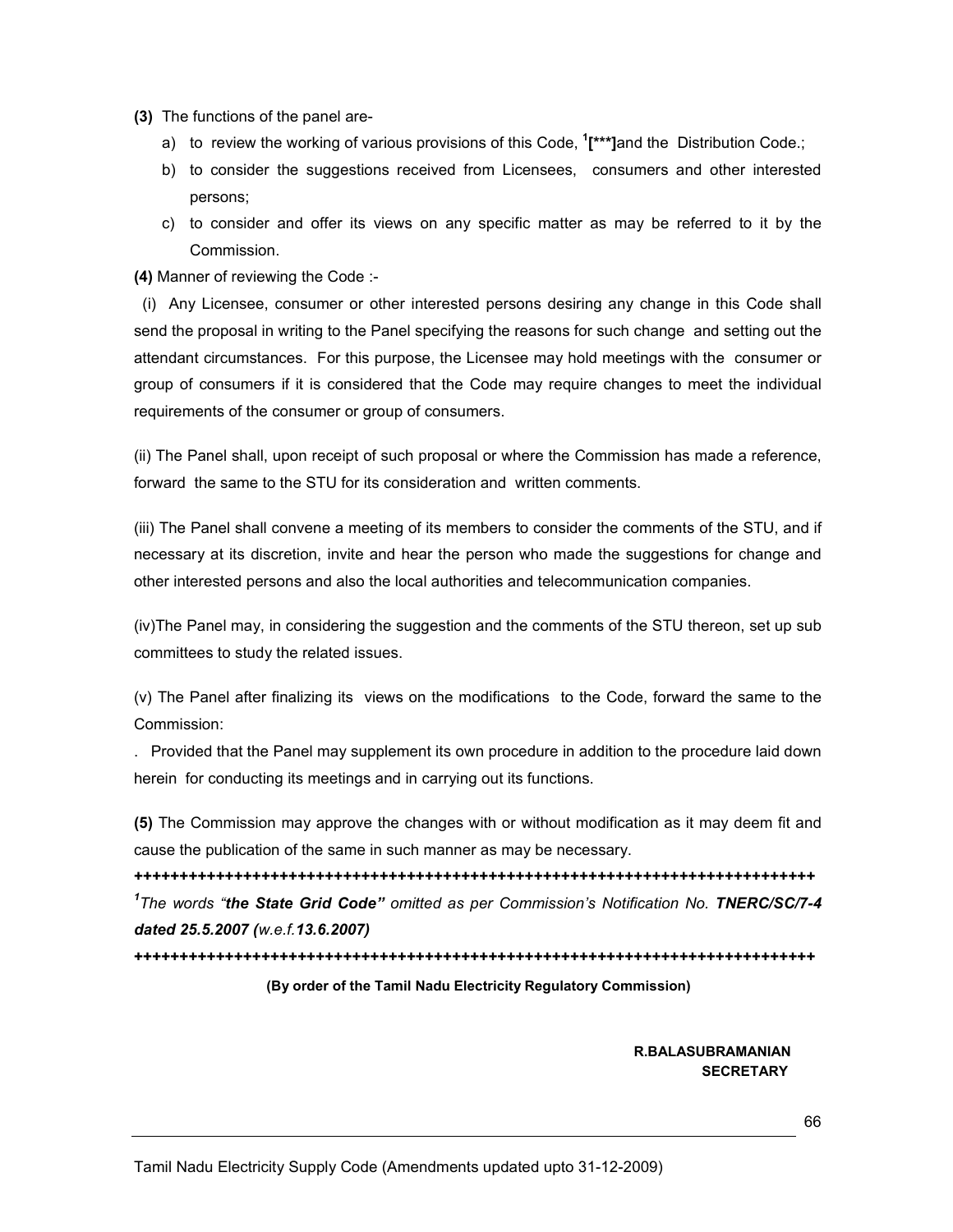- (3) The functions of the panel are
	- a) to review the working of various provisions of this Code, <sup>1</sup>[\*\*\*]and the Distribution Code.;
	- b) to consider the suggestions received from Licensees, consumers and other interested persons;
	- c) to consider and offer its views on any specific matter as may be referred to it by the Commission.
- (4) Manner of reviewing the Code :-

 (i) Any Licensee, consumer or other interested persons desiring any change in this Code shall send the proposal in writing to the Panel specifying the reasons for such change and setting out the attendant circumstances. For this purpose, the Licensee may hold meetings with the consumer or group of consumers if it is considered that the Code may require changes to meet the individual requirements of the consumer or group of consumers.

(ii) The Panel shall, upon receipt of such proposal or where the Commission has made a reference, forward the same to the STU for its consideration and written comments.

(iii) The Panel shall convene a meeting of its members to consider the comments of the STU, and if necessary at its discretion, invite and hear the person who made the suggestions for change and other interested persons and also the local authorities and telecommunication companies.

(iv)The Panel may, in considering the suggestion and the comments of the STU thereon, set up sub committees to study the related issues.

(v) The Panel after finalizing its views on the modifications to the Code, forward the same to the Commission:

. Provided that the Panel may supplement its own procedure in addition to the procedure laid down herein for conducting its meetings and in carrying out its functions.

(5) The Commission may approve the changes with or without modification as it may deem fit and cause the publication of the same in such manner as may be necessary.

+++++++++++++++++++++++++++++++++++++++++++++++++++++++++++++++++++++++++++ <sup>1</sup>The words "the State Grid Code" omitted as per Commission's Notification No. TNERC/SC/7-4 dated 25.5.2007 (w.e.f.13.6.2007)

+++++++++++++++++++++++++++++++++++++++++++++++++++++++++++++++++++++++++++

#### (By order of the Tamil Nadu Electricity Regulatory Commission)

 R.BALASUBRAMANIAN SECRETARY AND IN A 1990 FOR THE RESIDENCE OF THE RESIDENCE OF THE RESIDENCE OF THE RESIDENCE OF THE RESIDENCE O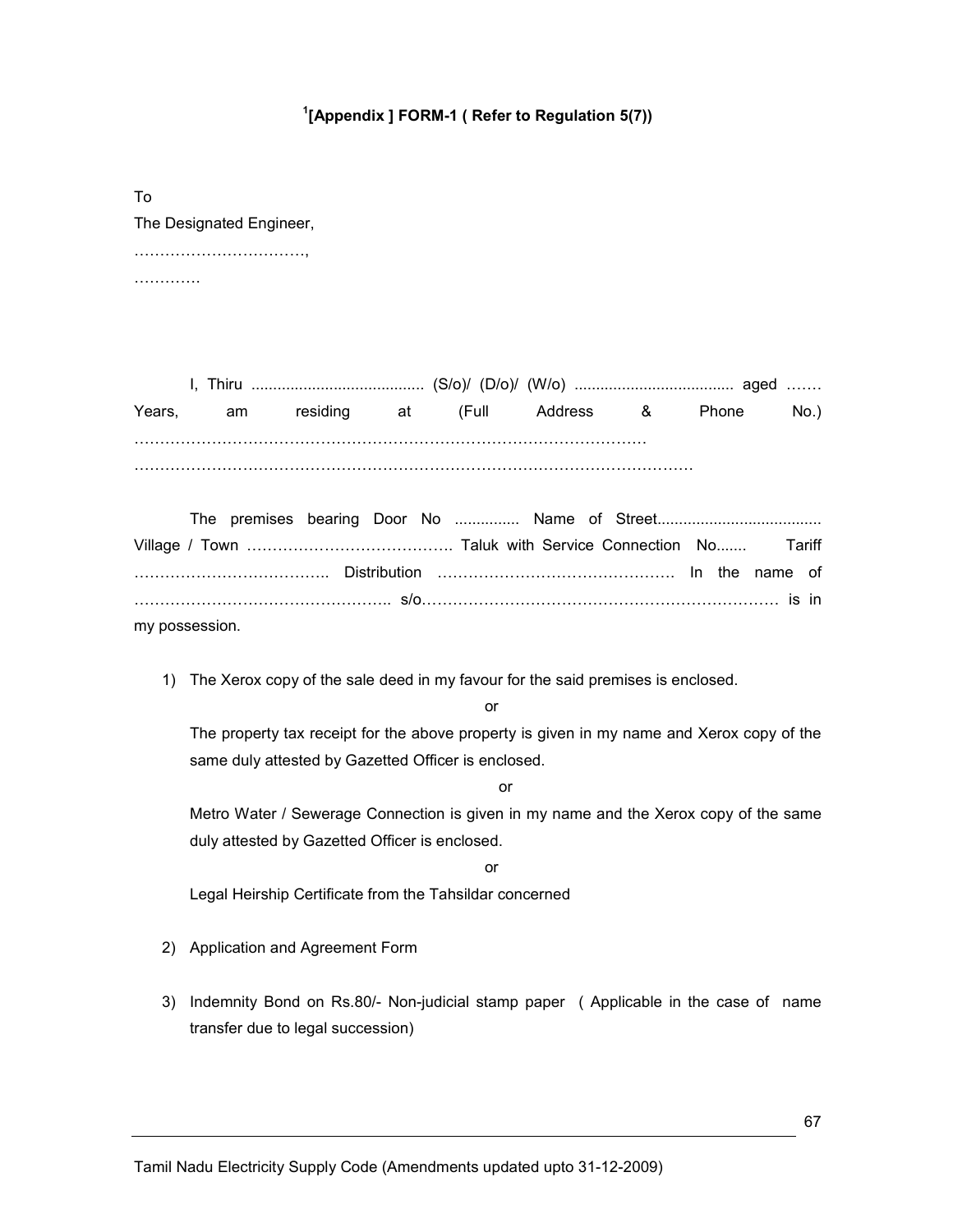# $1$ [Appendix ] FORM-1 ( Refer to Regulation 5(7))

To The Designated Engineer, ……………………………,

……………

I, Thiru ........................................ (S/o)/ (D/o)/ (W/o) ..................................... aged ……. Years, am residing at (Full Address & Phone No.) ……………………………………………………………………………………… ………………………………………………………………………………………………

| my possession. |  |  |  |  |  |  |  |
|----------------|--|--|--|--|--|--|--|

1) The Xerox copy of the sale deed in my favour for the said premises is enclosed.

or

The property tax receipt for the above property is given in my name and Xerox copy of the same duly attested by Gazetted Officer is enclosed.

or

Metro Water / Sewerage Connection is given in my name and the Xerox copy of the same duly attested by Gazetted Officer is enclosed.

or

Legal Heirship Certificate from the Tahsildar concerned

- 2) Application and Agreement Form
- 3) Indemnity Bond on Rs.80/- Non-judicial stamp paper ( Applicable in the case of name transfer due to legal succession)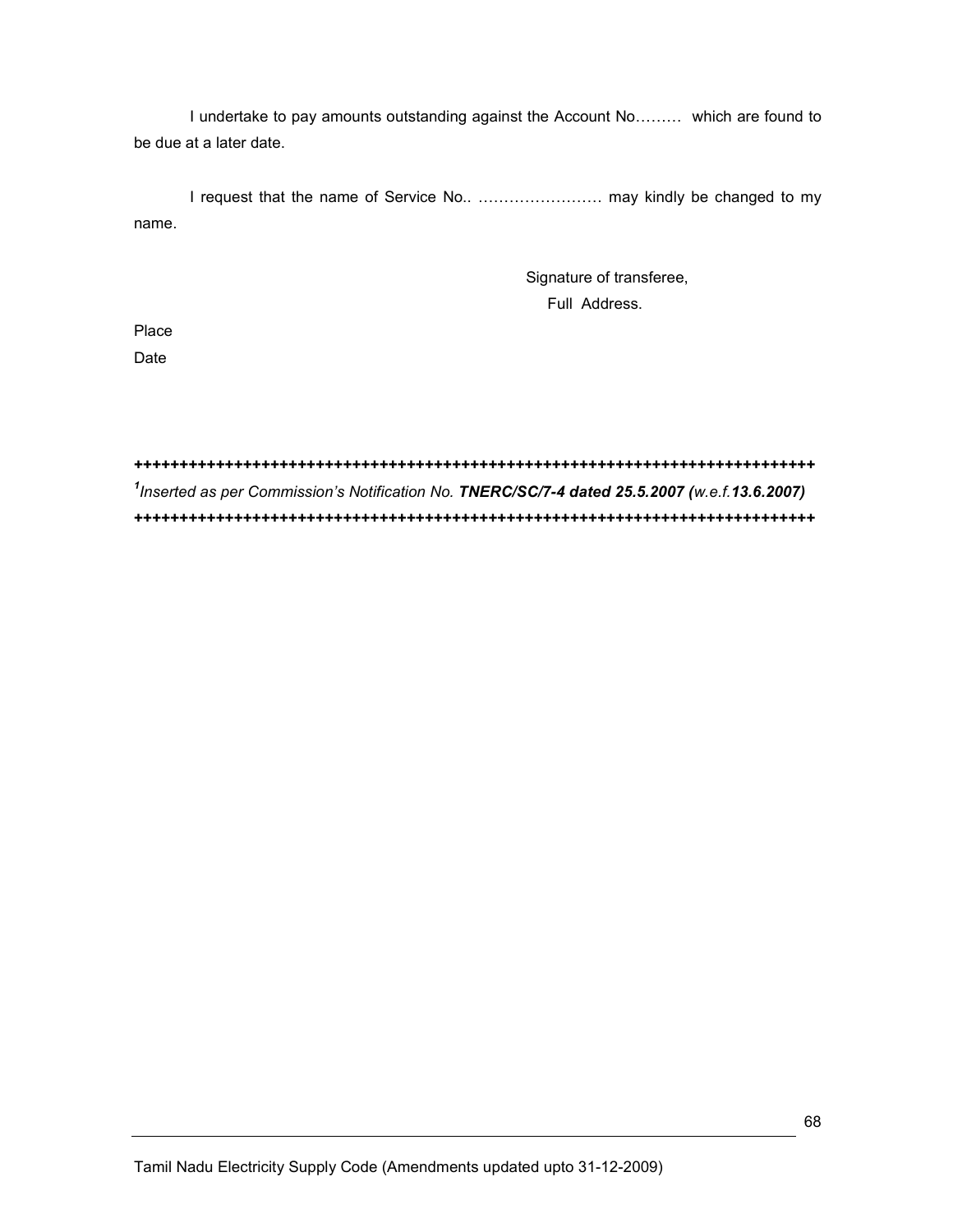I undertake to pay amounts outstanding against the Account No……… which are found to be due at a later date.

 I request that the name of Service No.. …………………… may kindly be changed to my name.

> Signature of transferee, Full Address.

Place

Date

+++++++++++++++++++++++++++++++++++++++++++++++++++++++++++++++++++++++++++ <sup>1</sup>Inserted as per Commission's Notification No. TNERC/SC/7-4 dated 25.5.2007 (w.e.f.13.6.2007) +++++++++++++++++++++++++++++++++++++++++++++++++++++++++++++++++++++++++++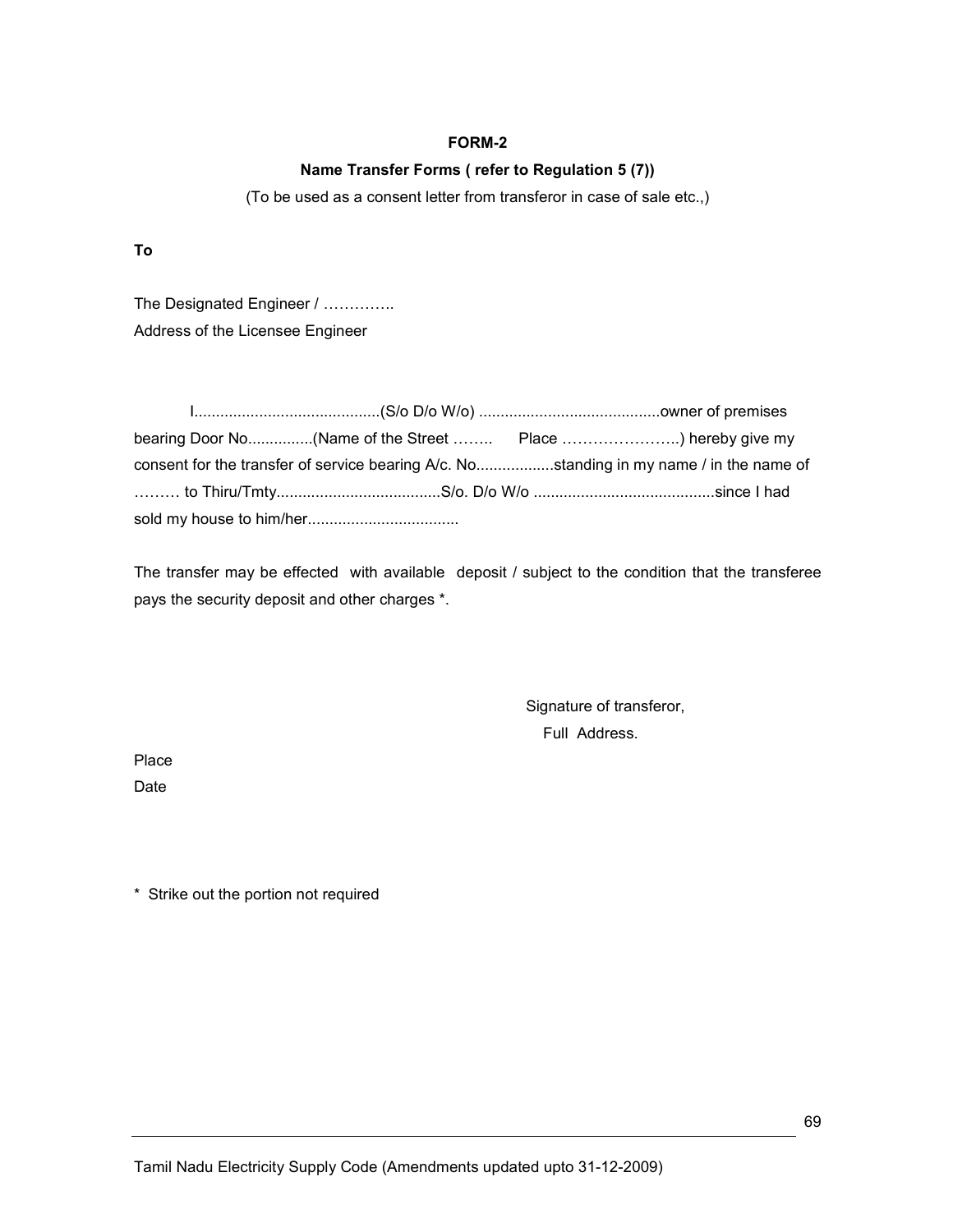### FORM-2

## Name Transfer Forms ( refer to Regulation 5 (7))

(To be used as a consent letter from transferor in case of sale etc.,)

To

The Designated Engineer / .............. Address of the Licensee Engineer

|  | bearing Door No(Name of the Street  Place ) hereby give my                              |  |
|--|-----------------------------------------------------------------------------------------|--|
|  | consent for the transfer of service bearing A/c. Nostanding in my name / in the name of |  |
|  |                                                                                         |  |
|  |                                                                                         |  |

The transfer may be effected with available deposit / subject to the condition that the transferee pays the security deposit and other charges \*.

> Signature of transferor, Full Address.

Place

Date

\* Strike out the portion not required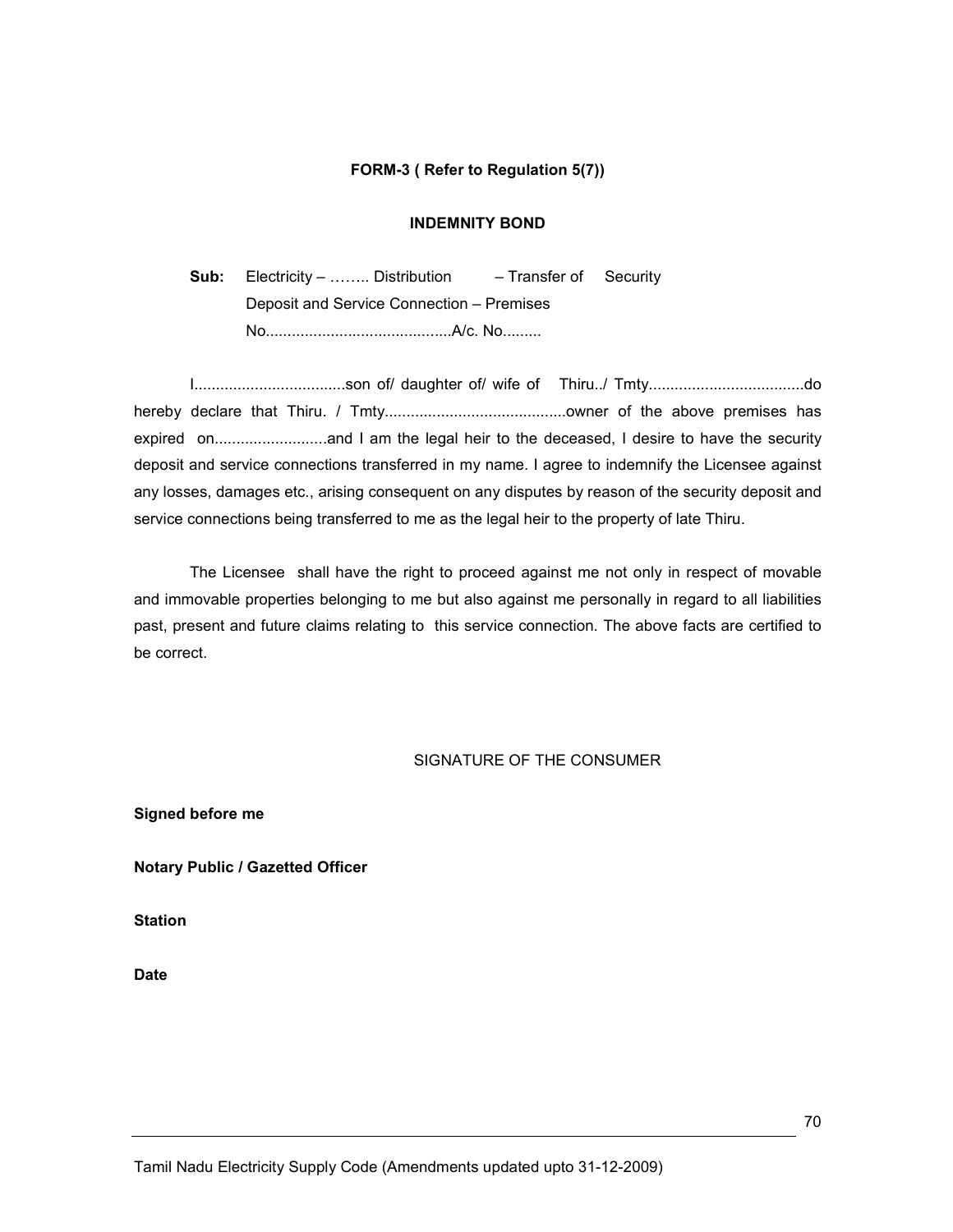#### FORM-3 ( Refer to Regulation 5(7))

#### INDEMNITY BOND

Sub: Electricity – ........ Distribution – Transfer of Security Deposit and Service Connection – Premises No...........................................A/c. No.........

I...................................son of/ daughter of/ wife of Thiru../ Tmty....................................do hereby declare that Thiru. / Tmty..........................................owner of the above premises has expired on..........................and I am the legal heir to the deceased, I desire to have the security deposit and service connections transferred in my name. I agree to indemnify the Licensee against any losses, damages etc., arising consequent on any disputes by reason of the security deposit and service connections being transferred to me as the legal heir to the property of late Thiru.

 The Licensee shall have the right to proceed against me not only in respect of movable and immovable properties belonging to me but also against me personally in regard to all liabilities past, present and future claims relating to this service connection. The above facts are certified to be correct.

#### SIGNATURE OF THE CONSUMER

Signed before me

Notary Public / Gazetted Officer

**Station** 

Date

Tamil Nadu Electricity Supply Code (Amendments updated upto 31-12-2009)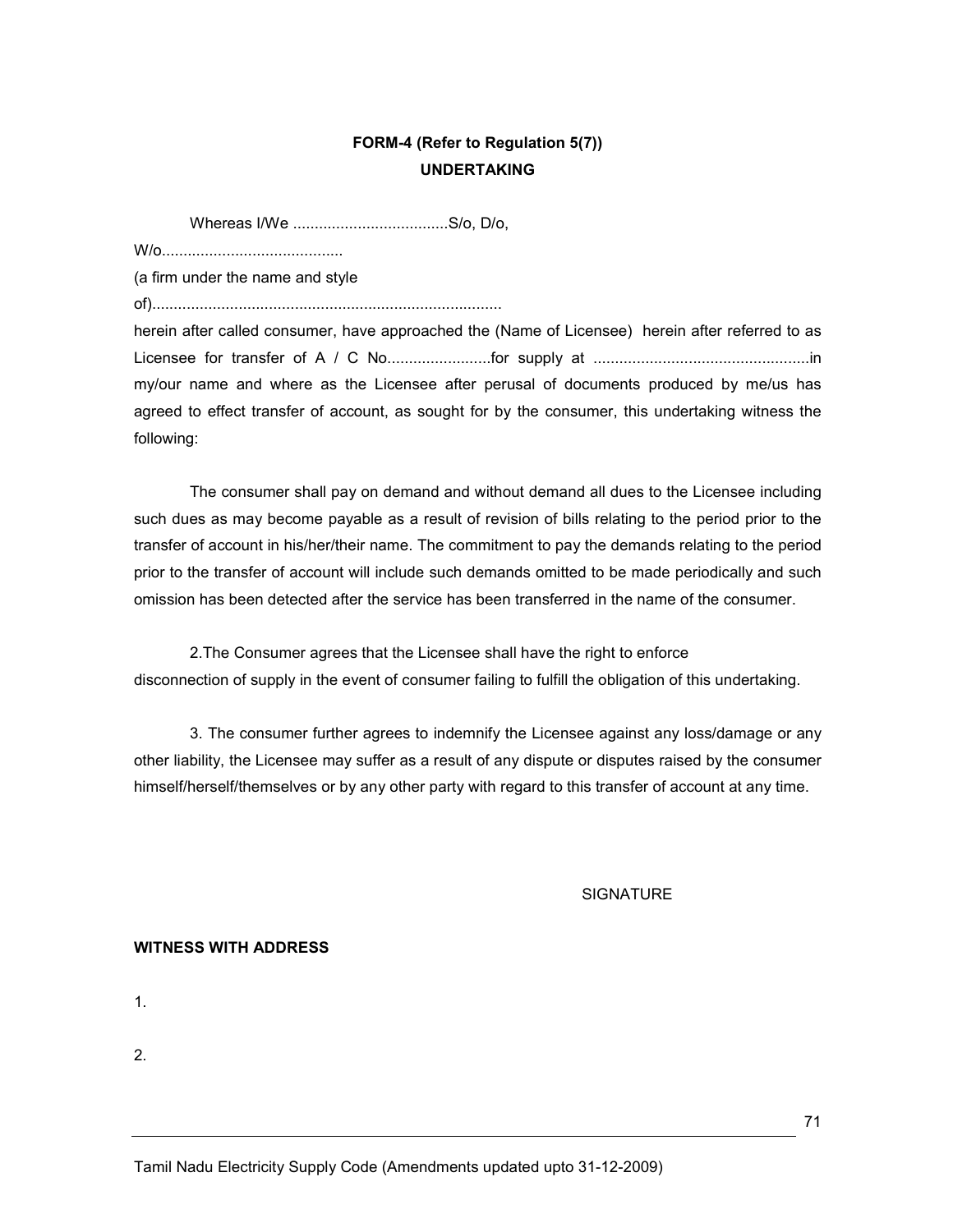# FORM-4 (Refer to Regulation 5(7)) UNDERTAKING

Whereas I/We ....................................S/o, D/o,

W/o..........................................

(a firm under the name and style

of).................................................................................

herein after called consumer, have approached the (Name of Licensee) herein after referred to as Licensee for transfer of A / C No........................for supply at ..................................................in my/our name and where as the Licensee after perusal of documents produced by me/us has agreed to effect transfer of account, as sought for by the consumer, this undertaking witness the following:

The consumer shall pay on demand and without demand all dues to the Licensee including such dues as may become payable as a result of revision of bills relating to the period prior to the transfer of account in his/her/their name. The commitment to pay the demands relating to the period prior to the transfer of account will include such demands omitted to be made periodically and such omission has been detected after the service has been transferred in the name of the consumer.

2.The Consumer agrees that the Licensee shall have the right to enforce disconnection of supply in the event of consumer failing to fulfill the obligation of this undertaking.

3. The consumer further agrees to indemnify the Licensee against any loss/damage or any other liability, the Licensee may suffer as a result of any dispute or disputes raised by the consumer himself/herself/themselves or by any other party with regard to this transfer of account at any time.

**SIGNATURE** 

#### WITNESS WITH ADDRESS

1.

2.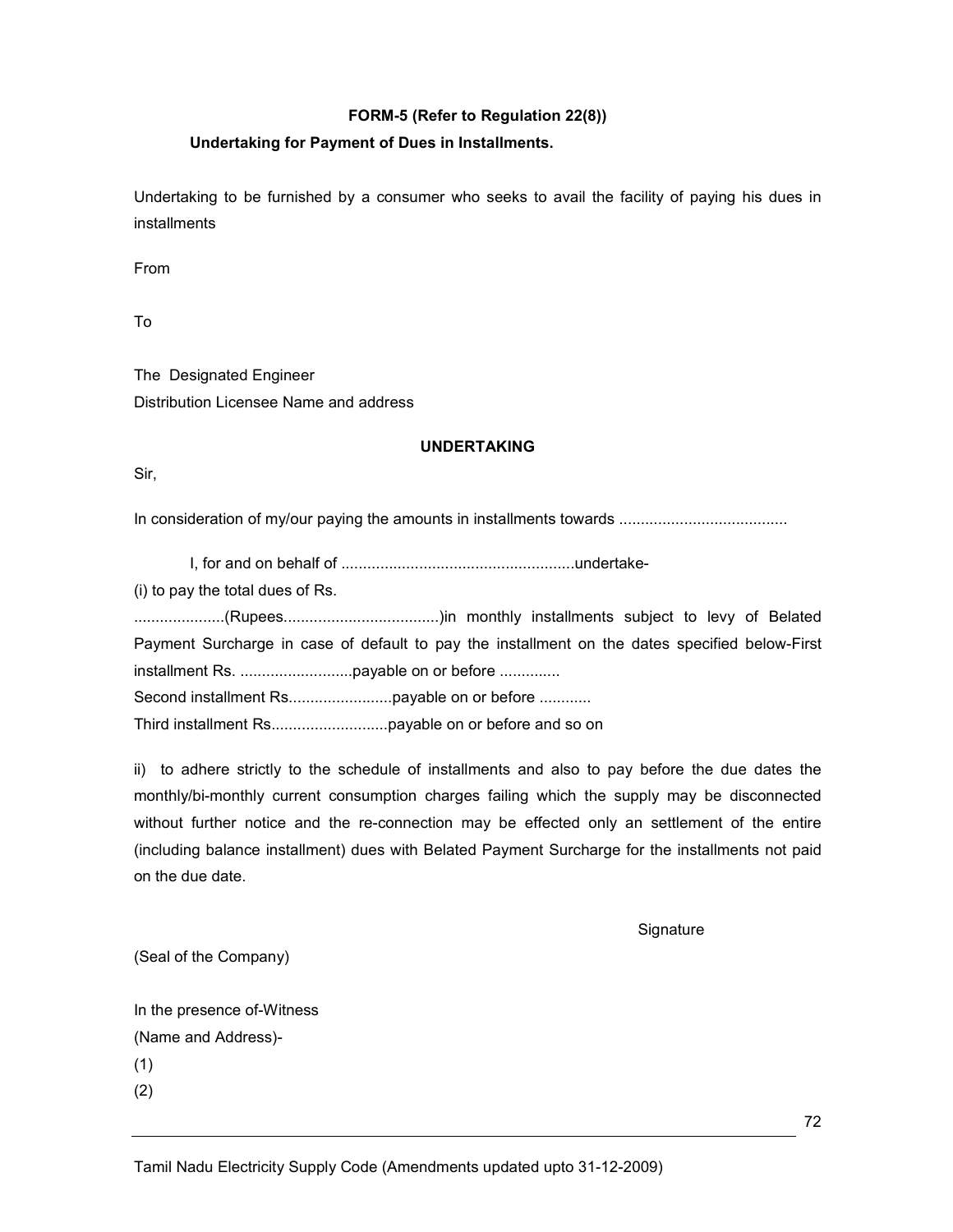# FORM-5 (Refer to Regulation 22(8))

# Undertaking for Payment of Dues in Installments.

Undertaking to be furnished by a consumer who seeks to avail the facility of paying his dues in installments

From

To

The Designated Engineer Distribution Licensee Name and address

#### UNDERTAKING

Sir,

In consideration of my/our paying the amounts in installments towards .......................................

I, for and on behalf of ......................................................undertake-

(i) to pay the total dues of Rs.

.....................(Rupees....................................)in monthly installments subject to levy of Belated Payment Surcharge in case of default to pay the installment on the dates specified below-First installment Rs. ..........................payable on or before .............. Second installment Rs........................payable on or before ............ Third installment Rs...........................payable on or before and so on

ii) to adhere strictly to the schedule of installments and also to pay before the due dates the monthly/bi-monthly current consumption charges failing which the supply may be disconnected without further notice and the re-connection may be effected only an settlement of the entire (including balance installment) dues with Belated Payment Surcharge for the installments not paid on the due date.

**Signature** 

(Seal of the Company)

In the presence of-Witness (Name and Address)-

(1)

(2)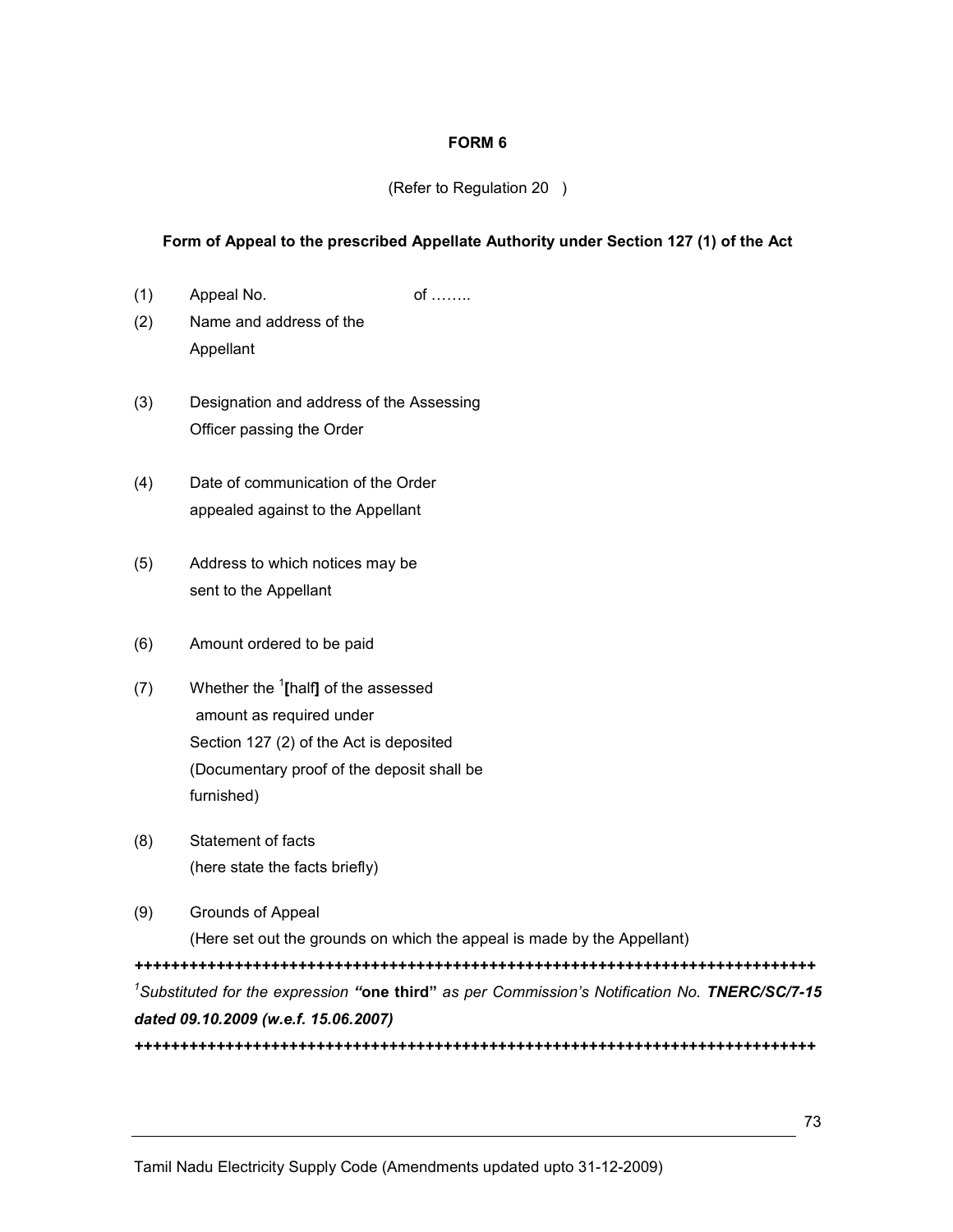### FORM 6

# (Refer to Regulation 20 )

# Form of Appeal to the prescribed Appellate Authority under Section 127 (1) of the Act

- (1) Appeal No. 6 of ……..
- (2) Name and address of the Appellant
- (3) Designation and address of the Assessing Officer passing the Order
- (4) Date of communication of the Order appealed against to the Appellant
- (5) Address to which notices may be sent to the Appellant
- (6) Amount ordered to be paid
- (7) Whether the  $\frac{1}{2}$ [half] of the assessed amount as required under Section 127 (2) of the Act is deposited (Documentary proof of the deposit shall be furnished)
- (8) Statement of facts (here state the facts briefly)
- (9) Grounds of Appeal

(Here set out the grounds on which the appeal is made by the Appellant)

+++++++++++++++++++++++++++++++++++++++++++++++++++++++++++++++++++++++++++ <sup>1</sup>Substituted for the expression "one third" as per Commission's Notification No. TNERC/SC/7-15 dated 09.10.2009 (w.e.f. 15.06.2007)

+++++++++++++++++++++++++++++++++++++++++++++++++++++++++++++++++++++++++++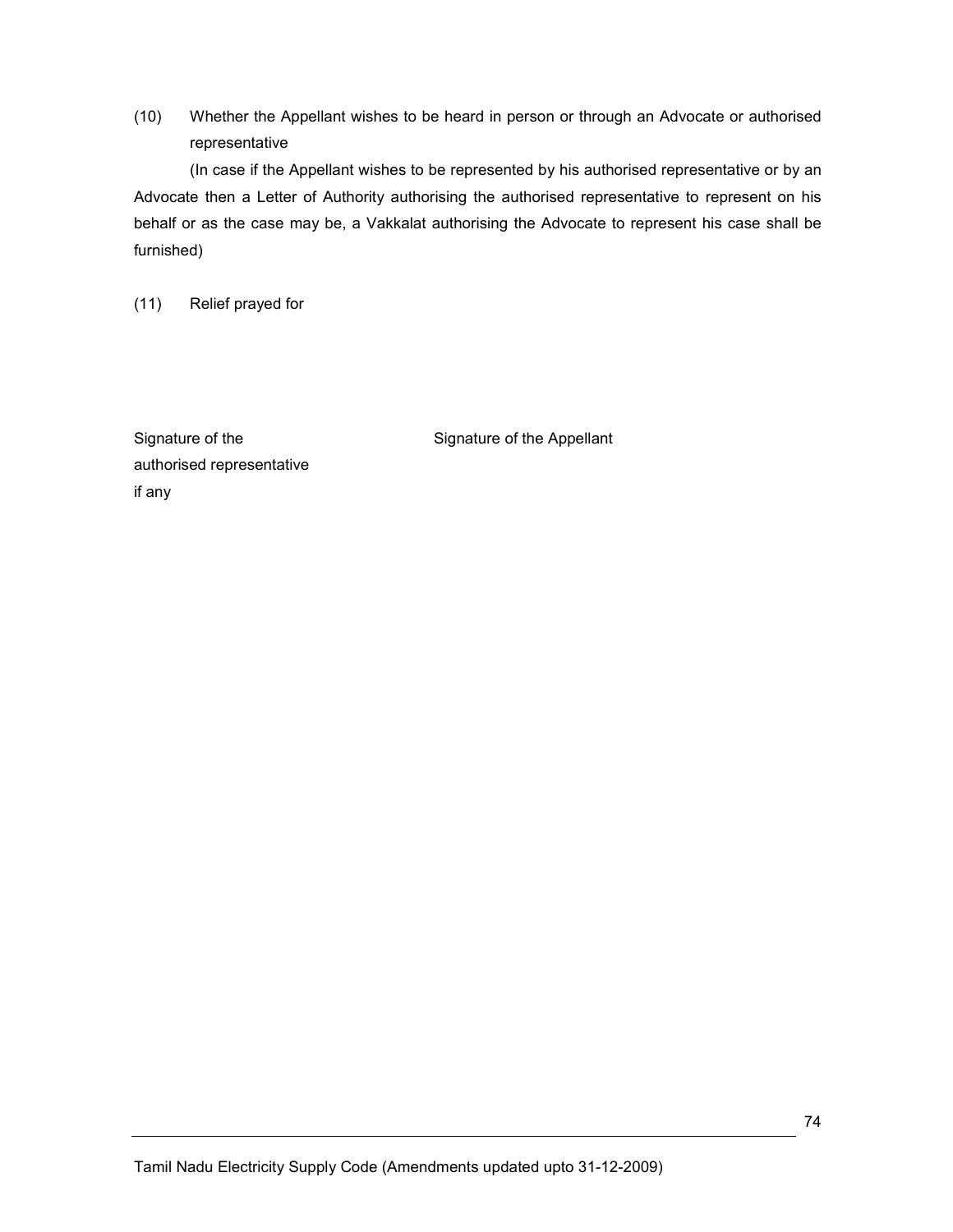(10) Whether the Appellant wishes to be heard in person or through an Advocate or authorised representative

(In case if the Appellant wishes to be represented by his authorised representative or by an Advocate then a Letter of Authority authorising the authorised representative to represent on his behalf or as the case may be, a Vakkalat authorising the Advocate to represent his case shall be furnished)

(11) Relief prayed for

authorised representative if any

Signature of the Signature of the Appellant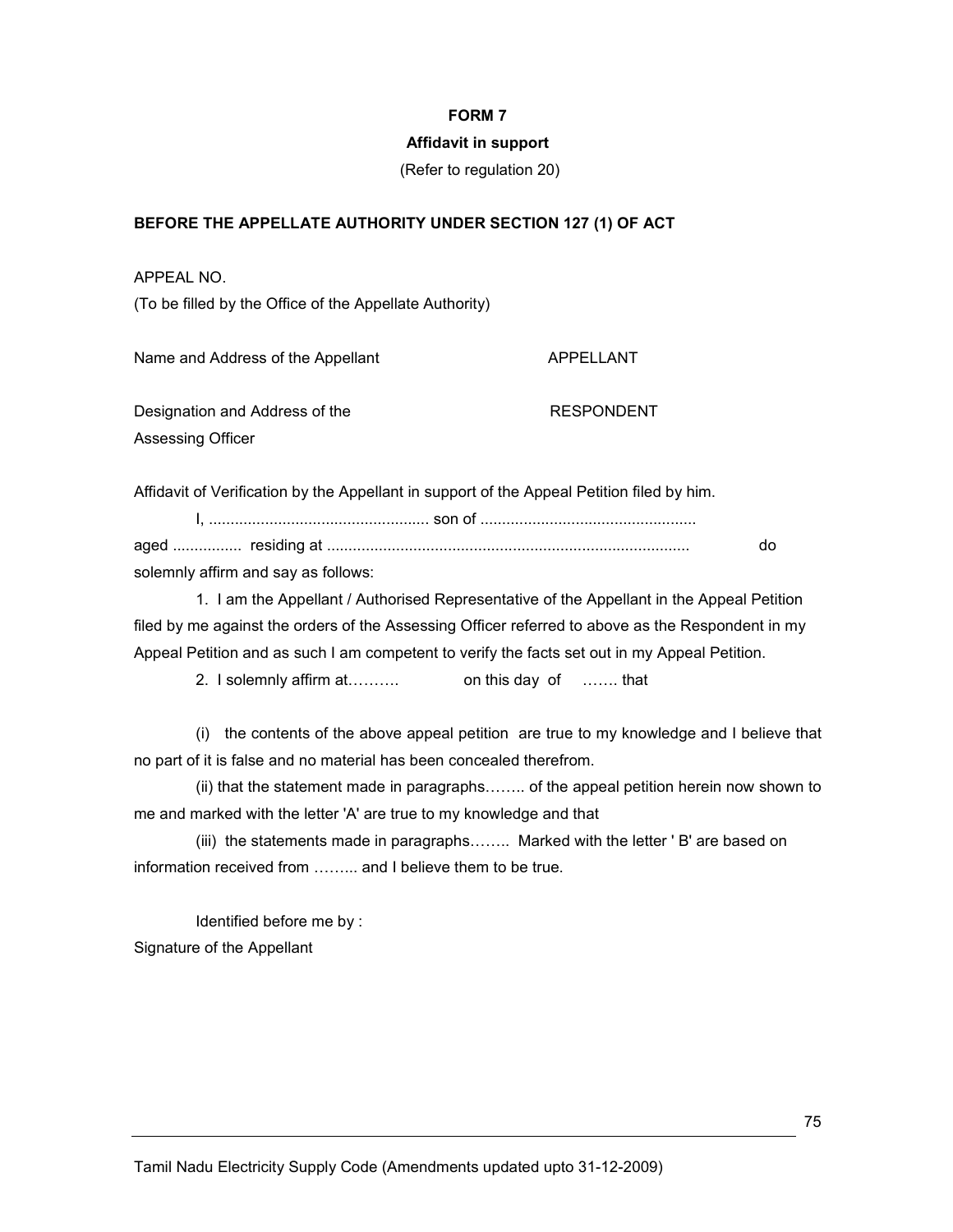### FORM 7

### Affidavit in support

(Refer to regulation 20)

### BEFORE THE APPELLATE AUTHORITY UNDER SECTION 127 (1) OF ACT

APPEAL NO.

(To be filled by the Office of the Appellate Authority)

Name and Address of the Appellant APPELLANT

Designation and Address of the RESPONDENT Assessing Officer

Affidavit of Verification by the Appellant in support of the Appeal Petition filed by him.

 I, ................................................... son of .................................................. aged ................ residing at .................................................................................... do solemnly affirm and say as follows:

 1. I am the Appellant / Authorised Representative of the Appellant in the Appeal Petition filed by me against the orders of the Assessing Officer referred to above as the Respondent in my Appeal Petition and as such I am competent to verify the facts set out in my Appeal Petition.

2. I solemnly affirm at………. on this day of ……. that

 (i) the contents of the above appeal petition are true to my knowledge and I believe that no part of it is false and no material has been concealed therefrom.

 (ii) that the statement made in paragraphs…….. of the appeal petition herein now shown to me and marked with the letter 'A' are true to my knowledge and that

 (iii) the statements made in paragraphs…….. Marked with the letter ' B' are based on information received from ……... and I believe them to be true.

 Identified before me by : Signature of the Appellant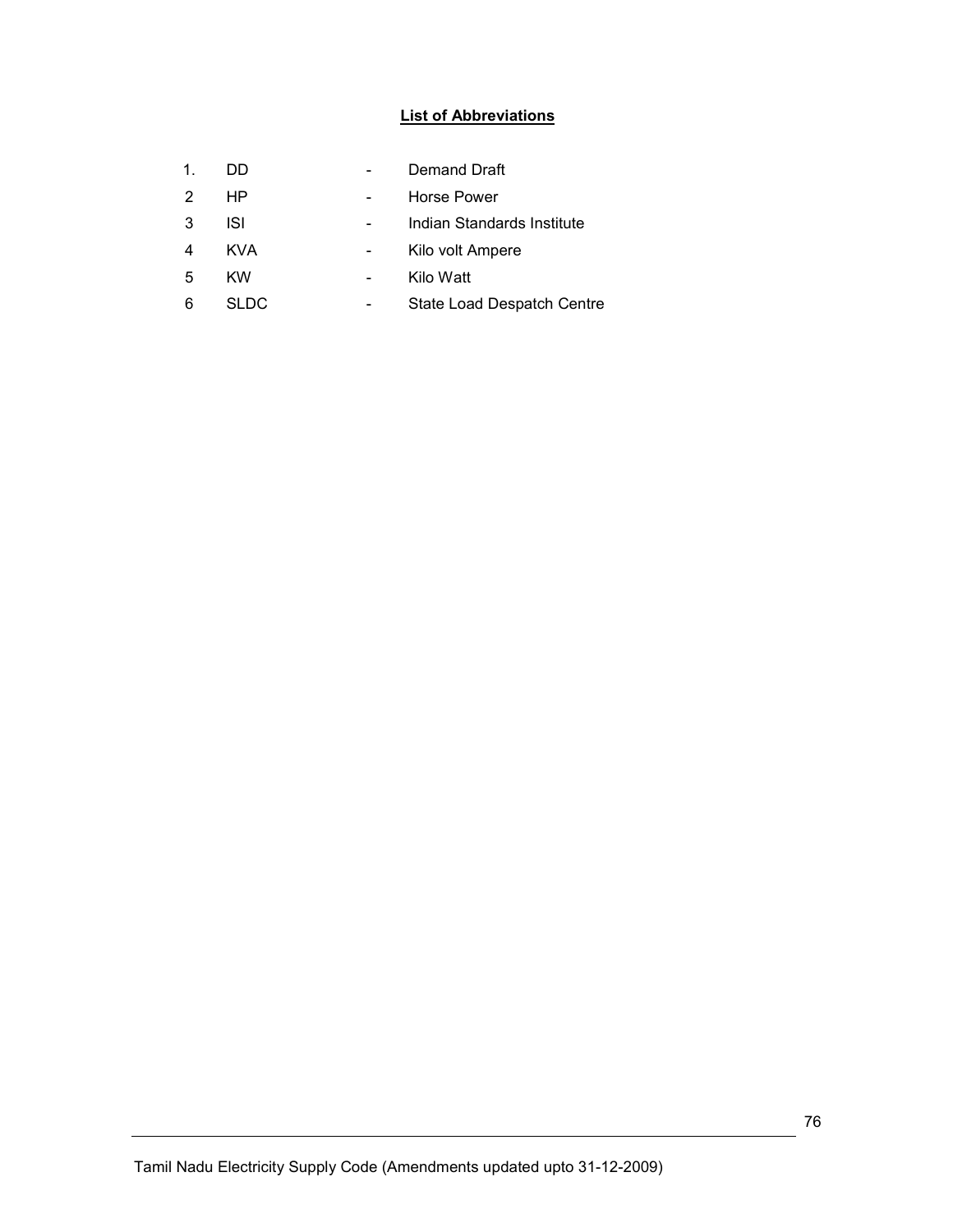# List of Abbreviations

| 1. | DD         | Demand Draft               |
|----|------------|----------------------------|
| 2  | HP         | Horse Power                |
| 3  | ISI        | Indian Standards Institute |
|    | <b>KVA</b> | Kilo volt Ampere           |
| 5  | KW         | Kilo Watt                  |
| 6  | SLDC.      | State Load Despatch Centre |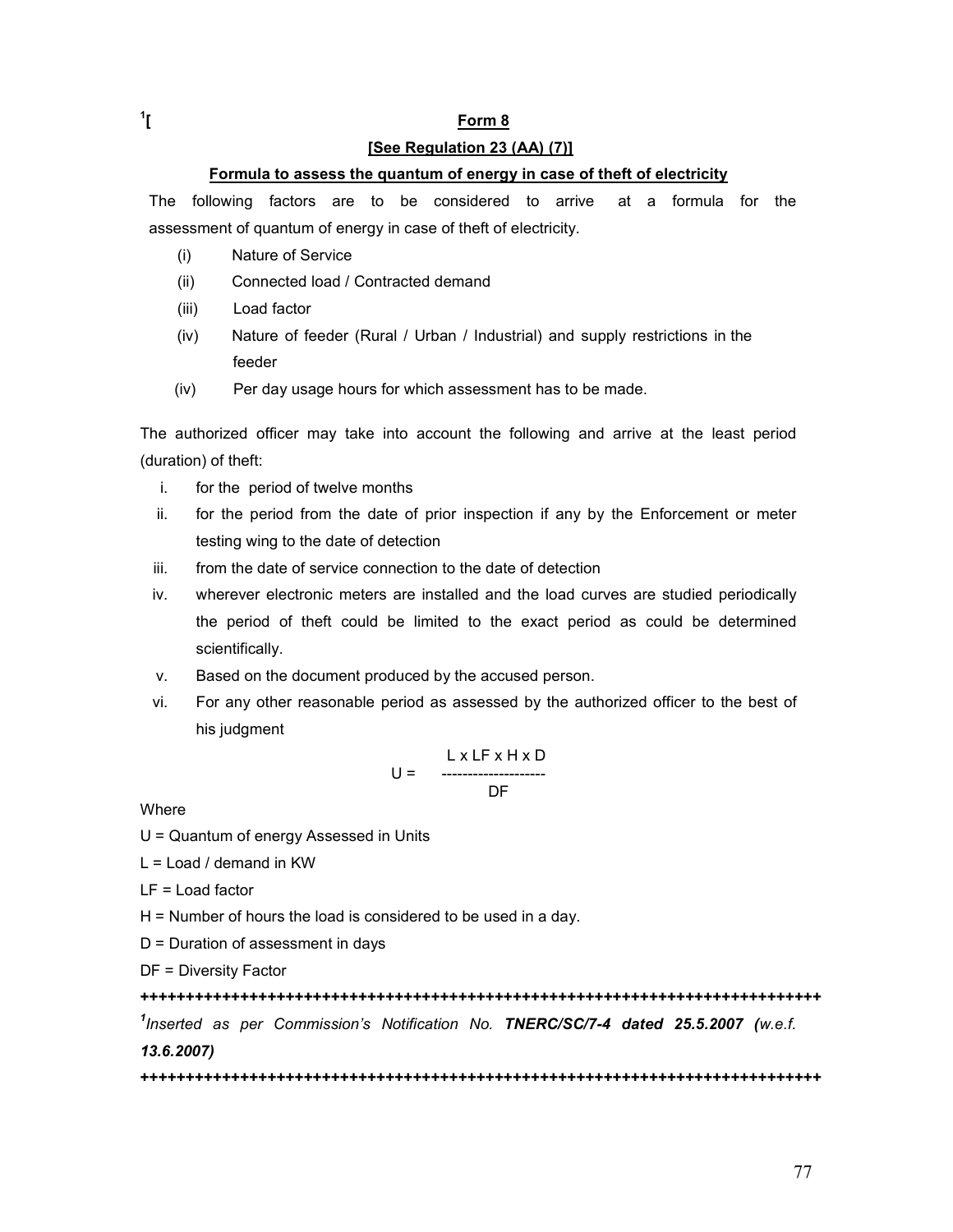### [See Regulation 23 (AA) (7)]

### Formula to assess the quantum of energy in case of theft of electricity

The following factors are to be considered to arrive at a formula for the assessment of quantum of energy in case of theft of electricity.

- (i) Nature of Service
- (ii) Connected load / Contracted demand
- (iii) Load factor
- (iv) Nature of feeder (Rural / Urban / Industrial) and supply restrictions in the feeder
- (iv) Per day usage hours for which assessment has to be made.

The authorized officer may take into account the following and arrive at the least period (duration) of theft:

- i. for the period of twelve months
- ii. for the period from the date of prior inspection if any by the Enforcement or meter testing wing to the date of detection
- iii. from the date of service connection to the date of detection
- iv. wherever electronic meters are installed and the load curves are studied periodically the period of theft could be limited to the exact period as could be determined scientifically.
- v. Based on the document produced by the accused person.
- vi. For any other reasonable period as assessed by the authorized officer to the best of his judgment

$$
U = \begin{array}{c} L \times LF \times H \times D \\ \cdots \\ DF \end{array}
$$

**Where** 

U = Quantum of energy Assessed in Units

 $L =$  Load / demand in KW

LF = Load factor

H = Number of hours the load is considered to be used in a day.

D = Duration of assessment in days

DF = Diversity Factor

+++++++++++++++++++++++++++++++++++++++++++++++++++++++++++++++++++++++++++

 $^1$ Inserted as per Commission's Notification No. TNERC/SC/7-4 dated 25.5.2007 (w.e.f. 13.6.2007)

+++++++++++++++++++++++++++++++++++++++++++++++++++++++++++++++++++++++++++

 $\mathbf{1}$ <sup>1</sup>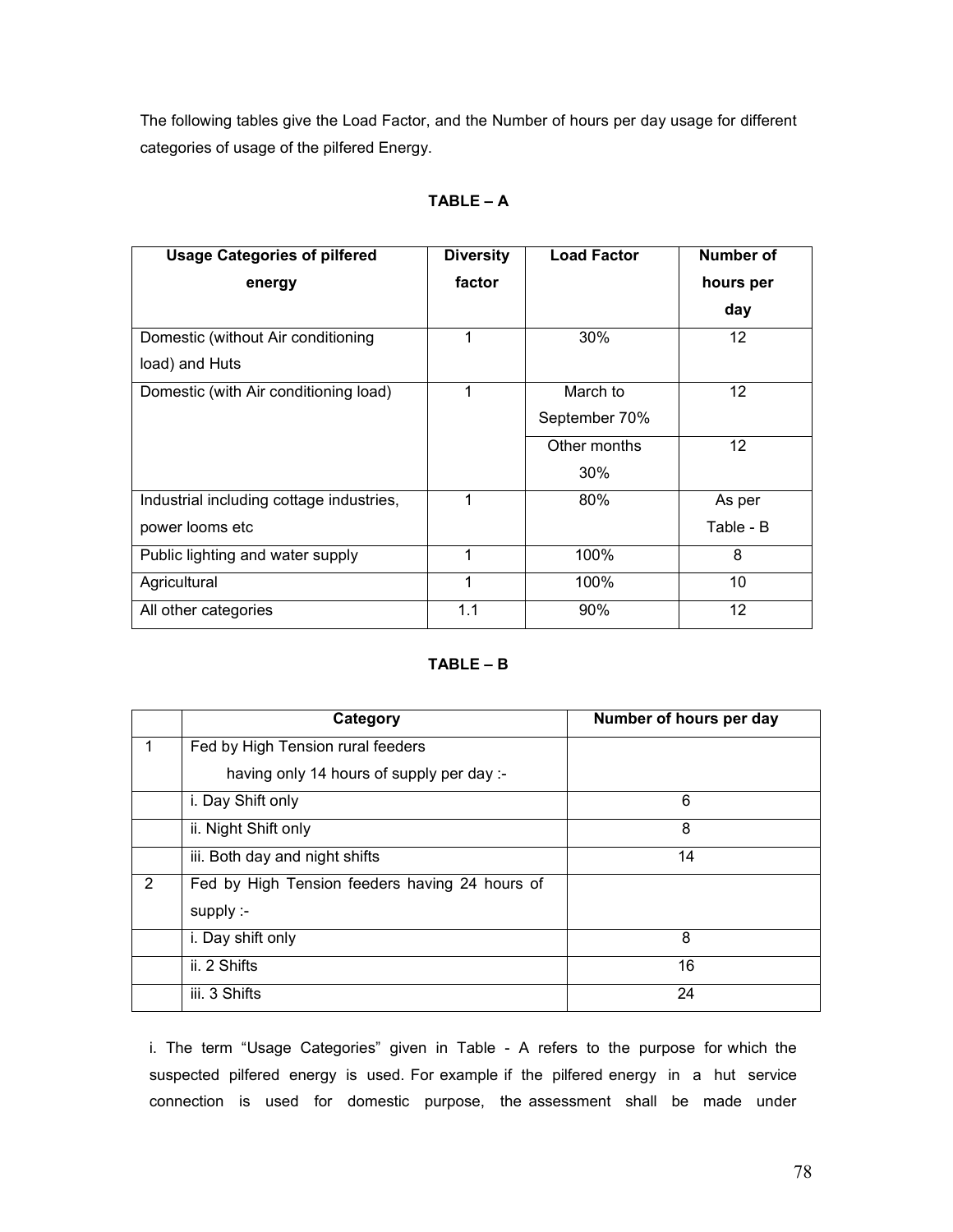The following tables give the Load Factor, and the Number of hours per day usage for different categories of usage of the pilfered Energy.

| TABLE |  |
|-------|--|
|       |  |

| <b>Usage Categories of pilfered</b>      | <b>Diversity</b> | <b>Load Factor</b> | Number of |
|------------------------------------------|------------------|--------------------|-----------|
| energy                                   | factor           |                    | hours per |
|                                          |                  |                    | day       |
| Domestic (without Air conditioning       | 1                | 30%                | 12        |
| load) and Huts                           |                  |                    |           |
| Domestic (with Air conditioning load)    | 1                | March to           | 12        |
|                                          |                  | September 70%      |           |
|                                          |                  | Other months       | 12        |
|                                          |                  | 30%                |           |
| Industrial including cottage industries, | 1                | 80%                | As per    |
| power looms etc                          |                  |                    | Table - B |
| Public lighting and water supply         | 1                | 100%               | 8         |
| Agricultural                             | 1                | 100%               | 10        |
| All other categories                     | 1.1              | 90%                | 12        |

### TABLE – B

|   | Category                                       | Number of hours per day |
|---|------------------------------------------------|-------------------------|
|   | Fed by High Tension rural feeders              |                         |
|   | having only 14 hours of supply per day :-      |                         |
|   | i. Day Shift only                              | 6                       |
|   | ii. Night Shift only                           | 8                       |
|   | iii. Both day and night shifts                 | 14                      |
| 2 | Fed by High Tension feeders having 24 hours of |                         |
|   | supply :-                                      |                         |
|   | i. Day shift only                              | 8                       |
|   | ii. 2 Shifts                                   | 16                      |
|   | iii. 3 Shifts                                  | 24                      |

i. The term "Usage Categories" given in Table - A refers to the purpose for which the suspected pilfered energy is used. For example if the pilfered energy in a hut service connection is used for domestic purpose, the assessment shall be made under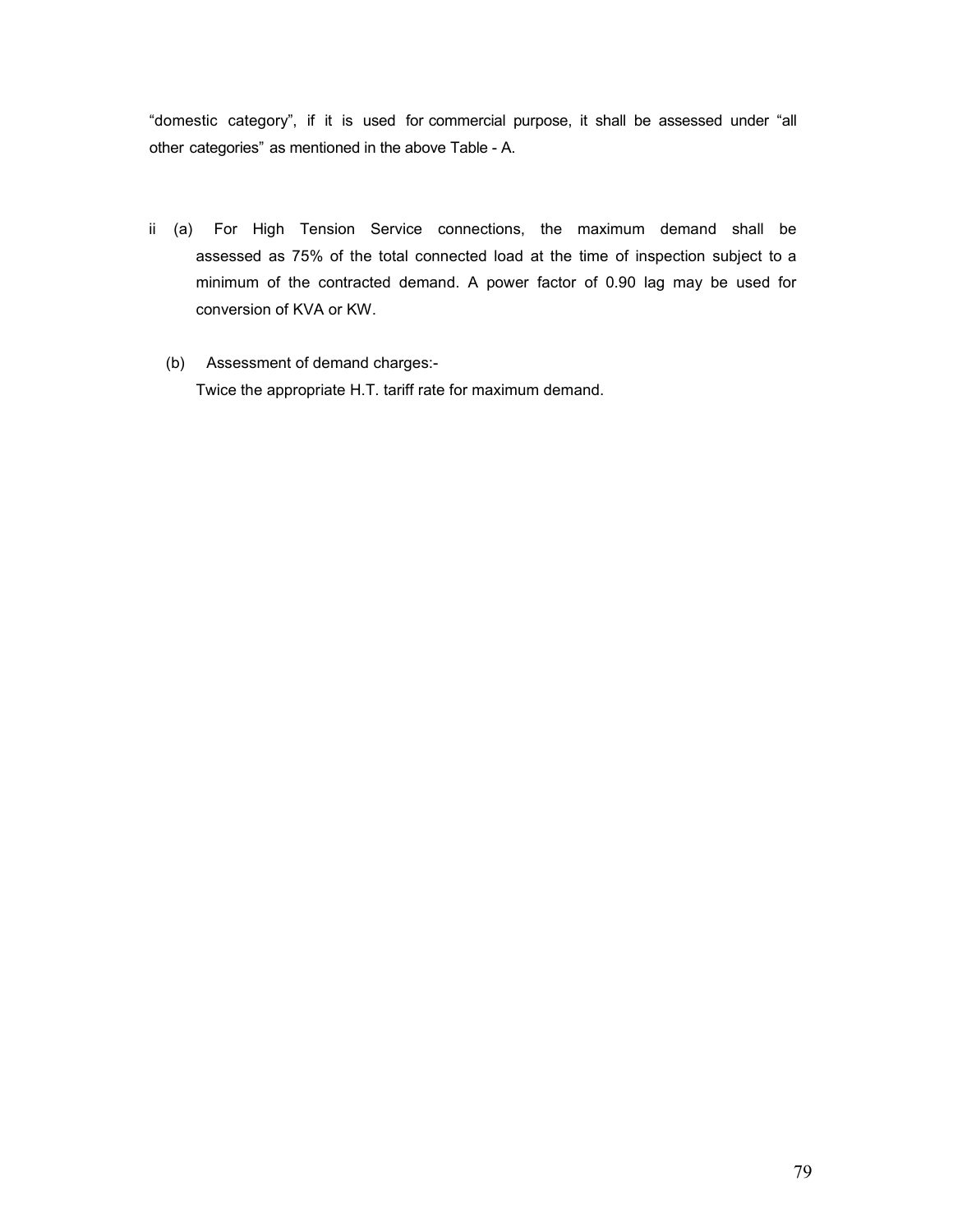"domestic category", if it is used for commercial purpose, it shall be assessed under "all other categories" as mentioned in the above Table - A.

- ii (a) For High Tension Service connections, the maximum demand shall be assessed as 75% of the total connected load at the time of inspection subject to a minimum of the contracted demand. A power factor of 0.90 lag may be used for conversion of KVA or KW.
	- (b) Assessment of demand charges:- Twice the appropriate H.T. tariff rate for maximum demand.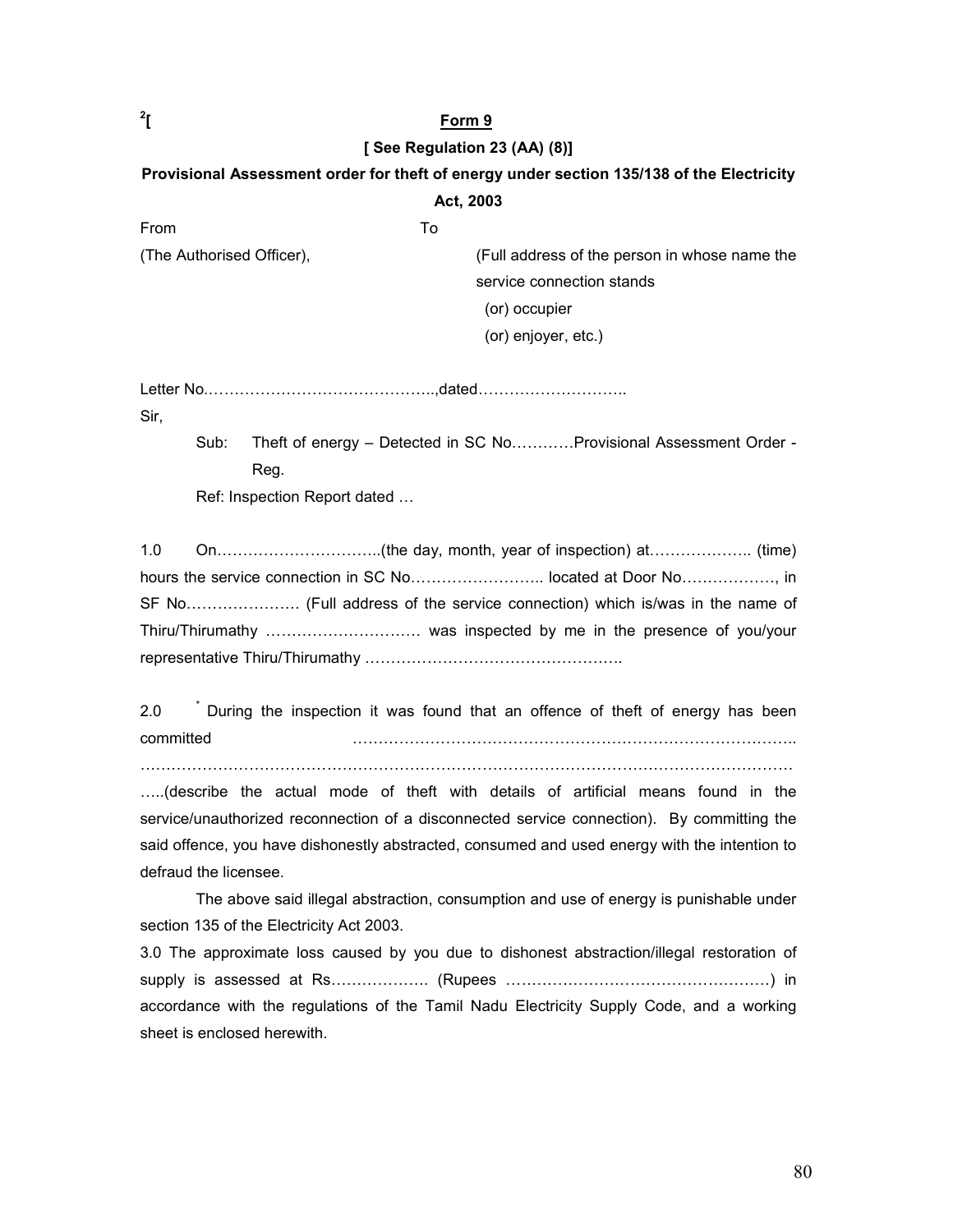### [ See Regulation 23 (AA) (8)]

# Provisional Assessment order for theft of energy under section 135/138 of the Electricity Act, 2003

From To (The Authorised Officer), (Full address of the person in whose name the service connection stands (or) occupier (or) enjoyer, etc.)

Letter No.……………………………………..,dated………………………..

Sir,

 $\overline{1}^2$ 

Sub: Theft of energy – Detected in SC No…………Provisional Assessment Order - Reg.

Ref: Inspection Report dated …

1.0 On…………………………..(the day, month, year of inspection) at……………….. (time) hours the service connection in SC No…………………….. located at Door No………………, in SF No…………………. (Full address of the service connection) which is/was in the name of Thiru/Thirumathy ………………………… was inspected by me in the presence of you/your representative Thiru/Thirumathy …………………………………………..

2.0 <sup>\*</sup> During the inspection it was found that an offence of theft of energy has been committed …………………………………………………………………………..

………………………………………………………………………………………………………………

…..(describe the actual mode of theft with details of artificial means found in the service/unauthorized reconnection of a disconnected service connection). By committing the said offence, you have dishonestly abstracted, consumed and used energy with the intention to defraud the licensee.

 The above said illegal abstraction, consumption and use of energy is punishable under section 135 of the Electricity Act 2003.

3.0 The approximate loss caused by you due to dishonest abstraction/illegal restoration of supply is assessed at Rs………………. (Rupees ……………………………………………) in accordance with the regulations of the Tamil Nadu Electricity Supply Code, and a working sheet is enclosed herewith.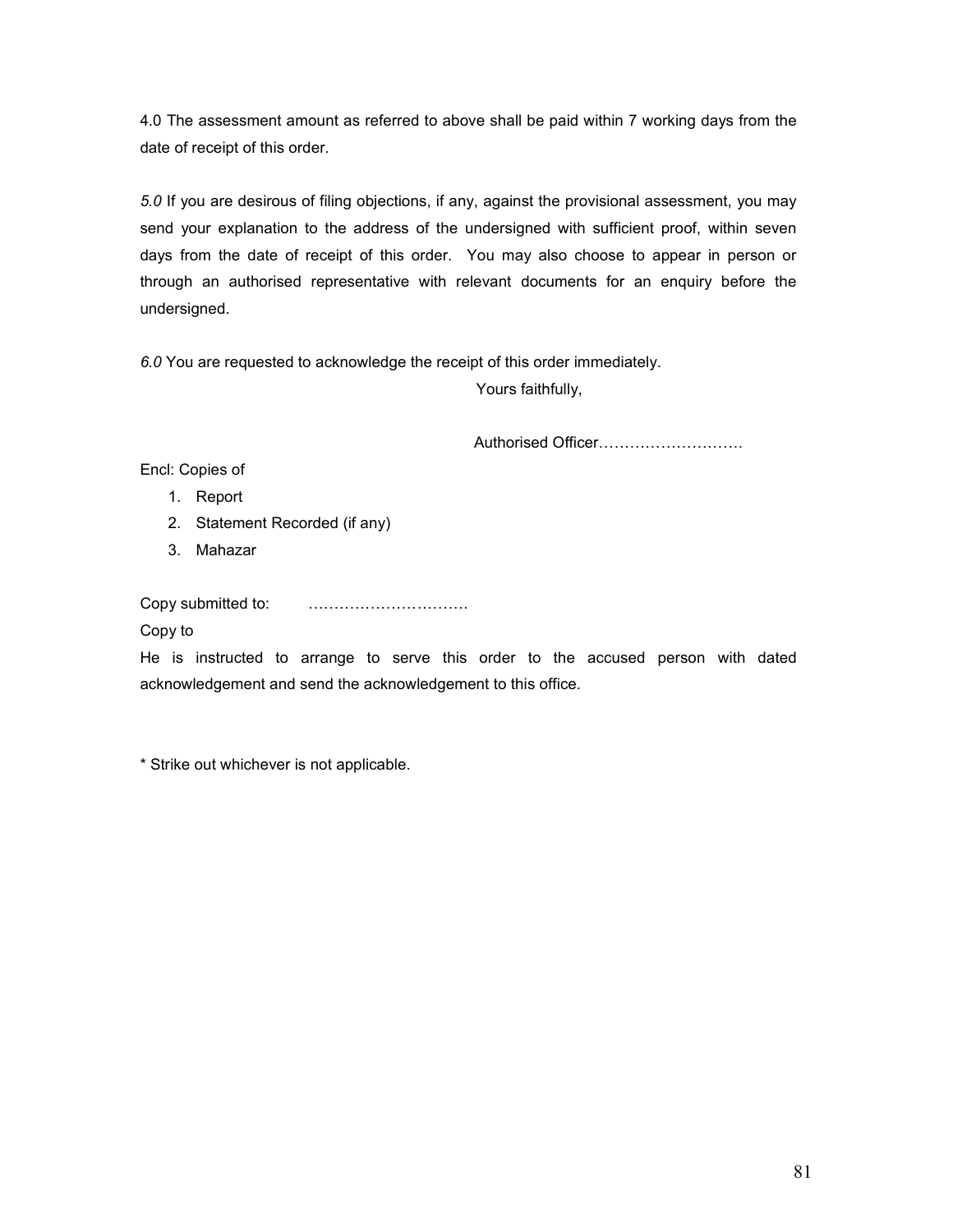4.0 The assessment amount as referred to above shall be paid within 7 working days from the date of receipt of this order.

5.0 If you are desirous of filing objections, if any, against the provisional assessment, you may send your explanation to the address of the undersigned with sufficient proof, within seven days from the date of receipt of this order. You may also choose to appear in person or through an authorised representative with relevant documents for an enquiry before the undersigned.

6.0 You are requested to acknowledge the receipt of this order immediately.

Yours faithfully,

Authorised Officer……………………….

Encl: Copies of

- 1. Report
- 2. Statement Recorded (if any)
- 3. Mahazar

Copy submitted to: ………………………….

Copy to

He is instructed to arrange to serve this order to the accused person with dated acknowledgement and send the acknowledgement to this office.

\* Strike out whichever is not applicable.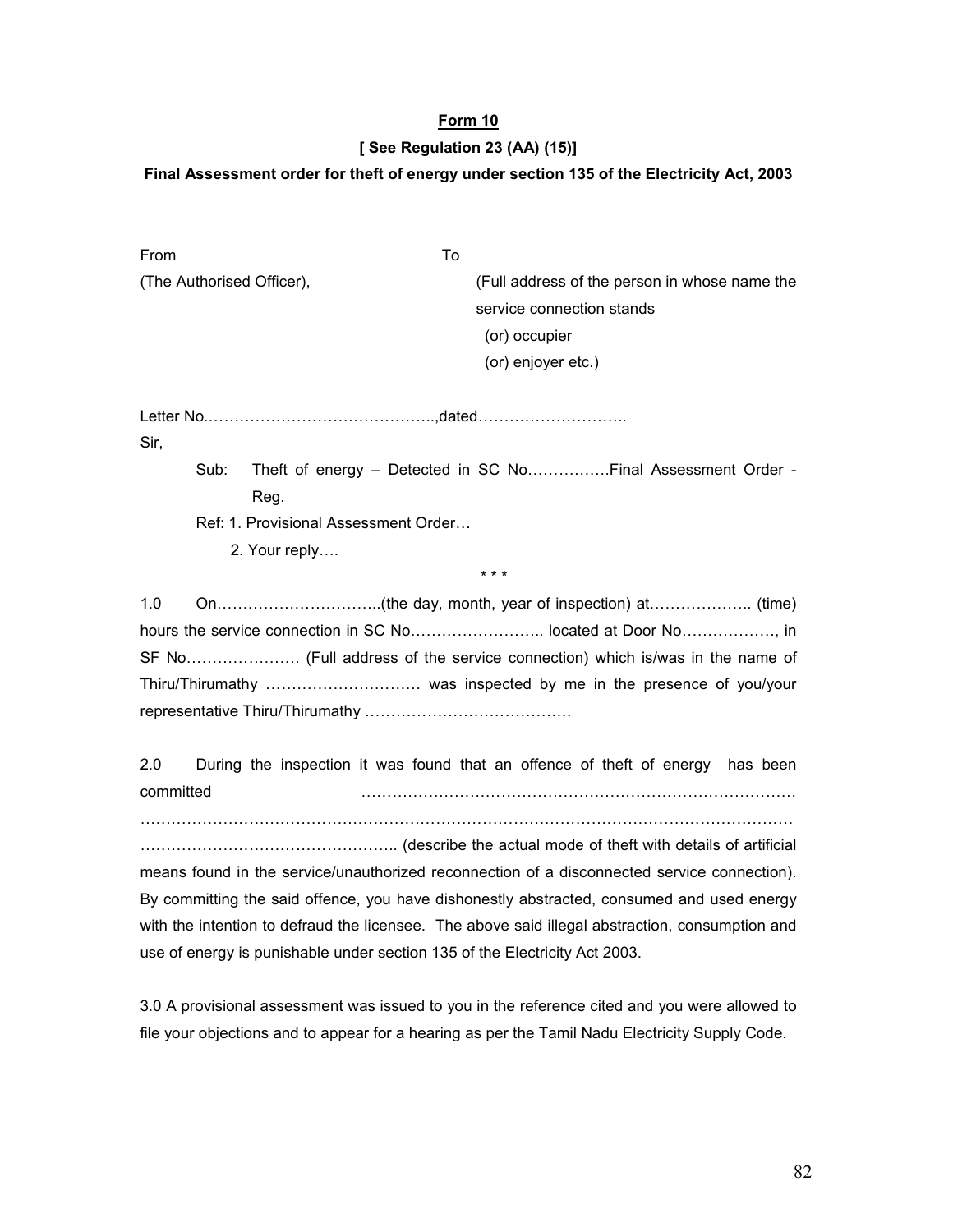### [ See Regulation 23 (AA) (15)]

### Final Assessment order for theft of energy under section 135 of the Electricity Act, 2003

| From                                 | To                                                                |
|--------------------------------------|-------------------------------------------------------------------|
| (The Authorised Officer),            | (Full address of the person in whose name the                     |
|                                      | service connection stands                                         |
|                                      | (or) occupier                                                     |
|                                      | (or) enjoyer etc.)                                                |
|                                      |                                                                   |
| Sir,                                 |                                                                   |
| Sub:                                 | Theft of energy – Detected in SC NoFinal Assessment Order -       |
| Reg.                                 |                                                                   |
| Ref: 1. Provisional Assessment Order |                                                                   |
| 2. Your reply                        |                                                                   |
|                                      | * * *                                                             |
| 1.0                                  |                                                                   |
|                                      | hours the service connection in SC No located at Door No, in      |
|                                      |                                                                   |
|                                      | Thiru/Thirumathy  was inspected by me in the presence of you/your |
|                                      |                                                                   |

2.0 During the inspection it was found that an offence of theft of energy has been committed …………………………………………………………………………

………………………………………………………………………………………………………………

………………………………………….. (describe the actual mode of theft with details of artificial means found in the service/unauthorized reconnection of a disconnected service connection). By committing the said offence, you have dishonestly abstracted, consumed and used energy with the intention to defraud the licensee. The above said illegal abstraction, consumption and use of energy is punishable under section 135 of the Electricity Act 2003.

3.0 A provisional assessment was issued to you in the reference cited and you were allowed to file your objections and to appear for a hearing as per the Tamil Nadu Electricity Supply Code.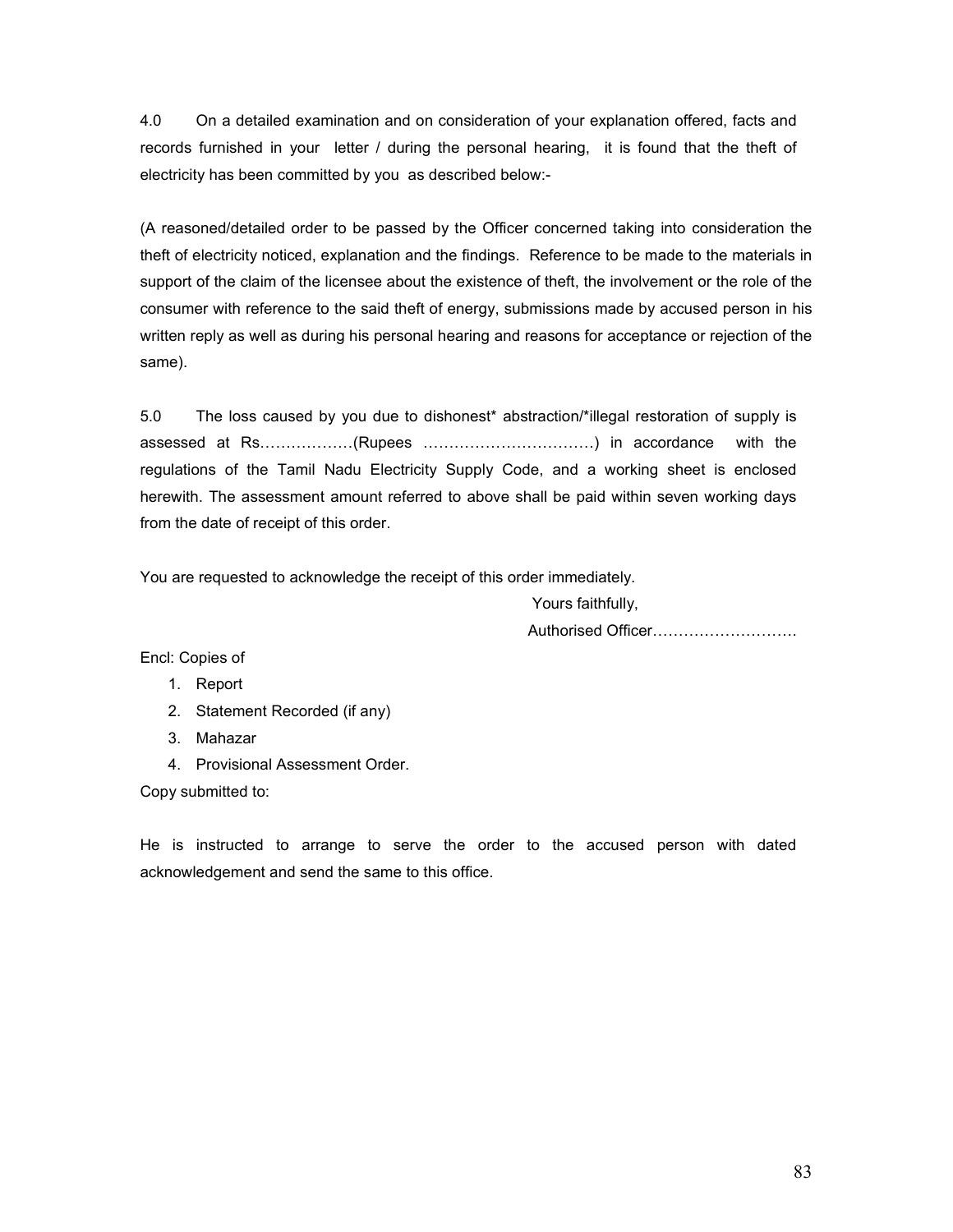4.0 On a detailed examination and on consideration of your explanation offered, facts and records furnished in your letter / during the personal hearing, it is found that the theft of electricity has been committed by you as described below:-

(A reasoned/detailed order to be passed by the Officer concerned taking into consideration the theft of electricity noticed, explanation and the findings. Reference to be made to the materials in support of the claim of the licensee about the existence of theft, the involvement or the role of the consumer with reference to the said theft of energy, submissions made by accused person in his written reply as well as during his personal hearing and reasons for acceptance or rejection of the same).

5.0 The loss caused by you due to dishonest\* abstraction/\*illegal restoration of supply is assessed at Rs………………(Rupees ……………………………) in accordance with the regulations of the Tamil Nadu Electricity Supply Code, and a working sheet is enclosed herewith. The assessment amount referred to above shall be paid within seven working days from the date of receipt of this order.

You are requested to acknowledge the receipt of this order immediately.

 Yours faithfully, Authorised Officer……………………….

Encl: Copies of

- 1. Report
- 2. Statement Recorded (if any)
- 3. Mahazar
- 4. Provisional Assessment Order.

Copy submitted to:

He is instructed to arrange to serve the order to the accused person with dated acknowledgement and send the same to this office.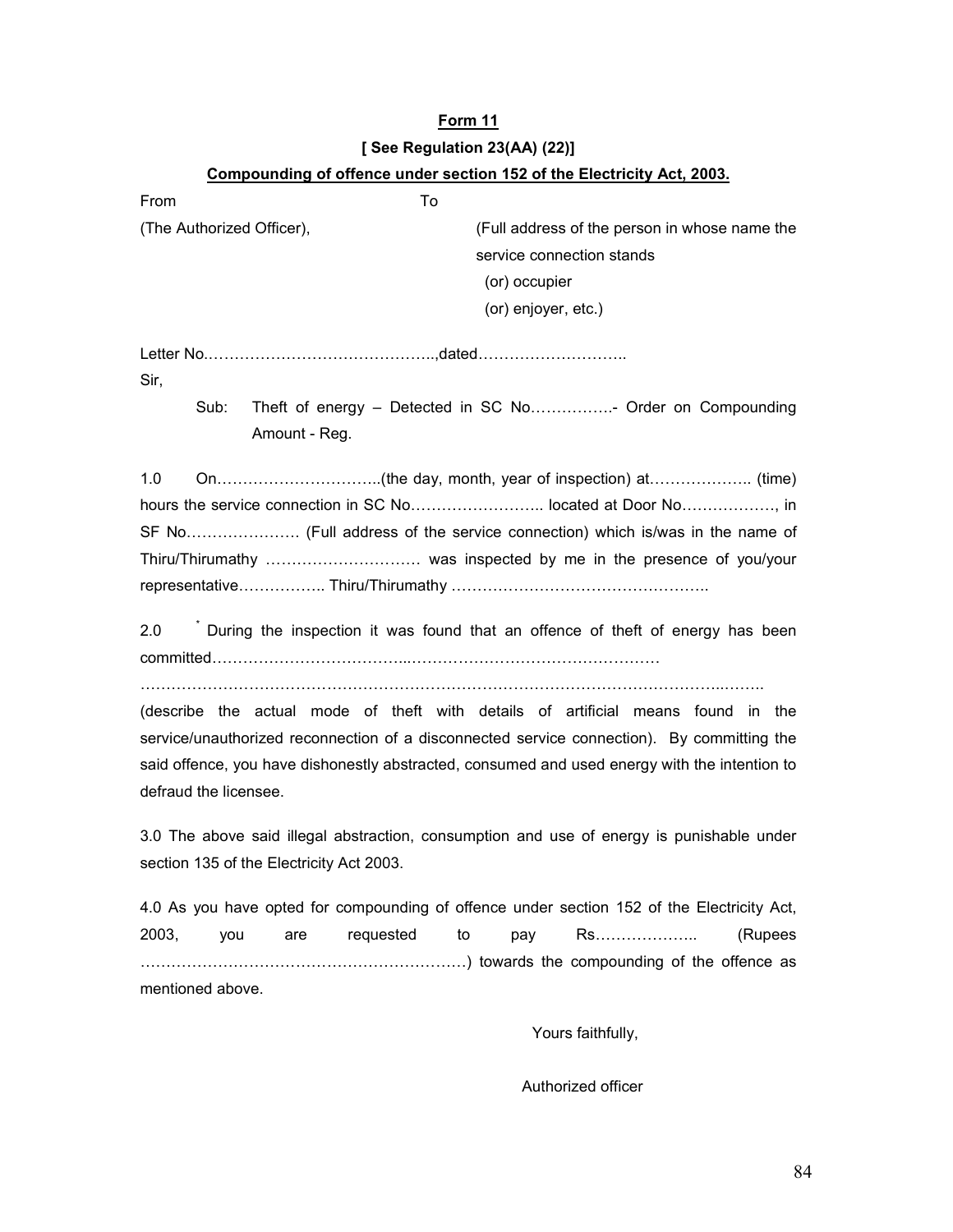# Form 11 [ See Regulation 23(AA) (22)]

|                                                                                                                                                                                                                                                                                                          | Compounding of offence under section 152 of the Electricity Act, 2003.                     |  |  |
|----------------------------------------------------------------------------------------------------------------------------------------------------------------------------------------------------------------------------------------------------------------------------------------------------------|--------------------------------------------------------------------------------------------|--|--|
| From                                                                                                                                                                                                                                                                                                     | To                                                                                         |  |  |
| (The Authorized Officer),                                                                                                                                                                                                                                                                                | (Full address of the person in whose name the                                              |  |  |
|                                                                                                                                                                                                                                                                                                          | service connection stands                                                                  |  |  |
|                                                                                                                                                                                                                                                                                                          | (or) occupier                                                                              |  |  |
|                                                                                                                                                                                                                                                                                                          | (or) enjoyer, etc.)                                                                        |  |  |
| Sir,                                                                                                                                                                                                                                                                                                     |                                                                                            |  |  |
| Sub:                                                                                                                                                                                                                                                                                                     | Theft of energy - Detected in SC No Order on Compounding<br>Amount - Reg.                  |  |  |
| 1.0<br>hours the service connection in SC No located at Door No<br>Thiru/Thirumathy  was inspected by me in the presence of you/your                                                                                                                                                                     |                                                                                            |  |  |
| During the inspection it was found that an offence of theft of energy has been<br>2.0                                                                                                                                                                                                                    |                                                                                            |  |  |
| (describe the actual mode of theft with details of artificial means found in the<br>service/unauthorized reconnection of a disconnected service connection). By committing the<br>said offence, you have dishonestly abstracted, consumed and used energy with the intention to<br>defraud the licensee. |                                                                                            |  |  |
| 3.0 The above said illegal abstraction, consumption and use of energy is punishable under<br>section 135 of the Electricity Act 2003.                                                                                                                                                                    |                                                                                            |  |  |
|                                                                                                                                                                                                                                                                                                          | 4.0 As you have opted for compounding of offence under section 152 of the Electricity Act, |  |  |
| 2003,<br>you                                                                                                                                                                                                                                                                                             | requested<br>to<br>Rs<br>pay<br>(Rupees<br>are                                             |  |  |
| mentioned above.                                                                                                                                                                                                                                                                                         |                                                                                            |  |  |

Yours faithfully,

Authorized officer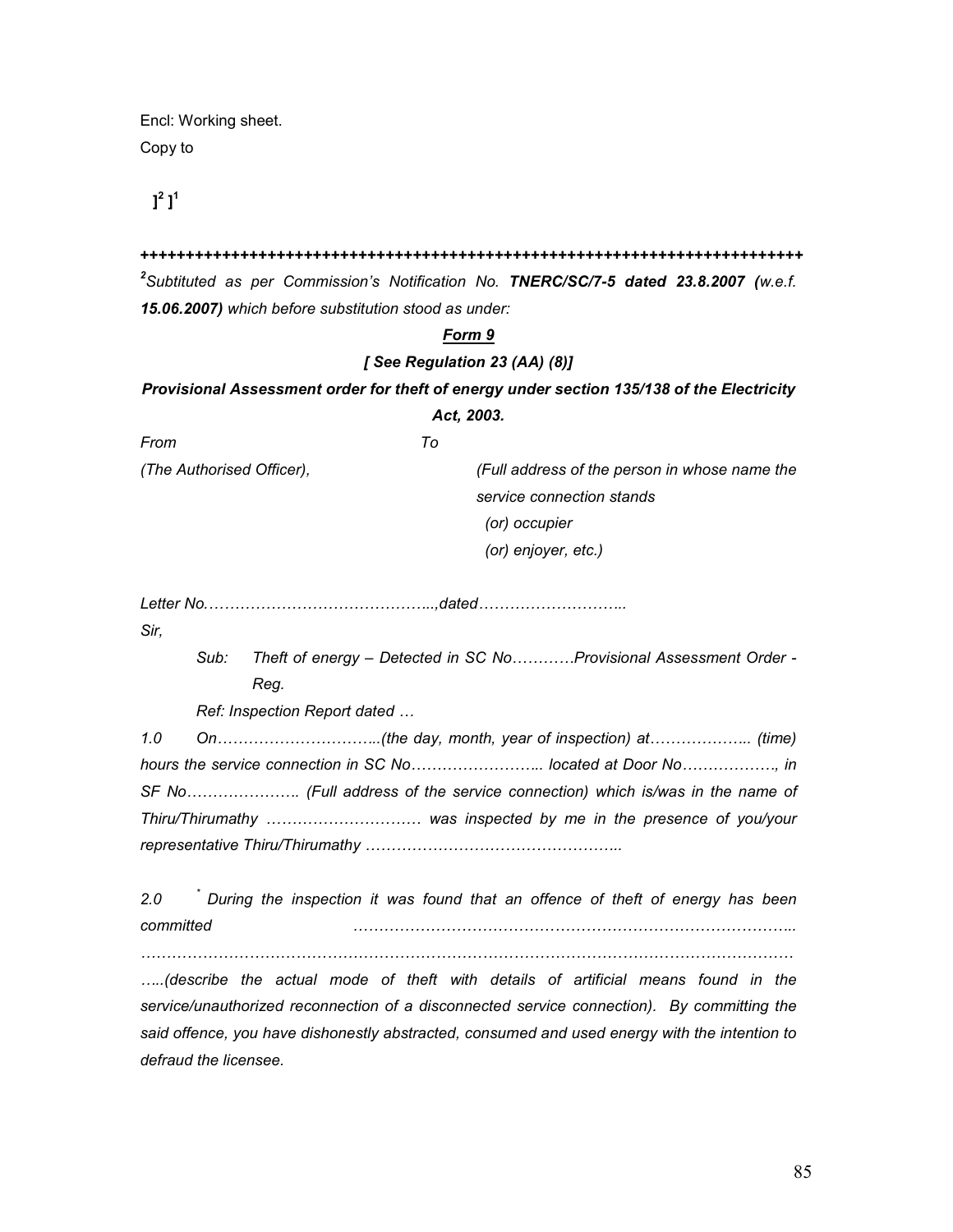Encl: Working sheet. Copy to

 $\mathbf{l}^2$   $\mathbf{l}^1$ 

#### +++++++++++++++++++++++++++++++++++++++++++++++++++++++++++++++++++++++++

 $^2$ Subtituted as per Commission's Notification No. TNERC/SC/7-5 dated 23.8.2007 (w.e.f. 15.06.2007) which before substitution stood as under:

### Form 9

### [ See Regulation 23 (AA) (8)]

Provisional Assessment order for theft of energy under section 135/138 of the Electricity Act, 2003.

From To

(The Authorised Officer), (Full address of the person in whose name the service connection stands (or) occupier (or) enjoyer, etc.)

Letter No.……………………………………..,dated………………………..

Sir,

Sub: Theft of energy – Detected in SC No…………Provisional Assessment Order - Reg.

Ref: Inspection Report dated …

1.0 On…………………………..(the day, month, year of inspection) at……………….. (time) hours the service connection in SC No…………………….. located at Door No………………, in SF No…………………. (Full address of the service connection) which is/was in the name of Thiru/Thirumathy ………………………… was inspected by me in the presence of you/your representative Thiru/Thirumathy …………………………………………..

2.0 \* During the inspection it was found that an offence of theft of energy has been committed …………………………………………………………………………..

……………………………………………………………………………………………………………… …..(describe the actual mode of theft with details of artificial means found in the

service/unauthorized reconnection of a disconnected service connection). By committing the said offence, you have dishonestly abstracted, consumed and used energy with the intention to defraud the licensee.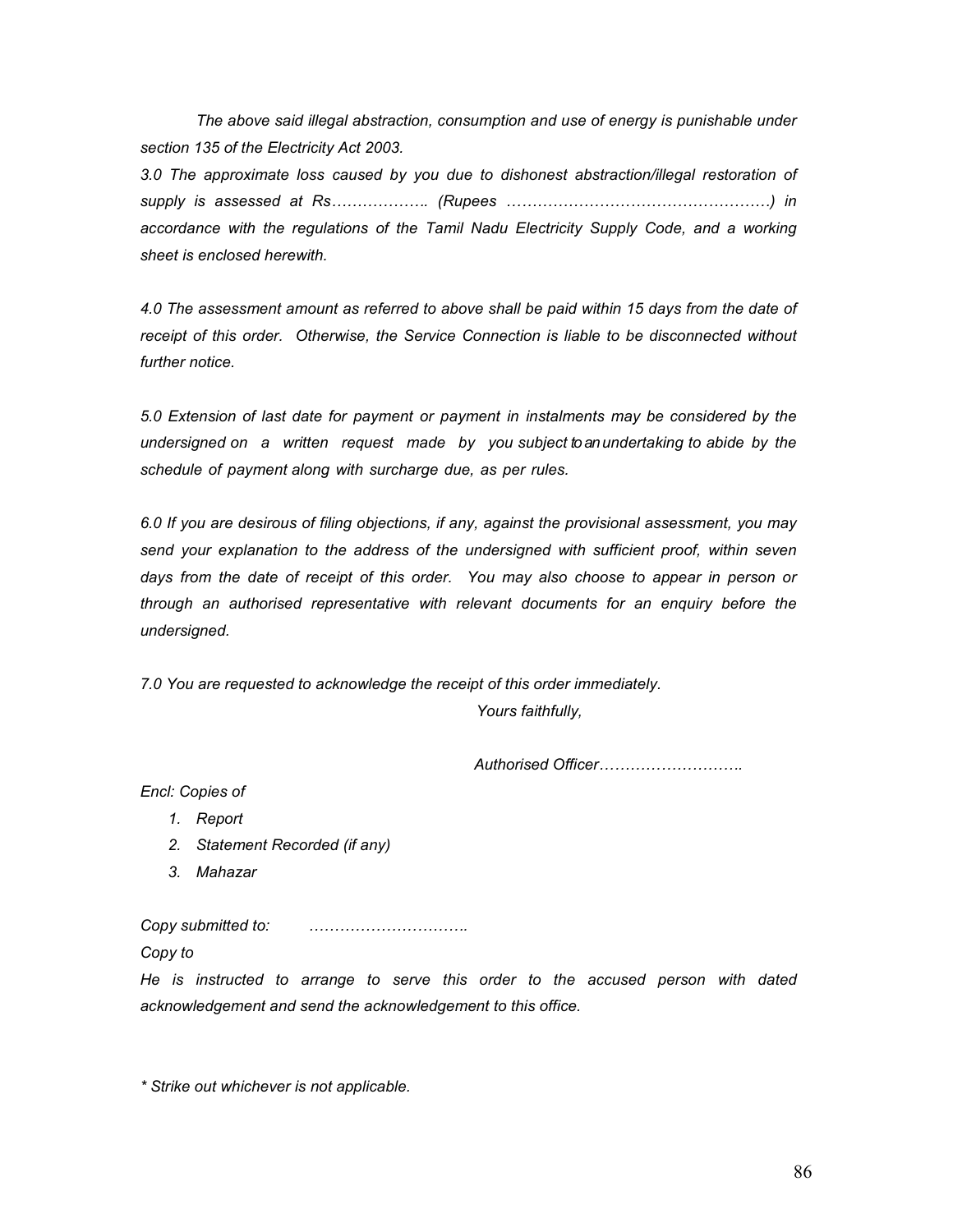The above said illegal abstraction, consumption and use of energy is punishable under section 135 of the Electricity Act 2003.

3.0 The approximate loss caused by you due to dishonest abstraction/illegal restoration of supply is assessed at Rs………………. (Rupees ……………………………………………) in accordance with the regulations of the Tamil Nadu Electricity Supply Code, and a working sheet is enclosed herewith.

4.0 The assessment amount as referred to above shall be paid within 15 days from the date of receipt of this order. Otherwise, the Service Connection is liable to be disconnected without further notice.

5.0 Extension of last date for payment or payment in instalments may be considered by the undersigned on a written request made by you subject to an undertaking to abide by the schedule of payment along with surcharge due, as per rules.

6.0 If you are desirous of filing objections, if any, against the provisional assessment, you may send your explanation to the address of the undersigned with sufficient proof, within seven days from the date of receipt of this order. You may also choose to appear in person or through an authorised representative with relevant documents for an enquiry before the undersigned.

7.0 You are requested to acknowledge the receipt of this order immediately.

Yours faithfully,

Authorised Officer……………………….

Encl: Copies of

- 1. Report
- 2. Statement Recorded (if any)
- 3. Mahazar

Copy submitted to: ………………………….

Copy to

He is instructed to arrange to serve this order to the accused person with dated acknowledgement and send the acknowledgement to this office.

\* Strike out whichever is not applicable.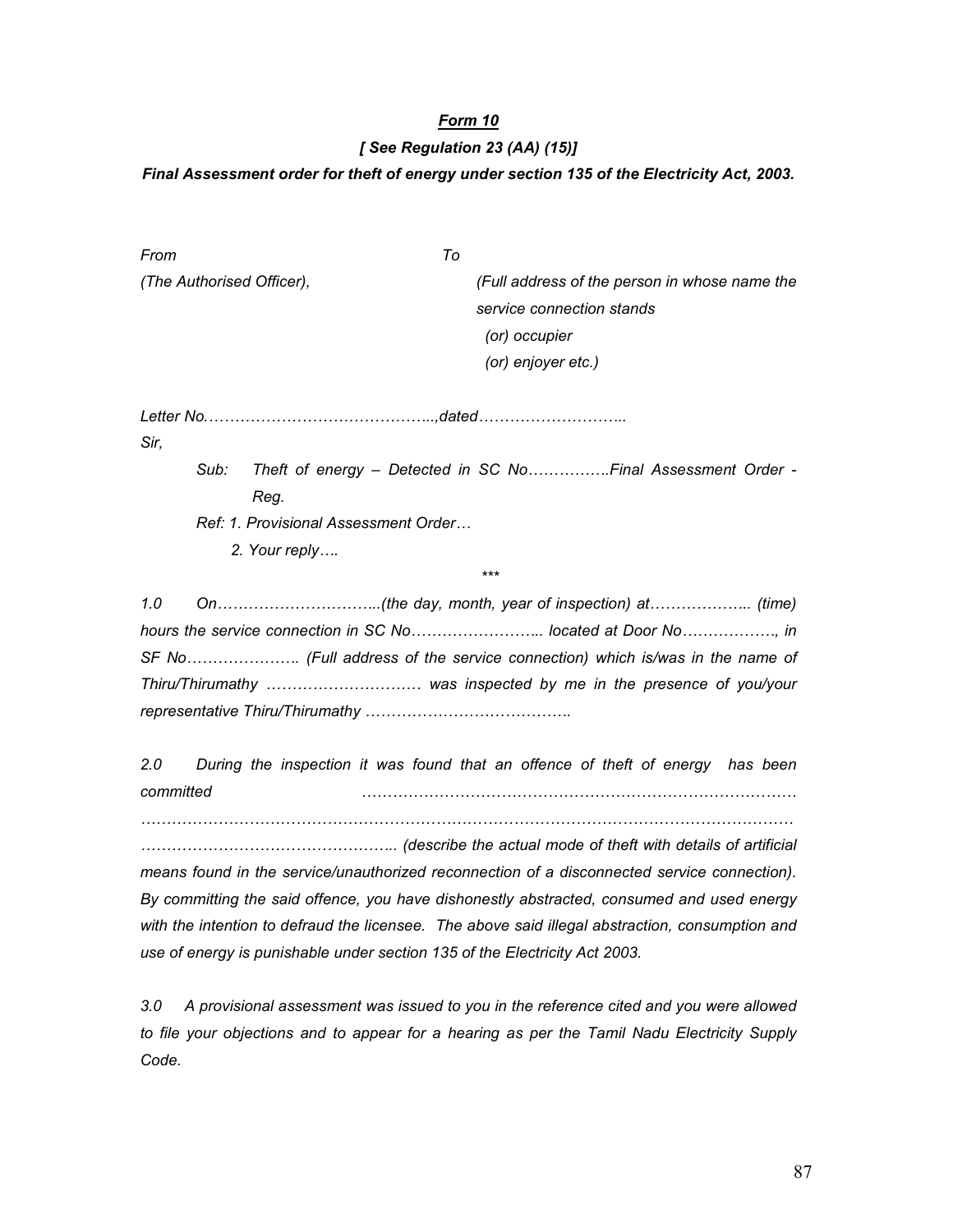#### [ See Regulation 23 (AA) (15)]

### Final Assessment order for theft of energy under section 135 of the Electricity Act, 2003.

| From                                                              | To                                                          |  |
|-------------------------------------------------------------------|-------------------------------------------------------------|--|
| (The Authorised Officer),                                         | (Full address of the person in whose name the               |  |
|                                                                   | service connection stands                                   |  |
|                                                                   | (or) occupier                                               |  |
|                                                                   | (or) enjoyer etc.)                                          |  |
|                                                                   |                                                             |  |
| Sir,                                                              |                                                             |  |
| Sub:                                                              | Theft of energy - Detected in SC NoFinal Assessment Order - |  |
| Reg.                                                              |                                                             |  |
| Ref: 1. Provisional Assessment Order                              |                                                             |  |
| 2. Your reply                                                     |                                                             |  |
|                                                                   | ***                                                         |  |
| 1.0                                                               |                                                             |  |
|                                                                   | hours the service connection in SC No located at Door No    |  |
|                                                                   |                                                             |  |
| Thiru/Thirumathy  was inspected by me in the presence of you/your |                                                             |  |

representative Thiru/Thirumathy ………………………………….

2.0 During the inspection it was found that an offence of theft of energy has been committed …………………………………………………………………………

………………………………………………………………………………………………………………

………………………………………….. (describe the actual mode of theft with details of artificial means found in the service/unauthorized reconnection of a disconnected service connection). By committing the said offence, you have dishonestly abstracted, consumed and used energy with the intention to defraud the licensee. The above said illegal abstraction, consumption and use of energy is punishable under section 135 of the Electricity Act 2003.

3.0 A provisional assessment was issued to you in the reference cited and you were allowed to file your objections and to appear for a hearing as per the Tamil Nadu Electricity Supply Code.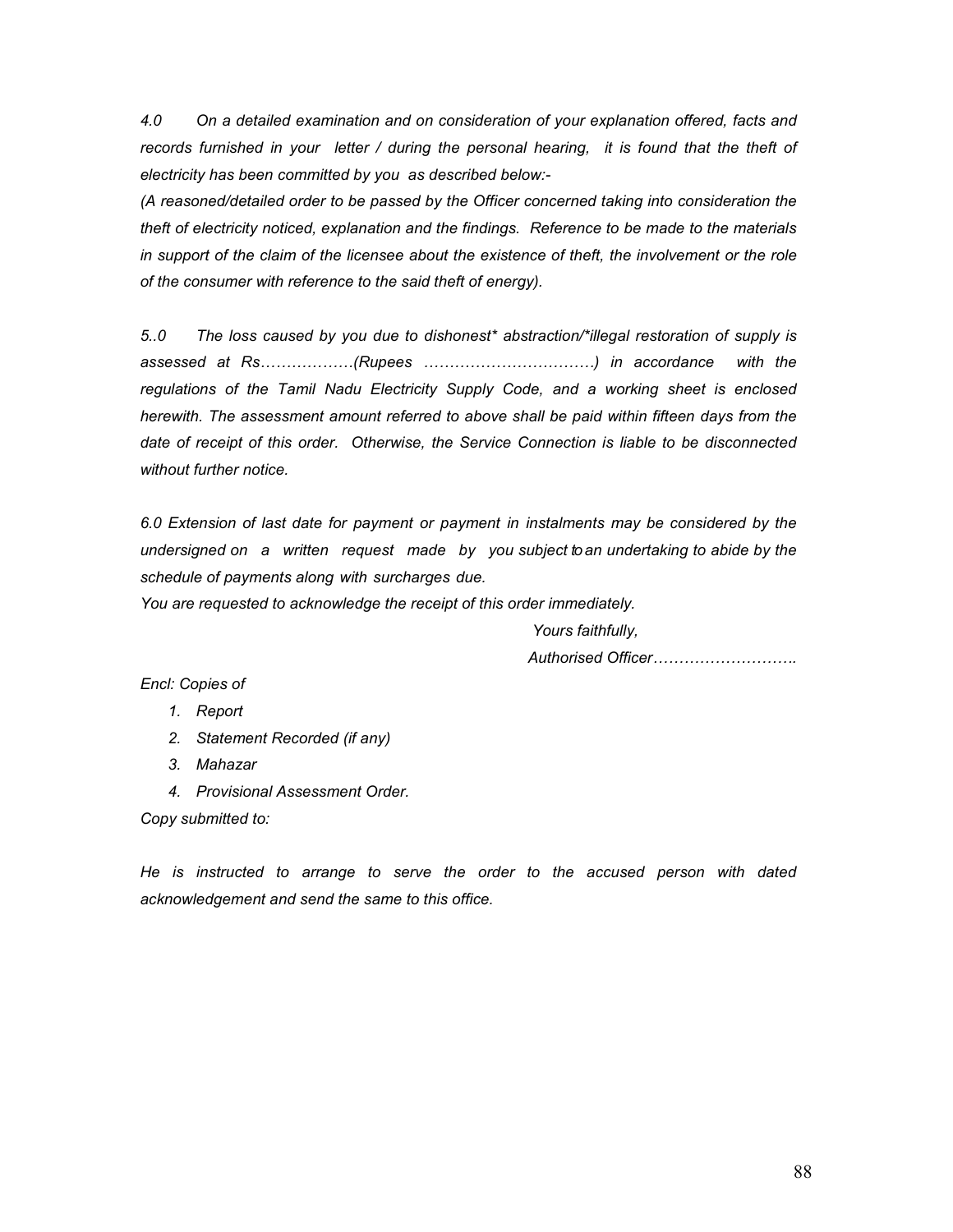4.0 On a detailed examination and on consideration of your explanation offered, facts and records furnished in your letter / during the personal hearing, it is found that the theft of electricity has been committed by you as described below:-

(A reasoned/detailed order to be passed by the Officer concerned taking into consideration the theft of electricity noticed, explanation and the findings. Reference to be made to the materials in support of the claim of the licensee about the existence of theft, the involvement or the role of the consumer with reference to the said theft of energy).

5..0 The loss caused by you due to dishonest\* abstraction/\*illegal restoration of supply is assessed at Rs………………(Rupees ……………………………) in accordance with the regulations of the Tamil Nadu Electricity Supply Code, and a working sheet is enclosed herewith. The assessment amount referred to above shall be paid within fifteen days from the date of receipt of this order. Otherwise, the Service Connection is liable to be disconnected without further notice

6.0 Extension of last date for payment or payment in instalments may be considered by the undersigned on a written request made by you subject to an undertaking to abide by the schedule of payments along with surcharges due.

You are requested to acknowledge the receipt of this order immediately.

Yours faithfully,

Authorised Officer……………………….

Encl: Copies of

- 1. Report
- 2. Statement Recorded (if any)
- 3. Mahazar
- 4. Provisional Assessment Order.

Copy submitted to:

He is instructed to arrange to serve the order to the accused person with dated acknowledgement and send the same to this office.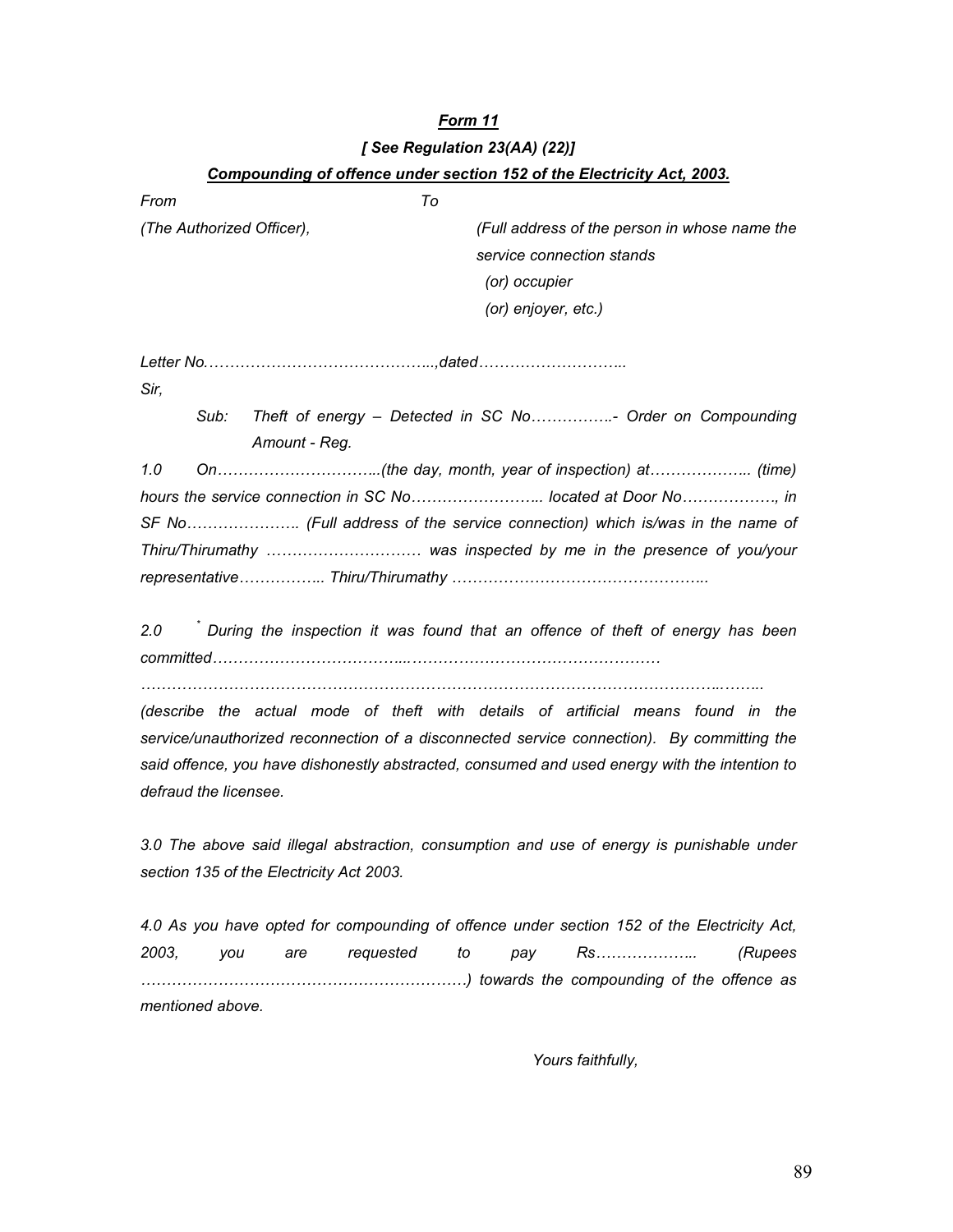# Form 11 [ See Regulation 23(AA) (22)] Compounding of offence under section 152 of the Electricity Act, 2003.

| From                      | To                                                                |
|---------------------------|-------------------------------------------------------------------|
| (The Authorized Officer), | (Full address of the person in whose name the                     |
|                           | service connection stands                                         |
|                           | (or) occupier                                                     |
|                           | (or) enjoyer, etc.)                                               |
|                           |                                                                   |
| Sir,                      |                                                                   |
| Sub:<br>Amount - Req.     | Theft of energy – Detected in SC No Order on Compounding          |
| 1.0                       |                                                                   |
|                           | hours the service connection in SC No located at Door No, in      |
|                           |                                                                   |
|                           | Thiru/Thirumathy  was inspected by me in the presence of you/your |

2.0 <sup>\*</sup> During the inspection it was found that an offence of theft of energy has been committed………………………………...…………………………………………

…………………………………………………………………………………………………..……..

(describe the actual mode of theft with details of artificial means found in the service/unauthorized reconnection of a disconnected service connection). By committing the said offence, you have dishonestly abstracted, consumed and used energy with the intention to defraud the licensee.

3.0 The above said illegal abstraction, consumption and use of energy is punishable under section 135 of the Electricity Act 2003.

4.0 As you have opted for compounding of offence under section 152 of the Electricity Act, 2003, you are requested to pay Rs……………….. (Rupees ………………………………………………………) towards the compounding of the offence as mentioned above.

Yours faithfully,